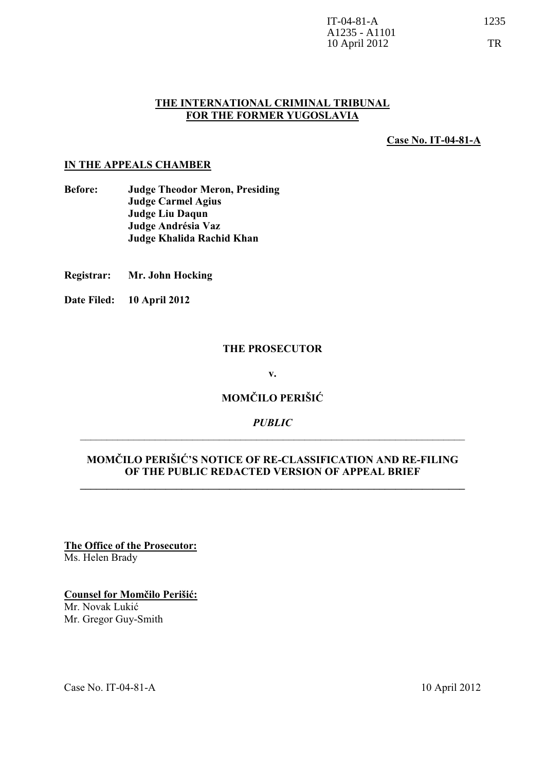### **THE INTERNATIONAL CRIMINAL TRIBUNAL FOR THE FORMER YUGOSLAVIA**

**Case No. IT-04-81-A**

### **IN THE APPEALS CHAMBER**

- **Before: Judge Theodor Meron, Presiding Judge Carmel Agius Judge Liu Daqun Judge Andrésia Vaz Judge Khalida Rachid Khan**
- **Registrar: Mr. John Hocking**
- **Date Filed: 10 April 2012**

### **THE PROSECUTOR**

**v.** 

### **MOMČILO PERIŠIĆ**

### *PUBLIC*  \_\_\_\_\_\_\_\_\_\_\_\_\_\_\_\_\_\_\_\_\_\_\_\_\_\_\_\_\_\_\_\_\_\_\_\_\_\_\_\_\_\_\_\_\_\_\_\_\_\_\_\_\_\_\_\_\_\_\_\_\_\_\_\_\_\_\_\_\_\_\_\_

### **MOMČILO PERIŠIĆ'S NOTICE OF RE-CLASSIFICATION AND RE-FILING OF THE PUBLIC REDACTED VERSION OF APPEAL BRIEF**

**\_\_\_\_\_\_\_\_\_\_\_\_\_\_\_\_\_\_\_\_\_\_\_\_\_\_\_\_\_\_\_\_\_\_\_\_\_\_\_\_\_\_\_\_\_\_\_\_\_\_\_\_\_\_\_\_\_\_\_\_\_\_\_\_\_\_\_\_\_\_\_\_** 

**The Office of the Prosecutor:** Ms. Helen Brady

**Counsel for Momčilo Perišić:** Mr. Novak Lukić Mr. Gregor Guy-Smith

Case No. IT-04-81-A 10 April 2012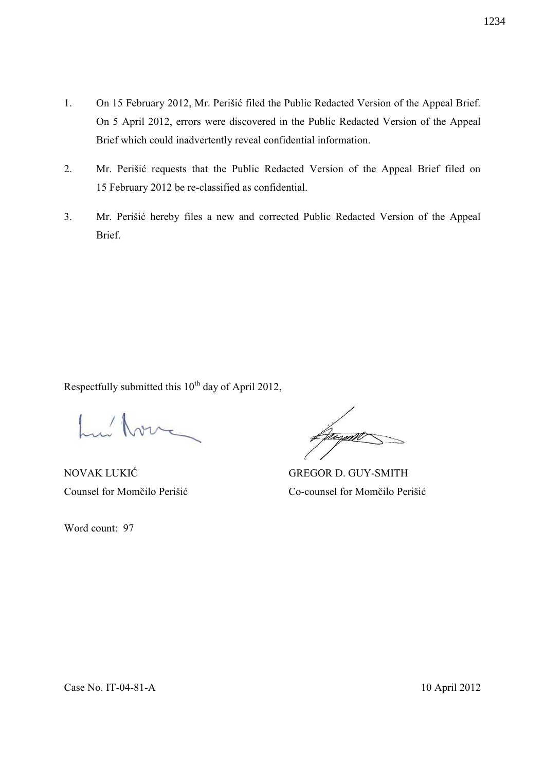- 1. On 15 February 2012, Mr. Perišić filed the Public Redacted Version of the Appeal Brief. On 5 April 2012, errors were discovered in the Public Redacted Version of the Appeal Brief which could inadvertently reveal confidential information.
- 2. Mr. Perišić requests that the Public Redacted Version of the Appeal Brief filed on 15 February 2012 be re-classified as confidential.
- 3. Mr. Perišić hereby files a new and corrected Public Redacted Version of the Appeal Brief.

Respectfully submitted this 10<sup>th</sup> day of April 2012,

Lui Nove

Word count: 97

unam

NOVAK LUKIĆ GREGOR D. GUY-SMITH Counsel for Momčilo Perišić Co-counsel for Momčilo Perišić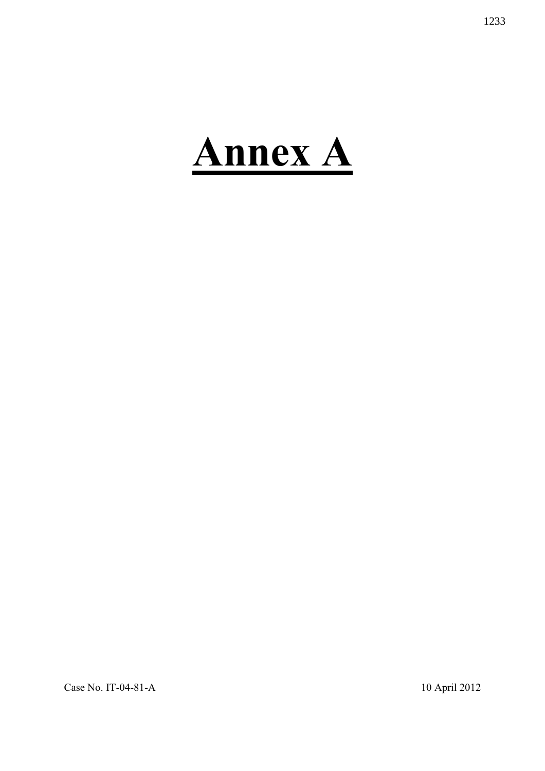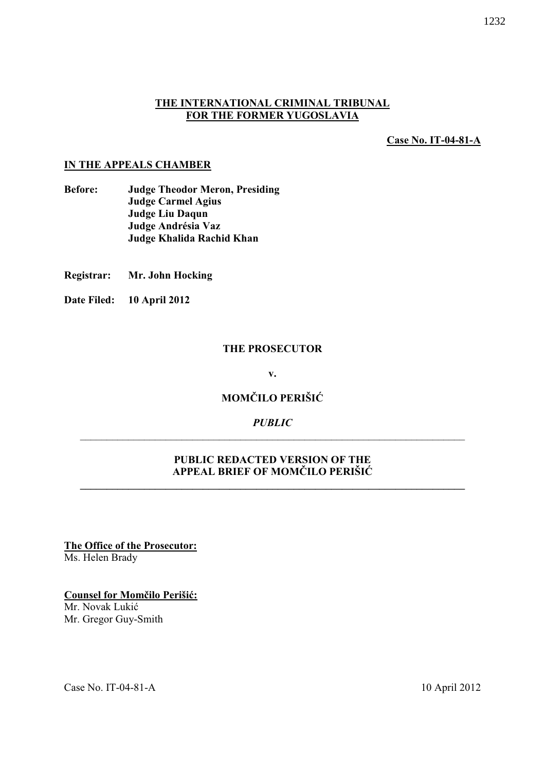### **THE INTERNATIONAL CRIMINAL TRIBUNAL FOR THE FORMER YUGOSLAVIA**

**Case No. IT-04-81-A**

### **IN THE APPEALS CHAMBER**

- **Before: Judge Theodor Meron, Presiding Judge Carmel Agius Judge Liu Daqun Judge Andrésia Vaz Judge Khalida Rachid Khan**
- **Registrar: Mr. John Hocking**
- **Date Filed: 10 April 2012**

### **THE PROSECUTOR**

**v.** 

### **MOMČILO PERIŠIĆ**

### *PUBLIC*  \_\_\_\_\_\_\_\_\_\_\_\_\_\_\_\_\_\_\_\_\_\_\_\_\_\_\_\_\_\_\_\_\_\_\_\_\_\_\_\_\_\_\_\_\_\_\_\_\_\_\_\_\_\_\_\_\_\_\_\_\_\_\_\_\_\_\_\_\_\_\_\_

### **PUBLIC REDACTED VERSION OF THE APPEAL BRIEF OF MOMČILO PERIŠIĆ**

**\_\_\_\_\_\_\_\_\_\_\_\_\_\_\_\_\_\_\_\_\_\_\_\_\_\_\_\_\_\_\_\_\_\_\_\_\_\_\_\_\_\_\_\_\_\_\_\_\_\_\_\_\_\_\_\_\_\_\_\_\_\_\_\_\_\_\_\_\_\_\_\_** 

**The Office of the Prosecutor:** Ms. Helen Brady

**Counsel for Momčilo Perišić:** Mr. Novak Lukić Mr. Gregor Guy-Smith

Case No. IT-04-81-A 10 April 2012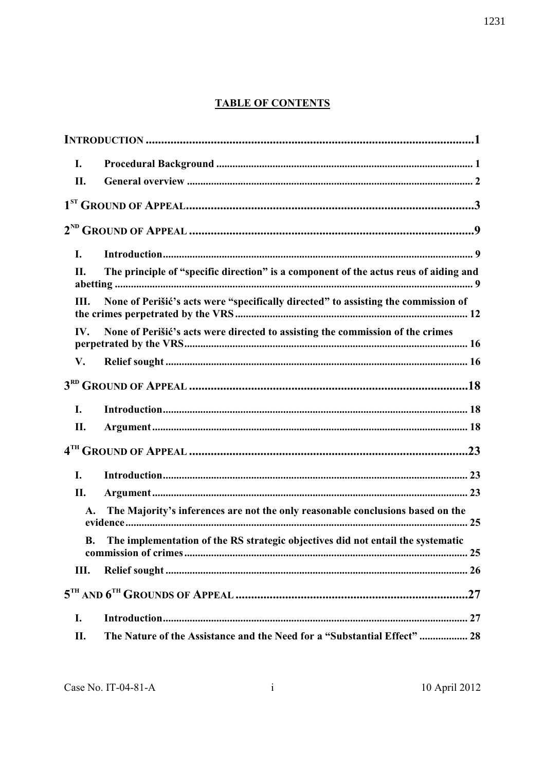# **TABLE OF CONTENTS**

| I.  |                                                                                                  |
|-----|--------------------------------------------------------------------------------------------------|
| II. |                                                                                                  |
|     |                                                                                                  |
|     |                                                                                                  |
| I.  |                                                                                                  |
| П.  | The principle of "specific direction" is a component of the actus reus of aiding and             |
| Ш.  | None of Perišić's acts were "specifically directed" to assisting the commission of               |
| IV. | None of Perišić's acts were directed to assisting the commission of the crimes                   |
| V.  |                                                                                                  |
|     |                                                                                                  |
| I.  |                                                                                                  |
| II. |                                                                                                  |
|     |                                                                                                  |
| I.  |                                                                                                  |
| П.  |                                                                                                  |
|     | The Majority's inferences are not the only reasonable conclusions based on the<br>$\mathbf{A}$ . |
|     | B. The implementation of the RS strategic objectives did not entail the systematic               |
| Ш.  |                                                                                                  |
|     |                                                                                                  |
| I.  |                                                                                                  |
| II. | The Nature of the Assistance and the Need for a "Substantial Effect"  28                         |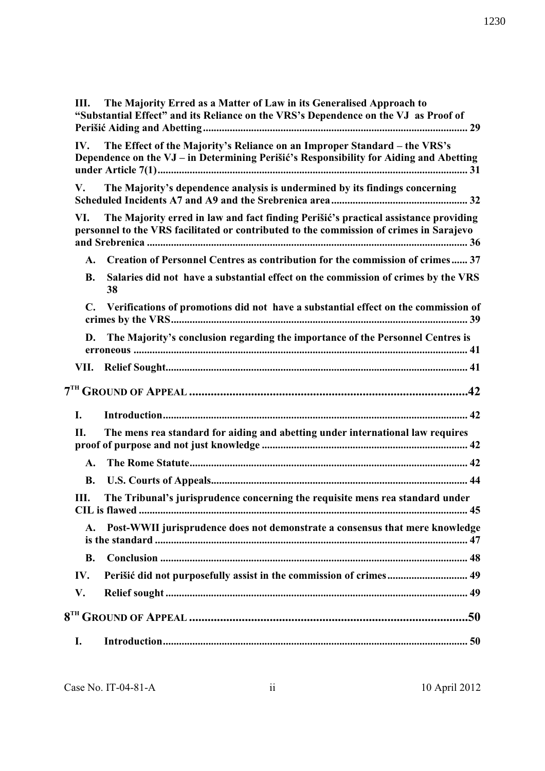| Ш.             | The Majority Erred as a Matter of Law in its Generalised Approach to<br>"Substantial Effect" and its Reliance on the VRS's Dependence on the VJ as Proof of                    |  |
|----------------|--------------------------------------------------------------------------------------------------------------------------------------------------------------------------------|--|
| IV.            | The Effect of the Majority's Reliance on an Improper Standard – the VRS's<br>Dependence on the VJ - in Determining Perišić's Responsibility for Aiding and Abetting            |  |
| V.             | The Majority's dependence analysis is undermined by its findings concerning                                                                                                    |  |
| VI.            | The Majority erred in law and fact finding Perišić's practical assistance providing<br>personnel to the VRS facilitated or contributed to the commission of crimes in Sarajevo |  |
| A.             | Creation of Personnel Centres as contribution for the commission of crimes 37                                                                                                  |  |
| <b>B.</b>      | Salaries did not have a substantial effect on the commission of crimes by the VRS<br>38                                                                                        |  |
| C.             | Verifications of promotions did not have a substantial effect on the commission of                                                                                             |  |
| D.             | The Majority's conclusion regarding the importance of the Personnel Centres is                                                                                                 |  |
|                |                                                                                                                                                                                |  |
|                |                                                                                                                                                                                |  |
| I.             |                                                                                                                                                                                |  |
| П.             | The mens rea standard for aiding and abetting under international law requires                                                                                                 |  |
| A.             |                                                                                                                                                                                |  |
| <b>B.</b>      |                                                                                                                                                                                |  |
| Ш.             | The Tribunal's jurisprudence concerning the requisite mens rea standard under                                                                                                  |  |
| $\mathbf{A}$ . | Post-WWII jurisprudence does not demonstrate a consensus that mere knowledge                                                                                                   |  |
| <b>B.</b>      |                                                                                                                                                                                |  |
| IV.            | Perišić did not purposefully assist in the commission of crimes 49                                                                                                             |  |
| V.             |                                                                                                                                                                                |  |
|                |                                                                                                                                                                                |  |
| I.             |                                                                                                                                                                                |  |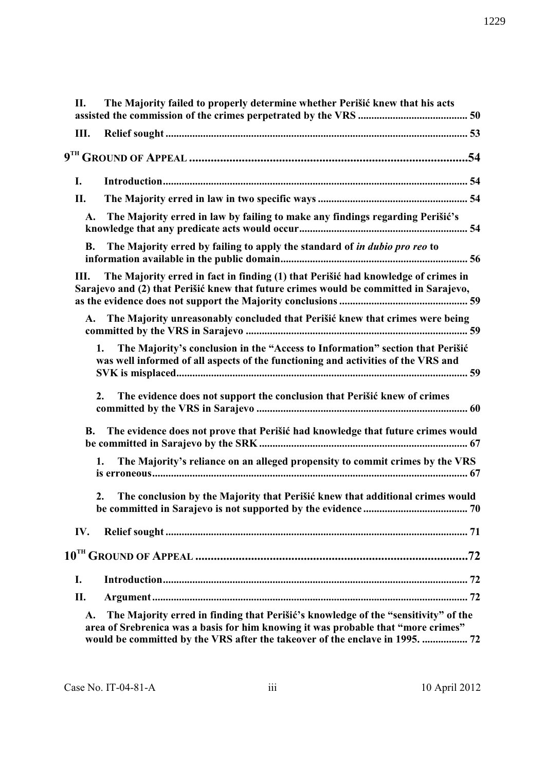| П.        | The Majority failed to properly determine whether Perišić knew that his acts                                                                                                                                                                            |
|-----------|---------------------------------------------------------------------------------------------------------------------------------------------------------------------------------------------------------------------------------------------------------|
| Ш.        |                                                                                                                                                                                                                                                         |
|           |                                                                                                                                                                                                                                                         |
| I.        |                                                                                                                                                                                                                                                         |
| II.       |                                                                                                                                                                                                                                                         |
| A.        | The Majority erred in law by failing to make any findings regarding Perišić's                                                                                                                                                                           |
| <b>B.</b> | The Majority erred by failing to apply the standard of in dubio pro reo to                                                                                                                                                                              |
| Ш.        | The Majority erred in fact in finding (1) that Perišić had knowledge of crimes in<br>Sarajevo and (2) that Perišić knew that future crimes would be committed in Sarajevo,                                                                              |
| <b>A.</b> | The Majority unreasonably concluded that Perišić knew that crimes were being                                                                                                                                                                            |
|           | The Majority's conclusion in the "Access to Information" section that Perišić<br>1.<br>was well informed of all aspects of the functioning and activities of the VRS and                                                                                |
|           | The evidence does not support the conclusion that Perišić knew of crimes<br>2.                                                                                                                                                                          |
| <b>B.</b> | The evidence does not prove that Perišić had knowledge that future crimes would                                                                                                                                                                         |
|           | The Majority's reliance on an alleged propensity to commit crimes by the VRS<br>1.                                                                                                                                                                      |
|           | The conclusion by the Majority that Perišić knew that additional crimes would<br>2.                                                                                                                                                                     |
| IV.       |                                                                                                                                                                                                                                                         |
|           |                                                                                                                                                                                                                                                         |
| I.        |                                                                                                                                                                                                                                                         |
| II.       |                                                                                                                                                                                                                                                         |
| A.        | The Majority erred in finding that Perišić's knowledge of the "sensitivity" of the<br>area of Srebrenica was a basis for him knowing it was probable that "more crimes"<br>would be committed by the VRS after the takeover of the enclave in 1995.  72 |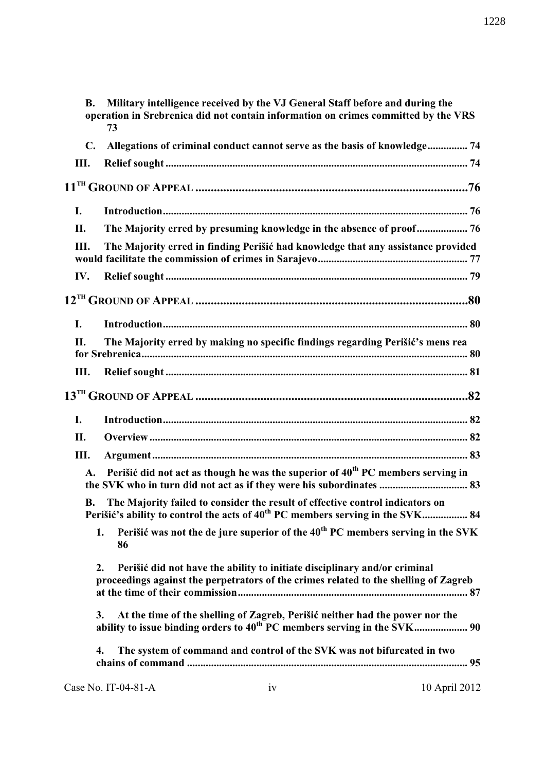| <b>B.</b>      | 73                  | Military intelligence received by the VJ General Staff before and during the<br>operation in Srebrenica did not contain information on crimes committed by the VRS          |
|----------------|---------------------|-----------------------------------------------------------------------------------------------------------------------------------------------------------------------------|
| $\mathbf{C}$ . |                     | Allegations of criminal conduct cannot serve as the basis of knowledge 74                                                                                                   |
| Ш.             |                     |                                                                                                                                                                             |
|                |                     |                                                                                                                                                                             |
| I.             |                     |                                                                                                                                                                             |
| II.            |                     | The Majority erred by presuming knowledge in the absence of proof 76                                                                                                        |
| III.           |                     | The Majority erred in finding Perišić had knowledge that any assistance provided                                                                                            |
| IV.            |                     |                                                                                                                                                                             |
|                |                     |                                                                                                                                                                             |
| I.             |                     |                                                                                                                                                                             |
| Н.             |                     | The Majority erred by making no specific findings regarding Perišić's mens rea                                                                                              |
| Ш.             |                     |                                                                                                                                                                             |
|                |                     |                                                                                                                                                                             |
| I.             |                     |                                                                                                                                                                             |
| II.            |                     |                                                                                                                                                                             |
| Ш.             |                     |                                                                                                                                                                             |
| A.             |                     | Perišić did not act as though he was the superior of 40 <sup>th</sup> PC members serving in                                                                                 |
| <b>B.</b>      |                     | The Majority failed to consider the result of effective control indicators on<br>Perišić's ability to control the acts of 40 <sup>th</sup> PC members serving in the SVK 84 |
|                | 1.<br>86            | Perišić was not the de jure superior of the 40 <sup>th</sup> PC members serving in the SVK                                                                                  |
|                | 2.                  | Perišić did not have the ability to initiate disciplinary and/or criminal<br>proceedings against the perpetrators of the crimes related to the shelling of Zagreb           |
|                | 3.                  | At the time of the shelling of Zagreb, Perišić neither had the power nor the<br>ability to issue binding orders to 40 <sup>th</sup> PC members serving in the SVK 90        |
| 4.             |                     | The system of command and control of the SVK was not bifurcated in two                                                                                                      |
|                | Case No. IT-04-81-A | 10 April 2012<br>iv                                                                                                                                                         |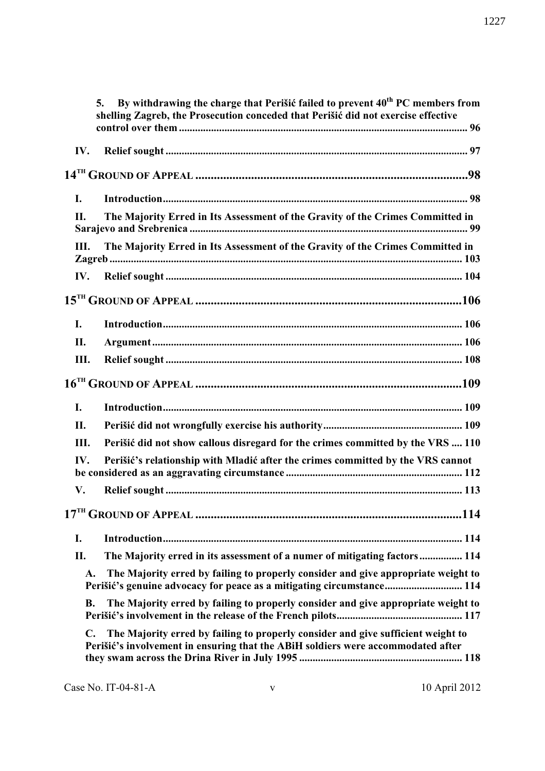|                | By withdrawing the charge that Perišić failed to prevent 40 <sup>th</sup> PC members from<br>5.<br>shelling Zagreb, the Prosecution conceded that Perišić did not exercise effective |
|----------------|--------------------------------------------------------------------------------------------------------------------------------------------------------------------------------------|
| IV.            |                                                                                                                                                                                      |
|                |                                                                                                                                                                                      |
| I.             |                                                                                                                                                                                      |
| II.            | The Majority Erred in Its Assessment of the Gravity of the Crimes Committed in                                                                                                       |
| Ш.             | The Majority Erred in Its Assessment of the Gravity of the Crimes Committed in                                                                                                       |
| IV.            |                                                                                                                                                                                      |
|                |                                                                                                                                                                                      |
| I.             |                                                                                                                                                                                      |
| II.            |                                                                                                                                                                                      |
| Ш.             |                                                                                                                                                                                      |
|                |                                                                                                                                                                                      |
| I.             |                                                                                                                                                                                      |
| II.            |                                                                                                                                                                                      |
| Ш.             | Perišić did not show callous disregard for the crimes committed by the VRS  110                                                                                                      |
| IV.            | Perišić's relationship with Mladić after the crimes committed by the VRS cannot                                                                                                      |
| V.             |                                                                                                                                                                                      |
|                |                                                                                                                                                                                      |
| I.             |                                                                                                                                                                                      |
| П.             | The Majority erred in its assessment of a numer of mitigating factors 114                                                                                                            |
| A.             | The Majority erred by failing to properly consider and give appropriate weight to<br>Perišić's genuine advocacy for peace as a mitigating circumstance 114                           |
| <b>B.</b>      | The Majority erred by failing to properly consider and give appropriate weight to                                                                                                    |
| $\mathbf{C}$ . | The Majority erred by failing to properly consider and give sufficient weight to<br>Perišić's involvement in ensuring that the ABiH soldiers were accommodated after                 |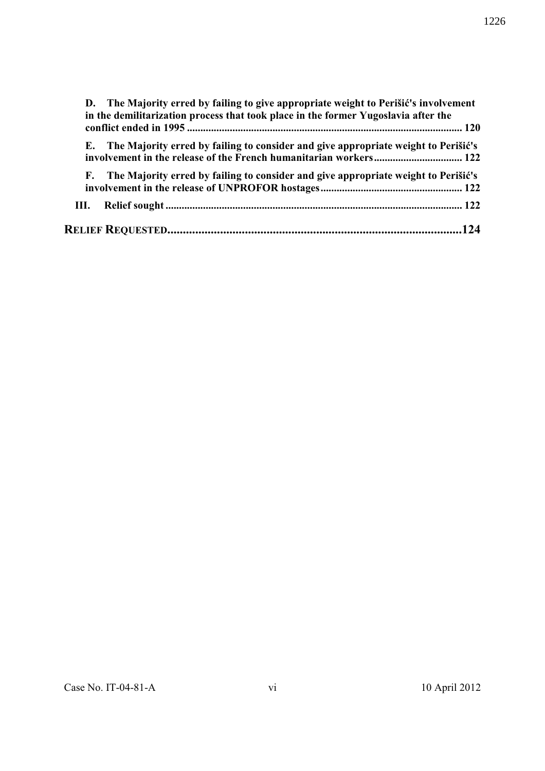|      | D. The Majority erred by failing to give appropriate weight to Perišić's involvement<br>in the demilitarization process that took place in the former Yugoslavia after the |
|------|----------------------------------------------------------------------------------------------------------------------------------------------------------------------------|
|      |                                                                                                                                                                            |
|      | E. The Majority erred by failing to consider and give appropriate weight to Perišić's                                                                                      |
|      | F. The Majority erred by failing to consider and give appropriate weight to Perišić's                                                                                      |
| III. |                                                                                                                                                                            |
|      |                                                                                                                                                                            |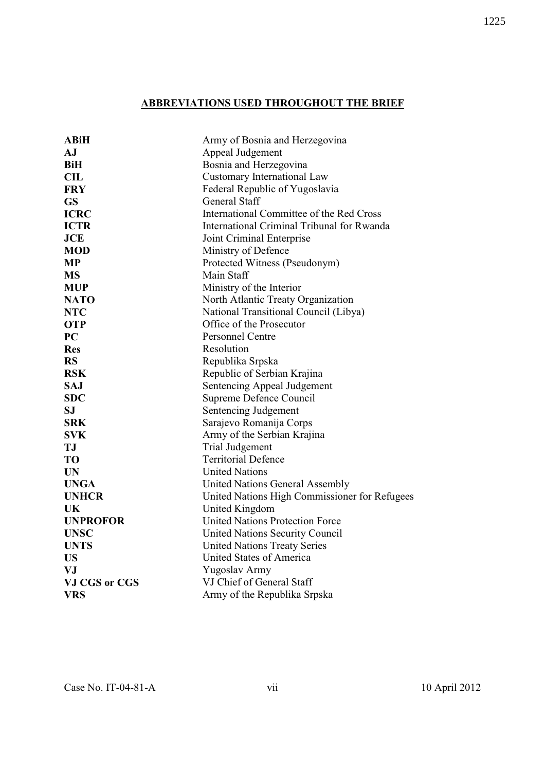## **ABBREVIATIONS USED THROUGHOUT THE BRIEF**

| <b>ABiH</b>     | Army of Bosnia and Herzegovina                |
|-----------------|-----------------------------------------------|
| AJ              | Appeal Judgement                              |
| <b>BiH</b>      | Bosnia and Herzegovina                        |
| CL              | <b>Customary International Law</b>            |
| <b>FRY</b>      | Federal Republic of Yugoslavia                |
| <b>GS</b>       | <b>General Staff</b>                          |
| <b>ICRC</b>     | International Committee of the Red Cross      |
| <b>ICTR</b>     | International Criminal Tribunal for Rwanda    |
| <b>JCE</b>      | Joint Criminal Enterprise                     |
| <b>MOD</b>      | Ministry of Defence                           |
| <b>MP</b>       | Protected Witness (Pseudonym)                 |
| <b>MS</b>       | Main Staff                                    |
| <b>MUP</b>      | Ministry of the Interior                      |
| <b>NATO</b>     | North Atlantic Treaty Organization            |
| <b>NTC</b>      | National Transitional Council (Libya)         |
| <b>OTP</b>      | Office of the Prosecutor                      |
| <b>PC</b>       | <b>Personnel Centre</b>                       |
| <b>Res</b>      | Resolution                                    |
| <b>RS</b>       | Republika Srpska                              |
| <b>RSK</b>      | Republic of Serbian Krajina                   |
| <b>SAJ</b>      | Sentencing Appeal Judgement                   |
| <b>SDC</b>      | Supreme Defence Council                       |
| <b>SJ</b>       | Sentencing Judgement                          |
| <b>SRK</b>      | Sarajevo Romanija Corps                       |
| <b>SVK</b>      | Army of the Serbian Krajina                   |
| <b>TJ</b>       | <b>Trial Judgement</b>                        |
| <b>TO</b>       | <b>Territorial Defence</b>                    |
| <b>UN</b>       | <b>United Nations</b>                         |
| <b>UNGA</b>     | United Nations General Assembly               |
| <b>UNHCR</b>    | United Nations High Commissioner for Refugees |
| UK              | United Kingdom                                |
| <b>UNPROFOR</b> | <b>United Nations Protection Force</b>        |
| <b>UNSC</b>     | United Nations Security Council               |
| <b>UNTS</b>     | <b>United Nations Treaty Series</b>           |
| <b>US</b>       | United States of America                      |
| <b>VJ</b>       | Yugoslav Army                                 |
| VJ CGS or CGS   | VJ Chief of General Staff                     |
| <b>VRS</b>      | Army of the Republika Srpska                  |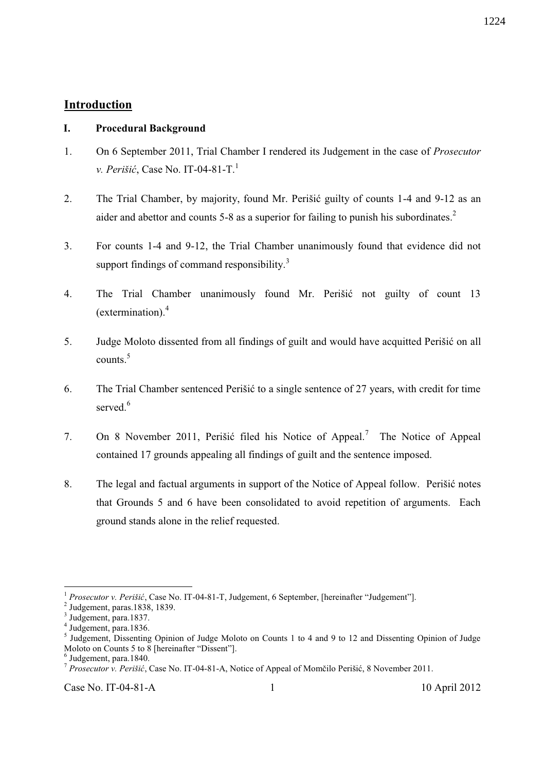### **Introduction**

### **I. Procedural Background**

- 1. On 6 September 2011, Trial Chamber I rendered its Judgement in the case of *Prosecutor v. Perišić*, Case No. IT-04-81-T.<sup>1</sup>
- 2. The Trial Chamber, by majority, found Mr. Perišić guilty of counts 1-4 and 9-12 as an aider and abettor and counts 5-8 as a superior for failing to punish his subordinates.<sup>2</sup>
- 3. For counts 1-4 and 9-12, the Trial Chamber unanimously found that evidence did not support findings of command responsibility. $3$
- 4. The Trial Chamber unanimously found Mr. Perišić not guilty of count 13 (extermination). $4$
- 5. Judge Moloto dissented from all findings of guilt and would have acquitted Perišić on all counts.<sup>5</sup>
- 6. The Trial Chamber sentenced Perišić to a single sentence of 27 years, with credit for time served<sup>6</sup>
- 7. On 8 November 2011, Perišić filed his Notice of Appeal.<sup>7</sup> The Notice of Appeal contained 17 grounds appealing all findings of guilt and the sentence imposed.
- 8. The legal and factual arguments in support of the Notice of Appeal follow. Perišić notes that Grounds 5 and 6 have been consolidated to avoid repetition of arguments. Each ground stands alone in the relief requested.

<sup>1</sup> *Prosecutor v. Perišić*, Case No. IT-04-81-T, Judgement, 6 September, [hereinafter "Judgement"].

 $<sup>2</sup>$  Judgement, paras.1838, 1839.</sup>

<sup>3</sup> Judgement, para.1837.

<sup>4</sup> Judgement, para.1836.

<sup>&</sup>lt;sup>5</sup> Judgement, Dissenting Opinion of Judge Moloto on Counts 1 to 4 and 9 to 12 and Dissenting Opinion of Judge Moloto on Counts 5 to 8 [hereinafter "Dissent"].

<sup>6</sup> Judgement, para.1840.

<sup>7</sup> *Prosecutor v. Perišić*, Case No. IT-04-81-A, Notice of Appeal of Momčilo Perišić, 8 November 2011.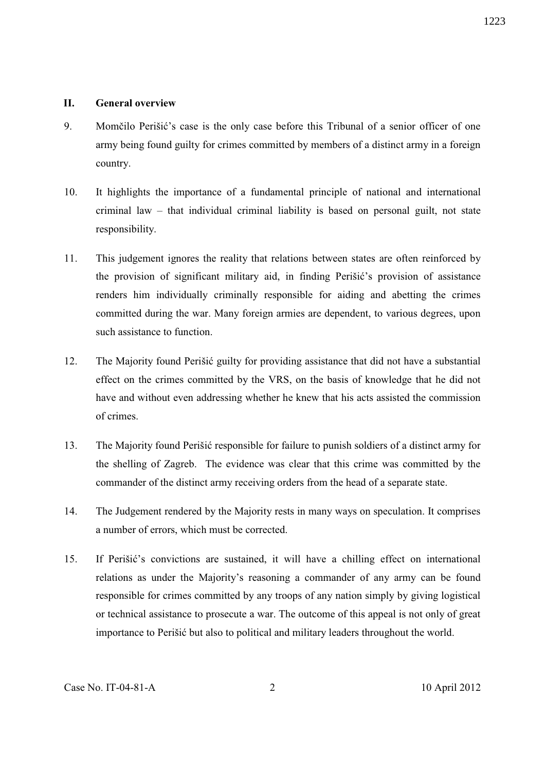#### **II. General overview**

- 9. Momčilo Perišić's case is the only case before this Tribunal of a senior officer of one army being found guilty for crimes committed by members of a distinct army in a foreign country.
- 10. It highlights the importance of a fundamental principle of national and international criminal law – that individual criminal liability is based on personal guilt, not state responsibility.
- 11. This judgement ignores the reality that relations between states are often reinforced by the provision of significant military aid, in finding Perišić's provision of assistance renders him individually criminally responsible for aiding and abetting the crimes committed during the war. Many foreign armies are dependent, to various degrees, upon such assistance to function.
- 12. The Majority found Perišić guilty for providing assistance that did not have a substantial effect on the crimes committed by the VRS, on the basis of knowledge that he did not have and without even addressing whether he knew that his acts assisted the commission of crimes.
- 13. The Majority found Perišić responsible for failure to punish soldiers of a distinct army for the shelling of Zagreb. The evidence was clear that this crime was committed by the commander of the distinct army receiving orders from the head of a separate state.
- 14. The Judgement rendered by the Majority rests in many ways on speculation. It comprises a number of errors, which must be corrected.
- 15. If Perišić's convictions are sustained, it will have a chilling effect on international relations as under the Majority's reasoning a commander of any army can be found responsible for crimes committed by any troops of any nation simply by giving logistical or technical assistance to prosecute a war. The outcome of this appeal is not only of great importance to Perišić but also to political and military leaders throughout the world.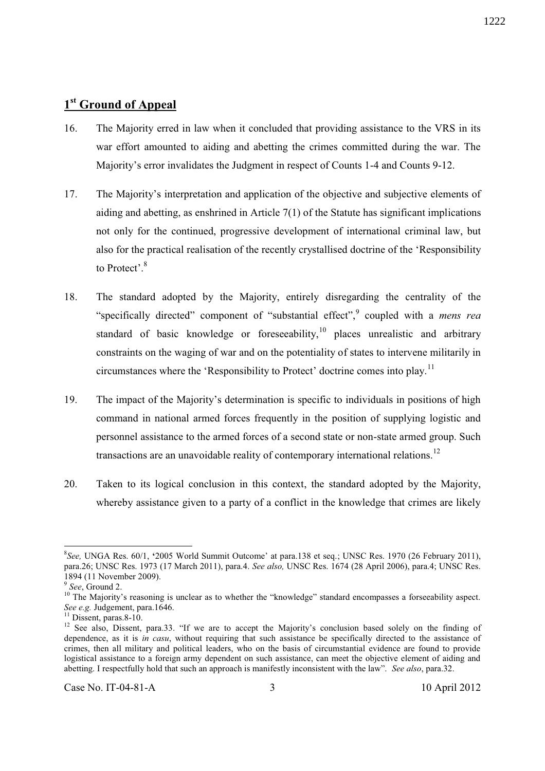## **1 st Ground of Appeal**

- 16. The Majority erred in law when it concluded that providing assistance to the VRS in its war effort amounted to aiding and abetting the crimes committed during the war. The Majority's error invalidates the Judgment in respect of Counts 1-4 and Counts 9-12.
- 17. The Majority's interpretation and application of the objective and subjective elements of aiding and abetting, as enshrined in Article 7(1) of the Statute has significant implications not only for the continued, progressive development of international criminal law, but also for the practical realisation of the recently crystallised doctrine of the 'Responsibility to Protect'.<sup>8</sup>
- 18. The standard adopted by the Majority, entirely disregarding the centrality of the "specifically directed" component of "substantial effect",<sup>9</sup> coupled with a *mens rea* standard of basic knowledge or foreseeability, $10$  places unrealistic and arbitrary constraints on the waging of war and on the potentiality of states to intervene militarily in circumstances where the 'Responsibility to Protect' doctrine comes into play.<sup>11</sup>
- 19. The impact of the Majority's determination is specific to individuals in positions of high command in national armed forces frequently in the position of supplying logistic and personnel assistance to the armed forces of a second state or non-state armed group. Such transactions are an unavoidable reality of contemporary international relations.<sup>12</sup>
- 20. Taken to its logical conclusion in this context, the standard adopted by the Majority, whereby assistance given to a party of a conflict in the knowledge that crimes are likely

<sup>8</sup> *See,* UNGA Res. 60/1, **'**2005 World Summit Outcome' at para.138 et seq.; UNSC Res. 1970 (26 February 2011), para.26; UNSC Res. 1973 (17 March 2011), para.4. *See also,* UNSC Res. 1674 (28 April 2006), para.4; UNSC Res. 1894 (11 November 2009).

<sup>9</sup> *See*, Ground 2.

<sup>&</sup>lt;sup>10</sup> The Majority's reasoning is unclear as to whether the "knowledge" standard encompasses a forseeability aspect. *See e.g.* Judgement, para.1646.

<sup>&</sup>lt;sup>11</sup> Dissent, paras.8-10.

<sup>&</sup>lt;sup>12</sup> See also, Dissent, para.33. "If we are to accept the Majority's conclusion based solely on the finding of dependence, as it is *in casu*, without requiring that such assistance be specifically directed to the assistance of crimes, then all military and political leaders, who on the basis of circumstantial evidence are found to provide logistical assistance to a foreign army dependent on such assistance, can meet the objective element of aiding and abetting. I respectfully hold that such an approach is manifestly inconsistent with the law". *See also*, para.32.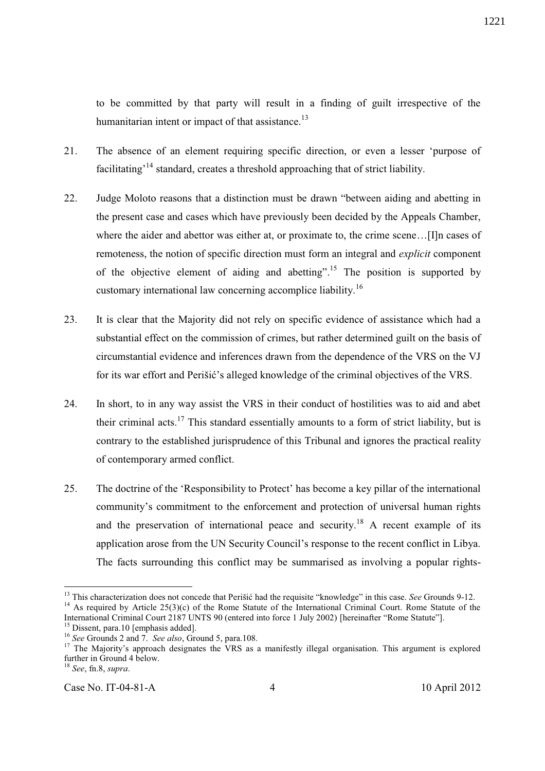to be committed by that party will result in a finding of guilt irrespective of the humanitarian intent or impact of that assistance.<sup>13</sup>

- 21. The absence of an element requiring specific direction, or even a lesser 'purpose of facilitating<sup>, 14</sup> standard, creates a threshold approaching that of strict liability.
- 22. Judge Moloto reasons that a distinction must be drawn "between aiding and abetting in the present case and cases which have previously been decided by the Appeals Chamber, where the aider and abettor was either at, or proximate to, the crime scene…[I]n cases of remoteness, the notion of specific direction must form an integral and *explicit* component of the objective element of aiding and abetting".<sup>15</sup> The position is supported by customary international law concerning accomplice liability.<sup>16</sup>
- 23. It is clear that the Majority did not rely on specific evidence of assistance which had a substantial effect on the commission of crimes, but rather determined guilt on the basis of circumstantial evidence and inferences drawn from the dependence of the VRS on the VJ for its war effort and Perišić's alleged knowledge of the criminal objectives of the VRS.
- 24. In short, to in any way assist the VRS in their conduct of hostilities was to aid and abet their criminal acts.<sup>17</sup> This standard essentially amounts to a form of strict liability, but is contrary to the established jurisprudence of this Tribunal and ignores the practical reality of contemporary armed conflict.
- 25. The doctrine of the 'Responsibility to Protect' has become a key pillar of the international community's commitment to the enforcement and protection of universal human rights and the preservation of international peace and security.<sup>18</sup> A recent example of its application arose from the UN Security Council's response to the recent conflict in Libya. The facts surrounding this conflict may be summarised as involving a popular rights-

l <sup>13</sup> This characterization does not concede that Perišić had the requisite "knowledge" in this case. *See* Grounds 9-12. <sup>14</sup> As required by Article 25(3)(c) of the Rome Statute of the International Criminal Court. Rome Statute of the International Criminal Court 2187 UNTS 90 (entered into force 1 July 2002) [hereinafter "Rome Statute"].

<sup>&</sup>lt;sup>15</sup> Dissent, para.10 [emphasis added].

<sup>16</sup> *See* Grounds 2 and 7. *See also*, Ground 5, para.108.

<sup>&</sup>lt;sup>17</sup> The Majority's approach designates the VRS as a manifestly illegal organisation. This argument is explored further in Ground 4 below.

<sup>18</sup> *See*, fn.8, *supra*.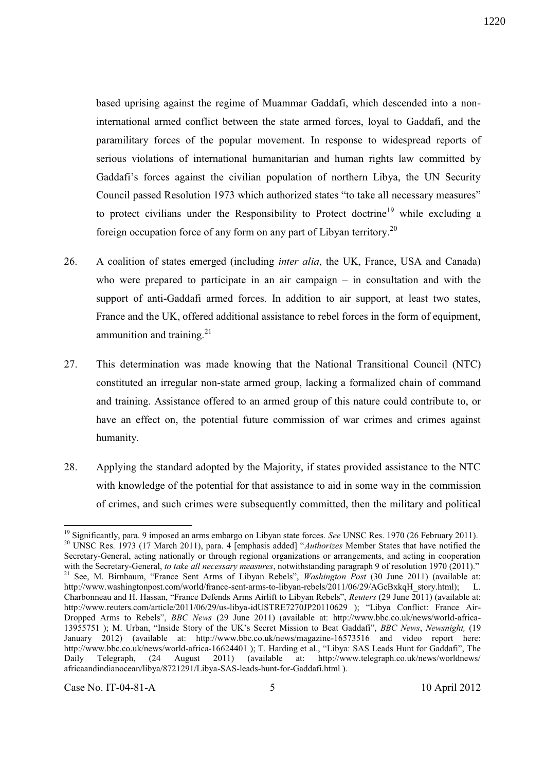based uprising against the regime of Muammar Gaddafi, which descended into a noninternational armed conflict between the state armed forces, loyal to Gaddafi, and the paramilitary forces of the popular movement. In response to widespread reports of serious violations of international humanitarian and human rights law committed by Gaddafi's forces against the civilian population of northern Libya, the UN Security Council passed Resolution 1973 which authorized states "to take all necessary measures" to protect civilians under the Responsibility to Protect doctrine<sup>19</sup> while excluding a

26. A coalition of states emerged (including *inter alia*, the UK, France, USA and Canada) who were prepared to participate in an air campaign – in consultation and with the support of anti-Gaddafi armed forces. In addition to air support, at least two states, France and the UK, offered additional assistance to rebel forces in the form of equipment, ammunition and training. $^{21}$ 

foreign occupation force of any form on any part of Libyan territory. $^{20}$ 

- 27. This determination was made knowing that the National Transitional Council (NTC) constituted an irregular non-state armed group, lacking a formalized chain of command and training. Assistance offered to an armed group of this nature could contribute to, or have an effect on, the potential future commission of war crimes and crimes against humanity.
- 28. Applying the standard adopted by the Majority, if states provided assistance to the NTC with knowledge of the potential for that assistance to aid in some way in the commission of crimes, and such crimes were subsequently committed, then the military and political

l

<sup>&</sup>lt;sup>19</sup> Significantly, para. 9 imposed an arms embargo on Libyan state forces. *See* UNSC Res. 1970 (26 February 2011). <sup>20</sup> UNSC Res. 1973 (17 March 2011), para. 4 [emphasis added] "*Authorizes* Member States that have notified the Secretary-General, acting nationally or through regional organizations or arrangements, and acting in cooperation with the Secretary-General, *to take all necessary measures*, notwithstanding paragraph 9 of resolution 1970 (2011)." <sup>21</sup> See, M. Birnbaum, "France Sent Arms of Libyan Rebels", *Washington Post* (30 June 2011) (available at: http://www.washingtonpost.com/world/france-sent-arms-to-libyan-rebels/2011/06/29/AGcBxkqH\_story.html); L. Charbonneau and H. Hassan, "France Defends Arms Airlift to Libyan Rebels", *Reuters* (29 June 2011) (available at: http://www.reuters.com/article/2011/06/29/us-libya-idUSTRE7270JP20110629 ); "Libya Conflict: France Air-Dropped Arms to Rebels", *BBC News* (29 June 2011) (available at: http://www.bbc.co.uk/news/world-africa-13955751 ); M. Urban, "Inside Story of the UK's Secret Mission to Beat Gaddafi", *BBC News*, *Newsnight,* (19 January 2012) (available at: http://www.bbc.co.uk/news/magazine-16573516 and video report here: http://www.bbc.co.uk/news/world-africa-16624401 ); T. Harding et al., "Libya: SAS Leads Hunt for Gaddafi", The<br>Daily Telegraph. (24 August 2011) (available at: http://www.telegraph.co.uk/news/worldnews/ Daily Telegraph, (24 August 2011) (available at: http://www.telegraph.co.uk/news/worldnews/ africaandindianocean/libya/8721291/Libya-SAS-leads-hunt-for-Gaddafi.html ).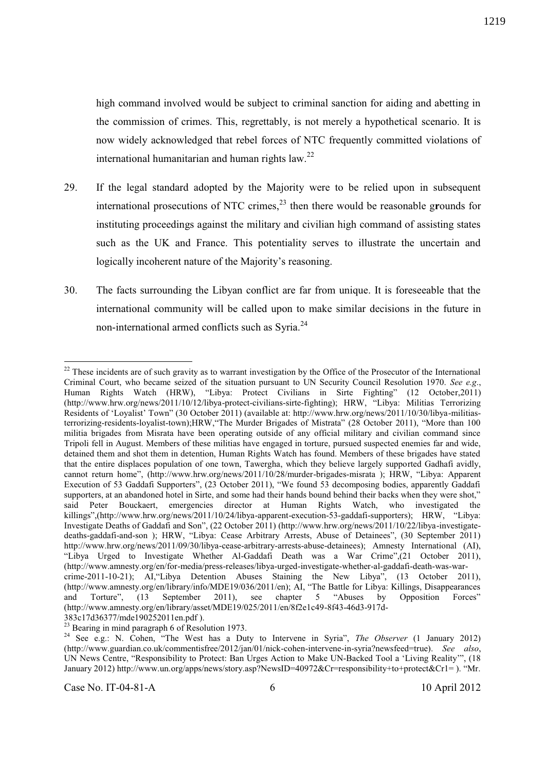high command involved would be subject to criminal sanction for aiding and abetting in the commission of crimes. This, regrettably, is not merely a hypothetical scenario. It is now widely acknowledged that rebel forces of NTC frequently committed violations of international humanitarian and human rights law. $^{22}$ 

- 29. If the legal standard adopted by the Majority were to be relied upon in subsequent international prosecutions of NTC crimes,  $^{23}$  then there would be reasonable grounds for instituting proceedings against the military and civilian high command of assisting states such as the UK and France. This potentiality serves to illustrate the uncertain and logically incoherent nature of the Majority's reasoning.
- 30. The facts surrounding the Libyan conflict are far from unique. It is foreseeable that the international community will be called upon to make similar decisions in the future in non-international armed conflicts such as Syria.<sup>24</sup>

 $22$  These incidents are of such gravity as to warrant investigation by the Office of the Prosecutor of the International Criminal Court, who became seized of the situation pursuant to UN Security Council Resolution 1970. *See e.g*., Human Rights Watch (HRW), "Libya: Protect Civilians in Sirte Fighting" (12 October,2011) (http://www.hrw.org/news/2011/10/12/libya-protect-civilians-sirte-fighting); HRW, "Libya: Militias Terrorizing Residents of 'Loyalist' Town" (30 October 2011) (available at: http://www.hrw.org/news/2011/10/30/libya-militiasterrorizing-residents-loyalist-town);HRW,"The Murder Brigades of Mistrata" (28 October 2011), "More than 100 militia brigades from Misrata have been operating outside of any official military and civilian command since Tripoli fell in August. Members of these militias have engaged in torture, pursued suspected enemies far and wide, detained them and shot them in detention, Human Rights Watch has found. Members of these brigades have stated that the entire displaces population of one town, Tawergha, which they believe largely supported Gadhafi avidly, cannot return home", (http://www.hrw.org/news/2011/10/28/murder-brigades-misrata ); HRW, "Libya: Apparent Execution of 53 Gaddafi Supporters", (23 October 2011), "We found 53 decomposing bodies, apparently Gaddafi supporters, at an abandoned hotel in Sirte, and some had their hands bound behind their backs when they were shot," said Peter Bouckaert, emergencies director at Human Rights Watch, who investigated the killings",(http://www.hrw.org/news/2011/10/24/libya-apparent-execution-53-gaddafi-supporters); HRW, "Libya: Investigate Deaths of Gaddafi and Son", (22 October 2011) (http://www.hrw.org/news/2011/10/22/libya-investigatedeaths-gaddafi-and-son ); HRW, "Libya: Cease Arbitrary Arrests, Abuse of Detainees", (30 September 2011) http://www.hrw.org/news/2011/09/30/libya-cease-arbitrary-arrests-abuse-detainees); Amnesty International (AI), "Libya Urged to Investigate Whether Al-Gaddafi Death was a War Crime",(21 October 2011), (http://www.amnesty.org/en/for-media/press-releases/libya-urged-investigate-whether-al-gaddafi-death-was-warcrime-2011-10-21); AI,"Libya Detention Abuses Staining the New Libya", (13 October 2011), (http://www.amnesty.org/en/library/info/MDE19/036/2011/en); AI, "The Battle for Libya: Killings, Disappearances and Torture", (13 September 2011), see chapter 5 "Abuses by Opposition Forces" (http://www.amnesty.org/en/library/asset/MDE19/025/2011/en/8f2e1c49-8f43-46d3-917d-383c17d36377/mde190252011en.pdf ).

 $^{23}$  Bearing in mind paragraph 6 of Resolution 1973.

<sup>&</sup>lt;sup>24</sup> See e.g.: N. Cohen, "The West has a Duty to Intervene in Syria", *The Observer* (1 January 2012) (http://www.guardian.co.uk/commentisfree/2012/jan/01/nick-cohen-intervene-in-syria?newsfeed=true). *See also*, UN News Centre, "Responsibility to Protect: Ban Urges Action to Make UN-Backed Tool a 'Living Reality'", (18 January 2012) http://www.un.org/apps/news/story.asp?NewsID=40972&Cr=responsibility+to+protect&Cr1= ). "Mr.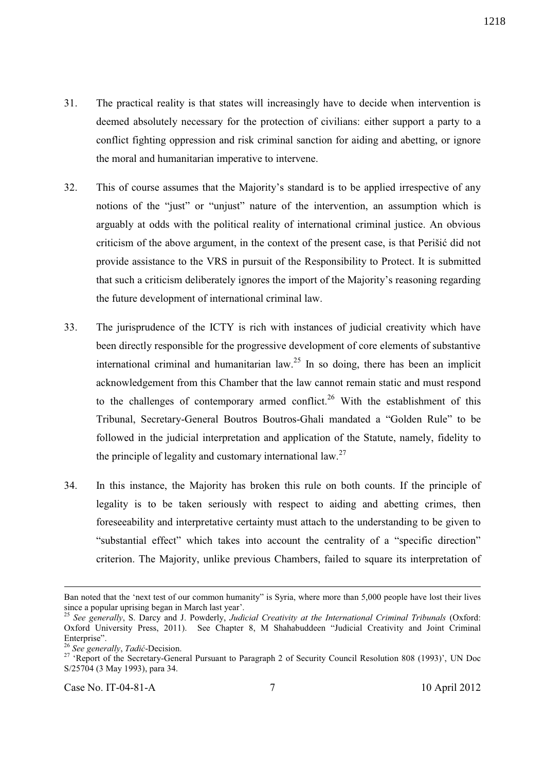- 31. The practical reality is that states will increasingly have to decide when intervention is deemed absolutely necessary for the protection of civilians: either support a party to a conflict fighting oppression and risk criminal sanction for aiding and abetting, or ignore the moral and humanitarian imperative to intervene.
- 32. This of course assumes that the Majority's standard is to be applied irrespective of any notions of the "just" or "unjust" nature of the intervention, an assumption which is arguably at odds with the political reality of international criminal justice. An obvious criticism of the above argument, in the context of the present case, is that Perišić did not provide assistance to the VRS in pursuit of the Responsibility to Protect. It is submitted that such a criticism deliberately ignores the import of the Majority's reasoning regarding the future development of international criminal law.
- 33. The jurisprudence of the ICTY is rich with instances of judicial creativity which have been directly responsible for the progressive development of core elements of substantive international criminal and humanitarian law.<sup>25</sup> In so doing, there has been an implicit acknowledgement from this Chamber that the law cannot remain static and must respond to the challenges of contemporary armed conflict.<sup>26</sup> With the establishment of this Tribunal, Secretary-General Boutros Boutros-Ghali mandated a "Golden Rule" to be followed in the judicial interpretation and application of the Statute, namely, fidelity to the principle of legality and customary international law.<sup>27</sup>
- 34. In this instance, the Majority has broken this rule on both counts. If the principle of legality is to be taken seriously with respect to aiding and abetting crimes, then foreseeability and interpretative certainty must attach to the understanding to be given to "substantial effect" which takes into account the centrality of a "specific direction" criterion. The Majority, unlike previous Chambers, failed to square its interpretation of

Ban noted that the 'next test of our common humanity" is Syria, where more than 5,000 people have lost their lives since a popular uprising began in March last year'.

<sup>25</sup> *See generally*, S. Darcy and J. Powderly, *Judicial Creativity at the International Criminal Tribunals* (Oxford: Oxford University Press, 2011). See Chapter 8, M Shahabuddeen "Judicial Creativity and Joint Criminal Enterprise".

<sup>26</sup> *See generally*, *Tadić*-Decision.

<sup>&</sup>lt;sup>27</sup> 'Report of the Secretary-General Pursuant to Paragraph 2 of Security Council Resolution 808 (1993)', UN Doc S/25704 (3 May 1993), para 34.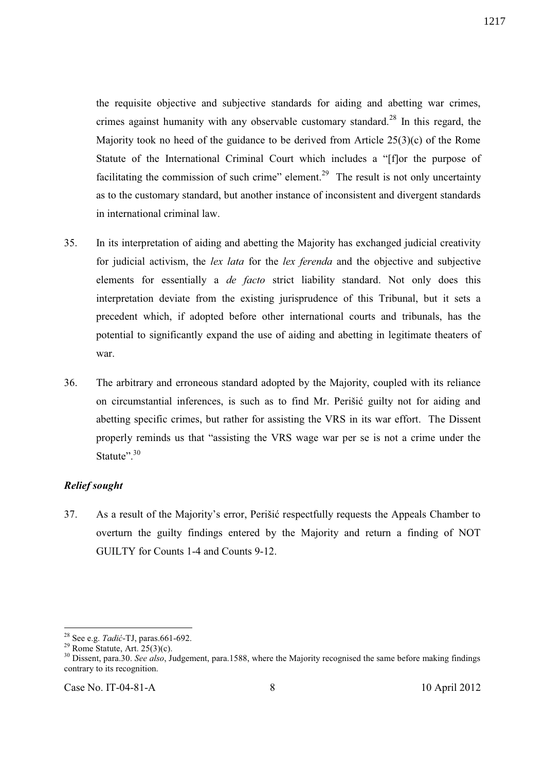the requisite objective and subjective standards for aiding and abetting war crimes, crimes against humanity with any observable customary standard.<sup>28</sup> In this regard, the Majority took no heed of the guidance to be derived from Article 25(3)(c) of the Rome Statute of the International Criminal Court which includes a "[f]or the purpose of facilitating the commission of such crime" element.<sup>29</sup> The result is not only uncertainty as to the customary standard, but another instance of inconsistent and divergent standards in international criminal law.

- 35. In its interpretation of aiding and abetting the Majority has exchanged judicial creativity for judicial activism, the *lex lata* for the *lex ferenda* and the objective and subjective elements for essentially a *de facto* strict liability standard. Not only does this interpretation deviate from the existing jurisprudence of this Tribunal, but it sets a precedent which, if adopted before other international courts and tribunals, has the potential to significantly expand the use of aiding and abetting in legitimate theaters of war.
- 36. The arbitrary and erroneous standard adopted by the Majority, coupled with its reliance on circumstantial inferences, is such as to find Mr. Perišić guilty not for aiding and abetting specific crimes, but rather for assisting the VRS in its war effort. The Dissent properly reminds us that "assisting the VRS wage war per se is not a crime under the Statute". $^{30}$

### *Relief sought*

37. As a result of the Majority's error, Perišić respectfully requests the Appeals Chamber to overturn the guilty findings entered by the Majority and return a finding of NOT GUILTY for Counts 1-4 and Counts 9-12.

<sup>28</sup> See e.g. *Tadić*-TJ, paras.661-692.

 $29$  Rome Statute, Art.  $25(3)(c)$ .

<sup>30</sup> Dissent, para.30. *See also*, Judgement, para.1588, where the Majority recognised the same before making findings contrary to its recognition.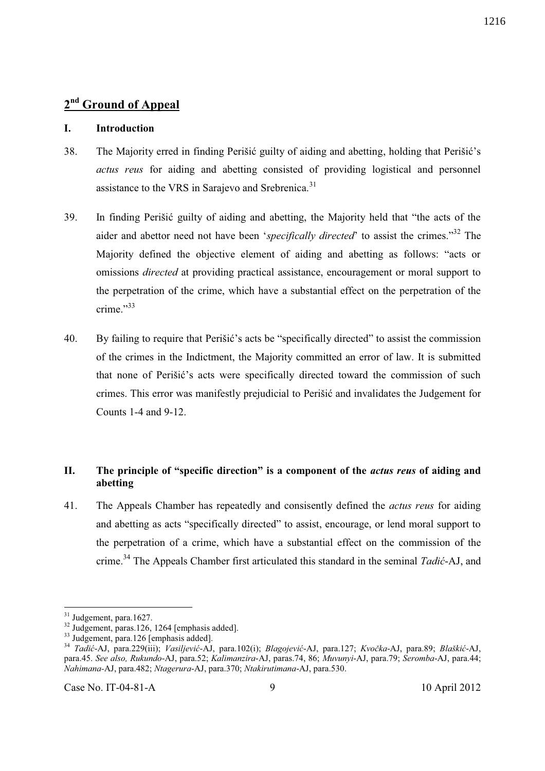#### **I. Introduction**

- 38. The Majority erred in finding Perišić guilty of aiding and abetting, holding that Perišić's *actus reus* for aiding and abetting consisted of providing logistical and personnel assistance to the VRS in Sarajevo and Srebrenica.<sup>31</sup>
- 39. In finding Perišić guilty of aiding and abetting, the Majority held that "the acts of the aider and abettor need not have been '*specifically directed*' to assist the crimes."<sup>32</sup> The Majority defined the objective element of aiding and abetting as follows: "acts or omissions *directed* at providing practical assistance, encouragement or moral support to the perpetration of the crime, which have a substantial effect on the perpetration of the crime." $33$
- 40. By failing to require that Perišić's acts be "specifically directed" to assist the commission of the crimes in the Indictment, the Majority committed an error of law. It is submitted that none of Perišić's acts were specifically directed toward the commission of such crimes. This error was manifestly prejudicial to Perišić and invalidates the Judgement for Counts 1-4 and 9-12.

### **II. The principle of "specific direction" is a component of the** *actus reus* **of aiding and abetting**

41. The Appeals Chamber has repeatedly and consisently defined the *actus reus* for aiding and abetting as acts "specifically directed" to assist, encourage, or lend moral support to the perpetration of a crime, which have a substantial effect on the commission of the crime.<sup>34</sup> The Appeals Chamber first articulated this standard in the seminal *Tadić*-AJ, and

 $31$  Judgement, para.1627.

 $32 \text{ Judgement, paras}.126, 1264 \text{ [emphasis added]}.$ 

<sup>&</sup>lt;sup>33</sup> Judgement, para.126 [emphasis added].

<sup>34</sup> *Tadić*-AJ, para.229(iii); *Vasiljević*-AJ, para.102(i); *Blagojević*-AJ, para.127; *Kvočka*-AJ, para.89; *Blaškić*-AJ, para.45. *See also, Rukundo*-AJ, para.52; *Kalimanzira*-AJ, paras.74, 86; *Muvunyi*-AJ, para.79; *Seromba*-AJ, para.44; *Nahimana-*AJ, para.482; *Ntagerura*-AJ, para.370; *Ntakirutimana*-AJ, para.530.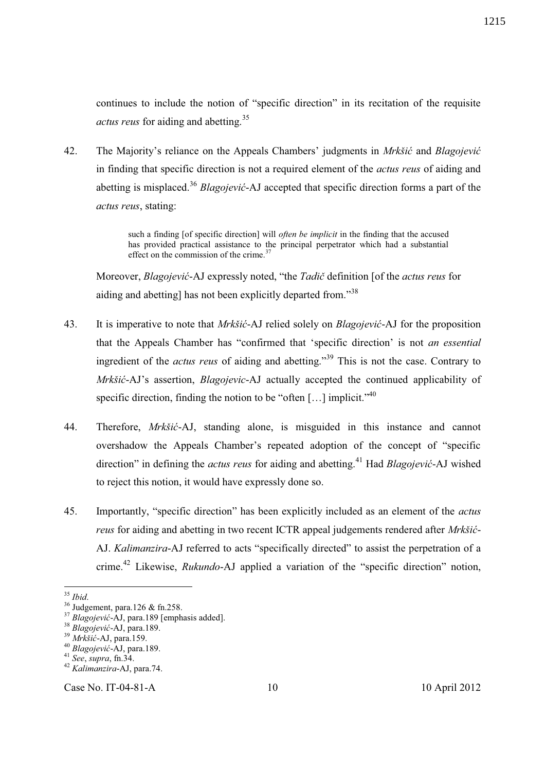continues to include the notion of "specific direction" in its recitation of the requisite *actus reus* for aiding and abetting.<sup>35</sup>

42. The Majority's reliance on the Appeals Chambers' judgments in *Mrkšić* and *Blagojević* in finding that specific direction is not a required element of the *actus reus* of aiding and abetting is misplaced.<sup>36</sup> *Blagojević*-AJ accepted that specific direction forms a part of the *actus reus*, stating:

> such a finding [of specific direction] will *often be implicit* in the finding that the accused has provided practical assistance to the principal perpetrator which had a substantial effect on the commission of the crime.<sup>37</sup>

Moreover, *Blagojević*-AJ expressly noted, "the *Tadič* definition [of the *actus reus* for aiding and abetting] has not been explicitly departed from."<sup>38</sup>

- 43. It is imperative to note that *Mrkšić*-AJ relied solely on *Blagojević*-AJ for the proposition that the Appeals Chamber has "confirmed that 'specific direction' is not *an essential* ingredient of the *actus reus* of aiding and abetting."<sup>39</sup> This is not the case. Contrary to *Mrkšić*-AJ's assertion, *Blagojevic*-AJ actually accepted the continued applicability of specific direction, finding the notion to be "often [...] implicit."<sup>40</sup>
- 44. Therefore, *Mrkšić*-AJ, standing alone, is misguided in this instance and cannot overshadow the Appeals Chamber's repeated adoption of the concept of "specific direction" in defining the *actus reus* for aiding and abetting.<sup>41</sup> Had *Blagojević*-AJ wished to reject this notion, it would have expressly done so.
- 45. Importantly, "specific direction" has been explicitly included as an element of the *actus reus* for aiding and abetting in two recent ICTR appeal judgements rendered after *Mrkšić*-AJ. *Kalimanzira*-AJ referred to acts "specifically directed" to assist the perpetration of a crime.<sup>42</sup> Likewise, *Rukundo*-AJ applied a variation of the "specific direction" notion,

Case No. IT-04-81-A 10 10 April 2012

 $\overline{a}$ <sup>35</sup> *Ibid*.

 $36$  Judgement, para.126 & fn.258.

<sup>37</sup> *Blagojević*-AJ, para.189 [emphasis added].

<sup>38</sup> *Blagojević*-AJ, para.189.

<sup>39</sup> *Mrkšić*-AJ, para.159.

<sup>40</sup> *Blagojević*-AJ, para.189.

<sup>41</sup> *See*, *supra*, fn.34.

<sup>42</sup> *Kalimanzira*-AJ, para.74.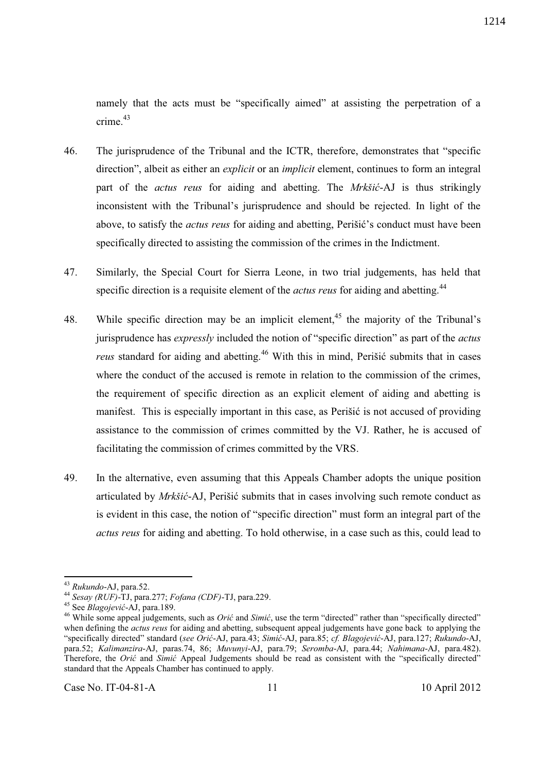namely that the acts must be "specifically aimed" at assisting the perpetration of a crime. $43$ 

- 46. The jurisprudence of the Tribunal and the ICTR, therefore, demonstrates that "specific direction", albeit as either an *explicit* or an *implicit* element, continues to form an integral part of the *actus reus* for aiding and abetting. The *Mrkšić*-AJ is thus strikingly inconsistent with the Tribunal's jurisprudence and should be rejected. In light of the above, to satisfy the *actus reus* for aiding and abetting, Perišić's conduct must have been specifically directed to assisting the commission of the crimes in the Indictment.
- 47. Similarly, the Special Court for Sierra Leone, in two trial judgements, has held that specific direction is a requisite element of the *actus reus* for aiding and abetting.<sup>44</sup>
- 48. While specific direction may be an implicit element,<sup>45</sup> the majority of the Tribunal's jurisprudence has *expressly* included the notion of "specific direction" as part of the *actus reus* standard for aiding and abetting.<sup>46</sup> With this in mind, Perišić submits that in cases where the conduct of the accused is remote in relation to the commission of the crimes, the requirement of specific direction as an explicit element of aiding and abetting is manifest. This is especially important in this case, as Perišić is not accused of providing assistance to the commission of crimes committed by the VJ. Rather, he is accused of facilitating the commission of crimes committed by the VRS.
- 49. In the alternative, even assuming that this Appeals Chamber adopts the unique position articulated by *Mrkšić*-AJ, Perišić submits that in cases involving such remote conduct as is evident in this case, the notion of "specific direction" must form an integral part of the *actus reus* for aiding and abetting. To hold otherwise, in a case such as this, could lead to

<sup>43</sup> *Rukundo*-AJ, para.52.

<sup>44</sup> *Sesay (RUF)*-TJ, para.277; *Fofana (CDF)*-TJ, para.229.

<sup>45</sup> See *Blagojević*-AJ, para.189.

<sup>&</sup>lt;sup>46</sup> While some appeal judgements, such as *Orić* and *Simić*, use the term "directed" rather than "specifically directed" when defining the *actus reus* for aiding and abetting, subsequent appeal judgements have gone back to applying the "specifically directed" standard (*see Orić*-AJ, para.43; *Simić*-AJ, para.85; *cf. Blagojević*-AJ, para.127; *Rukundo*-AJ, para.52; *Kalimanzira*-AJ, paras.74, 86; *Muvunyi*-AJ, para.79; *Seromba*-AJ, para.44; *Nahimana*-AJ, para.482). Therefore, the *Orić* and *Simić* Appeal Judgements should be read as consistent with the "specifically directed" standard that the Appeals Chamber has continued to apply.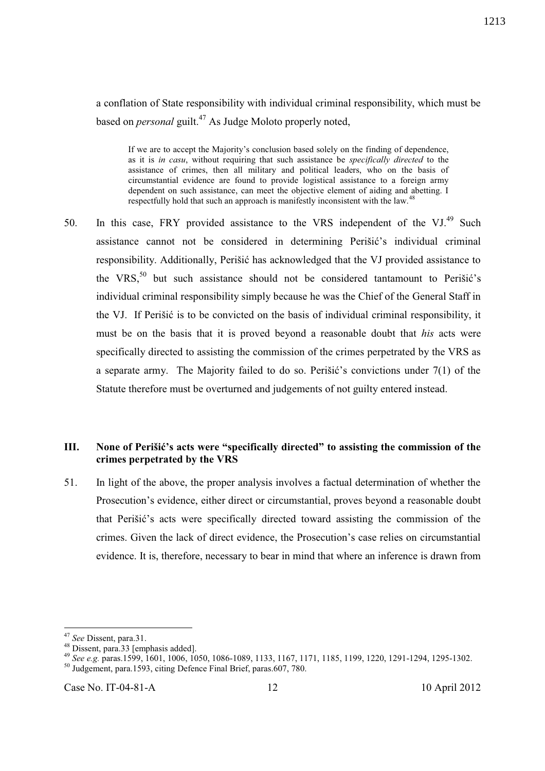a conflation of State responsibility with individual criminal responsibility, which must be based on *personal* guilt.<sup>47</sup> As Judge Moloto properly noted,

If we are to accept the Majority's conclusion based solely on the finding of dependence, as it is *in casu*, without requiring that such assistance be *specifically directed* to the assistance of crimes, then all military and political leaders, who on the basis of circumstantial evidence are found to provide logistical assistance to a foreign army dependent on such assistance, can meet the objective element of aiding and abetting. I respectfully hold that such an approach is manifestly inconsistent with the law.<sup>4</sup>

50. In this case, FRY provided assistance to the VRS independent of the VJ.<sup>49</sup> Such assistance cannot not be considered in determining Perišić's individual criminal responsibility. Additionally, Perišić has acknowledged that the VJ provided assistance to the VRS, $50$  but such assistance should not be considered tantamount to Perišić's individual criminal responsibility simply because he was the Chief of the General Staff in the VJ. If Perišić is to be convicted on the basis of individual criminal responsibility, it must be on the basis that it is proved beyond a reasonable doubt that *his* acts were specifically directed to assisting the commission of the crimes perpetrated by the VRS as a separate army. The Majority failed to do so. Perišić's convictions under  $7(1)$  of the Statute therefore must be overturned and judgements of not guilty entered instead.

### **III. None of Perišić's acts were "specifically directed" to assisting the commission of the crimes perpetrated by the VRS**

51. In light of the above, the proper analysis involves a factual determination of whether the Prosecution's evidence, either direct or circumstantial, proves beyond a reasonable doubt that Perišić's acts were specifically directed toward assisting the commission of the crimes. Given the lack of direct evidence, the Prosecution's case relies on circumstantial evidence. It is, therefore, necessary to bear in mind that where an inference is drawn from

<sup>47</sup> *See* Dissent, para.31.

<sup>48</sup> Dissent, para.33 [emphasis added].

<sup>49</sup> *See e.g.* paras.1599, 1601, 1006, 1050, 1086-1089, 1133, 1167, 1171, 1185, 1199, 1220, 1291-1294, 1295-1302.

<sup>&</sup>lt;sup>50</sup> Judgement, para.1593, citing Defence Final Brief, paras.607, 780.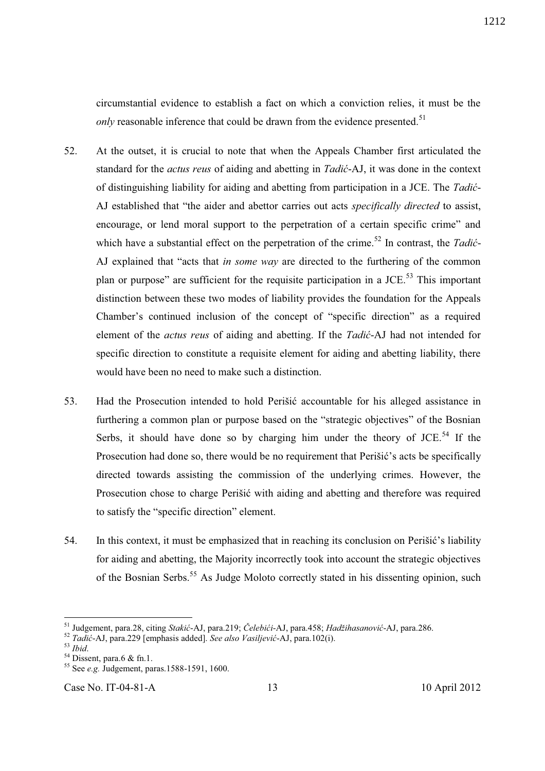circumstantial evidence to establish a fact on which a conviction relies, it must be the *only* reasonable inference that could be drawn from the evidence presented.<sup>51</sup>

- 52. At the outset, it is crucial to note that when the Appeals Chamber first articulated the standard for the *actus reus* of aiding and abetting in *Tadić*-AJ, it was done in the context of distinguishing liability for aiding and abetting from participation in a JCE. The *Tadić*-AJ established that "the aider and abettor carries out acts *specifically directed* to assist, encourage, or lend moral support to the perpetration of a certain specific crime" and which have a substantial effect on the perpetration of the crime.<sup>52</sup> In contrast, the *Tadić*-AJ explained that "acts that *in some way* are directed to the furthering of the common plan or purpose" are sufficient for the requisite participation in a JCE.<sup>53</sup> This important distinction between these two modes of liability provides the foundation for the Appeals Chamber's continued inclusion of the concept of "specific direction" as a required element of the *actus reus* of aiding and abetting. If the *Tadić*-AJ had not intended for specific direction to constitute a requisite element for aiding and abetting liability, there would have been no need to make such a distinction.
- 53. Had the Prosecution intended to hold Perišić accountable for his alleged assistance in furthering a common plan or purpose based on the "strategic objectives" of the Bosnian Serbs, it should have done so by charging him under the theory of  $JCE$ <sup>54</sup>. If the Prosecution had done so, there would be no requirement that Perišić's acts be specifically directed towards assisting the commission of the underlying crimes. However, the Prosecution chose to charge Perišić with aiding and abetting and therefore was required to satisfy the "specific direction" element.
- 54. In this context, it must be emphasized that in reaching its conclusion on Perišić's liability for aiding and abetting, the Majority incorrectly took into account the strategic objectives of the Bosnian Serbs.<sup>55</sup> As Judge Moloto correctly stated in his dissenting opinion, such

 $\overline{a}$ 

Case No. IT-04-81-A 13 10 April 2012

<sup>51</sup> Judgement, para.28, citing *Stakić*-AJ, para.219; *Čelebići*-AJ, para.458; *Hadžihasanović*-AJ, para.286.

<sup>52</sup> *Tadić*-AJ, para.229 [emphasis added]. *See also Vasiljević*-AJ, para.102(i).

<sup>53</sup> *Ibid*.

 $54$  Dissent, para.6 & fn.1.

<sup>55</sup> See *e.g.* Judgement, paras.1588-1591, 1600.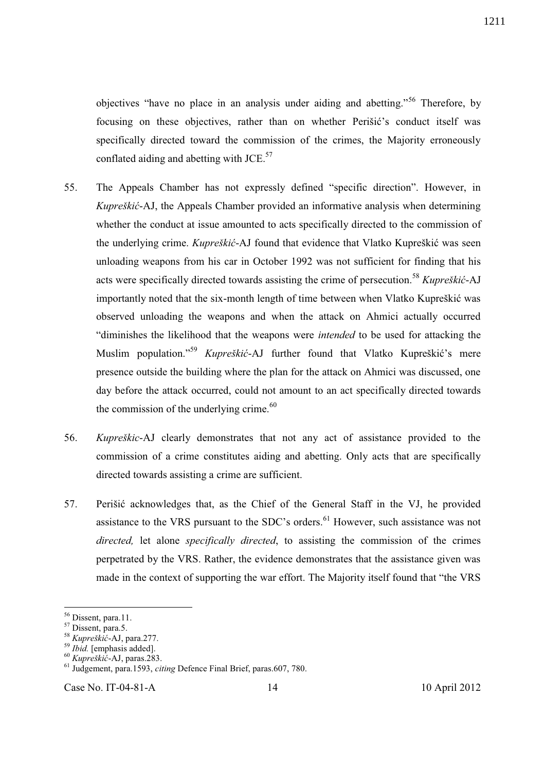objectives "have no place in an analysis under aiding and abetting."<sup>56</sup> Therefore, by focusing on these objectives, rather than on whether Perišić's conduct itself was specifically directed toward the commission of the crimes, the Majority erroneously conflated aiding and abetting with JCE. $57$ 

- 55. The Appeals Chamber has not expressly defined "specific direction". However, in *Kupreškić*-AJ, the Appeals Chamber provided an informative analysis when determining whether the conduct at issue amounted to acts specifically directed to the commission of the underlying crime. *Kupreškić*-AJ found that evidence that Vlatko Kupreškić was seen unloading weapons from his car in October 1992 was not sufficient for finding that his acts were specifically directed towards assisting the crime of persecution.<sup>58</sup> *Kupreškić*-AJ importantly noted that the six-month length of time between when Vlatko Kupreškić was observed unloading the weapons and when the attack on Ahmici actually occurred "diminishes the likelihood that the weapons were *intended* to be used for attacking the Muslim population."<sup>59</sup> *Kupreškić*-AJ further found that Vlatko Kupreškić's mere presence outside the building where the plan for the attack on Ahmici was discussed, one day before the attack occurred, could not amount to an act specifically directed towards the commission of the underlying crime.<sup>60</sup>
- 56. *Kupreškic*-AJ clearly demonstrates that not any act of assistance provided to the commission of a crime constitutes aiding and abetting. Only acts that are specifically directed towards assisting a crime are sufficient.
- 57. Perišić acknowledges that, as the Chief of the General Staff in the VJ, he provided assistance to the VRS pursuant to the SDC's orders.<sup>61</sup> However, such assistance was not *directed,* let alone *specifically directed*, to assisting the commission of the crimes perpetrated by the VRS. Rather, the evidence demonstrates that the assistance given was made in the context of supporting the war effort. The Majority itself found that "the VRS

 $\overline{a}$ 

Case No. IT-04-81-A 14 10 April 2012

<sup>&</sup>lt;sup>56</sup> Dissent, para.11.

<sup>&</sup>lt;sup>57</sup> Dissent, para.5.

<sup>58</sup> *Kupreškić*-AJ, para.277.

<sup>59</sup> *Ibid.* [emphasis added].

<sup>60</sup> *Kupreškić*-AJ, paras.283.

<sup>61</sup> Judgement, para.1593, *citing* Defence Final Brief, paras.607, 780.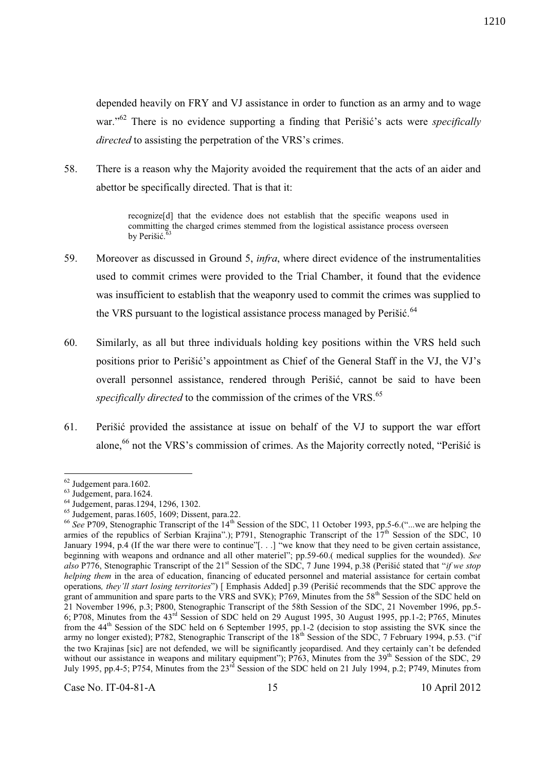depended heavily on FRY and VJ assistance in order to function as an army and to wage war."<sup>62</sup> There is no evidence supporting a finding that Perišić's acts were *specifically directed* to assisting the perpetration of the VRS's crimes.

58. There is a reason why the Majority avoided the requirement that the acts of an aider and abettor be specifically directed. That is that it:

> recognize[d] that the evidence does not establish that the specific weapons used in committing the charged crimes stemmed from the logistical assistance process overseen by Perišić. $63$

- 59. Moreover as discussed in Ground 5, *infra*, where direct evidence of the instrumentalities used to commit crimes were provided to the Trial Chamber, it found that the evidence was insufficient to establish that the weaponry used to commit the crimes was supplied to the VRS pursuant to the logistical assistance process managed by Perišić.<sup>64</sup>
- 60. Similarly, as all but three individuals holding key positions within the VRS held such positions prior to Perišić's appointment as Chief of the General Staff in the VJ, the VJ's overall personnel assistance, rendered through Perišić, cannot be said to have been specifically directed to the commission of the crimes of the VRS.<sup>65</sup>
- 61. Perišić provided the assistance at issue on behalf of the VJ to support the war effort alone, $66$  not the VRS's commission of crimes. As the Majority correctly noted, "Perišić is

 $\overline{a}$ 

Case No. IT-04-81-A 15 10 April 2012

 $62$  Judgement para.1602.

<sup>63</sup> Judgement, para.1624.

<sup>64</sup> Judgement, paras.1294, 1296, 1302.

 $<sup>65</sup>$  Judgement, paras.1605, 1609; Dissent, para.22.</sup>

<sup>&</sup>lt;sup>66</sup> See P709, Stenographic Transcript of the 14<sup>th</sup> Session of the SDC, 11 October 1993, pp.5-6.("...we are helping the armies of the republics of Serbian Krajina".); P791, Stenographic Transcript of the 17<sup>th</sup> Session of the SDC, 10 January 1994, p.4 (If the war there were to continue"[. . .] "we know that they need to be given certain assistance, beginning with weapons and ordnance and all other materiel"; pp.59-60.( medical supplies for the wounded). *See also* P776, Stenographic Transcript of the 21st Session of the SDC, 7 June 1994, p.38 (Perišić stated that "*if we stop helping them* in the area of education, financing of educated personnel and material assistance for certain combat operations*, they'll start losing territories*") [ Emphasis Added] p.39 (Perišić recommends that the SDC approve the grant of ammunition and spare parts to the VRS and SVK); P769, Minutes from the 58<sup>th</sup> Session of the SDC held on 21 November 1996, p.3; P800, Stenographic Transcript of the 58th Session of the SDC, 21 November 1996, pp.5- 6; P708, Minutes from the 43<sup>rd</sup> Session of SDC held on 29 August 1995, 30 August 1995, pp.1-2; P765, Minutes from the 44<sup>th</sup> Session of the SDC held on 6 September 1995, pp.1-2 (decision to stop assisting the SVK since the army no longer existed); P782, Stenographic Transcript of the 18<sup>th</sup> Session of the SDC, 7 February 1994, p.53. ("if the two Krajinas [sic] are not defended, we will be significantly jeopardised. And they certainly can't be defended without our assistance in weapons and military equipment"); P763, Minutes from the 39<sup>th</sup> Session of the SDC, 29 July 1995, pp.4-5; P754, Minutes from the  $23<sup>rd</sup>$  Session of the SDC held on 21 July 1994, p.2; P749, Minutes from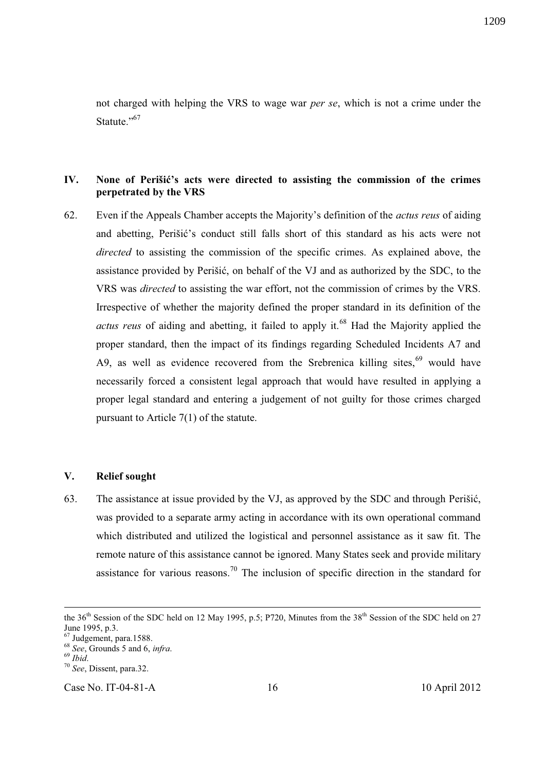not charged with helping the VRS to wage war *per se*, which is not a crime under the Statute<sup>",67</sup>

### **IV. None of Perišić's acts were directed to assisting the commission of the crimes perpetrated by the VRS**

62. Even if the Appeals Chamber accepts the Majority's definition of the *actus reus* of aiding and abetting, Perišić's conduct still falls short of this standard as his acts were not *directed* to assisting the commission of the specific crimes. As explained above, the assistance provided by Perišić, on behalf of the VJ and as authorized by the SDC, to the VRS was *directed* to assisting the war effort, not the commission of crimes by the VRS. Irrespective of whether the majority defined the proper standard in its definition of the *actus reus* of aiding and abetting, it failed to apply it.<sup>68</sup> Had the Majority applied the proper standard, then the impact of its findings regarding Scheduled Incidents A7 and A9, as well as evidence recovered from the Srebrenica killing sites, $69$  would have necessarily forced a consistent legal approach that would have resulted in applying a proper legal standard and entering a judgement of not guilty for those crimes charged pursuant to Article 7(1) of the statute.

### **V. Relief sought**

63. The assistance at issue provided by the VJ, as approved by the SDC and through Perišić, was provided to a separate army acting in accordance with its own operational command which distributed and utilized the logistical and personnel assistance as it saw fit. The remote nature of this assistance cannot be ignored. Many States seek and provide military assistance for various reasons.<sup>70</sup> The inclusion of specific direction in the standard for

-

Case No. IT-04-81-A 16 10 April 2012

the  $36<sup>th</sup>$  Session of the SDC held on 12 May 1995, p.5; P720, Minutes from the  $38<sup>th</sup>$  Session of the SDC held on 27 June 1995, p.3.

 $\frac{5000 \text{ m}}{67}$  Judgement, para.1588.

<sup>68</sup> *See*, Grounds 5 and 6, *infra*.

<sup>69</sup> *Ibid*.

<sup>70</sup> *See*, Dissent, para.32.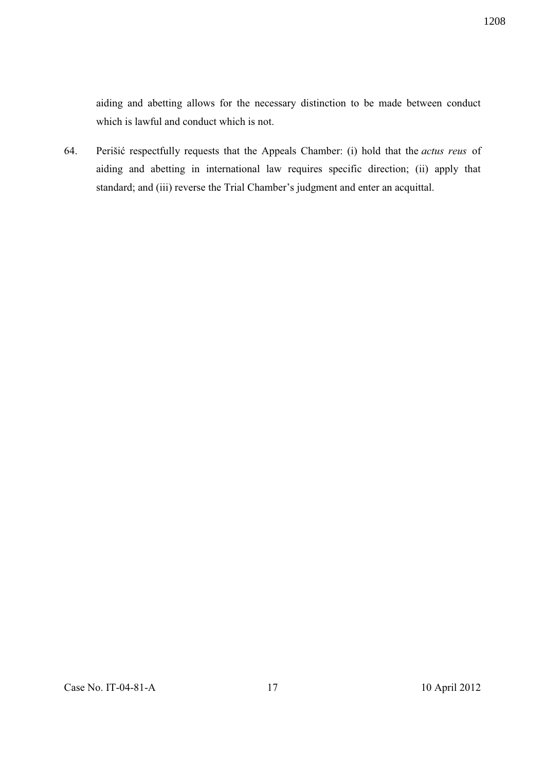aiding and abetting allows for the necessary distinction to be made between conduct which is lawful and conduct which is not.

64. Perišić respectfully requests that the Appeals Chamber: (i) hold that the *actus reus* of aiding and abetting in international law requires specific direction; (ii) apply that standard; and (iii) reverse the Trial Chamber's judgment and enter an acquittal.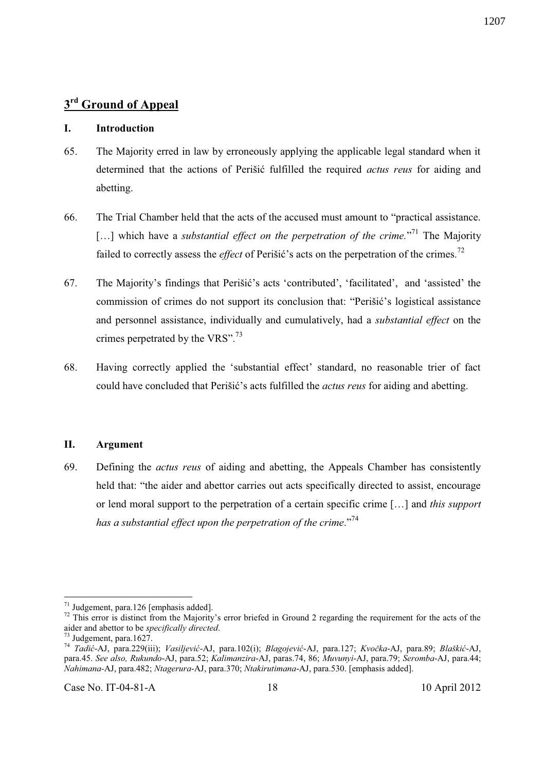## **3 rd Ground of Appeal**

#### **I. Introduction**

- 65. The Majority erred in law by erroneously applying the applicable legal standard when it determined that the actions of Perišić fulfilled the required *actus reus* for aiding and abetting.
- 66. The Trial Chamber held that the acts of the accused must amount to "practical assistance. [...] which have a *substantial effect on the perpetration of the crime*.<sup>"71</sup> The Majority failed to correctly assess the *effect* of Perišić's acts on the perpetration of the crimes.<sup>72</sup>
- 67. The Majority's findings that Perišić's acts 'contributed', 'facilitated', and 'assisted' the commission of crimes do not support its conclusion that: "Perišić's logistical assistance and personnel assistance, individually and cumulatively, had a *substantial effect* on the crimes perpetrated by the VRS".<sup>73</sup>
- 68. Having correctly applied the 'substantial effect' standard, no reasonable trier of fact could have concluded that Perišić's acts fulfilled the *actus reus* for aiding and abetting.

#### **II. Argument**

69. Defining the *actus reus* of aiding and abetting, the Appeals Chamber has consistently held that: "the aider and abettor carries out acts specifically directed to assist, encourage or lend moral support to the perpetration of a certain specific crime […] and *this support has a substantial effect upon the perpetration of the crime*." 74

 $71$  Judgement, para.126 [emphasis added].

 $72$  This error is distinct from the Majority's error briefed in Ground 2 regarding the requirement for the acts of the aider and abettor to be *specifically directed*.

Judgement, para. $1627$ .

<sup>74</sup> *Tadić*-AJ, para.229(iii); *Vasiljević*-AJ, para.102(i); *Blagojević*-AJ, para.127; *Kvočka*-AJ, para.89; *Blaškić*-AJ, para.45. *See also, Rukundo*-AJ, para.52; *Kalimanzira*-AJ, paras.74, 86; *Muvunyi*-AJ, para.79; *Seromba*-AJ, para.44; *Nahimana-*AJ, para.482; *Ntagerura*-AJ, para.370; *Ntakirutimana*-AJ, para.530. [emphasis added].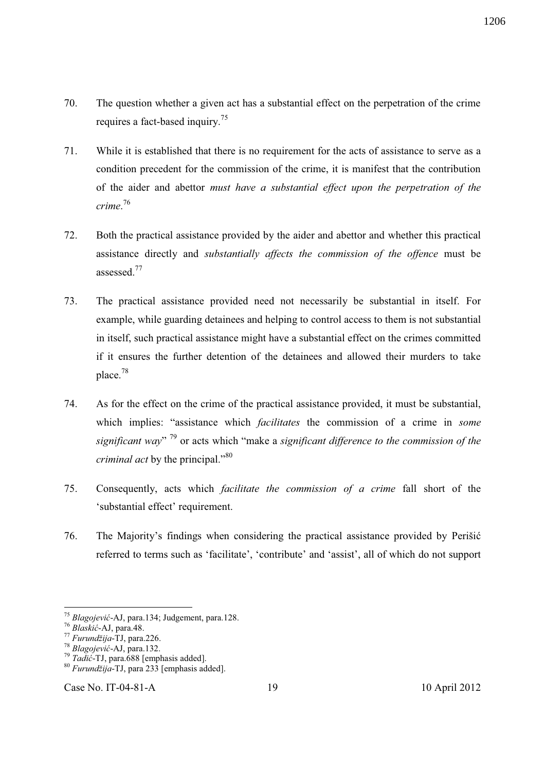- 70. The question whether a given act has a substantial effect on the perpetration of the crime requires a fact-based inquiry.<sup>75</sup>
- 71. While it is established that there is no requirement for the acts of assistance to serve as a condition precedent for the commission of the crime, it is manifest that the contribution of the aider and abettor *must have a substantial effect upon the perpetration of the crime*. 76
- 72. Both the practical assistance provided by the aider and abettor and whether this practical assistance directly and *substantially affects the commission of the offence* must be assessed.<sup>77</sup>
- 73. The practical assistance provided need not necessarily be substantial in itself. For example, while guarding detainees and helping to control access to them is not substantial in itself, such practical assistance might have a substantial effect on the crimes committed if it ensures the further detention of the detainees and allowed their murders to take place.<sup>78</sup>
- 74. As for the effect on the crime of the practical assistance provided, it must be substantial, which implies: "assistance which *facilitates* the commission of a crime in *some significant way*" <sup>79</sup> or acts which "make a *significant difference to the commission of the criminal act* by the principal."<sup>80</sup>
- 75. Consequently, acts which *facilitate the commission of a crime* fall short of the 'substantial effect' requirement.
- 76. The Majority's findings when considering the practical assistance provided by Perišić referred to terms such as 'facilitate', 'contribute' and 'assist', all of which do not support

<sup>75</sup> *Blagojević*-AJ, para.134; Judgement, para.128.

<sup>76</sup> *Blaskić*-AJ, para.48.

<sup>77</sup> *Furundžija*-TJ, para.226.

<sup>78</sup> *Blagojević*-AJ, para.132.

<sup>79</sup> *Tadić*-TJ, para.688 [emphasis added].

<sup>80</sup> *Furundžija*-TJ, para 233 [emphasis added].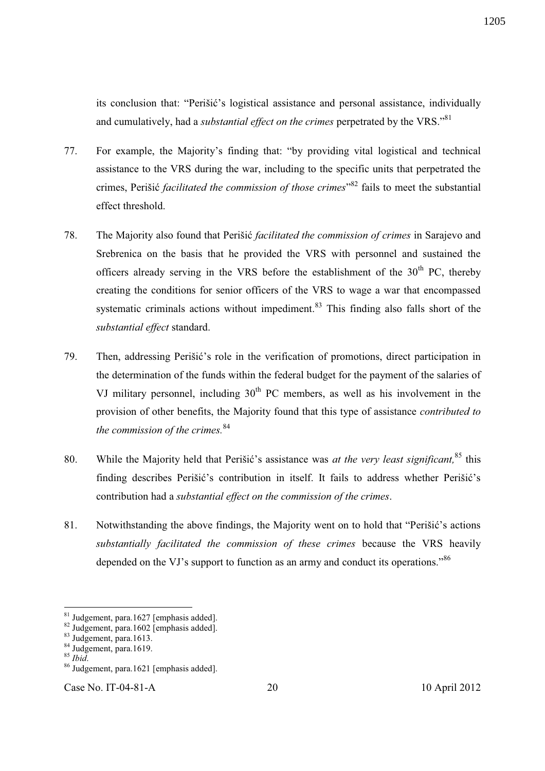its conclusion that: "Perišić's logistical assistance and personal assistance, individually and cumulatively, had a *substantial effect on the crimes* perpetrated by the VRS."<sup>81</sup>

- 77. For example, the Majority's finding that: "by providing vital logistical and technical assistance to the VRS during the war, including to the specific units that perpetrated the crimes, Perišić *facilitated the commission of those crimes*" <sup>82</sup> fails to meet the substantial effect threshold.
- 78. The Majority also found that Perišić *facilitated the commission of crimes* in Sarajevo and Srebrenica on the basis that he provided the VRS with personnel and sustained the officers already serving in the VRS before the establishment of the  $30<sup>th</sup>$  PC, thereby creating the conditions for senior officers of the VRS to wage a war that encompassed systematic criminals actions without impediment.<sup>83</sup> This finding also falls short of the *substantial effect* standard.
- 79. Then, addressing Perišić's role in the verification of promotions, direct participation in the determination of the funds within the federal budget for the payment of the salaries of VJ military personnel, including  $30<sup>th</sup>$  PC members, as well as his involvement in the provision of other benefits, the Majority found that this type of assistance *contributed to the commission of the crimes.*<sup>84</sup>
- 80. While the Majority held that Perišić's assistance was *at the very least significant,*<sup>85</sup> this finding describes Perišić's contribution in itself. It fails to address whether Perišić's contribution had a *substantial effect on the commission of the crimes*.
- 81. Notwithstanding the above findings, the Majority went on to hold that "Perišić's actions *substantially facilitated the commission of these crimes* because the VRS heavily depended on the VJ's support to function as an army and conduct its operations." $86$

 $\overline{a}$ 

Case No. IT-04-81-A 20 20 10 April 2012

 $81$  Judgement, para.1627 [emphasis added].

<sup>82</sup> Judgement, para.1602 [emphasis added].

<sup>83</sup> Judgement, para.1613.

<sup>84</sup> Judgement, para.1619.

<sup>85</sup> *Ibid*.

<sup>86</sup> Judgement, para.1621 [emphasis added].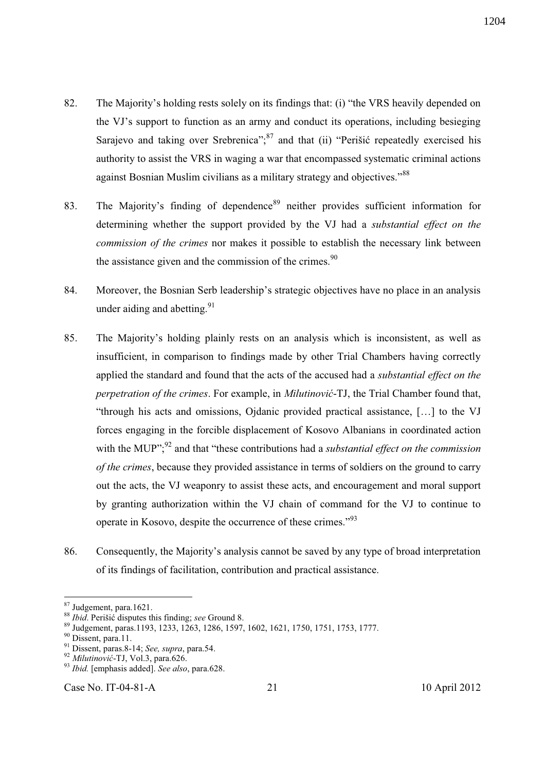- 82. The Majority's holding rests solely on its findings that: (i) "the VRS heavily depended on the VJ's support to function as an army and conduct its operations, including besieging Sarajevo and taking over Srebrenica";<sup>87</sup> and that (ii) "Perišić repeatedly exercised his authority to assist the VRS in waging a war that encompassed systematic criminal actions against Bosnian Muslim civilians as a military strategy and objectives."<sup>88</sup>
- 83. The Majority's finding of dependence<sup>89</sup> neither provides sufficient information for determining whether the support provided by the VJ had a *substantial effect on the commission of the crimes* nor makes it possible to establish the necessary link between the assistance given and the commission of the crimes. $90$
- 84. Moreover, the Bosnian Serb leadership's strategic objectives have no place in an analysis under aiding and abetting.  $91$
- 85. The Majority's holding plainly rests on an analysis which is inconsistent, as well as insufficient, in comparison to findings made by other Trial Chambers having correctly applied the standard and found that the acts of the accused had a *substantial effect on the perpetration of the crimes*. For example, in *Milutinović*-TJ, the Trial Chamber found that, "through his acts and omissions, Ojdanic provided practical assistance, […] to the VJ forces engaging in the forcible displacement of Kosovo Albanians in coordinated action with the MUP"<sup>22</sup> and that "these contributions had a *substantial effect on the commission of the crimes*, because they provided assistance in terms of soldiers on the ground to carry out the acts, the VJ weaponry to assist these acts, and encouragement and moral support by granting authorization within the VJ chain of command for the VJ to continue to operate in Kosovo, despite the occurrence of these crimes."<sup>93</sup>
- 86. Consequently, the Majority's analysis cannot be saved by any type of broad interpretation of its findings of facilitation, contribution and practical assistance.

<sup>&</sup>lt;sup>87</sup> Judgement, para.1621.

<sup>88</sup> *Ibid*. Perišić disputes this finding; *see* Ground 8.

<sup>89</sup> Judgement, paras.1193, 1233, 1263, 1286, 1597, 1602, 1621, 1750, 1751, 1753, 1777.

<sup>&</sup>lt;sup>90</sup> Dissent, para.11.

<sup>91</sup> Dissent, paras.8-14; *See, supra*, para.54.

<sup>92</sup> *Milutinović*-TJ, Vol.3, para.626.

<sup>93</sup> *Ibid.* [emphasis added]. *See also*, para.628.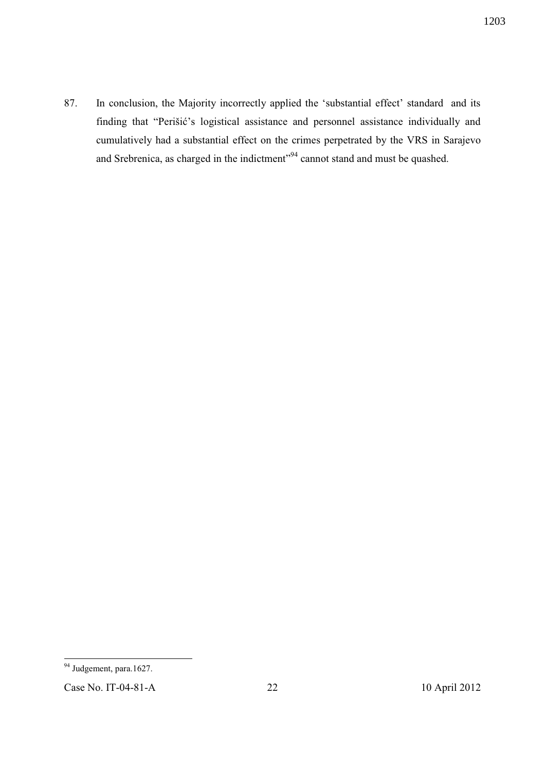87. In conclusion, the Majority incorrectly applied the 'substantial effect' standard and its finding that "Perišić's logistical assistance and personnel assistance individually and cumulatively had a substantial effect on the crimes perpetrated by the VRS in Sarajevo and Srebrenica, as charged in the indictment"<sup>94</sup> cannot stand and must be quashed.

<sup>&</sup>lt;sup>94</sup> Judgement, para.1627.

Case No. IT-04-81-A 22 10 April 2012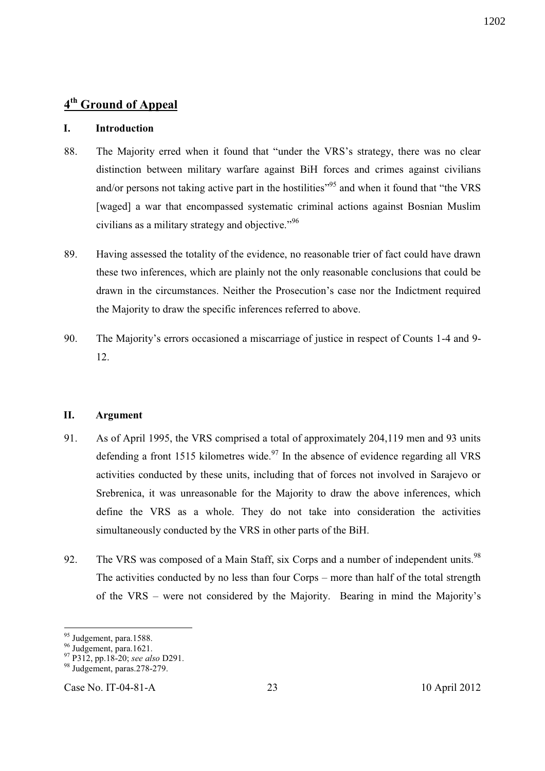## **4 th Ground of Appeal**

### **I. Introduction**

- 88. The Majority erred when it found that "under the VRS's strategy, there was no clear distinction between military warfare against BiH forces and crimes against civilians and/or persons not taking active part in the hostilities"<sup>95</sup> and when it found that "the VRS [waged] a war that encompassed systematic criminal actions against Bosnian Muslim civilians as a military strategy and objective." 96
- 89. Having assessed the totality of the evidence, no reasonable trier of fact could have drawn these two inferences, which are plainly not the only reasonable conclusions that could be drawn in the circumstances. Neither the Prosecution's case nor the Indictment required the Majority to draw the specific inferences referred to above.
- 90. The Majority's errors occasioned a miscarriage of justice in respect of Counts 1-4 and 9- 12.

### **II. Argument**

- 91. As of April 1995, the VRS comprised a total of approximately 204,119 men and 93 units defending a front 1515 kilometres wide.<sup>97</sup> In the absence of evidence regarding all VRS activities conducted by these units, including that of forces not involved in Sarajevo or Srebrenica, it was unreasonable for the Majority to draw the above inferences, which define the VRS as a whole. They do not take into consideration the activities simultaneously conducted by the VRS in other parts of the BiH.
- 92. The VRS was composed of a Main Staff, six Corps and a number of independent units. $98$ The activities conducted by no less than four Corps – more than half of the total strength of the VRS – were not considered by the Majority. Bearing in mind the Majority's

<sup>&</sup>lt;sup>95</sup> Judgement, para.1588.

<sup>&</sup>lt;sup>96</sup> Judgement, para.1621.

<sup>97</sup> P312, pp.18-20; *see also* D291.

<sup>98</sup> Judgement, paras.278-279.

Case No. IT-04-81-A 23 10 April 2012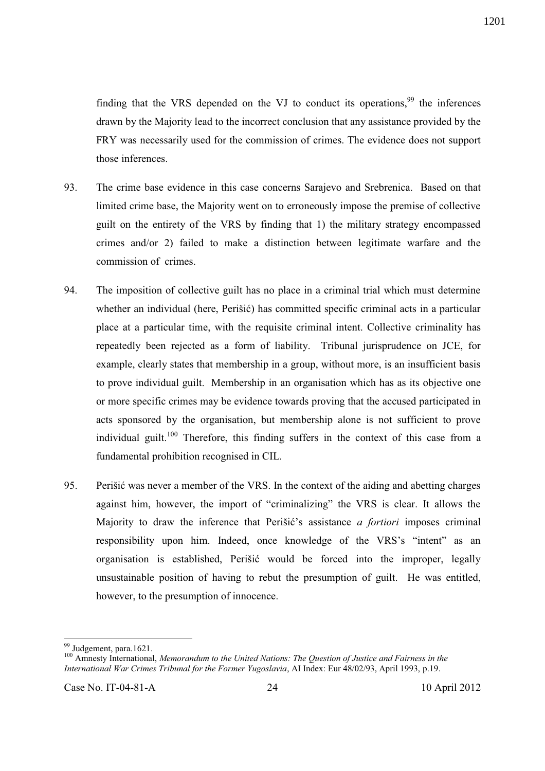finding that the VRS depended on the VJ to conduct its operations,  $99$  the inferences drawn by the Majority lead to the incorrect conclusion that any assistance provided by the FRY was necessarily used for the commission of crimes. The evidence does not support those inferences.

- 93. The crime base evidence in this case concerns Sarajevo and Srebrenica. Based on that limited crime base, the Majority went on to erroneously impose the premise of collective guilt on the entirety of the VRS by finding that 1) the military strategy encompassed crimes and/or 2) failed to make a distinction between legitimate warfare and the commission of crimes.
- 94. The imposition of collective guilt has no place in a criminal trial which must determine whether an individual (here, Perišić) has committed specific criminal acts in a particular place at a particular time, with the requisite criminal intent. Collective criminality has repeatedly been rejected as a form of liability. Tribunal jurisprudence on JCE, for example, clearly states that membership in a group, without more, is an insufficient basis to prove individual guilt. Membership in an organisation which has as its objective one or more specific crimes may be evidence towards proving that the accused participated in acts sponsored by the organisation, but membership alone is not sufficient to prove individual guilt.<sup>100</sup> Therefore, this finding suffers in the context of this case from a fundamental prohibition recognised in CIL.
- 95. Perišić was never a member of the VRS. In the context of the aiding and abetting charges against him, however, the import of "criminalizing" the VRS is clear. It allows the Majority to draw the inference that Perišić's assistance *a fortiori* imposes criminal responsibility upon him. Indeed, once knowledge of the VRS's "intent" as an organisation is established, Perišić would be forced into the improper, legally unsustainable position of having to rebut the presumption of guilt. He was entitled, however, to the presumption of innocence.

<sup>&</sup>lt;sup>99</sup> Judgement, para.1621.

<sup>100</sup> Amnesty International, *Memorandum to the United Nations: The Question of Justice and Fairness in the International War Crimes Tribunal for the Former Yugoslavia*, AI Index: Eur 48/02/93, April 1993, p.19.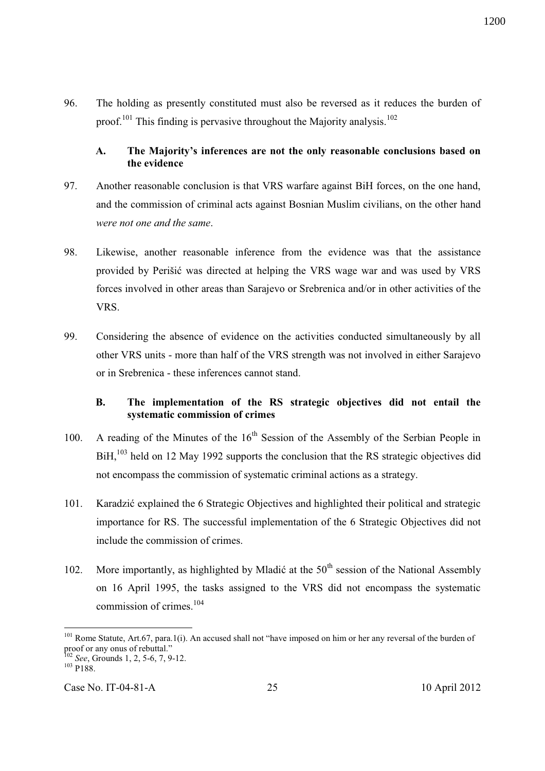96. The holding as presently constituted must also be reversed as it reduces the burden of proof.<sup>101</sup> This finding is pervasive throughout the Majority analysis.<sup>102</sup>

### **A. The Majority's inferences are not the only reasonable conclusions based on the evidence**

- 97. Another reasonable conclusion is that VRS warfare against BiH forces, on the one hand, and the commission of criminal acts against Bosnian Muslim civilians, on the other hand *were not one and the same*.
- 98. Likewise, another reasonable inference from the evidence was that the assistance provided by Perišić was directed at helping the VRS wage war and was used by VRS forces involved in other areas than Sarajevo or Srebrenica and/or in other activities of the VRS.
- 99. Considering the absence of evidence on the activities conducted simultaneously by all other VRS units - more than half of the VRS strength was not involved in either Sarajevo or in Srebrenica - these inferences cannot stand.

### **B. The implementation of the RS strategic objectives did not entail the systematic commission of crimes**

- 100. A reading of the Minutes of the  $16<sup>th</sup>$  Session of the Assembly of the Serbian People in  $BiH<sub>1</sub><sup>103</sup>$  held on 12 May 1992 supports the conclusion that the RS strategic objectives did not encompass the commission of systematic criminal actions as a strategy.
- 101. Karadzić explained the 6 Strategic Objectives and highlighted their political and strategic importance for RS. The successful implementation of the 6 Strategic Objectives did not include the commission of crimes.
- 102. More importantly, as highlighted by Mladić at the  $50<sup>th</sup>$  session of the National Assembly on 16 April 1995, the tasks assigned to the VRS did not encompass the systematic commission of crimes.<sup>104</sup>

l <sup>101</sup> Rome Statute, Art.67, para.1(i). An accused shall not "have imposed on him or her any reversal of the burden of proof or any onus of rebuttal."

<sup>102</sup> *See*, Grounds 1, 2, 5-6, 7, 9-12.

 $103$  P188.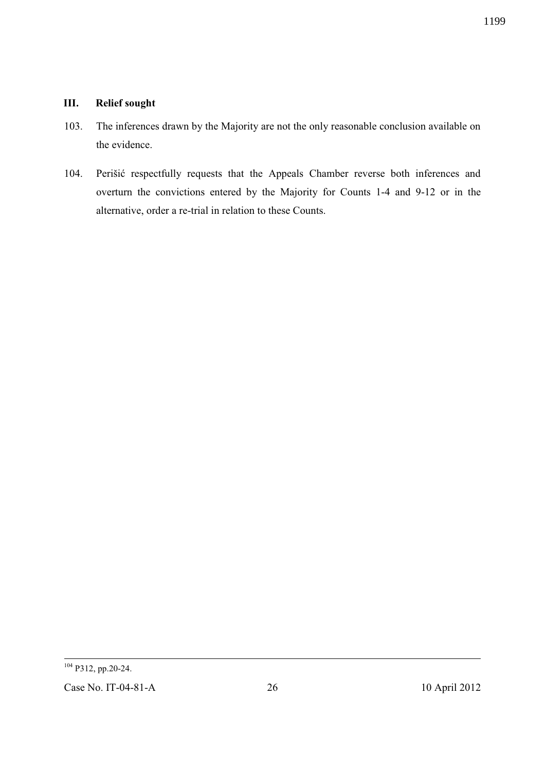# **III. Relief sought**

- 103. The inferences drawn by the Majority are not the only reasonable conclusion available on the evidence.
- 104. Perišić respectfully requests that the Appeals Chamber reverse both inferences and overturn the convictions entered by the Majority for Counts 1-4 and 9-12 or in the alternative, order a re-trial in relation to these Counts.

-<sup>104</sup> P312, pp.20-24.

Case No. IT-04-81-A 26 2012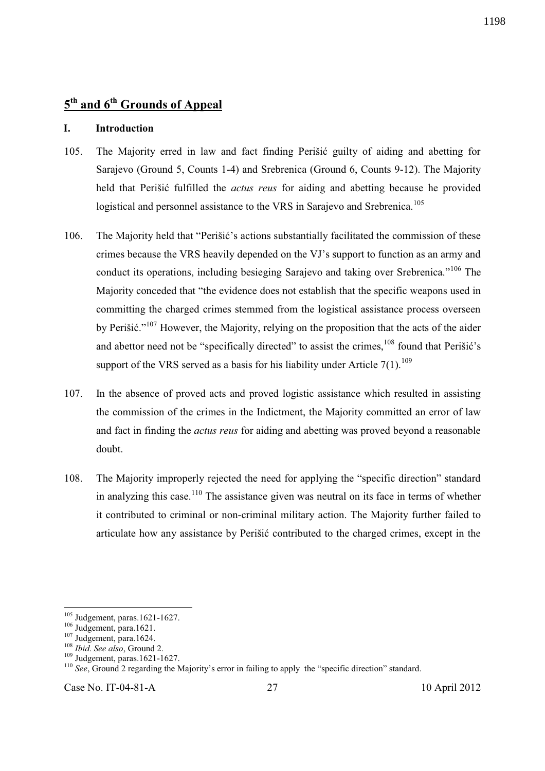# **5 th and 6th Grounds of Appeal**

#### **I. Introduction**

- 105. The Majority erred in law and fact finding Perišić guilty of aiding and abetting for Sarajevo (Ground 5, Counts 1-4) and Srebrenica (Ground 6, Counts 9-12). The Majority held that Perišić fulfilled the *actus reus* for aiding and abetting because he provided logistical and personnel assistance to the VRS in Sarajevo and Srebrenica.<sup>105</sup>
- 106. The Majority held that "Perišić's actions substantially facilitated the commission of these crimes because the VRS heavily depended on the VJ's support to function as an army and conduct its operations, including besieging Sarajevo and taking over Srebrenica."<sup>106</sup> The Majority conceded that "the evidence does not establish that the specific weapons used in committing the charged crimes stemmed from the logistical assistance process overseen by Perišić."<sup>107</sup> However, the Majority, relying on the proposition that the acts of the aider and abettor need not be "specifically directed" to assist the crimes.<sup>108</sup> found that Perišić's support of the VRS served as a basis for his liability under Article  $7(1)$ .<sup>109</sup>
- 107. In the absence of proved acts and proved logistic assistance which resulted in assisting the commission of the crimes in the Indictment, the Majority committed an error of law and fact in finding the *actus reus* for aiding and abetting was proved beyond a reasonable doubt.
- 108. The Majority improperly rejected the need for applying the "specific direction" standard in analyzing this case.<sup>110</sup> The assistance given was neutral on its face in terms of whether it contributed to criminal or non-criminal military action. The Majority further failed to articulate how any assistance by Perišić contributed to the charged crimes, except in the

-

 $105$  Judgement, paras. 1621-1627.

 $106$  Judgement, para.1621.

 $107 \text{ Judgement}$ , para.1624.

<sup>108</sup> *Ibid*. *See also*, Ground 2.

<sup>109</sup> Judgement, paras.1621-1627.

<sup>&</sup>lt;sup>110</sup> *See*, Ground 2 regarding the Majority's error in failing to apply the "specific direction" standard.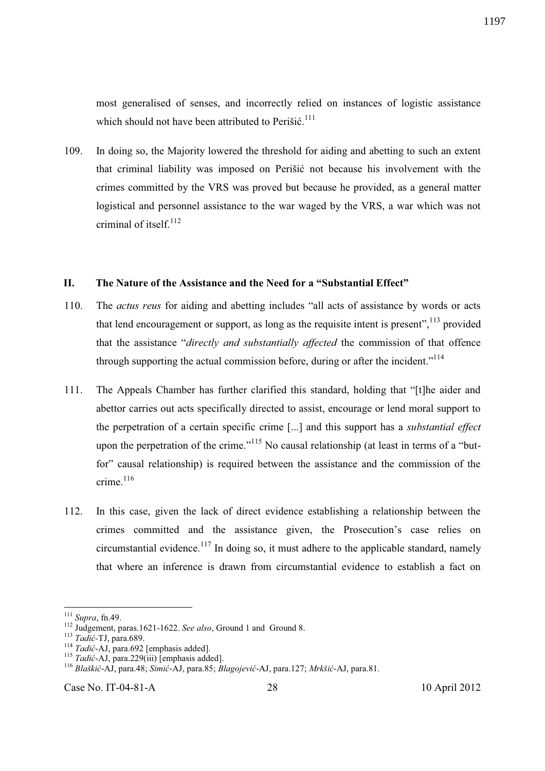most generalised of senses, and incorrectly relied on instances of logistic assistance which should not have been attributed to Perišić.<sup>111</sup>

109. In doing so, the Majority lowered the threshold for aiding and abetting to such an extent that criminal liability was imposed on Perišić not because his involvement with the crimes committed by the VRS was proved but because he provided, as a general matter logistical and personnel assistance to the war waged by the VRS, a war which was not criminal of itself<sup>112</sup>

#### **II. The Nature of the Assistance and the Need for a "Substantial Effect"**

- 110. The *actus reus* for aiding and abetting includes "all acts of assistance by words or acts that lend encouragement or support, as long as the requisite intent is present",  $^{113}$  provided that the assistance "*directly and substantially affected* the commission of that offence through supporting the actual commission before, during or after the incident."<sup>114</sup>
- 111. The Appeals Chamber has further clarified this standard, holding that "[t]he aider and abettor carries out acts specifically directed to assist, encourage or lend moral support to the perpetration of a certain specific crime [...] and this support has a *substantial effect* upon the perpetration of the crime."<sup>115</sup> No causal relationship (at least in terms of a "butfor" causal relationship) is required between the assistance and the commission of the crime. $116$
- 112. In this case, given the lack of direct evidence establishing a relationship between the crimes committed and the assistance given, the Prosecution's case relies on circumstantial evidence.<sup>117</sup> In doing so, it must adhere to the applicable standard, namely that where an inference is drawn from circumstantial evidence to establish a fact on

 $\overline{a}$ 

<sup>111</sup> *Supra*, fn.49.

<sup>112</sup> Judgement, paras.1621-1622. *See also*, Ground 1 and Ground 8.

<sup>113</sup> *Tadić-*TJ, para.689.

<sup>114</sup> *Tadić*-AJ, para.692 [emphasis added].

<sup>115</sup> *Tadić*-AJ, para.229(iii) [emphasis added].

<sup>116</sup> *Blaškić*-AJ, para.48; *Simić*-AJ, para.85; *Blagojević*-AJ, para.127; *Mrkšić*-AJ, para.81.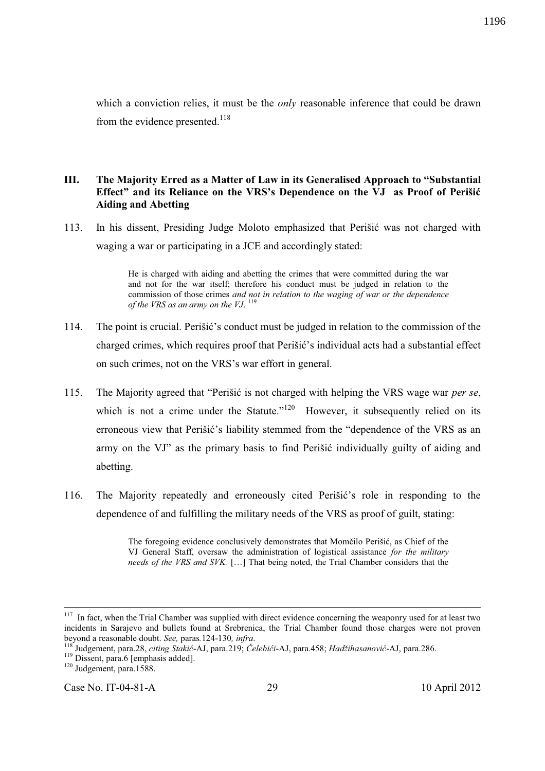which a conviction relies, it must be the *only* reasonable inference that could be drawn from the evidence presented.<sup>118</sup>

# **III. The Majority Erred as a Matter of Law in its Generalised Approach to "Substantial Effect" and its Reliance on the VRS's Dependence on the VJ as Proof of Perišić Aiding and Abetting**

113. In his dissent, Presiding Judge Moloto emphasized that Perišić was not charged with waging a war or participating in a JCE and accordingly stated:

> He is charged with aiding and abetting the crimes that were committed during the war and not for the war itself; therefore his conduct must be judged in relation to the commission of those crimes *and not in relation to the waging of war or the dependence of the VRS as an army on the VJ*. 119

- 114. The point is crucial. Perišić's conduct must be judged in relation to the commission of the charged crimes, which requires proof that Perišić's individual acts had a substantial effect on such crimes, not on the VRS's war effort in general.
- 115. The Majority agreed that "Perišić is not charged with helping the VRS wage war *per se*, which is not a crime under the Statute." $120$  However, it subsequently relied on its erroneous view that Perišić's liability stemmed from the "dependence of the VRS as an army on the VJ" as the primary basis to find Perišić individually guilty of aiding and abetting.
- 116. The Majority repeatedly and erroneously cited Perišić's role in responding to the dependence of and fulfilling the military needs of the VRS as proof of guilt, stating:

-

Case No. IT-04-81-A 29 29 10 April 2012

The foregoing evidence conclusively demonstrates that Momčilo Perišić, as Chief of the VJ General Staff, oversaw the administration of logistical assistance *for the military needs of the VRS and SVK.* […] That being noted, the Trial Chamber considers that the

 $117$  In fact, when the Trial Chamber was supplied with direct evidence concerning the weaponry used for at least two incidents in Sarajevo and bullets found at Srebrenica, the Trial Chamber found those charges were not proven beyond a reasonable doubt. *See,* paras*.*124-130*, infra*.

<sup>118</sup> Judgement, para.28, *citing Stakić*-AJ, para.219; *Čelebići*-AJ, para.458; *Hadžihasanović*-AJ, para.286.

<sup>&</sup>lt;sup>119</sup> Dissent, para.6 [emphasis added].

<sup>&</sup>lt;sup>120</sup> Judgement, para.1588.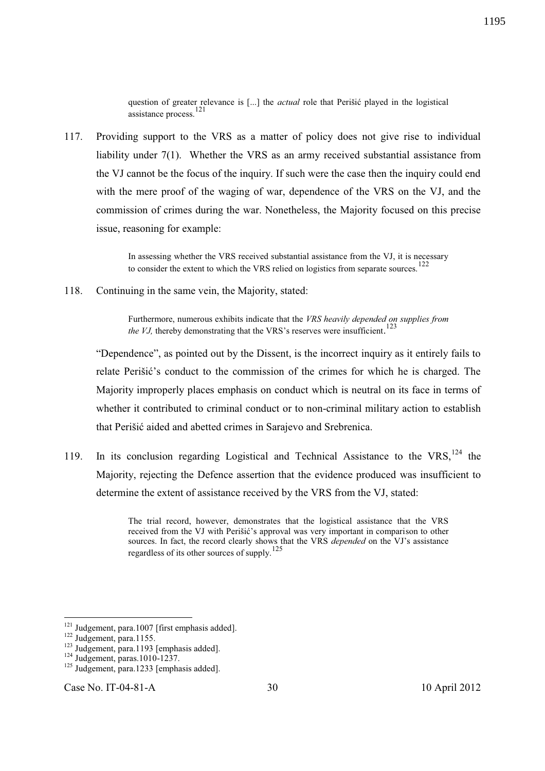question of greater relevance is [...] the *actual* role that Perišić played in the logistical assistance process.<sup>121</sup>

117. Providing support to the VRS as a matter of policy does not give rise to individual liability under 7(1). Whether the VRS as an army received substantial assistance from the VJ cannot be the focus of the inquiry. If such were the case then the inquiry could end with the mere proof of the waging of war, dependence of the VRS on the VJ, and the commission of crimes during the war. Nonetheless, the Majority focused on this precise issue, reasoning for example:

> In assessing whether the VRS received substantial assistance from the VJ, it is necessary to consider the extent to which the VRS relied on logistics from separate sources.<sup>122</sup>

118. Continuing in the same vein, the Majority, stated:

Furthermore, numerous exhibits indicate that the *VRS heavily depended on supplies from*  the VJ, thereby demonstrating that the VRS's reserves were insufficient.<sup>123</sup>

"Dependence", as pointed out by the Dissent, is the incorrect inquiry as it entirely fails to relate Perišić's conduct to the commission of the crimes for which he is charged. The Majority improperly places emphasis on conduct which is neutral on its face in terms of whether it contributed to criminal conduct or to non-criminal military action to establish that Perišić aided and abetted crimes in Sarajevo and Srebrenica.

119. In its conclusion regarding Logistical and Technical Assistance to the VRS,  $^{124}$  the Majority, rejecting the Defence assertion that the evidence produced was insufficient to determine the extent of assistance received by the VRS from the VJ, stated:

> The trial record, however, demonstrates that the logistical assistance that the VRS received from the VJ with Perišić's approval was very important in comparison to other sources. In fact, the record clearly shows that the VRS *depended* on the VJ's assistance regardless of its other sources of supply.<sup>125</sup>

<sup>&</sup>lt;sup>121</sup> Judgement, para.1007 [first emphasis added].

 $122$  Judgement, para.1155.

<sup>&</sup>lt;sup>123</sup> Judgement, para.1193 [emphasis added].

<sup>124</sup> Judgement, paras.1010-1237.

 $125$  Judgement, para.1233 [emphasis added].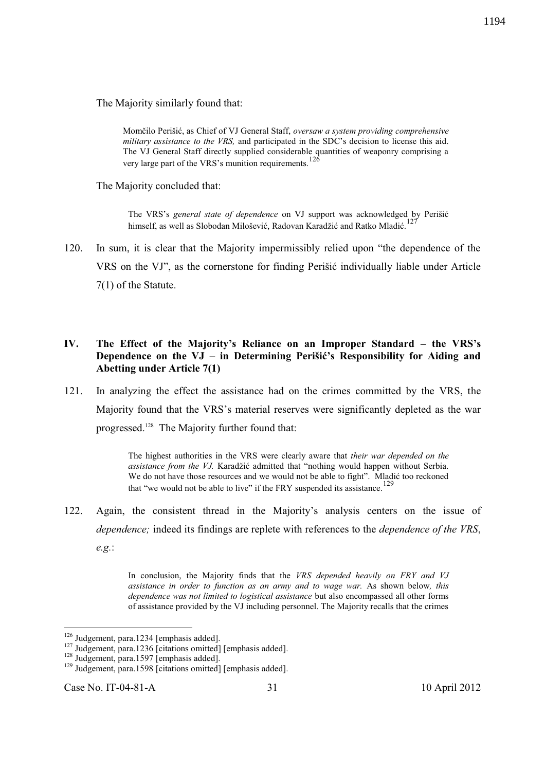The Majority similarly found that:

Momčilo Perišić, as Chief of VJ General Staff, *oversaw a system providing comprehensive military assistance to the VRS,* and participated in the SDC's decision to license this aid. The VJ General Staff directly supplied considerable quantities of weaponry comprising a very large part of the VRS's munition requirements.<sup>126</sup>

The Majority concluded that:

The VRS's *general state of dependence* on VJ support was acknowledged by Perišić himself, as well as Slobodan Milošević, Radovan Karadžić and Ratko Mladić.<sup>127</sup>

120. In sum, it is clear that the Majority impermissibly relied upon "the dependence of the VRS on the VJ", as the cornerstone for finding Perišić individually liable under Article 7(1) of the Statute.

## **IV. The Effect of the Majority's Reliance on an Improper Standard – the VRS's Dependence on the VJ – in Determining Perišić's Responsibility for Aiding and Abetting under Article 7(1)**

121. In analyzing the effect the assistance had on the crimes committed by the VRS, the Majority found that the VRS's material reserves were significantly depleted as the war progressed.<sup>128</sup> The Majority further found that:

> The highest authorities in the VRS were clearly aware that *their war depended on the assistance from the VJ.* Karadžić admitted that "nothing would happen without Serbia. We do not have those resources and we would not be able to fight". Mladić too reckoned that "we would not be able to live" if the FRY suspended its assistance.<sup>129</sup>

122. Again, the consistent thread in the Majority's analysis centers on the issue of *dependence;* indeed its findings are replete with references to the *dependence of the VRS*, *e.g.*:

> In conclusion, the Majority finds that the *VRS depended heavily on FRY and VJ assistance in order to function as an army and to wage war.* As shown below*, this dependence was not limited to logistical assistance* but also encompassed all other forms of assistance provided by the VJ including personnel. The Majority recalls that the crimes

<sup>&</sup>lt;sup>126</sup> Judgement, para.1234 [emphasis added].

<sup>&</sup>lt;sup>127</sup> Judgement, para.1236 [citations omitted] [emphasis added].

 $128$  Judgement, para.1597 [emphasis added].

<sup>&</sup>lt;sup>129</sup> Judgement, para.1598 [citations omitted] [emphasis added].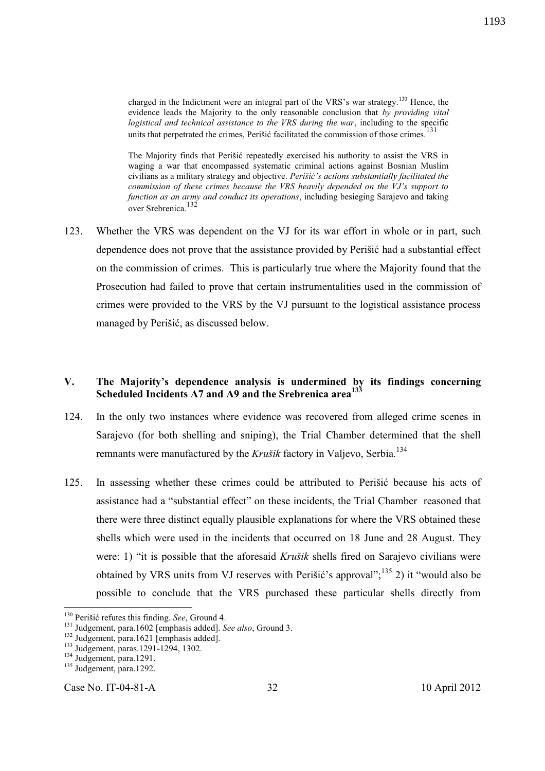charged in the Indictment were an integral part of the VRS's war strategy.<sup>130</sup> Hence, the evidence leads the Majority to the only reasonable conclusion that *by providing vital logistical and technical assistance to the VRS during the war*, including to the specific units that perpetrated the crimes, Perišić facilitated the commission of those crimes.<sup>131</sup>

The Majority finds that Perišić repeatedly exercised his authority to assist the VRS in waging a war that encompassed systematic criminal actions against Bosnian Muslim civilians as a military strategy and objective. *Perišić's actions substantially facilitated the commission of these crimes because the VRS heavily depended on the VJ's support to function as an army and conduct its operations*, including besieging Sarajevo and taking over Srebrenica.<sup>132</sup>

123. Whether the VRS was dependent on the VJ for its war effort in whole or in part, such dependence does not prove that the assistance provided by Perišić had a substantial effect on the commission of crimes. This is particularly true where the Majority found that the Prosecution had failed to prove that certain instrumentalities used in the commission of crimes were provided to the VRS by the VJ pursuant to the logistical assistance process managed by Perišić, as discussed below.

### **V. The Majority's dependence analysis is undermined by its findings concerning Scheduled Incidents A7 and A9 and the Srebrenica area<sup>133</sup>**

- 124. In the only two instances where evidence was recovered from alleged crime scenes in Sarajevo (for both shelling and sniping), the Trial Chamber determined that the shell remnants were manufactured by the *Krušik* factory in Valjevo, Serbia.<sup>134</sup>
- 125. In assessing whether these crimes could be attributed to Perišić because his acts of assistance had a "substantial effect" on these incidents, the Trial Chamber reasoned that there were three distinct equally plausible explanations for where the VRS obtained these shells which were used in the incidents that occurred on 18 June and 28 August. They were: 1) "it is possible that the aforesaid *Krušik* shells fired on Sarajevo civilians were obtained by VRS units from VJ reserves with Perišić's approval";<sup>135</sup> 2) it "would also be possible to conclude that the VRS purchased these particular shells directly from

 $\overline{a}$ 

Case No. IT-04-81-A 32 10 April 2012

<sup>130</sup> Perišić refutes this finding. *See*, Ground 4.

<sup>131</sup> Judgement, para.1602 [emphasis added]. *See also*, Ground 3.

<sup>&</sup>lt;sup>132</sup> Judgement, para.1621 [emphasis added].

<sup>133</sup> Judgement, paras.1291-1294, 1302.

<sup>&</sup>lt;sup>134</sup> Judgement, para.1291.

<sup>&</sup>lt;sup>135</sup> Judgement, para.1292.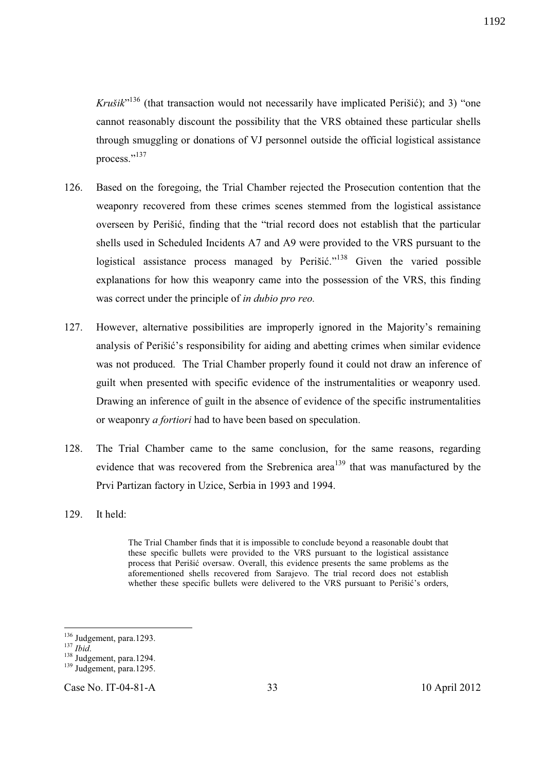*Krušik*<sup>,136</sup> (that transaction would not necessarily have implicated Perišić); and 3) "one cannot reasonably discount the possibility that the VRS obtained these particular shells through smuggling or donations of VJ personnel outside the official logistical assistance process."<sup>137</sup>

- 126. Based on the foregoing, the Trial Chamber rejected the Prosecution contention that the weaponry recovered from these crimes scenes stemmed from the logistical assistance overseen by Perišić, finding that the "trial record does not establish that the particular shells used in Scheduled Incidents A7 and A9 were provided to the VRS pursuant to the logistical assistance process managed by Perišić."<sup>138</sup> Given the varied possible explanations for how this weaponry came into the possession of the VRS, this finding was correct under the principle of *in dubio pro reo.*
- 127. However, alternative possibilities are improperly ignored in the Majority's remaining analysis of Perišić's responsibility for aiding and abetting crimes when similar evidence was not produced. The Trial Chamber properly found it could not draw an inference of guilt when presented with specific evidence of the instrumentalities or weaponry used. Drawing an inference of guilt in the absence of evidence of the specific instrumentalities or weaponry *a fortiori* had to have been based on speculation.
- 128. The Trial Chamber came to the same conclusion, for the same reasons, regarding evidence that was recovered from the Srebrenica area<sup>139</sup> that was manufactured by the Prvi Partizan factory in Uzice, Serbia in 1993 and 1994.
- 129. It held:

The Trial Chamber finds that it is impossible to conclude beyond a reasonable doubt that these specific bullets were provided to the VRS pursuant to the logistical assistance process that Perišić oversaw. Overall, this evidence presents the same problems as the aforementioned shells recovered from Sarajevo. The trial record does not establish whether these specific bullets were delivered to the VRS pursuant to Perišić's orders,

l

Case No. IT-04-81-A 33 10 April 2012

1192

<sup>&</sup>lt;sup>136</sup> Judgement, para.1293.

<sup>137</sup> *Ibid*.

<sup>&</sup>lt;sup>138</sup> Judgement, para.1294.

<sup>&</sup>lt;sup>139</sup> Judgement, para.1295.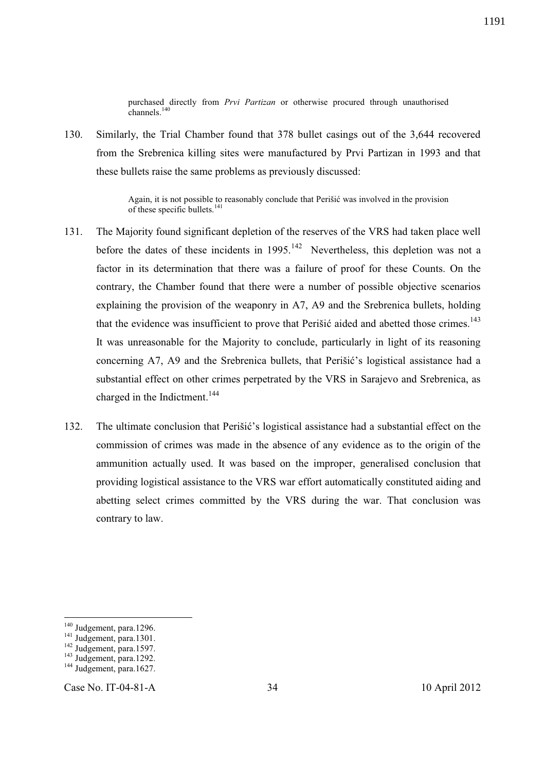purchased directly from *Prvi Partizan* or otherwise procured through unauthorised channels. $^{140}$ 

130. Similarly, the Trial Chamber found that 378 bullet casings out of the 3,644 recovered from the Srebrenica killing sites were manufactured by Prvi Partizan in 1993 and that these bullets raise the same problems as previously discussed:

> Again, it is not possible to reasonably conclude that Perišić was involved in the provision of these specific bullets. $141$

- 131. The Majority found significant depletion of the reserves of the VRS had taken place well before the dates of these incidents in  $1995$ .<sup>142</sup> Nevertheless, this depletion was not a factor in its determination that there was a failure of proof for these Counts. On the contrary, the Chamber found that there were a number of possible objective scenarios explaining the provision of the weaponry in A7, A9 and the Srebrenica bullets, holding that the evidence was insufficient to prove that Perišić aided and abetted those crimes.<sup>143</sup> It was unreasonable for the Majority to conclude, particularly in light of its reasoning concerning A7, A9 and the Srebrenica bullets, that Perišić's logistical assistance had a substantial effect on other crimes perpetrated by the VRS in Sarajevo and Srebrenica, as charged in the Indictment.<sup>144</sup>
- 132. The ultimate conclusion that Perišić's logistical assistance had a substantial effect on the commission of crimes was made in the absence of any evidence as to the origin of the ammunition actually used. It was based on the improper, generalised conclusion that providing logistical assistance to the VRS war effort automatically constituted aiding and abetting select crimes committed by the VRS during the war. That conclusion was contrary to law.

<sup>&</sup>lt;sup>140</sup> Judgement, para.1296.

 $141$  Judgement, para.1301.

<sup>&</sup>lt;sup>142</sup> Judgement, para.1597.

<sup>&</sup>lt;sup>143</sup> Judgement, para.1292.

<sup>&</sup>lt;sup>144</sup> Judgement, para.1627.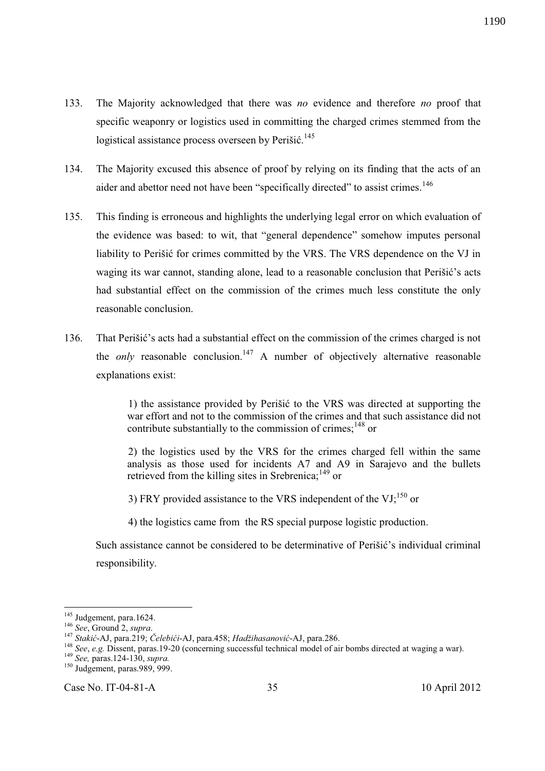- 133. The Majority acknowledged that there was *no* evidence and therefore *no* proof that specific weaponry or logistics used in committing the charged crimes stemmed from the logistical assistance process overseen by Perišić.<sup>145</sup>
- 134. The Majority excused this absence of proof by relying on its finding that the acts of an aider and abettor need not have been "specifically directed" to assist crimes.<sup>146</sup>
- 135. This finding is erroneous and highlights the underlying legal error on which evaluation of the evidence was based: to wit, that "general dependence" somehow imputes personal liability to Perišić for crimes committed by the VRS. The VRS dependence on the VJ in waging its war cannot, standing alone, lead to a reasonable conclusion that Perišić's acts had substantial effect on the commission of the crimes much less constitute the only reasonable conclusion.
- 136. That Perišić's acts had a substantial effect on the commission of the crimes charged is not the *only* reasonable conclusion.<sup>147</sup> A number of objectively alternative reasonable explanations exist:

1) the assistance provided by Perišić to the VRS was directed at supporting the war effort and not to the commission of the crimes and that such assistance did not contribute substantially to the commission of crimes; $^{148}$  or

2) the logistics used by the VRS for the crimes charged fell within the same analysis as those used for incidents A7 and A9 in Sarajevo and the bullets retrieved from the killing sites in Srebrenica;<sup>149</sup> or

3) FRY provided assistance to the VRS independent of the VJ;<sup>150</sup> or

4) the logistics came from the RS special purpose logistic production.

Such assistance cannot be considered to be determinative of Perišić's individual criminal responsibility.

 $\overline{a}$ 

Case No. IT-04-81-A 35 10 April 2012

<sup>&</sup>lt;sup>145</sup> Judgement, para.1624.

<sup>146</sup> *See*, Ground 2, *supra*.

<sup>147</sup> *Stakić*-AJ, para.219; *Čelebići*-AJ, para.458; *Hadžihasanović*-AJ, para.286.

<sup>&</sup>lt;sup>148</sup> *See*, *e.g.* Dissent, paras.19-20 (concerning successful technical model of air bombs directed at waging a war).

<sup>149</sup> *See,* paras.124-130, *supra.*

 $150$  Judgement, paras.989, 999.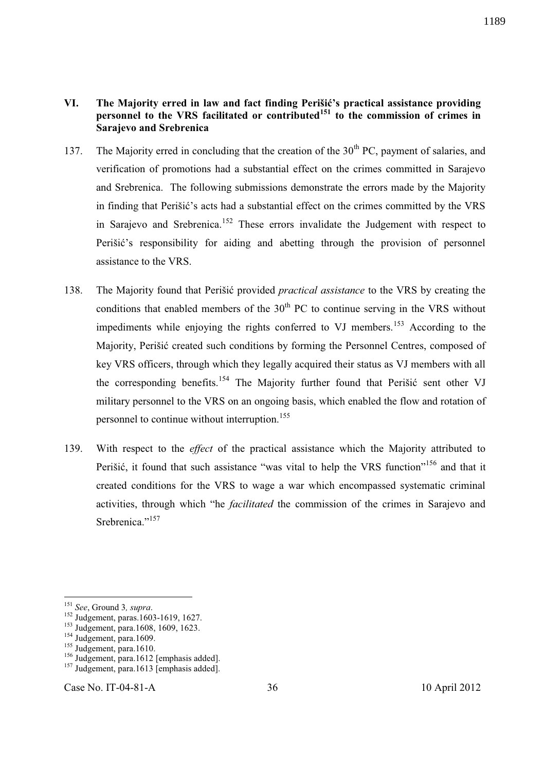- 137. The Majority erred in concluding that the creation of the  $30<sup>th</sup> PC$ , payment of salaries, and verification of promotions had a substantial effect on the crimes committed in Sarajevo and Srebrenica. The following submissions demonstrate the errors made by the Majority in finding that Perišić's acts had a substantial effect on the crimes committed by the VRS in Sarajevo and Srebrenica.<sup>152</sup> These errors invalidate the Judgement with respect to Perišić's responsibility for aiding and abetting through the provision of personnel assistance to the VRS.
- 138. The Majority found that Perišić provided *practical assistance* to the VRS by creating the conditions that enabled members of the  $30<sup>th</sup>$  PC to continue serving in the VRS without impediments while enjoying the rights conferred to VJ members.<sup>153</sup> According to the Majority, Perišić created such conditions by forming the Personnel Centres, composed of key VRS officers, through which they legally acquired their status as VJ members with all the corresponding benefits.<sup>154</sup> The Majority further found that Perišić sent other VJ military personnel to the VRS on an ongoing basis, which enabled the flow and rotation of personnel to continue without interruption.<sup>155</sup>
- 139. With respect to the *effect* of the practical assistance which the Majority attributed to Perišić, it found that such assistance "was vital to help the VRS function"<sup>156</sup> and that it created conditions for the VRS to wage a war which encompassed systematic criminal activities, through which "he *facilitated* the commission of the crimes in Sarajevo and Srebrenica<sup>",157</sup>

-

**Sarajevo and Srebrenica** 

Case No. IT-04-81-A 36 10 April 2012

<sup>151</sup> *See*, Ground 3*, supra*.

<sup>&</sup>lt;sup>152</sup> Judgement, paras.1603-1619, 1627.

<sup>&</sup>lt;sup>153</sup> Judgement, para.1608, 1609, 1623.

 $154$  Judgement, para.1609.

 $155$  Judgement, para.1610.

<sup>&</sup>lt;sup>156</sup> Judgement, para.1612 [emphasis added].

<sup>&</sup>lt;sup>157</sup> Judgement, para.1613 [emphasis added].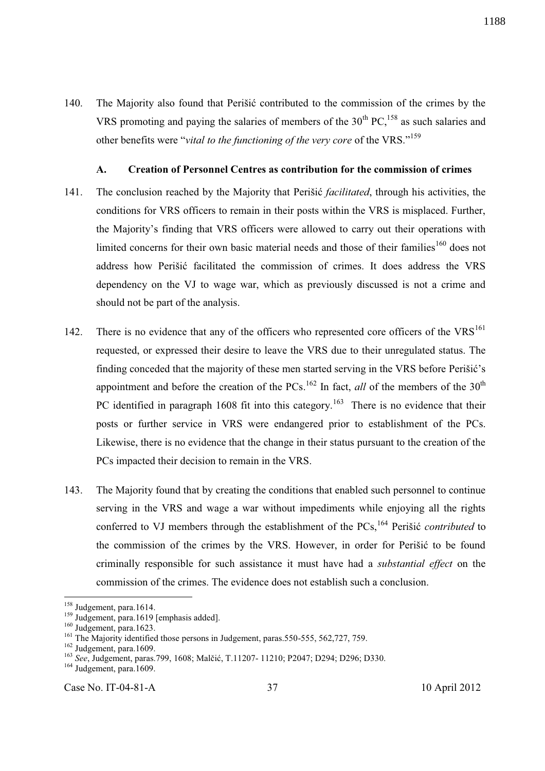140. The Majority also found that Perišić contributed to the commission of the crimes by the VRS promoting and paying the salaries of members of the  $30<sup>th</sup> PC<sup>158</sup>$  as such salaries and other benefits were "*vital to the functioning of the very core* of the VRS."<sup>159</sup>

#### **A. Creation of Personnel Centres as contribution for the commission of crimes**

- 141. The conclusion reached by the Majority that Perišić *facilitated*, through his activities, the conditions for VRS officers to remain in their posts within the VRS is misplaced. Further, the Majority's finding that VRS officers were allowed to carry out their operations with limited concerns for their own basic material needs and those of their families<sup>160</sup> does not address how Perišić facilitated the commission of crimes. It does address the VRS dependency on the VJ to wage war, which as previously discussed is not a crime and should not be part of the analysis.
- 142. There is no evidence that any of the officers who represented core officers of the  $VRS<sup>161</sup>$ requested, or expressed their desire to leave the VRS due to their unregulated status. The finding conceded that the majority of these men started serving in the VRS before Perišić's appointment and before the creation of the PCs.<sup>162</sup> In fact, *all* of the members of the 30<sup>th</sup> PC identified in paragraph 1608 fit into this category.<sup>163</sup> There is no evidence that their posts or further service in VRS were endangered prior to establishment of the PCs. Likewise, there is no evidence that the change in their status pursuant to the creation of the PCs impacted their decision to remain in the VRS.
- 143. The Majority found that by creating the conditions that enabled such personnel to continue serving in the VRS and wage a war without impediments while enjoying all the rights conferred to VJ members through the establishment of the PCs,<sup>164</sup> Perišić *contributed* to the commission of the crimes by the VRS. However, in order for Perišić to be found criminally responsible for such assistance it must have had a *substantial effect* on the commission of the crimes. The evidence does not establish such a conclusion.

-

<sup>&</sup>lt;sup>158</sup> Judgement, para.1614.

<sup>&</sup>lt;sup>159</sup> Judgement, para.1619 [emphasis added].

<sup>&</sup>lt;sup>160</sup> Judgement, para.1623.

<sup>&</sup>lt;sup>161</sup> The Majority identified those persons in Judgement, paras.550-555, 562,727, 759.

<sup>&</sup>lt;sup>162</sup> Judgement, para.1609.

<sup>163</sup> *See*, Judgement, paras.799, 1608; Malčić, T.11207- 11210; P2047; D294; D296; D330.

<sup>&</sup>lt;sup>164</sup> Judgement, para.1609.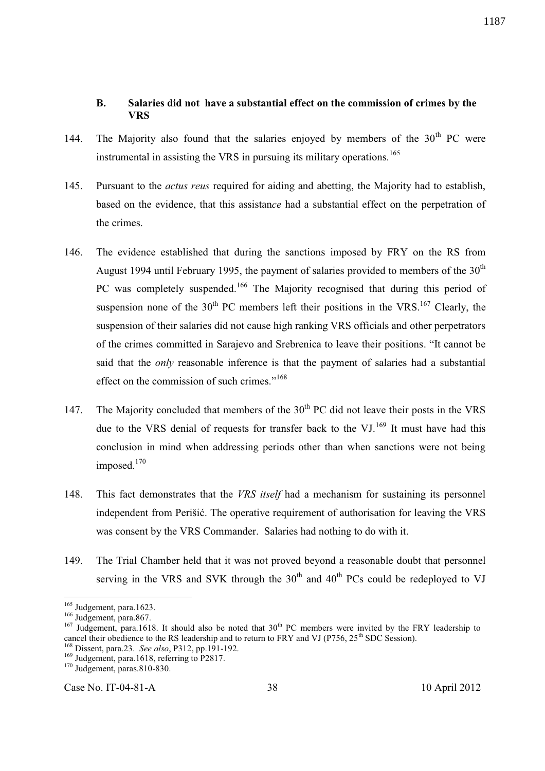#### **B. Salaries did not have a substantial effect on the commission of crimes by the VRS**

- 144. The Majority also found that the salaries enjoyed by members of the  $30<sup>th</sup>$  PC were instrumental in assisting the VRS in pursuing its military operations*.* 165
- 145. Pursuant to the *actus reus* required for aiding and abetting, the Majority had to establish, based on the evidence, that this assistan*ce* had a substantial effect on the perpetration of the crimes.
- 146. The evidence established that during the sanctions imposed by FRY on the RS from August 1994 until February 1995, the payment of salaries provided to members of the  $30<sup>th</sup>$ PC was completely suspended.<sup>166</sup> The Majority recognised that during this period of suspension none of the  $30<sup>th</sup>$  PC members left their positions in the VRS.<sup>167</sup> Clearly, the suspension of their salaries did not cause high ranking VRS officials and other perpetrators of the crimes committed in Sarajevo and Srebrenica to leave their positions. "It cannot be said that the *only* reasonable inference is that the payment of salaries had a substantial effect on the commission of such crimes."<sup>168</sup>
- 147. The Majority concluded that members of the  $30<sup>th</sup> PC$  did not leave their posts in the VRS due to the VRS denial of requests for transfer back to the VJ.<sup>169</sup> It must have had this conclusion in mind when addressing periods other than when sanctions were not being imposed.<sup>170</sup>
- 148. This fact demonstrates that the *VRS itself* had a mechanism for sustaining its personnel independent from Perišić. The operative requirement of authorisation for leaving the VRS was consent by the VRS Commander. Salaries had nothing to do with it.
- 149. The Trial Chamber held that it was not proved beyond a reasonable doubt that personnel serving in the VRS and SVK through the  $30<sup>th</sup>$  and  $40<sup>th</sup>$  PCs could be redeployed to VJ

-

<sup>&</sup>lt;sup>165</sup> Judgement, para.1623.

<sup>&</sup>lt;sup>166</sup> Judgement, para.867.

<sup>&</sup>lt;sup>167</sup> Judgement, para.1618. It should also be noted that 30<sup>th</sup> PC members were invited by the FRY leadership to cancel their obedience to the RS leadership and to return to FRY and VJ (P756, 25<sup>th</sup> SDC Session).

<sup>168</sup> Dissent, para.23. *See also*, P312, pp.191-192.

<sup>&</sup>lt;sup>169</sup> Judgement, para.1618, referring to P2817.

<sup>170</sup> Judgement, paras.810-830.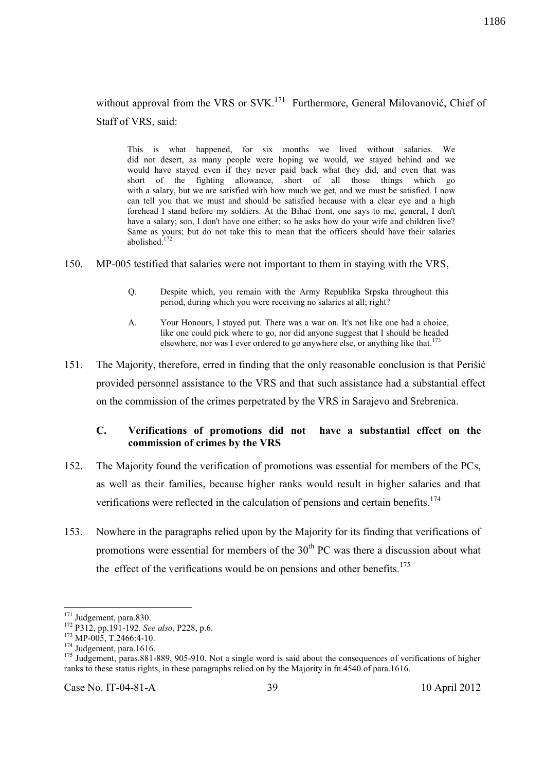This is what happened, for six months we lived without salaries. We did not desert, as many people were hoping we would, we stayed behind and we would have stayed even if they never paid back what they did, and even that was short of the fighting allowance, short of all those things which go with a salary, but we are satisfied with how much we get, and we must be satisfied. I now can tell you that we must and should be satisfied because with a clear eye and a high forehead I stand before my soldiers. At the Bihać front, one says to me, general, I don't have a salary; son, I don't have one either; so he asks how do your wife and children live? Same as yours; but do not take this to mean that the officers should have their salaries abolished.<sup>172</sup>

- 150. MP-005 testified that salaries were not important to them in staying with the VRS,
	- Q. Despite which, you remain with the Army Republika Srpska throughout this period, during which you were receiving no salaries at all; right?
	- A. Your Honours, I stayed put. There was a war on. It's not like one had a choice, like one could pick where to go, nor did anyone suggest that I should be headed elsewhere, nor was I ever ordered to go anywhere else, or anything like that.<sup>173</sup>
- 151. The Majority, therefore, erred in finding that the only reasonable conclusion is that Perišić provided personnel assistance to the VRS and that such assistance had a substantial effect on the commission of the crimes perpetrated by the VRS in Sarajevo and Srebrenica.

# **C. Verifications of promotions did not have a substantial effect on the commission of crimes by the VRS**

- 152. The Majority found the verification of promotions was essential for members of the PCs, as well as their families, because higher ranks would result in higher salaries and that verifications were reflected in the calculation of pensions and certain benefits.<sup>174</sup>
- 153. Nowhere in the paragraphs relied upon by the Majority for its finding that verifications of promotions were essential for members of the  $30<sup>th</sup>$  PC was there a discussion about what the effect of the verifications would be on pensions and other benefits.<sup>175</sup>

 $\overline{a}$ <sup>171</sup> Judgement, para.830.

<sup>172</sup> P312, pp.191-192. *See also*, P228, p.6.

<sup>&</sup>lt;sup>173</sup> MP-005, T.2466:4-10.

<sup>&</sup>lt;sup>174</sup> Judgement, para.1616.

<sup>&</sup>lt;sup>175</sup> Judgement, paras.881-889, 905-910. Not a single word is said about the consequences of verifications of higher ranks to these status rights, in these paragraphs relied on by the Majority in fn.4540 of para.1616.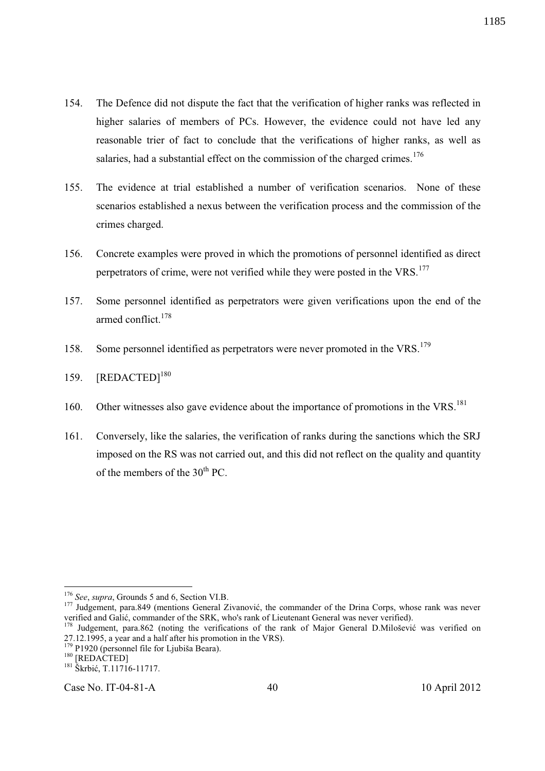- 154. The Defence did not dispute the fact that the verification of higher ranks was reflected in higher salaries of members of PCs. However, the evidence could not have led any reasonable trier of fact to conclude that the verifications of higher ranks, as well as salaries, had a substantial effect on the commission of the charged crimes.<sup>176</sup>
- 155. The evidence at trial established a number of verification scenarios. None of these scenarios established a nexus between the verification process and the commission of the crimes charged.
- 156. Concrete examples were proved in which the promotions of personnel identified as direct perpetrators of crime, were not verified while they were posted in the VRS.<sup>177</sup>
- 157. Some personnel identified as perpetrators were given verifications upon the end of the armed conflict.<sup>178</sup>
- 158. Some personnel identified as perpetrators were never promoted in the VRS.<sup>179</sup>
- 159. [REDACTED]<sup>180</sup>
- 160. Other witnesses also gave evidence about the importance of promotions in the VRS.<sup>181</sup>
- 161. Conversely, like the salaries, the verification of ranks during the sanctions which the SRJ imposed on the RS was not carried out, and this did not reflect on the quality and quantity of the members of the  $30<sup>th</sup>$  PC.

<sup>181</sup> Škrbić, T.11716-11717.

Case No. IT-04-81-A 40 10 April 2012

l <sup>176</sup> *See*, *supra*, Grounds 5 and 6, Section VI.B.

<sup>177</sup> Judgement, para.849 (mentions General Zivanović, the commander of the Drina Corps, whose rank was never verified and Galić, commander of the SRK, who's rank of Lieutenant General was never verified).

<sup>&</sup>lt;sup>178</sup> Judgement, para.862 (noting the verifications of the rank of Major General D.Milošević was verified on 27.12.1995, a year and a half after his promotion in the VRS).

 $179$  P1920 (personnel file for Ljubiša Beara).

<sup>&</sup>lt;sup>180</sup> [REDACTED]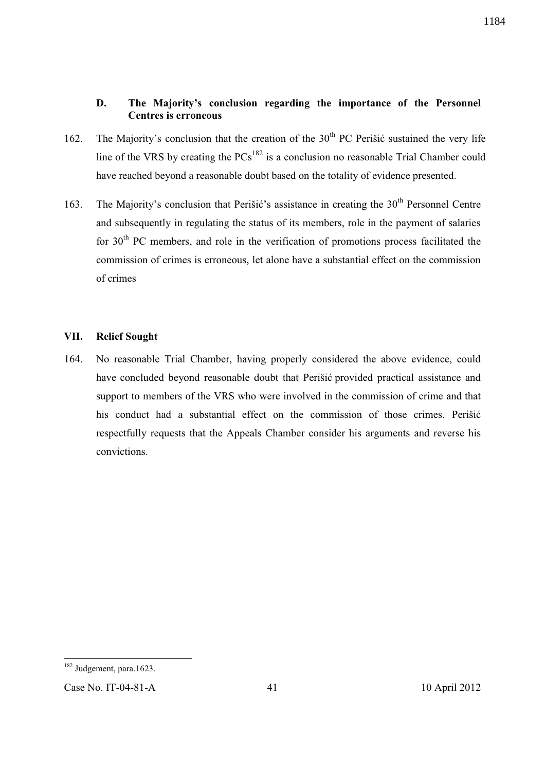# **D. The Majority's conclusion regarding the importance of the Personnel Centres is erroneous**

- 162. The Majority's conclusion that the creation of the  $30<sup>th</sup> PC$  Perišić sustained the very life line of the VRS by creating the  $PCs<sup>182</sup>$  is a conclusion no reasonable Trial Chamber could have reached beyond a reasonable doubt based on the totality of evidence presented.
- 163. The Majority's conclusion that Perišić's assistance in creating the  $30<sup>th</sup>$  Personnel Centre and subsequently in regulating the status of its members, role in the payment of salaries for  $30<sup>th</sup>$  PC members, and role in the verification of promotions process facilitated the commission of crimes is erroneous, let alone have a substantial effect on the commission of crimes

# **VII. Relief Sought**

164. No reasonable Trial Chamber, having properly considered the above evidence, could have concluded beyond reasonable doubt that Perišić provided practical assistance and support to members of the VRS who were involved in the commission of crime and that his conduct had a substantial effect on the commission of those crimes. Perišić respectfully requests that the Appeals Chamber consider his arguments and reverse his convictions.

 $\overline{a}$ 

1184

<sup>&</sup>lt;sup>182</sup> Judgement, para.1623.

Case No. IT-04-81-A 41 10 April 2012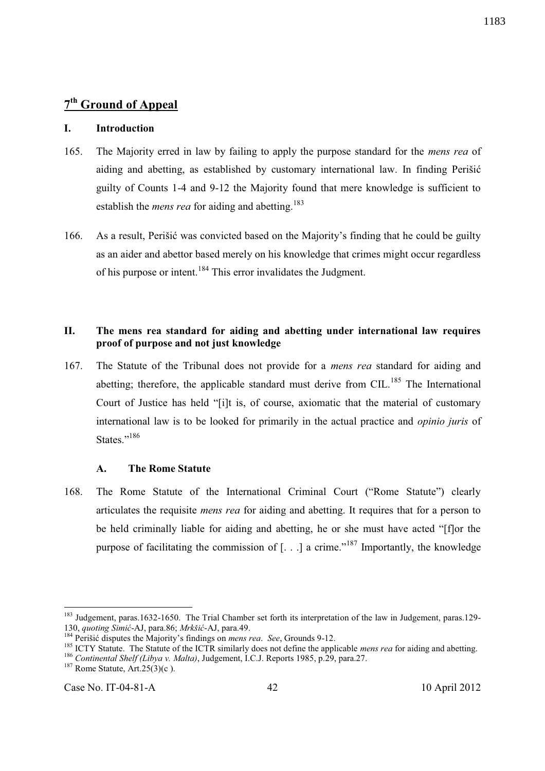#### **I. Introduction**

- 165. The Majority erred in law by failing to apply the purpose standard for the *mens rea* of aiding and abetting, as established by customary international law. In finding Perišić guilty of Counts 1-4 and 9-12 the Majority found that mere knowledge is sufficient to establish the *mens rea* for aiding and abetting.<sup>183</sup>
- 166. As a result, Perišić was convicted based on the Majority's finding that he could be guilty as an aider and abettor based merely on his knowledge that crimes might occur regardless of his purpose or intent.<sup>184</sup> This error invalidates the Judgment.

# **II. The mens rea standard for aiding and abetting under international law requires proof of purpose and not just knowledge**

167. The Statute of the Tribunal does not provide for a *mens rea* standard for aiding and abetting; therefore, the applicable standard must derive from CIL.<sup>185</sup> The International Court of Justice has held "[i]t is, of course, axiomatic that the material of customary international law is to be looked for primarily in the actual practice and *opinio juris* of States."<sup>186</sup>

#### **A. The Rome Statute**

168. The Rome Statute of the International Criminal Court ("Rome Statute") clearly articulates the requisite *mens rea* for aiding and abetting. It requires that for a person to be held criminally liable for aiding and abetting, he or she must have acted "[f]or the purpose of facilitating the commission of  $[...]$  a crime."<sup>187</sup> Importantly, the knowledge

Case No. IT-04-81-A 42 10 April 2012

-

<sup>&</sup>lt;sup>183</sup> Judgement, paras.1632-1650. The Trial Chamber set forth its interpretation of the law in Judgement, paras.129-130, *quoting Simić*-AJ, para.86; *Mrkšić*-AJ, para.49.

<sup>184</sup> Perišić disputes the Majority's findings on *mens rea*. *See*, Grounds 9-12.

<sup>&</sup>lt;sup>185</sup> ICTY Statute. The Statute of the ICTR similarly does not define the applicable *mens rea* for aiding and abetting.

<sup>186</sup> *Continental Shelf (Libya v. Malta)*, Judgement, I.C.J. Reports 1985, p.29, para.27.

 $187$  Rome Statute, Art.  $25(3)(c)$ .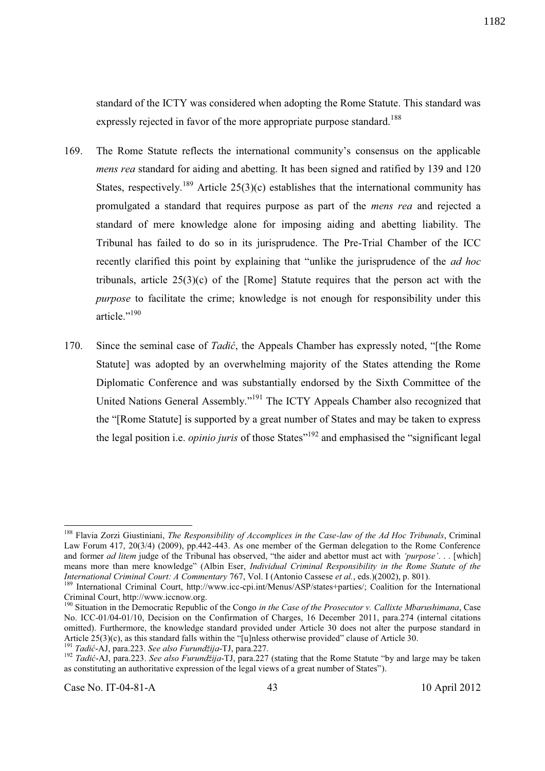standard of the ICTY was considered when adopting the Rome Statute. This standard was expressly rejected in favor of the more appropriate purpose standard.<sup>188</sup>

- 169. The Rome Statute reflects the international community's consensus on the applicable *mens rea* standard for aiding and abetting. It has been signed and ratified by 139 and 120 States, respectively.<sup>189</sup> Article 25(3)(c) establishes that the international community has promulgated a standard that requires purpose as part of the *mens rea* and rejected a standard of mere knowledge alone for imposing aiding and abetting liability. The Tribunal has failed to do so in its jurisprudence. The Pre-Trial Chamber of the ICC recently clarified this point by explaining that "unlike the jurisprudence of the *ad hoc*  tribunals, article  $25(3)(c)$  of the [Rome] Statute requires that the person act with the *purpose* to facilitate the crime; knowledge is not enough for responsibility under this article."<sup>190</sup>
- 170. Since the seminal case of *Tadić*, the Appeals Chamber has expressly noted, "[the Rome Statute] was adopted by an overwhelming majority of the States attending the Rome Diplomatic Conference and was substantially endorsed by the Sixth Committee of the United Nations General Assembly."<sup>191</sup> The ICTY Appeals Chamber also recognized that the "[Rome Statute] is supported by a great number of States and may be taken to express the legal position i.e. *opinio juris* of those States" <sup>192</sup> and emphasised the "significant legal

l <sup>188</sup> Flavia Zorzi Giustiniani, *The Responsibility of Accomplices in the Case-law of the Ad Hoc Tribunals*, Criminal Law Forum 417, 20(3/4) (2009), pp.442-443. As one member of the German delegation to the Rome Conference and former *ad litem* judge of the Tribunal has observed, "the aider and abettor must act with *'purpose'*. . . [which] means more than mere knowledge" (Albin Eser, *Individual Criminal Responsibility in the Rome Statute of the International Criminal Court: A Commentary* 767, Vol. I (Antonio Cassese *et al.*, eds.)(2002), p. 801).

<sup>189</sup> International Criminal Court, http://www.icc-cpi.int/Menus/ASP/states+parties/; Coalition for the International Criminal Court, http://www.iccnow.org.

<sup>190</sup> Situation in the Democratic Republic of the Congo *in the Case of the Prosecutor v. Callixte Mbarushimana*, Case No. ICC-01/04-01/10, Decision on the Confirmation of Charges, 16 December 2011, para.274 (internal citations omitted). Furthermore, the knowledge standard provided under Article 30 does not alter the purpose standard in Article 25(3)(c), as this standard falls within the "[u]nless otherwise provided" clause of Article 30.

<sup>191</sup> *Tadić*-AJ, para.223. *See also Furundžija*-TJ, para.227.

<sup>192</sup> *Tadić*-AJ, para.223. *See also Furundžija*-TJ, para.227 (stating that the Rome Statute "by and large may be taken as constituting an authoritative expression of the legal views of a great number of States").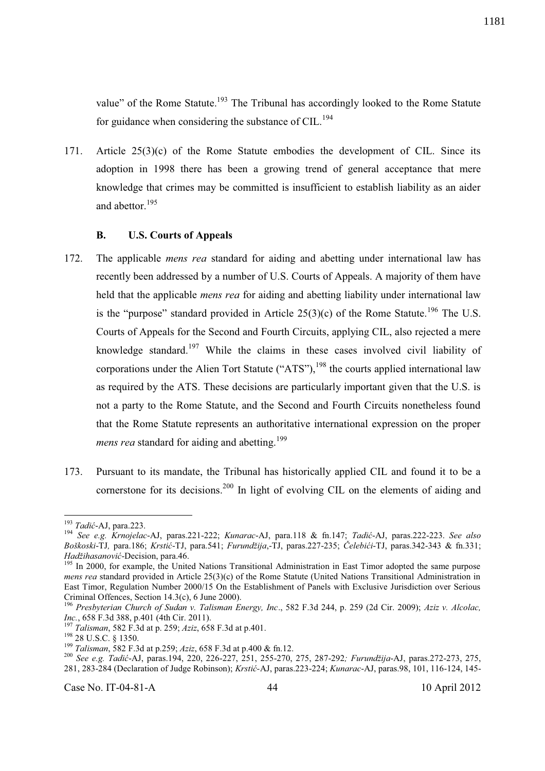value" of the Rome Statute.<sup>193</sup> The Tribunal has accordingly looked to the Rome Statute for guidance when considering the substance of CIL.<sup>194</sup>

171. Article 25(3)(c) of the Rome Statute embodies the development of CIL. Since its adoption in 1998 there has been a growing trend of general acceptance that mere knowledge that crimes may be committed is insufficient to establish liability as an aider and abettor. $195$ 

## **B. U.S. Courts of Appeals**

- 172. The applicable *mens rea* standard for aiding and abetting under international law has recently been addressed by a number of U.S. Courts of Appeals. A majority of them have held that the applicable *mens rea* for aiding and abetting liability under international law is the "purpose" standard provided in Article  $25(3)(c)$  of the Rome Statute.<sup>196</sup> The U.S. Courts of Appeals for the Second and Fourth Circuits, applying CIL, also rejected a mere knowledge standard.<sup>197</sup> While the claims in these cases involved civil liability of corporations under the Alien Tort Statute ("ATS"), $198$  the courts applied international law as required by the ATS. These decisions are particularly important given that the U.S. is not a party to the Rome Statute, and the Second and Fourth Circuits nonetheless found that the Rome Statute represents an authoritative international expression on the proper *mens rea* standard for aiding and abetting.<sup>199</sup>
- 173. Pursuant to its mandate, the Tribunal has historically applied CIL and found it to be a cornerstone for its decisions.<sup>200</sup> In light of evolving CIL on the elements of aiding and

l <sup>193</sup> *Tadić*-AJ, para.223.

<sup>194</sup> *See e.g. Krnojelac*-AJ, paras.221-222; *Kunarac*-AJ, para.118 & fn.147; *Tadić*-AJ, paras.222-223. *See also Boškoski*-TJ*,* para.186; *Krstić*-TJ, para.541; *Furundžija*,-TJ, paras.227-235; *Čelebići*-TJ, paras.342-343 & fn.331; *Hadžihasanović*-Decision, para.46.

<sup>&</sup>lt;sup>195</sup> In 2000, for example, the United Nations Transitional Administration in East Timor adopted the same purpose *mens rea* standard provided in Article 25(3)(c) of the Rome Statute (United Nations Transitional Administration in East Timor, Regulation Number 2000/15 On the Establishment of Panels with Exclusive Jurisdiction over Serious Criminal Offences, Section 14.3(c), 6 June 2000).

<sup>196</sup> *Presbyterian Church of Sudan v. Talisman Energy, Inc*., 582 F.3d 244, p. 259 (2d Cir. 2009); *Aziz v. Alcolac, Inc.*, 658 F.3d 388, p.401 (4th Cir. 2011).

<sup>197</sup> *Talisman*, 582 F.3d at p. 259; *Aziz*, 658 F.3d at p.401.

<sup>&</sup>lt;sup>198</sup> 28 U.S.C. § 1350.

<sup>199</sup> *Talisman*, 582 F.3d at p.259; *Aziz*, 658 F.3d at p.400 & fn.12.

<sup>200</sup> *See e.g. Tadić*-AJ, paras.194, 220, 226-227, 251, 255-270, 275, 287-292*; Furundžija*-AJ, paras.272-273, 275, 281, 283-284 (Declaration of Judge Robinson); *Krstić-*AJ, paras.223-224; *Kunarac*-AJ, paras.98, 101, 116-124, 145-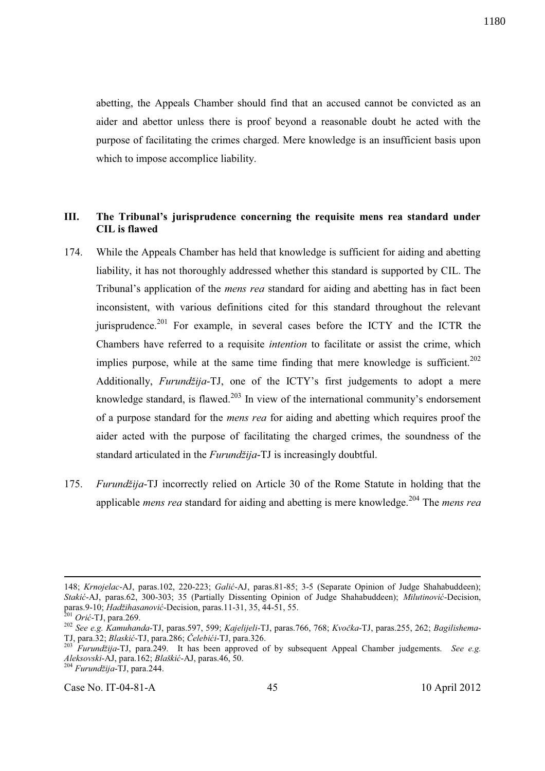abetting, the Appeals Chamber should find that an accused cannot be convicted as an aider and abettor unless there is proof beyond a reasonable doubt he acted with the purpose of facilitating the crimes charged. Mere knowledge is an insufficient basis upon which to impose accomplice liability.

# **III. The Tribunal's jurisprudence concerning the requisite mens rea standard under CIL is flawed**

- 174. While the Appeals Chamber has held that knowledge is sufficient for aiding and abetting liability, it has not thoroughly addressed whether this standard is supported by CIL. The Tribunal's application of the *mens rea* standard for aiding and abetting has in fact been inconsistent, with various definitions cited for this standard throughout the relevant jurisprudence.<sup>201</sup> For example, in several cases before the ICTY and the ICTR the Chambers have referred to a requisite *intention* to facilitate or assist the crime, which implies purpose, while at the same time finding that mere knowledge is sufficient.<sup>202</sup> Additionally, *Furundžija*-TJ, one of the ICTY's first judgements to adopt a mere knowledge standard, is flawed.<sup>203</sup> In view of the international community's endorsement of a purpose standard for the *mens rea* for aiding and abetting which requires proof the aider acted with the purpose of facilitating the charged crimes, the soundness of the standard articulated in the *Furundžija*-TJ is increasingly doubtful.
- 175. *Furundžija*-TJ incorrectly relied on Article 30 of the Rome Statute in holding that the applicable *mens rea* standard for aiding and abetting is mere knowledge.<sup>204</sup> The *mens rea*

-

<sup>148;</sup> *Krnojelac*-AJ, paras.102, 220-223; *Galić*-AJ, paras.81-85; 3-5 (Separate Opinion of Judge Shahabuddeen); *Stakić*-AJ, paras.62, 300-303; 35 (Partially Dissenting Opinion of Judge Shahabuddeen); *Milutinović*-Decision, paras.9-10; *Hadžihasanović*-Decision, paras.11-31, 35, 44-51, 55.

<sup>201</sup> *Orić*-TJ, para.269.

<sup>202</sup> *See e.g. Kamuhanda*-TJ, paras.597, 599; *Kajelijeli*-TJ, paras.766, 768; *Kvočka*-TJ, paras.255, 262; *Bagilishema*-TJ, para.32; *Blaskić*-TJ, para.286; *Čelebići*-TJ, para.326.

<sup>203</sup> *Furundžija*-TJ, para.249.It has been approved of by subsequent Appeal Chamber judgements. *See e.g. Aleksovski*-AJ, para.162; *Blaškić*-AJ, paras.46, 50.

<sup>204</sup> *Furundžija*-TJ, para.244.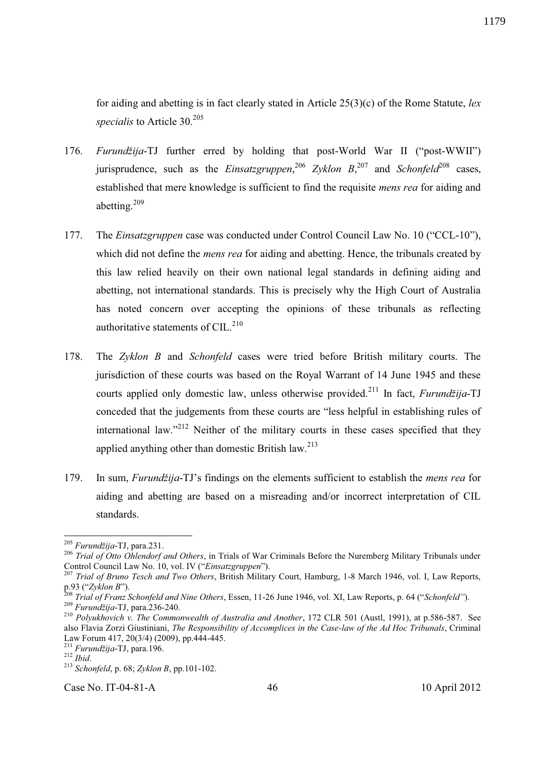for aiding and abetting is in fact clearly stated in Article 25(3)(c) of the Rome Statute, *lex specialis* to Article 30.<sup>205</sup>

- 176. *Furundžija*-TJ further erred by holding that post-World War II ("post-WWII") jurisprudence, such as the *Einsatzgruppen*,  $206$  *Zyklon B*,  $207$  and *Schonfeld*<sup>208</sup> cases, established that mere knowledge is sufficient to find the requisite *mens rea* for aiding and abetting.<sup>209</sup>
- 177. The *Einsatzgruppen* case was conducted under Control Council Law No. 10 ("CCL-10"), which did not define the *mens rea* for aiding and abetting. Hence, the tribunals created by this law relied heavily on their own national legal standards in defining aiding and abetting, not international standards. This is precisely why the High Court of Australia has noted concern over accepting the opinions of these tribunals as reflecting authoritative statements of CIL. $^{210}$
- 178. The *Zyklon B* and *Schonfeld* cases were tried before British military courts. The jurisdiction of these courts was based on the Royal Warrant of 14 June 1945 and these courts applied only domestic law, unless otherwise provided.<sup>211</sup> In fact, *Furundžija*-TJ conceded that the judgements from these courts are "less helpful in establishing rules of international law."<sup>212</sup> Neither of the military courts in these cases specified that they applied anything other than domestic British law.<sup>213</sup>
- 179. In sum, *Furundžija*-TJ's findings on the elements sufficient to establish the *mens rea* for aiding and abetting are based on a misreading and/or incorrect interpretation of CIL standards.

-

Case No. IT-04-81-A  $46$  10 April 2012

<sup>205</sup> *Furundžija*-TJ, para.231.

<sup>206</sup> *Trial of Otto Ohlendorf and Others*, in Trials of War Criminals Before the Nuremberg Military Tribunals under Control Council Law No. 10, vol. IV ("*Einsatzgruppen*").

<sup>207</sup> *Trial of Bruno Tesch and Two Others*, British Military Court, Hamburg, 1-8 March 1946, vol. I, Law Reports, p.93 ("*Zyklon B*").

<sup>208</sup> *Trial of Franz Schonfeld and Nine Others*, Essen, 11-26 June 1946, vol. XI, Law Reports, p. 64 ("*Schonfeld"*). <sup>209</sup> *Furundžija*-TJ, para.236-240.

<sup>&</sup>lt;sup>210</sup> *Polyukhovich v. The Commonwealth of Australia and Another*, 172 CLR 501 (Austl, 1991), at p.586-587. See also Flavia Zorzi Giustiniani, *The Responsibility of Accomplices in the Case-law of the Ad Hoc Tribunals*, Criminal Law Forum 417, 20(3/4) (2009), pp.444-445.

<sup>211</sup> *Furundžija*-TJ, para.196.

<sup>212</sup> *Ibid*.

<sup>213</sup> *Schonfeld*, p. 68; *Zyklon B*, pp.101-102.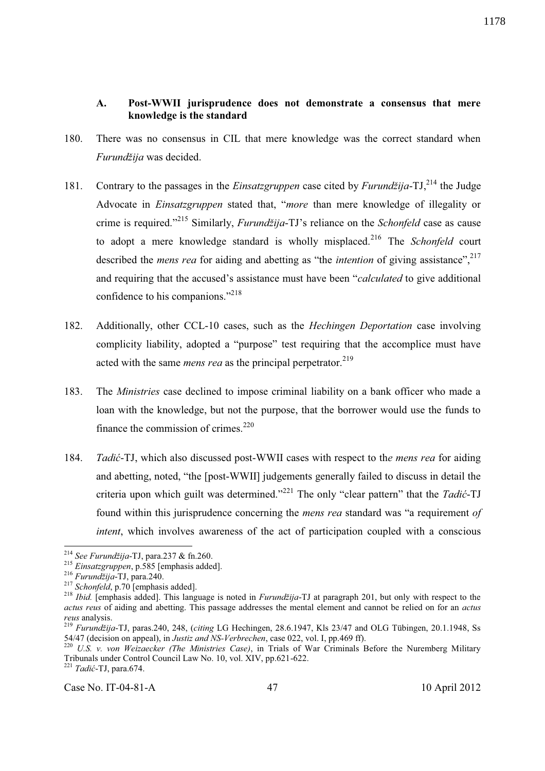#### **A. Post-WWII jurisprudence does not demonstrate a consensus that mere knowledge is the standard**

- 180. There was no consensus in CIL that mere knowledge was the correct standard when *Furundžija* was decided.
- 181. Contrary to the passages in the *Einsatzgruppen* case cited by *Furundžija*-TJ,<sup>214</sup> the Judge Advocate in *Einsatzgruppen* stated that, "*more* than mere knowledge of illegality or crime is required."<sup>215</sup> Similarly, *Furundžija*-TJ's reliance on the *Schonfeld* case as cause to adopt a mere knowledge standard is wholly misplaced.<sup>216</sup> The *Schonfeld* court described the *mens rea* for aiding and abetting as "the *intention* of giving assistance",<sup>217</sup> and requiring that the accused's assistance must have been "*calculated* to give additional confidence to his companions."<sup>218</sup>
- 182. Additionally, other CCL-10 cases, such as the *Hechingen Deportation* case involving complicity liability, adopted a "purpose" test requiring that the accomplice must have acted with the same *mens rea* as the principal perpetrator.<sup>219</sup>
- 183. The *Ministries* case declined to impose criminal liability on a bank officer who made a loan with the knowledge, but not the purpose, that the borrower would use the funds to finance the commission of crimes. $^{220}$
- 184. *Tadić*-TJ, which also discussed post-WWII cases with respect to th*e mens rea* for aiding and abetting, noted, "the [post-WWII] judgements generally failed to discuss in detail the criteria upon which guilt was determined."<sup>221</sup> The only "clear pattern" that the *Tadić*-TJ found within this jurisprudence concerning the *mens rea* standard was "a requirement *of intent*, which involves awareness of the act of participation coupled with a conscious

 $\overline{a}$ 

Case No. IT-04-81-A 47 10 April 2012

<sup>214</sup> *See Furundžija*-TJ, para.237 & fn.260.

<sup>215</sup> *Einsatzgruppen*, p.585 [emphasis added].

<sup>216</sup> *Furundžija*-TJ, para.240.

<sup>&</sup>lt;sup>217</sup> *Schonfeld*, p.70 [emphasis added].

<sup>218</sup> *Ibid.* [emphasis added]. This language is noted in *Furundžija*-TJ at paragraph 201, but only with respect to the *actus reus* of aiding and abetting. This passage addresses the mental element and cannot be relied on for an *actus reus* analysis.

<sup>219</sup> *Furundžija*-TJ, paras.240, 248, (*citing* LG Hechingen, 28.6.1947, Kls 23/47 and OLG Tübingen, 20.1.1948, Ss 54/47 (decision on appeal), in *Justiz and NS-Verbrechen*, case 022, vol. I, pp.469 ff).

<sup>220</sup> *U.S. v. von Weizaecker (The Ministries Case)*, in Trials of War Criminals Before the Nuremberg Military Tribunals under Control Council Law No. 10, vol. XIV, pp.621-622.

<sup>221</sup> *Tadić*-TJ, para.674.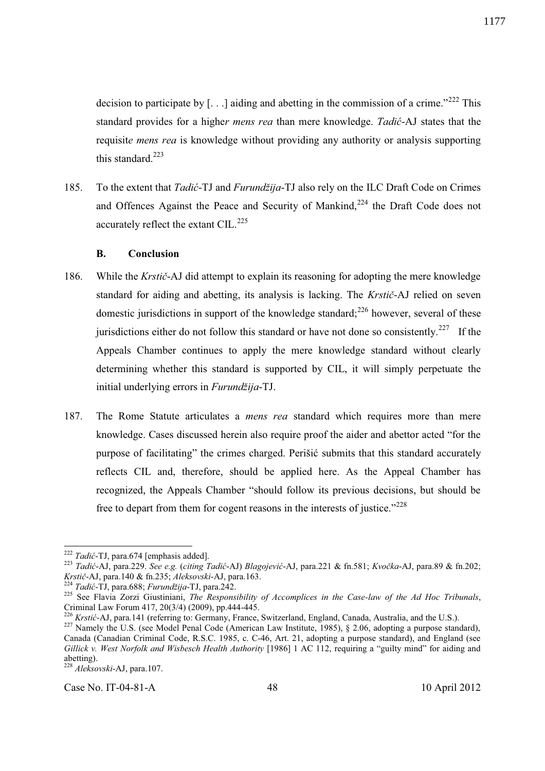decision to participate by  $[...]$  aiding and abetting in the commission of a crime."<sup>222</sup> This standard provides for a highe*r mens rea* than mere knowledge. *Tadić*-AJ states that the requisit*e mens rea* is knowledge without providing any authority or analysis supporting this standard. $223$ 

185. To the extent that *Tadić*-TJ and *Furundžija*-TJ also rely on the ILC Draft Code on Crimes and Offences Against the Peace and Security of Mankind,<sup>224</sup> the Draft Code does not accurately reflect the extant CIL. $^{225}$ 

#### **B. Conclusion**

- 186. While the *Krstič*-AJ did attempt to explain its reasoning for adopting the mere knowledge standard for aiding and abetting, its analysis is lacking. The *Krstič*-AJ relied on seven domestic jurisdictions in support of the knowledge standard;<sup>226</sup> however, several of these jurisdictions either do not follow this standard or have not done so consistently.<sup>227</sup> If the Appeals Chamber continues to apply the mere knowledge standard without clearly determining whether this standard is supported by CIL, it will simply perpetuate the initial underlying errors in *Furundžija*-TJ.
- 187. The Rome Statute articulates a *mens rea* standard which requires more than mere knowledge. Cases discussed herein also require proof the aider and abettor acted "for the purpose of facilitating" the crimes charged. Perišić submits that this standard accurately reflects CIL and, therefore, should be applied here. As the Appeal Chamber has recognized, the Appeals Chamber "should follow its previous decisions, but should be free to depart from them for cogent reasons in the interests of justice."<sup>228</sup>

<sup>228</sup> *Aleksovski*-AJ, para.107.

 $\overline{a}$ 

Case No. IT-04-81-A 48 10 April 2012

<sup>222</sup> *Tadić*-TJ, para.674 [emphasis added].

<sup>223</sup> *Tadić*-AJ, para.229. *See e.g.* (*citing Tadić*-AJ) *Blagojević*-AJ, para.221 & fn.581; *Kvočka*-AJ, para.89 & fn.202; *Krstič*-AJ, para.140 & fn.235; *Aleksovski*-AJ, para.163.

<sup>224</sup> *Tadić*-TJ, para.688; *Furundžija*-TJ, para.242.

<sup>225</sup> See Flavia Zorzi Giustiniani, *The Responsibility of Accomplices in the Case-law of the Ad Hoc Tribunals*, Criminal Law Forum 417, 20(3/4) (2009), pp.444-445.

<sup>226</sup> *Krstić*-AJ, para.141 (referring to: Germany, France, Switzerland, England, Canada, Australia, and the U.S.).

<sup>&</sup>lt;sup>227</sup> Namely the U.S. (see Model Penal Code (American Law Institute, 1985), § 2.06, adopting a purpose standard), Canada (Canadian Criminal Code, R.S.C. 1985, c. C-46, Art. 21, adopting a purpose standard), and England (see *Gillick v. West Norfolk and Wisbesch Health Authority* [1986] 1 AC 112, requiring a "guilty mind" for aiding and abetting).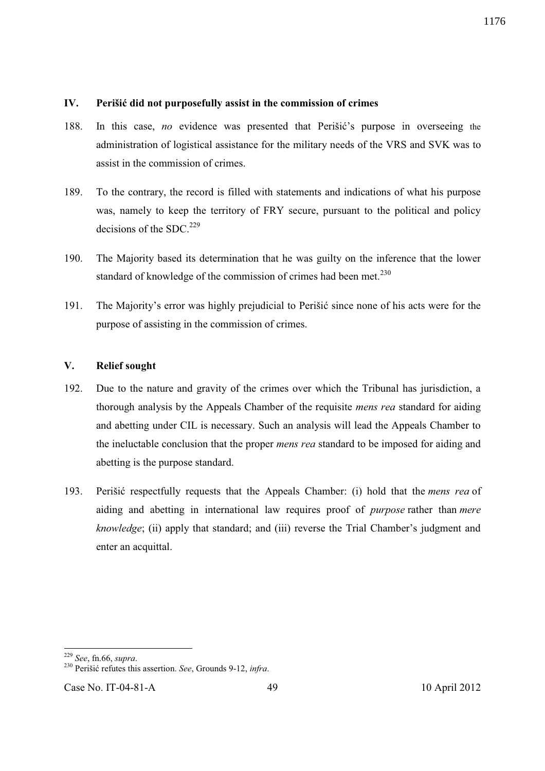#### **IV. Perišić did not purposefully assist in the commission of crimes**

- 188. In this case, *no* evidence was presented that Perišić's purpose in overseeing the administration of logistical assistance for the military needs of the VRS and SVK was to assist in the commission of crimes.
- 189. To the contrary, the record is filled with statements and indications of what his purpose was, namely to keep the territory of FRY secure, pursuant to the political and policy decisions of the SDC.<sup>229</sup>
- 190. The Majority based its determination that he was guilty on the inference that the lower standard of knowledge of the commission of crimes had been met.<sup>230</sup>
- 191. The Majority's error was highly prejudicial to Perišić since none of his acts were for the purpose of assisting in the commission of crimes.

## **V. Relief sought**

- 192. Due to the nature and gravity of the crimes over which the Tribunal has jurisdiction, a thorough analysis by the Appeals Chamber of the requisite *mens rea* standard for aiding and abetting under CIL is necessary. Such an analysis will lead the Appeals Chamber to the ineluctable conclusion that the proper *mens rea* standard to be imposed for aiding and abetting is the purpose standard.
- 193. Perišić respectfully requests that the Appeals Chamber: (i) hold that the *mens rea* of aiding and abetting in international law requires proof of *purpose* rather than *mere knowledge*; (ii) apply that standard; and (iii) reverse the Trial Chamber's judgment and enter an acquittal.

-

<sup>229</sup> *See*, fn.66, *supra*.

<sup>230</sup> Perišić refutes this assertion. *See*, Grounds 9-12, *infra*.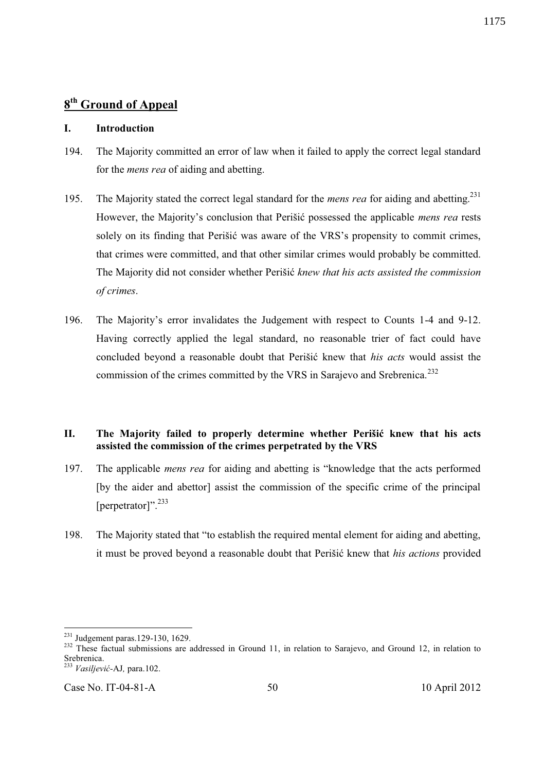# **8 th Ground of Appeal**

## **I. Introduction**

- 194. The Majority committed an error of law when it failed to apply the correct legal standard for the *mens rea* of aiding and abetting.
- 195. The Majority stated the correct legal standard for the *mens rea* for aiding and abetting.<sup>231</sup> However, the Majority's conclusion that Perišić possessed the applicable *mens rea* rests solely on its finding that Perišić was aware of the VRS's propensity to commit crimes, that crimes were committed, and that other similar crimes would probably be committed. The Majority did not consider whether Perišić *knew that his acts assisted the commission of crimes*.
- 196. The Majority's error invalidates the Judgement with respect to Counts 1-4 and 9-12. Having correctly applied the legal standard, no reasonable trier of fact could have concluded beyond a reasonable doubt that Perišić knew that *his acts* would assist the commission of the crimes committed by the VRS in Sarajevo and Srebrenica.<sup>232</sup>

## **II. The Majority failed to properly determine whether Perišić knew that his acts assisted the commission of the crimes perpetrated by the VRS**

- 197. The applicable *mens rea* for aiding and abetting is "knowledge that the acts performed [by the aider and abettor] assist the commission of the specific crime of the principal [perpetrator]".<sup>233</sup>
- 198. The Majority stated that "to establish the required mental element for aiding and abetting, it must be proved beyond a reasonable doubt that Perišić knew that *his actions* provided

<sup>-</sup><sup>231</sup> Judgement paras.129-130, 1629.

<sup>&</sup>lt;sup>232</sup> These factual submissions are addressed in Ground 11, in relation to Sarajevo, and Ground 12, in relation to Srebrenica.

<sup>233</sup> *Vasiljević-*AJ*,* para.102.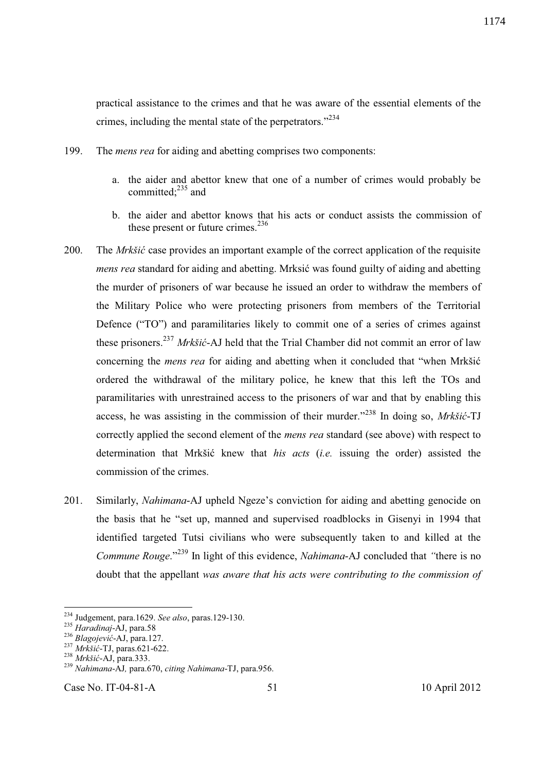practical assistance to the crimes and that he was aware of the essential elements of the crimes, including the mental state of the perpetrators."<sup>234</sup>

- 199. The *mens rea* for aiding and abetting comprises two components:
	- a. the aider and abettor knew that one of a number of crimes would probably be committed: $^{235}$  and
	- b. the aider and abettor knows that his acts or conduct assists the commission of these present or future crimes.<sup>236</sup>
- 200. The *Mrkšić* case provides an important example of the correct application of the requisite *mens rea* standard for aiding and abetting. Mrksić was found guilty of aiding and abetting the murder of prisoners of war because he issued an order to withdraw the members of the Military Police who were protecting prisoners from members of the Territorial Defence ("TO") and paramilitaries likely to commit one of a series of crimes against these prisoners.<sup>237</sup> *Mrkšić*-AJ held that the Trial Chamber did not commit an error of law concerning the *mens rea* for aiding and abetting when it concluded that "when Mrkšić ordered the withdrawal of the military police, he knew that this left the TOs and paramilitaries with unrestrained access to the prisoners of war and that by enabling this access, he was assisting in the commission of their murder."<sup>238</sup> In doing so, *Mrkšić*-TJ correctly applied the second element of the *mens rea* standard (see above) with respect to determination that Mrkšić knew that *his acts* (*i.e.* issuing the order) assisted the commission of the crimes.
- 201. Similarly, *Nahimana*-AJ upheld Ngeze's conviction for aiding and abetting genocide on the basis that he "set up, manned and supervised roadblocks in Gisenyi in 1994 that identified targeted Tutsi civilians who were subsequently taken to and killed at the *Commune Rouge*."<sup>239</sup> In light of this evidence, *Nahimana*-AJ concluded that *"*there is no doubt that the appellant *was aware that his acts were contributing to the commission of*

 $\overline{a}$ 

<sup>234</sup> Judgement, para.1629. *See also*, paras.129-130.

<sup>235</sup> *Haradinaj*-AJ, para.58

<sup>236</sup> *Blagojević*-AJ, para.127.

<sup>237</sup> *Mrkšić*-TJ, paras.621-622.

<sup>238</sup> *Mrkšić*-AJ, para.333.

<sup>239</sup> *Nahimana*-AJ*,* para.670, *citing Nahimana*-TJ, para.956.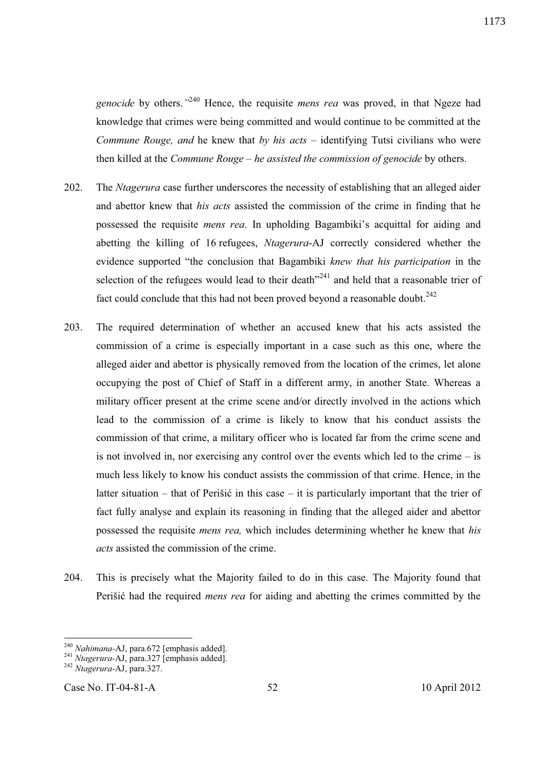*genocide* by others.*"* <sup>240</sup> Hence, the requisite *mens rea* was proved, in that Ngeze had knowledge that crimes were being committed and would continue to be committed at the *Commune Rouge, and* he knew that *by his acts* – identifying Tutsi civilians who were then killed at the *Commune Rouge – he assisted the commission of genocide* by others.

- 202. The *Ntagerura* case further underscores the necessity of establishing that an alleged aider and abettor knew that *his acts* assisted the commission of the crime in finding that he possessed the requisite *mens rea*. In upholding Bagambiki's acquittal for aiding and abetting the killing of 16 refugees, *Ntagerura*-AJ correctly considered whether the evidence supported "the conclusion that Bagambiki *knew that his participation* in the selection of the refugees would lead to their death<sup>"241</sup> and held that a reasonable trier of fact could conclude that this had not been proved beyond a reasonable doubt.<sup>242</sup>
- 203. The required determination of whether an accused knew that his acts assisted the commission of a crime is especially important in a case such as this one, where the alleged aider and abettor is physically removed from the location of the crimes, let alone occupying the post of Chief of Staff in a different army, in another State. Whereas a military officer present at the crime scene and/or directly involved in the actions which lead to the commission of a crime is likely to know that his conduct assists the commission of that crime, a military officer who is located far from the crime scene and is not involved in, nor exercising any control over the events which led to the crime – is much less likely to know his conduct assists the commission of that crime. Hence, in the latter situation – that of Perišić in this case – it is particularly important that the trier of fact fully analyse and explain its reasoning in finding that the alleged aider and abettor possessed the requisite *mens rea,* which includes determining whether he knew that *his acts* assisted the commission of the crime.
- 204. This is precisely what the Majority failed to do in this case. The Majority found that Perišić had the required *mens rea* for aiding and abetting the crimes committed by the

<sup>240</sup> *Nahimana-*AJ, para.672 [emphasis added].

<sup>241</sup> *Ntagerura-*AJ, para.327 [emphasis added].

<sup>242</sup> *Ntagerura-*AJ, para.327.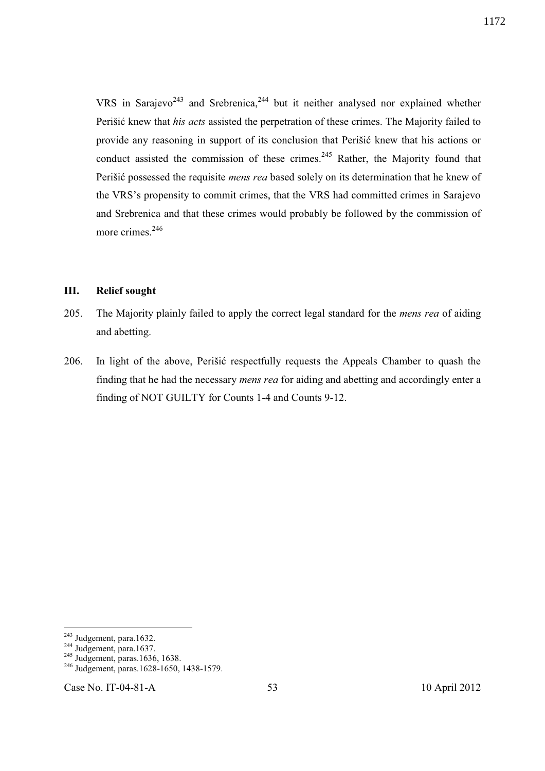VRS in Sarajevo<sup>243</sup> and Srebrenica,<sup>244</sup> but it neither analysed nor explained whether Perišić knew that *his acts* assisted the perpetration of these crimes. The Majority failed to provide any reasoning in support of its conclusion that Perišić knew that his actions or conduct assisted the commission of these crimes.<sup>245</sup> Rather, the Majority found that Perišić possessed the requisite *mens rea* based solely on its determination that he knew of the VRS's propensity to commit crimes, that the VRS had committed crimes in Sarajevo and Srebrenica and that these crimes would probably be followed by the commission of more crimes.<sup>246</sup>

## **III. Relief sought**

- 205. The Majority plainly failed to apply the correct legal standard for the *mens rea* of aiding and abetting.
- 206. In light of the above, Perišić respectfully requests the Appeals Chamber to quash the finding that he had the necessary *mens rea* for aiding and abetting and accordingly enter a finding of NOT GUILTY for Counts 1-4 and Counts 9-12.

<sup>&</sup>lt;sup>243</sup> Judgement, para.1632.

<sup>&</sup>lt;sup>244</sup> Judgement, para.1637.

 $245$  Judgement, paras.1636, 1638.

<sup>&</sup>lt;sup>246</sup> Judgement, paras.1628-1650, 1438-1579.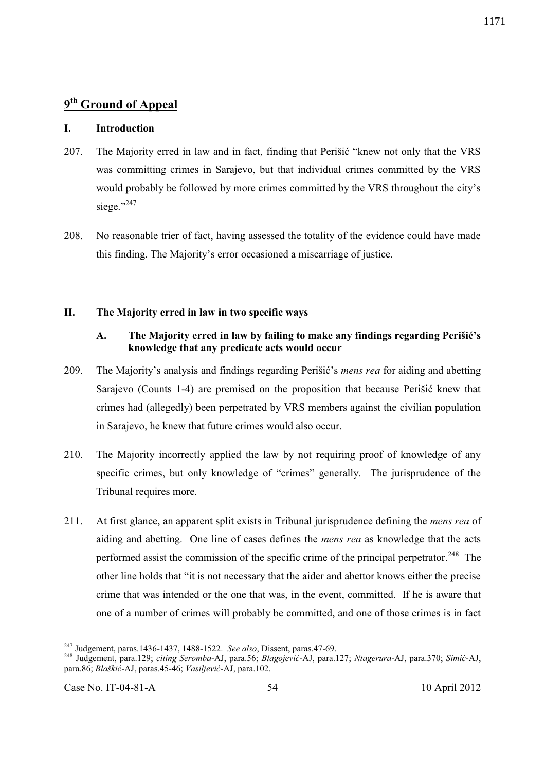# **9 th Ground of Appeal**

#### **I. Introduction**

- 207. The Majority erred in law and in fact, finding that Perišić "knew not only that the VRS was committing crimes in Sarajevo, but that individual crimes committed by the VRS would probably be followed by more crimes committed by the VRS throughout the city's siege."<sup>247</sup>
- 208. No reasonable trier of fact, having assessed the totality of the evidence could have made this finding. The Majority's error occasioned a miscarriage of justice.

#### **II. The Majority erred in law in two specific ways**

# **A. The Majority erred in law by failing to make any findings regarding Perišić's knowledge that any predicate acts would occur**

- 209. The Majority's analysis and findings regarding Perišić's *mens rea* for aiding and abetting Sarajevo (Counts 1-4) are premised on the proposition that because Perišić knew that crimes had (allegedly) been perpetrated by VRS members against the civilian population in Sarajevo, he knew that future crimes would also occur.
- 210. The Majority incorrectly applied the law by not requiring proof of knowledge of any specific crimes, but only knowledge of "crimes" generally. The jurisprudence of the Tribunal requires more.
- 211. At first glance, an apparent split exists in Tribunal jurisprudence defining the *mens rea* of aiding and abetting. One line of cases defines the *mens rea* as knowledge that the acts performed assist the commission of the specific crime of the principal perpetrator.<sup>248</sup> The other line holds that "it is not necessary that the aider and abettor knows either the precise crime that was intended or the one that was, in the event, committed. If he is aware that one of a number of crimes will probably be committed, and one of those crimes is in fact

<sup>247</sup> Judgement, paras.1436-1437, 1488-1522. *See also*, Dissent, paras.47-69.

<sup>248</sup> Judgement, para.129; *citing Seromba*-AJ, para.56; *Blagojević*-AJ, para.127; *Ntagerura*-AJ, para.370; *Simić*-AJ, para.86; *Blaškić*-AJ, paras.45-46; *Vasiljević*-AJ, para.102.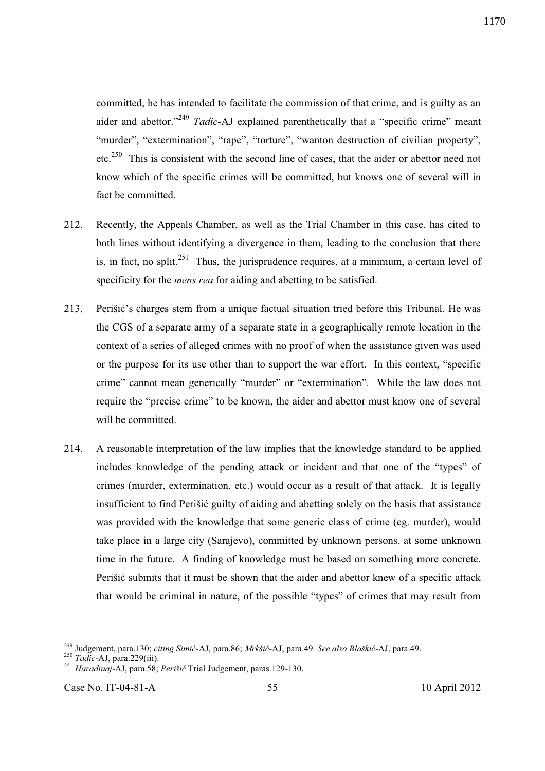1170

committed, he has intended to facilitate the commission of that crime, and is guilty as an aider and abettor."<sup>249</sup> *Tadic*-AJ explained parenthetically that a "specific crime" meant "murder", "extermination", "rape", "torture", "wanton destruction of civilian property", etc.<sup>250</sup> This is consistent with the second line of cases, that the aider or abettor need not know which of the specific crimes will be committed, but knows one of several will in fact be committed.

- 212. Recently, the Appeals Chamber, as well as the Trial Chamber in this case, has cited to both lines without identifying a divergence in them, leading to the conclusion that there is, in fact, no split.<sup>251</sup> Thus, the jurisprudence requires, at a minimum, a certain level of specificity for the *mens rea* for aiding and abetting to be satisfied.
- 213. Perišić's charges stem from a unique factual situation tried before this Tribunal. He was the CGS of a separate army of a separate state in a geographically remote location in the context of a series of alleged crimes with no proof of when the assistance given was used or the purpose for its use other than to support the war effort. In this context, "specific crime" cannot mean generically "murder" or "extermination". While the law does not require the "precise crime" to be known, the aider and abettor must know one of several will be committed.
- 214. A reasonable interpretation of the law implies that the knowledge standard to be applied includes knowledge of the pending attack or incident and that one of the "types" of crimes (murder, extermination, etc.) would occur as a result of that attack. It is legally insufficient to find Perišić guilty of aiding and abetting solely on the basis that assistance was provided with the knowledge that some generic class of crime (eg. murder), would take place in a large city (Sarajevo), committed by unknown persons, at some unknown time in the future. A finding of knowledge must be based on something more concrete. Perišić submits that it must be shown that the aider and abettor knew of a specific attack that would be criminal in nature, of the possible "types" of crimes that may result from

<sup>249</sup> Judgement, para.130; *citing Simić*-AJ, para.86; *Mrkšić*-AJ, para.49. *See also Blaškić*-AJ, para.49.

<sup>250</sup> *Tadic*-AJ, para.229(iii).

<sup>251</sup> *Haradinaj*-AJ, para.58; *Perišić* Trial Judgement, paras.129-130.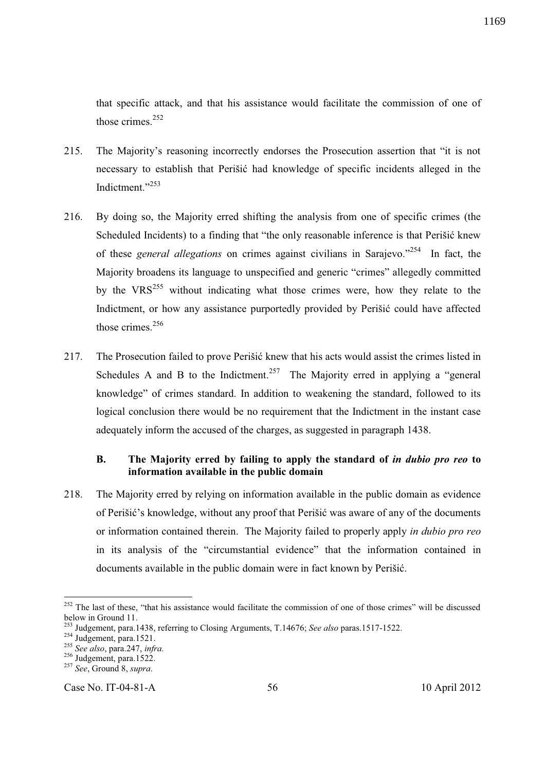that specific attack, and that his assistance would facilitate the commission of one of those crimes.<sup>252</sup>

- 215. The Majority's reasoning incorrectly endorses the Prosecution assertion that "it is not necessary to establish that Perišić had knowledge of specific incidents alleged in the Indictment."<sup>253</sup>
- 216. By doing so, the Majority erred shifting the analysis from one of specific crimes (the Scheduled Incidents) to a finding that "the only reasonable inference is that Perišić knew of these *general allegations* on crimes against civilians in Sarajevo."<sup>254</sup> In fact, the Majority broadens its language to unspecified and generic "crimes" allegedly committed by the  $VRS^{255}$  without indicating what those crimes were, how they relate to the Indictment, or how any assistance purportedly provided by Perišić could have affected those crimes. $256$
- 217. The Prosecution failed to prove Perišić knew that his acts would assist the crimes listed in Schedules A and B to the Indictment.<sup>257</sup> The Majority erred in applying a "general knowledge" of crimes standard. In addition to weakening the standard, followed to its logical conclusion there would be no requirement that the Indictment in the instant case adequately inform the accused of the charges, as suggested in paragraph 1438.

# **B. The Majority erred by failing to apply the standard of** *in dubio pro reo* **to information available in the public domain**

218. The Majority erred by relying on information available in the public domain as evidence of Perišić's knowledge, without any proof that Perišić was aware of any of the documents or information contained therein. The Majority failed to properly apply *in dubio pro reo* in its analysis of the "circumstantial evidence" that the information contained in documents available in the public domain were in fact known by Perišić.

-

Case No. IT-04-81-A 56 10 April 2012

 $252$  The last of these, "that his assistance would facilitate the commission of one of those crimes" will be discussed below in Ground 11.

<sup>253</sup> Judgement, para.1438, referring to Closing Arguments, T.14676; *See also* paras.1517-1522.

 $^{254}$  Judgement, para.1521.

<sup>255</sup> *See also*, para.247, *infra*.

 $256$  Judgement, para.1522.

<sup>257</sup> *See*, Ground 8, *supra*.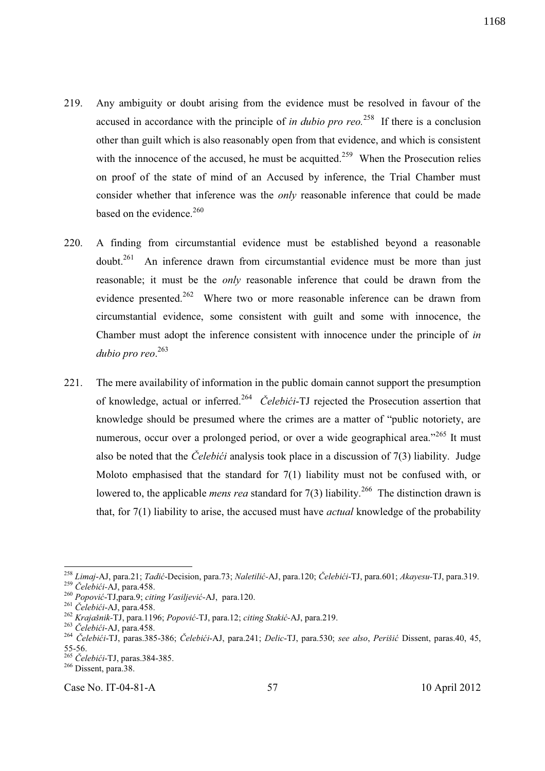- 219. Any ambiguity or doubt arising from the evidence must be resolved in favour of the accused in accordance with the principle of *in dubio pro reo.*<sup>258</sup> If there is a conclusion other than guilt which is also reasonably open from that evidence, and which is consistent with the innocence of the accused, he must be acquitted.<sup>259</sup> When the Prosecution relies on proof of the state of mind of an Accused by inference, the Trial Chamber must consider whether that inference was the *only* reasonable inference that could be made based on the evidence. $260$
- 220. A finding from circumstantial evidence must be established beyond a reasonable  $d$ <sub>261</sub> An inference drawn from circumstantial evidence must be more than just reasonable; it must be the *only* reasonable inference that could be drawn from the evidence presented.<sup>262</sup> Where two or more reasonable inference can be drawn from circumstantial evidence, some consistent with guilt and some with innocence, the Chamber must adopt the inference consistent with innocence under the principle of *in dubio pro reo*. 263
- 221. The mere availability of information in the public domain cannot support the presumption of knowledge, actual or inferred.<sup>264</sup> *Čelebići*-TJ rejected the Prosecution assertion that knowledge should be presumed where the crimes are a matter of "public notoriety, are numerous, occur over a prolonged period, or over a wide geographical area."<sup>265</sup> It must also be noted that the *Čelebići* analysis took place in a discussion of 7(3) liability. Judge Moloto emphasised that the standard for 7(1) liability must not be confused with, or lowered to, the applicable *mens rea* standard for 7(3) liability.<sup>266</sup> The distinction drawn is that, for 7(1) liability to arise, the accused must have *actual* knowledge of the probability

l <sup>258</sup> *Limaj*-AJ, para.21; *Tadić*-Decision, para.73; *Naletilić-*AJ, para.120; *Čelebići*-TJ, para.601; *Akayesu-*TJ, para.319.

<sup>259</sup> *Čelebići-*AJ, para.458.

<sup>260</sup> *Popović*-TJ,para.9; *citing Vasiljević*-AJ, para.120.

<sup>261</sup> *Čelebići*-AJ, para.458.

<sup>262</sup> *Krajašnik-*TJ, para.1196; *Popović-*TJ, para.12; *citing Stakić-*AJ, para.219.

<sup>263</sup> *Čelebići*-AJ, para.458.

<sup>264</sup> *Čelebići*-TJ, paras.385-386; *Čelebići*-AJ, para.241; *Delic*-TJ, para.530; *see also*, *Perišić* Dissent, paras.40, 45, 55-56.

<sup>265</sup> *Čelebići*-TJ, paras.384-385.

<sup>&</sup>lt;sup>266</sup> Dissent, para.38.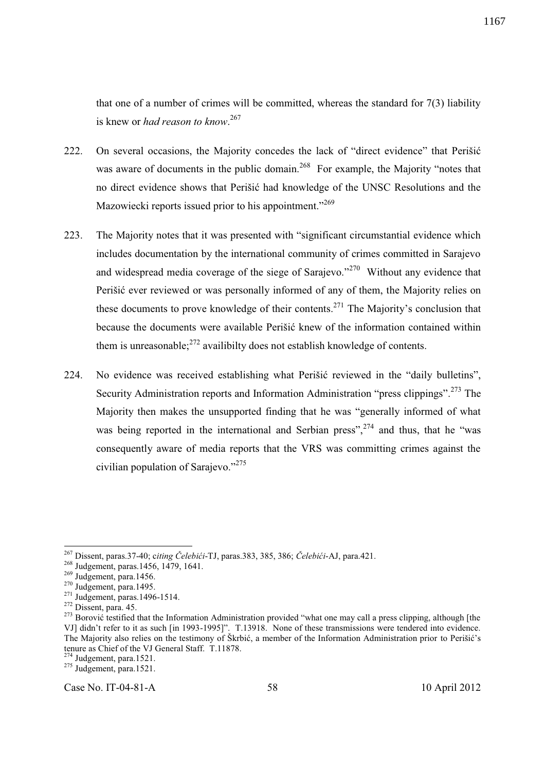that one of a number of crimes will be committed, whereas the standard for  $7(3)$  liability is knew or *had reason to know*. 267

- 222. On several occasions, the Majority concedes the lack of "direct evidence" that Perišić was aware of documents in the public domain.<sup>268</sup> For example, the Majority "notes that no direct evidence shows that Perišić had knowledge of the UNSC Resolutions and the Mazowiecki reports issued prior to his appointment."<sup>269</sup>
- 223. The Majority notes that it was presented with "significant circumstantial evidence which includes documentation by the international community of crimes committed in Sarajevo and widespread media coverage of the siege of Sarajevo."<sup>270</sup> Without any evidence that Perišić ever reviewed or was personally informed of any of them, the Majority relies on these documents to prove knowledge of their contents.<sup>271</sup> The Majority's conclusion that because the documents were available Perišić knew of the information contained within them is unreasonable;  $272$  availibilty does not establish knowledge of contents.
- 224. No evidence was received establishing what Perišić reviewed in the "daily bulletins", Security Administration reports and Information Administration "press clippings".<sup>273</sup> The Majority then makes the unsupported finding that he was "generally informed of what was being reported in the international and Serbian press",  $2^{74}$  and thus, that he "was consequently aware of media reports that the VRS was committing crimes against the civilian population of Sarajevo."<sup>275</sup>

 $\overline{a}$ 

Case No. IT-04-81-A 58 10 April 2012

<sup>267</sup> Dissent, paras.37-40; c*iting Čelebići*-TJ, paras.383, 385, 386; *Čelebići*-AJ, para.421.

<sup>&</sup>lt;sup>268</sup> Judgement, paras.1456, 1479, 1641.

 $269$  Judgement, para.1456.

 $270$  Judgement, para.1495.

<sup>&</sup>lt;sup>271</sup> Judgement, paras.1496-1514.

 $272$  Dissent, para. 45.

<sup>&</sup>lt;sup>273</sup> Borović testified that the Information Administration provided "what one may call a press clipping, although [the VJ] didn't refer to it as such [in 1993-1995]". T.13918. None of these transmissions were tendered into evidence. The Majority also relies on the testimony of Škrbić, a member of the Information Administration prior to Perišić's tenure as Chief of the VJ General Staff. T.11878.

 $274$  Judgement, para.1521.

 $275$  Judgement, para.1521.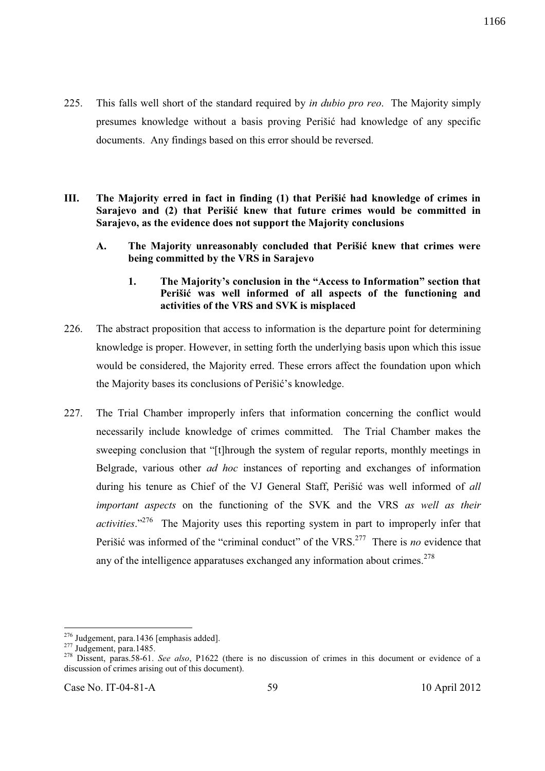- 225. This falls well short of the standard required by *in dubio pro reo*. The Majority simply presumes knowledge without a basis proving Perišić had knowledge of any specific documents. Any findings based on this error should be reversed.
- **III. The Majority erred in fact in finding (1) that Perišić had knowledge of crimes in Sarajevo and (2) that Perišić knew that future crimes would be committed in Sarajevo, as the evidence does not support the Majority conclusions** 
	- **A. The Majority unreasonably concluded that Perišić knew that crimes were being committed by the VRS in Sarajevo** 
		- **1. The Majority's conclusion in the "Access to Information" section that Perišić was well informed of all aspects of the functioning and activities of the VRS and SVK is misplaced**
- 226. The abstract proposition that access to information is the departure point for determining knowledge is proper. However, in setting forth the underlying basis upon which this issue would be considered, the Majority erred. These errors affect the foundation upon which the Majority bases its conclusions of Perišić's knowledge.
- 227. The Trial Chamber improperly infers that information concerning the conflict would necessarily include knowledge of crimes committed. The Trial Chamber makes the sweeping conclusion that "[t]hrough the system of regular reports, monthly meetings in Belgrade, various other *ad hoc* instances of reporting and exchanges of information during his tenure as Chief of the VJ General Staff, Perišić was well informed of *all important aspects* on the functioning of the SVK and the VRS *as well as their activities*."<sup>276</sup> The Majority uses this reporting system in part to improperly infer that Perišić was informed of the "criminal conduct" of the VRS.<sup>277</sup> There is *no* evidence that any of the intelligence apparatuses exchanged any information about crimes.<sup>278</sup>

<sup>&</sup>lt;sup>276</sup> Judgement, para.1436 [emphasis added].

 $277 \text{ Judgement, para.} 1485.$ 

<sup>278</sup> Dissent, paras.58-61. *See also*, P1622 (there is no discussion of crimes in this document or evidence of a discussion of crimes arising out of this document).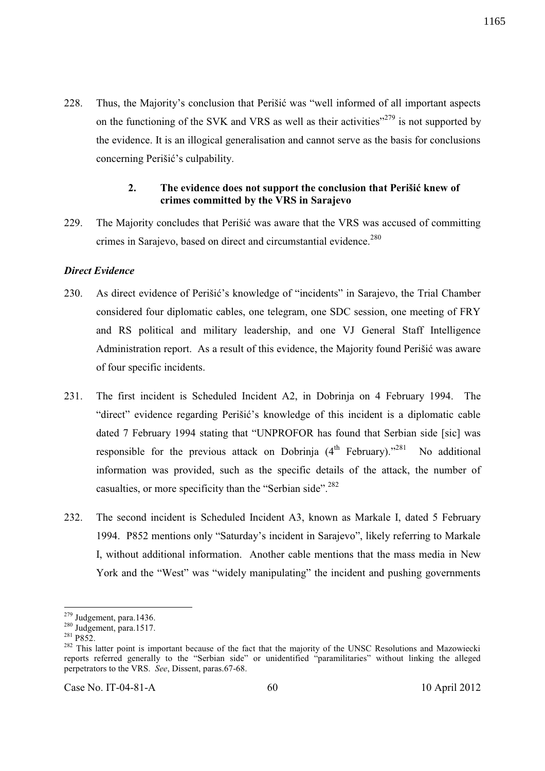228. Thus, the Majority's conclusion that Perišić was "well informed of all important aspects on the functioning of the SVK and VRS as well as their activities"<sup>279</sup> is not supported by the evidence. It is an illogical generalisation and cannot serve as the basis for conclusions concerning Perišić's culpability.

## **2. The evidence does not support the conclusion that Perišić knew of crimes committed by the VRS in Sarajevo**

229. The Majority concludes that Perišić was aware that the VRS was accused of committing crimes in Sarajevo, based on direct and circumstantial evidence.<sup>280</sup>

## *Direct Evidence*

- 230. As direct evidence of Perišić's knowledge of "incidents" in Sarajevo, the Trial Chamber considered four diplomatic cables, one telegram, one SDC session, one meeting of FRY and RS political and military leadership, and one VJ General Staff Intelligence Administration report. As a result of this evidence, the Majority found Perišić was aware of four specific incidents.
- 231. The first incident is Scheduled Incident A2, in Dobrinja on 4 February 1994. The "direct" evidence regarding Perišić's knowledge of this incident is a diplomatic cable dated 7 February 1994 stating that "UNPROFOR has found that Serbian side [sic] was responsible for the previous attack on Dobrinja  $(4<sup>th</sup>$  February).<sup> $281$ </sup> No additional information was provided, such as the specific details of the attack, the number of casualties, or more specificity than the "Serbian side".<sup>282</sup>
- 232. The second incident is Scheduled Incident A3, known as Markale I, dated 5 February 1994. P852 mentions only "Saturday's incident in Sarajevo", likely referring to Markale I, without additional information. Another cable mentions that the mass media in New York and the "West" was "widely manipulating" the incident and pushing governments

 $\overline{a}$  $279$  Judgement, para.1436.

 $280$  Judgement, para.1517.

<sup>281</sup> P852.

<sup>&</sup>lt;sup>282</sup> This latter point is important because of the fact that the majority of the UNSC Resolutions and Mazowiecki reports referred generally to the "Serbian side" or unidentified "paramilitaries" without linking the alleged perpetrators to the VRS. *See*, Dissent, paras.67-68.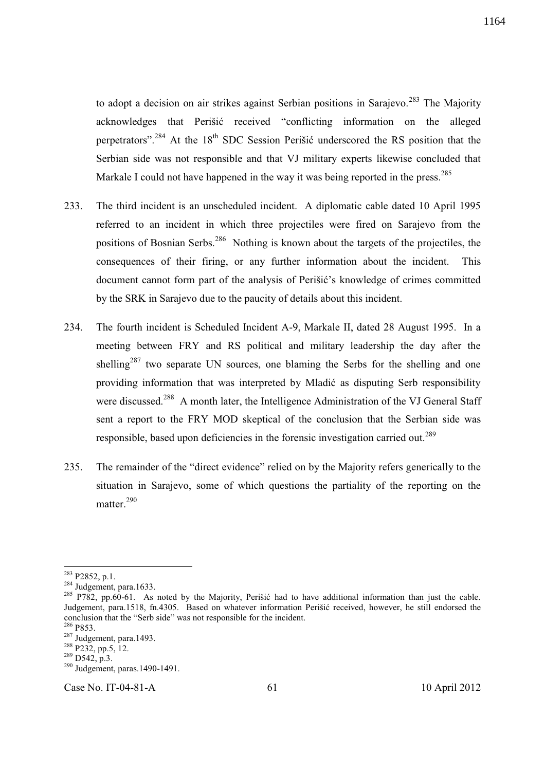to adopt a decision on air strikes against Serbian positions in Sarajevo.<sup>283</sup> The Majority acknowledges that Perišić received "conflicting information on the alleged perpetrators".<sup>284</sup> At the 18<sup>th</sup> SDC Session Perišić underscored the RS position that the Serbian side was not responsible and that VJ military experts likewise concluded that Markale I could not have happened in the way it was being reported in the press.<sup>285</sup>

- 233. The third incident is an unscheduled incident. A diplomatic cable dated 10 April 1995 referred to an incident in which three projectiles were fired on Sarajevo from the positions of Bosnian Serbs.<sup>286</sup> Nothing is known about the targets of the projectiles, the consequences of their firing, or any further information about the incident. This document cannot form part of the analysis of Perišić's knowledge of crimes committed by the SRK in Sarajevo due to the paucity of details about this incident.
- 234. The fourth incident is Scheduled Incident A-9, Markale II, dated 28 August 1995. In a meeting between FRY and RS political and military leadership the day after the shelling<sup>287</sup> two separate UN sources, one blaming the Serbs for the shelling and one providing information that was interpreted by Mladić as disputing Serb responsibility were discussed.<sup>288</sup> A month later, the Intelligence Administration of the VJ General Staff sent a report to the FRY MOD skeptical of the conclusion that the Serbian side was responsible, based upon deficiencies in the forensic investigation carried out.<sup>289</sup>
- 235. The remainder of the "direct evidence" relied on by the Majority refers generically to the situation in Sarajevo, some of which questions the partiality of the reporting on the matter.<sup>290</sup>

 $283$  P2852, p.1.

 $284$  Judgement, para.1633.

<sup>&</sup>lt;sup>285</sup> P782, pp.60-61. As noted by the Majority, Perišić had to have additional information than just the cable. Judgement, para.1518, fn.4305. Based on whatever information Perišić received, however, he still endorsed the conclusion that the "Serb side" was not responsible for the incident.

 $286$  P853.

 $287 \text{ Judgement}$ , para.1493.

<sup>&</sup>lt;sup>288</sup> P232, pp.5, 12.

 $289$  D542, p.3.

 $^{290}$  Judgement, paras.1490-1491.

Case No. IT-04-81-A 61 10 April 2012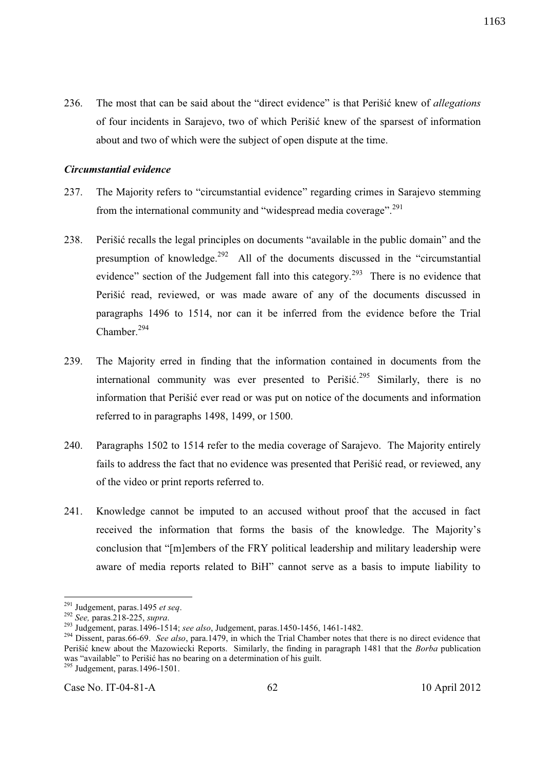236. The most that can be said about the "direct evidence" is that Perišić knew of *allegations* of four incidents in Sarajevo, two of which Perišić knew of the sparsest of information about and two of which were the subject of open dispute at the time.

#### *Circumstantial evidence*

- 237. The Majority refers to "circumstantial evidence" regarding crimes in Sarajevo stemming from the international community and "widespread media coverage".<sup>291</sup>
- 238. Perišić recalls the legal principles on documents "available in the public domain" and the presumption of knowledge.<sup>292</sup> All of the documents discussed in the "circumstantial" evidence" section of the Judgement fall into this category.<sup>293</sup> There is no evidence that Perišić read, reviewed, or was made aware of any of the documents discussed in paragraphs 1496 to 1514, nor can it be inferred from the evidence before the Trial Chamber. $294$
- 239. The Majority erred in finding that the information contained in documents from the international community was ever presented to Perišić.<sup>295</sup> Similarly, there is no information that Perišić ever read or was put on notice of the documents and information referred to in paragraphs 1498, 1499, or 1500.
- 240. Paragraphs 1502 to 1514 refer to the media coverage of Sarajevo. The Majority entirely fails to address the fact that no evidence was presented that Perišić read, or reviewed, any of the video or print reports referred to.
- 241. Knowledge cannot be imputed to an accused without proof that the accused in fact received the information that forms the basis of the knowledge. The Majority's conclusion that "[m]embers of the FRY political leadership and military leadership were aware of media reports related to BiH" cannot serve as a basis to impute liability to

-

<sup>291</sup> Judgement, paras.1495 *et seq*.

<sup>292</sup> *See,* paras.218-225, *supra*.

<sup>293</sup> Judgement, paras.1496-1514; *see also*, Judgement, paras.1450-1456, 1461-1482.

<sup>&</sup>lt;sup>294</sup> Dissent, paras.66-69. *See also*, para.1479, in which the Trial Chamber notes that there is no direct evidence that Perišić knew about the Mazowiecki Reports. Similarly, the finding in paragraph 1481 that the *Borba* publication was "available" to Perišić has no bearing on a determination of his guilt.

 $\frac{295}{295}$  Judgement, paras.1496-1501.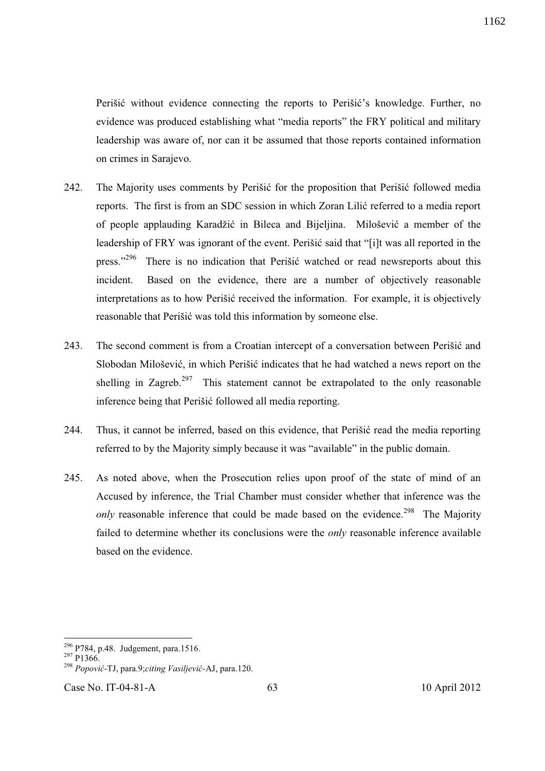Perišić without evidence connecting the reports to Perišić's knowledge. Further, no evidence was produced establishing what "media reports" the FRY political and military leadership was aware of, nor can it be assumed that those reports contained information on crimes in Sarajevo.

- 242. The Majority uses comments by Perišić for the proposition that Perišić followed media reports. The first is from an SDC session in which Zoran Lilić referred to a media report of people applauding Karadžić in Bileca and Bijeljina. Milošević a member of the leadership of FRY was ignorant of the event. Perišić said that "[i]t was all reported in the press."<sup>296</sup> There is no indication that Perišić watched or read newsreports about this incident. Based on the evidence, there are a number of objectively reasonable interpretations as to how Perišić received the information. For example, it is objectively reasonable that Perišić was told this information by someone else.
- 243. The second comment is from a Croatian intercept of a conversation between Perišić and Slobodan Milošević, in which Perišić indicates that he had watched a news report on the shelling in Zagreb.<sup>297</sup> This statement cannot be extrapolated to the only reasonable inference being that Perišić followed all media reporting.
- 244. Thus, it cannot be inferred, based on this evidence, that Perišić read the media reporting referred to by the Majority simply because it was "available" in the public domain.
- 245. As noted above, when the Prosecution relies upon proof of the state of mind of an Accused by inference, the Trial Chamber must consider whether that inference was the *only* reasonable inference that could be made based on the evidence.<sup>298</sup> The Majority failed to determine whether its conclusions were the *only* reasonable inference available based on the evidence.

Case No. IT-04-81-A 63 10 April 2012

l <sup>296</sup> P784, p.48. Judgement, para.1516.

 $^{297}P1366$ 

<sup>298</sup> *Popović-*TJ, para.9;*citing Vasiljević-*AJ, para.120.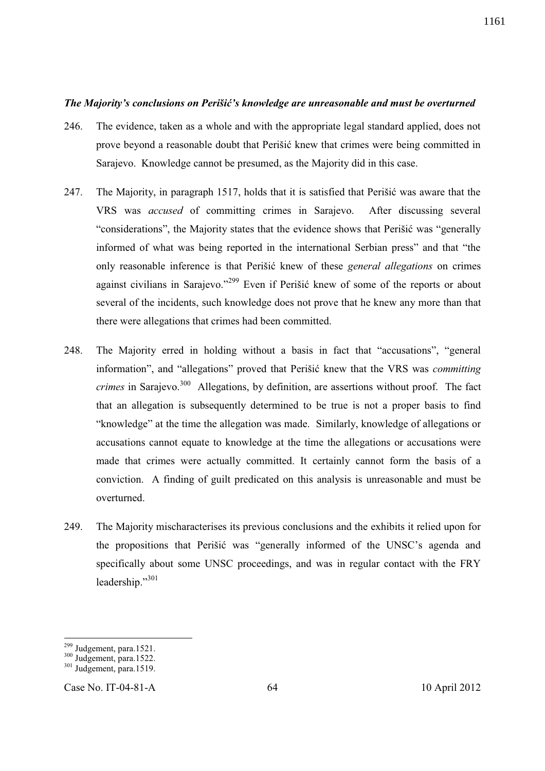#### *The Majority's conclusions on Perišić's knowledge are unreasonable and must be overturned*

- 246. The evidence, taken as a whole and with the appropriate legal standard applied, does not prove beyond a reasonable doubt that Perišić knew that crimes were being committed in Sarajevo. Knowledge cannot be presumed, as the Majority did in this case.
- 247. The Majority, in paragraph 1517, holds that it is satisfied that Perišić was aware that the VRS was *accused* of committing crimes in Sarajevo. After discussing several "considerations", the Majority states that the evidence shows that Perišić was "generally informed of what was being reported in the international Serbian press" and that "the only reasonable inference is that Perišić knew of these *general allegations* on crimes against civilians in Sarajevo."<sup>299</sup> Even if Perišić knew of some of the reports or about several of the incidents, such knowledge does not prove that he knew any more than that there were allegations that crimes had been committed.
- 248. The Majority erred in holding without a basis in fact that "accusations", "general information", and "allegations" proved that Perišić knew that the VRS was *committing crimes* in Sarajevo.<sup>300</sup> Allegations, by definition, are assertions without proof. The fact that an allegation is subsequently determined to be true is not a proper basis to find "knowledge" at the time the allegation was made. Similarly, knowledge of allegations or accusations cannot equate to knowledge at the time the allegations or accusations were made that crimes were actually committed. It certainly cannot form the basis of a conviction. A finding of guilt predicated on this analysis is unreasonable and must be overturned.
- 249. The Majority mischaracterises its previous conclusions and the exhibits it relied upon for the propositions that Perišić was "generally informed of the UNSC's agenda and specifically about some UNSC proceedings, and was in regular contact with the FRY leadership."301

l

<sup>&</sup>lt;sup>299</sup> Judgement, para.1521.

 $300$  Judgement, para.1522.

 $301$  Judgement, para.1519.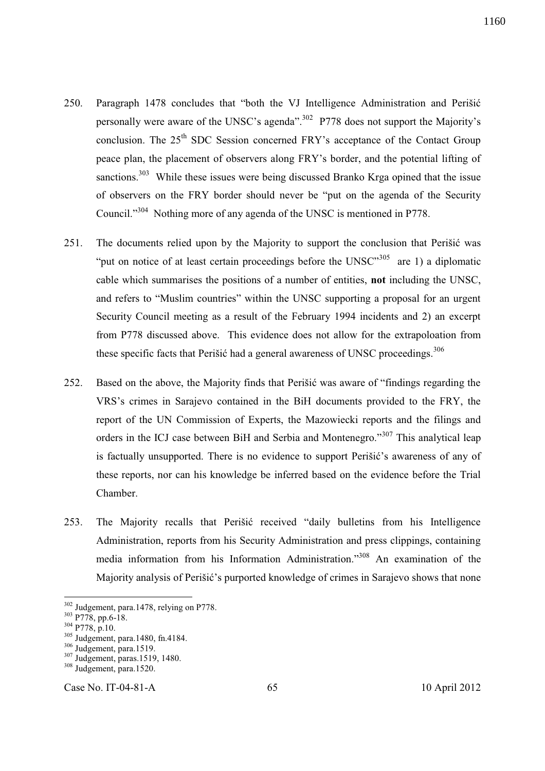- 250. Paragraph 1478 concludes that "both the VJ Intelligence Administration and Perišić personally were aware of the UNSC's agenda".<sup>302</sup> P778 does not support the Majority's conclusion. The 25<sup>th</sup> SDC Session concerned FRY's acceptance of the Contact Group peace plan, the placement of observers along FRY's border, and the potential lifting of sanctions.<sup>303</sup> While these issues were being discussed Branko Krga opined that the issue of observers on the FRY border should never be "put on the agenda of the Security Council."<sup>304</sup> Nothing more of any agenda of the UNSC is mentioned in P778.
- 251. The documents relied upon by the Majority to support the conclusion that Perišić was "put on notice of at least certain proceedings before the  $UNSC^{305}$  are 1) a diplomatic cable which summarises the positions of a number of entities, **not** including the UNSC, and refers to "Muslim countries" within the UNSC supporting a proposal for an urgent Security Council meeting as a result of the February 1994 incidents and 2) an excerpt from P778 discussed above. This evidence does not allow for the extrapoloation from these specific facts that Perišić had a general awareness of UNSC proceedings.<sup>306</sup>
- 252. Based on the above, the Majority finds that Perišić was aware of "findings regarding the VRS's crimes in Sarajevo contained in the BiH documents provided to the FRY, the report of the UN Commission of Experts, the Mazowiecki reports and the filings and orders in the ICJ case between BiH and Serbia and Montenegro."<sup>307</sup> This analytical leap is factually unsupported. There is no evidence to support Perišić's awareness of any of these reports, nor can his knowledge be inferred based on the evidence before the Trial Chamber.
- 253. The Majority recalls that Perišić received "daily bulletins from his Intelligence Administration, reports from his Security Administration and press clippings, containing media information from his Information Administration."<sup>308</sup> An examination of the Majority analysis of Perišić's purported knowledge of crimes in Sarajevo shows that none

-

Case No. IT-04-81-A 65 10 April 2012

<sup>&</sup>lt;sup>302</sup> Judgement, para.1478, relying on P778.

 $303 \overline{P}778, \overline{pp.6-18}.$ 

 $304 \frac{1}{1}$   $7778$ , p.10.

<sup>&</sup>lt;sup>305</sup> Judgement, para.1480, fn.4184.

<sup>306</sup> Judgement, para.1519.

<sup>307</sup> Judgement, paras.1519, 1480.

<sup>308</sup> Judgement, para.1520.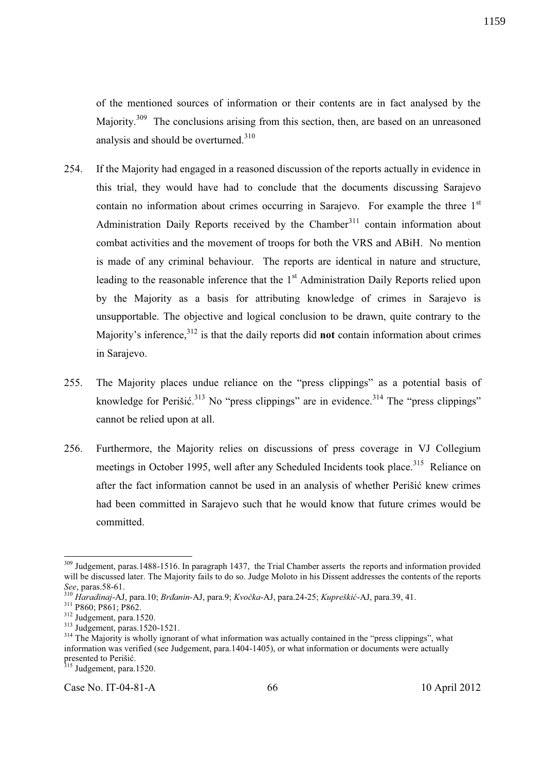of the mentioned sources of information or their contents are in fact analysed by the Majority.<sup>309</sup> The conclusions arising from this section, then, are based on an unreasoned analysis and should be overturned.<sup>310</sup>

- 254. If the Majority had engaged in a reasoned discussion of the reports actually in evidence in this trial, they would have had to conclude that the documents discussing Sarajevo contain no information about crimes occurring in Sarajevo. For example the three  $1<sup>st</sup>$ Administration Daily Reports received by the Chamber<sup>311</sup> contain information about combat activities and the movement of troops for both the VRS and ABiH. No mention is made of any criminal behaviour. The reports are identical in nature and structure, leading to the reasonable inference that the  $1<sup>st</sup>$  Administration Daily Reports relied upon by the Majority as a basis for attributing knowledge of crimes in Sarajevo is unsupportable. The objective and logical conclusion to be drawn, quite contrary to the Majority's inference,<sup>312</sup> is that the daily reports did **not** contain information about crimes in Sarajevo.
- 255. The Majority places undue reliance on the "press clippings" as a potential basis of knowledge for Perišić. $313$  No "press clippings" are in evidence. $314$  The "press clippings" cannot be relied upon at all.
- 256. Furthermore, the Majority relies on discussions of press coverage in VJ Collegium meetings in October 1995, well after any Scheduled Incidents took place.<sup>315</sup> Reliance on after the fact information cannot be used in an analysis of whether Perišić knew crimes had been committed in Sarajevo such that he would know that future crimes would be committed.

l

Case No. IT-04-81-A 66 10 April 2012

1159

<sup>&</sup>lt;sup>309</sup> Judgement, paras.1488-1516. In paragraph 1437, the Trial Chamber asserts the reports and information provided will be discussed later. The Majority fails to do so. Judge Moloto in his Dissent addresses the contents of the reports *See*, paras.58-61.

<sup>310</sup> *Haradinaj*-AJ, para.10; *Brđanin-*AJ, para.9; *Kvočka*-AJ, para.24-25; *Kupreškić*-AJ, para.39, 41.

<sup>&</sup>lt;sup>311</sup> P860; P861; P862.

<sup>312</sup> Judgement, para.1520.

<sup>313</sup> Judgement, paras.1520-1521.

<sup>&</sup>lt;sup>314</sup> The Majority is wholly ignorant of what information was actually contained in the "press clippings", what information was verified (see Judgement, para.1404-1405), or what information or documents were actually presented to Perišić.

 $315$  Judgement, para.1520.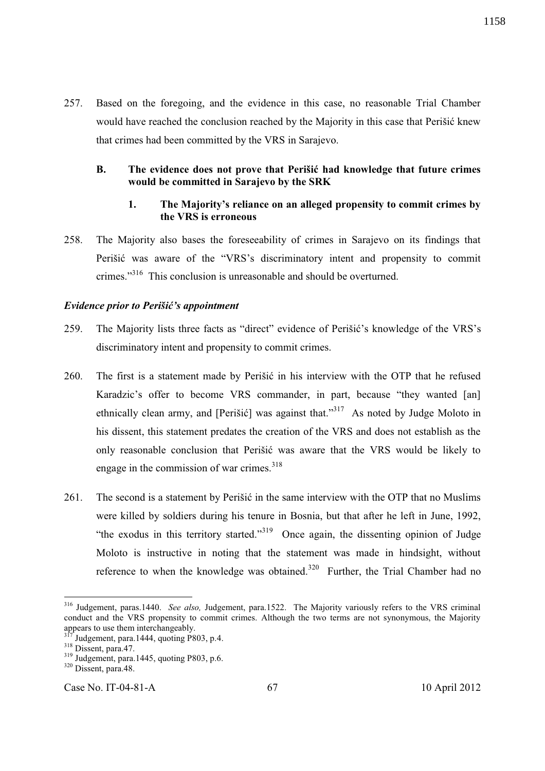257. Based on the foregoing, and the evidence in this case, no reasonable Trial Chamber would have reached the conclusion reached by the Majority in this case that Perišić knew that crimes had been committed by the VRS in Sarajevo.

# **B. The evidence does not prove that Perišić had knowledge that future crimes would be committed in Sarajevo by the SRK**

# **1. The Majority's reliance on an alleged propensity to commit crimes by the VRS is erroneous**

258. The Majority also bases the foreseeability of crimes in Sarajevo on its findings that Perišić was aware of the "VRS's discriminatory intent and propensity to commit crimes."<sup>316</sup> This conclusion is unreasonable and should be overturned.

#### *Evidence prior to Perišić's appointment*

- 259. The Majority lists three facts as "direct" evidence of Perišić's knowledge of the VRS's discriminatory intent and propensity to commit crimes.
- 260. The first is a statement made by Perišić in his interview with the OTP that he refused Karadzic's offer to become VRS commander, in part, because "they wanted [an] ethnically clean army, and [Perišić] was against that."<sup>317</sup> As noted by Judge Moloto in his dissent, this statement predates the creation of the VRS and does not establish as the only reasonable conclusion that Perišić was aware that the VRS would be likely to engage in the commission of war crimes. $318$
- 261. The second is a statement by Perišić in the same interview with the OTP that no Muslims were killed by soldiers during his tenure in Bosnia, but that after he left in June, 1992, "the exodus in this territory started."<sup>319</sup> Once again, the dissenting opinion of Judge Moloto is instructive in noting that the statement was made in hindsight, without reference to when the knowledge was obtained.<sup>320</sup> Further, the Trial Chamber had no

-

<sup>316</sup> Judgement, paras.1440. *See also,* Judgement, para.1522. The Majority variously refers to the VRS criminal conduct and the VRS propensity to commit crimes. Although the two terms are not synonymous, the Majority appears to use them interchangeably.

Judgement, para.1444, quoting P803, p.4.

<sup>&</sup>lt;sup>318</sup> Dissent, para.47.

 $319$  Judgement, para.1445, quoting P803, p.6.

 $320$  Dissent, para.48.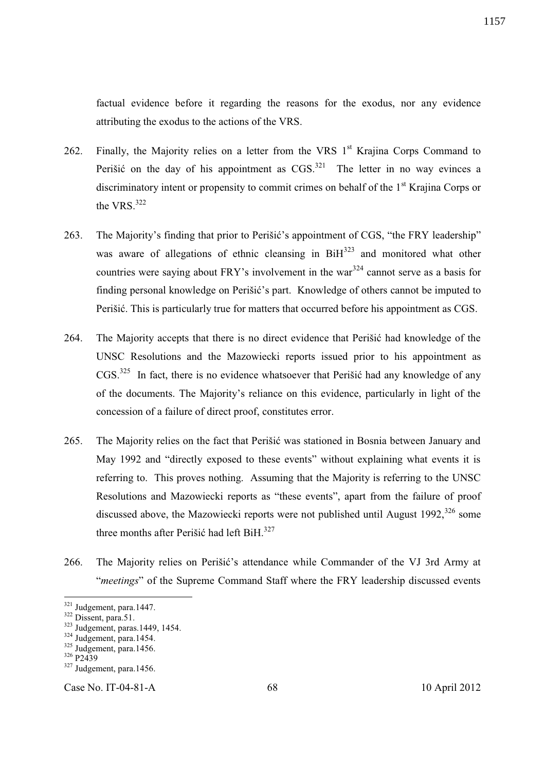factual evidence before it regarding the reasons for the exodus, nor any evidence attributing the exodus to the actions of the VRS.

- 262. Finally, the Majority relies on a letter from the VRS  $1<sup>st</sup>$  Krajina Corps Command to Perišić on the day of his appointment as  $CGS$ <sup>321</sup> The letter in no way evinces a discriminatory intent or propensity to commit crimes on behalf of the 1<sup>st</sup> Krajina Corps or the VRS. $322$
- 263. The Majority's finding that prior to Perišić's appointment of CGS, "the FRY leadership" was aware of allegations of ethnic cleansing in  $\text{BiH}^{323}$  and monitored what other countries were saying about FRY's involvement in the war<sup>324</sup> cannot serve as a basis for finding personal knowledge on Perišić's part. Knowledge of others cannot be imputed to Perišić. This is particularly true for matters that occurred before his appointment as CGS.
- 264. The Majority accepts that there is no direct evidence that Perišić had knowledge of the UNSC Resolutions and the Mazowiecki reports issued prior to his appointment as  $CGS$ <sup>325</sup> In fact, there is no evidence whatsoever that Perišić had any knowledge of any of the documents. The Majority's reliance on this evidence, particularly in light of the concession of a failure of direct proof, constitutes error.
- 265. The Majority relies on the fact that Perišić was stationed in Bosnia between January and May 1992 and "directly exposed to these events" without explaining what events it is referring to. This proves nothing. Assuming that the Majority is referring to the UNSC Resolutions and Mazowiecki reports as "these events", apart from the failure of proof discussed above, the Mazowiecki reports were not published until August 1992,<sup>326</sup> some three months after Perišić had left BiH. $327$
- 266. The Majority relies on Perišić's attendance while Commander of the VJ 3rd Army at "*meetings*" of the Supreme Command Staff where the FRY leadership discussed events

-

Case No. IT-04-81-A 68 10 April 2012

<sup>&</sup>lt;sup>321</sup> Judgement, para.1447.

 $322$  Dissent, para.51.

 $323$  Judgement, paras.1449, 1454.

 $324$  Judgement, para.1454.

<sup>325</sup> Judgement, para.1456.

<sup>326</sup> P2439

 $327$  Judgement, para.1456.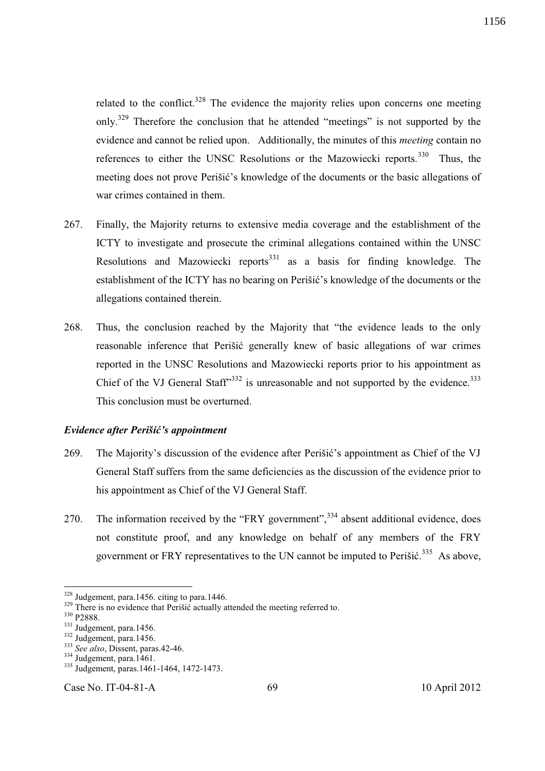related to the conflict.<sup>328</sup> The evidence the majority relies upon concerns one meeting only.<sup>329</sup> Therefore the conclusion that he attended "meetings" is not supported by the evidence and cannot be relied upon. Additionally, the minutes of this *meeting* contain no references to either the UNSC Resolutions or the Mazowiecki reports.<sup>330</sup> Thus, the meeting does not prove Perišić's knowledge of the documents or the basic allegations of war crimes contained in them.

- 267. Finally, the Majority returns to extensive media coverage and the establishment of the ICTY to investigate and prosecute the criminal allegations contained within the UNSC Resolutions and Mazowiecki reports<sup>331</sup> as a basis for finding knowledge. The establishment of the ICTY has no bearing on Perišić's knowledge of the documents or the allegations contained therein.
- 268. Thus, the conclusion reached by the Majority that "the evidence leads to the only reasonable inference that Perišić generally knew of basic allegations of war crimes reported in the UNSC Resolutions and Mazowiecki reports prior to his appointment as Chief of the VJ General Staff $\mathfrak{B}^{332}$  is unreasonable and not supported by the evidence.<sup>333</sup> This conclusion must be overturned.

#### *Evidence after Perišić's appointment*

- 269. The Majority's discussion of the evidence after Perišić's appointment as Chief of the VJ General Staff suffers from the same deficiencies as the discussion of the evidence prior to his appointment as Chief of the VJ General Staff.
- 270. The information received by the "FRY government",<sup>334</sup> absent additional evidence, does not constitute proof, and any knowledge on behalf of any members of the FRY government or FRY representatives to the UN cannot be imputed to Perišić.<sup>335</sup> As above,

l

 $328$  Judgement, para.1456. citing to para.1446.

 $329$  There is no evidence that Perišić actually attended the meeting referred to.

<sup>&</sup>lt;sup>330</sup> P<sub>2888</sub>.

<sup>&</sup>lt;sup>331</sup> Judgement, para.1456.

 $332$  Judgement, para.1456.

<sup>333</sup> *See also*, Dissent, paras.42-46.

<sup>334</sup> Judgement, para.1461.

<sup>335</sup> Judgement, paras.1461-1464, 1472-1473.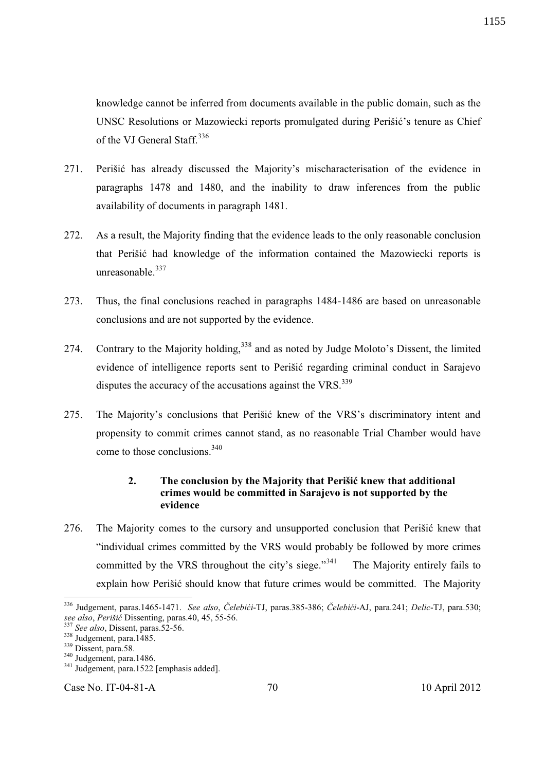knowledge cannot be inferred from documents available in the public domain, such as the UNSC Resolutions or Mazowiecki reports promulgated during Perišić's tenure as Chief of the VJ General Staff.<sup>336</sup>

- 271. Perišić has already discussed the Majority's mischaracterisation of the evidence in paragraphs 1478 and 1480, and the inability to draw inferences from the public availability of documents in paragraph 1481.
- 272. As a result, the Majority finding that the evidence leads to the only reasonable conclusion that Perišić had knowledge of the information contained the Mazowiecki reports is unreasonable. $337$
- 273. Thus, the final conclusions reached in paragraphs 1484-1486 are based on unreasonable conclusions and are not supported by the evidence.
- 274. Contrary to the Majority holding,<sup>338</sup> and as noted by Judge Moloto's Dissent, the limited evidence of intelligence reports sent to Perišić regarding criminal conduct in Sarajevo disputes the accuracy of the accusations against the VRS.<sup>339</sup>
- 275. The Majority's conclusions that Perišić knew of the VRS's discriminatory intent and propensity to commit crimes cannot stand, as no reasonable Trial Chamber would have come to those conclusions.<sup>340</sup>

# **2. The conclusion by the Majority that Perišić knew that additional crimes would be committed in Sarajevo is not supported by the evidence**

276. The Majority comes to the cursory and unsupported conclusion that Perišić knew that "individual crimes committed by the VRS would probably be followed by more crimes committed by the VRS throughout the city's siege. $\mathbb{R}^{341}$  The Majority entirely fails to explain how Perišić should know that future crimes would be committed. The Majority

-

Case No. IT-04-81-A 70 10 April 2012

<sup>336</sup> Judgement, paras.1465-1471. *See also*, *Čelebići*-TJ, paras.385-386; *Čelebići*-AJ, para.241; *Delic*-TJ, para.530; *see also*, *Perišić* Dissenting, paras.40, 45, 55-56.

See also, Dissent, paras.52-56.

 $338 \text{Jugement, para.}$ 1485.

<sup>&</sup>lt;sup>339</sup> Dissent, para.58.

<sup>340</sup> Judgement, para.1486.

<sup>&</sup>lt;sup>341</sup> Judgement, para.1522 [emphasis added].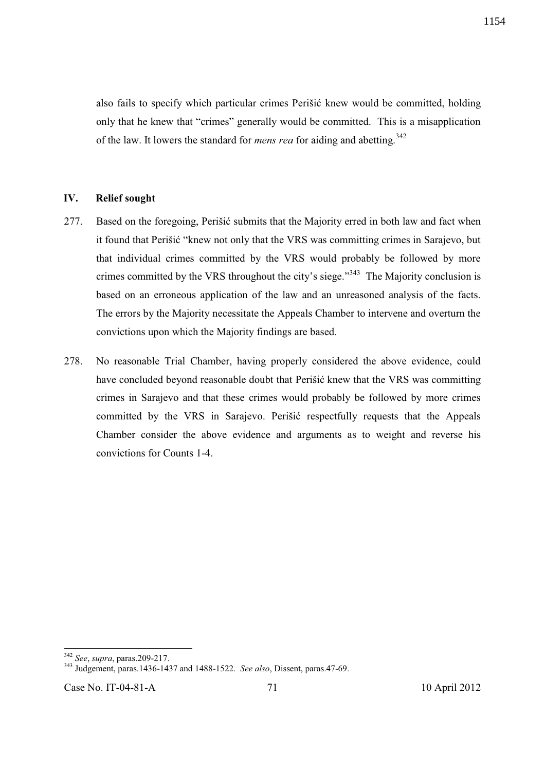also fails to specify which particular crimes Perišić knew would be committed, holding only that he knew that "crimes" generally would be committed. This is a misapplication of the law. It lowers the standard for *mens rea* for aiding and abetting.<sup>342</sup>

#### **IV. Relief sought**

- 277. Based on the foregoing, Perišić submits that the Majority erred in both law and fact when it found that Perišić "knew not only that the VRS was committing crimes in Sarajevo, but that individual crimes committed by the VRS would probably be followed by more crimes committed by the VRS throughout the city's siege."<sup>343</sup> The Majority conclusion is based on an erroneous application of the law and an unreasoned analysis of the facts. The errors by the Majority necessitate the Appeals Chamber to intervene and overturn the convictions upon which the Majority findings are based.
- 278. No reasonable Trial Chamber, having properly considered the above evidence, could have concluded beyond reasonable doubt that Perišić knew that the VRS was committing crimes in Sarajevo and that these crimes would probably be followed by more crimes committed by the VRS in Sarajevo. Perišić respectfully requests that the Appeals Chamber consider the above evidence and arguments as to weight and reverse his convictions for Counts 1-4.

-

<sup>342</sup> *See*, *supra*, paras.209-217.

<sup>343</sup> Judgement, paras.1436-1437 and 1488-1522. *See also*, Dissent, paras.47-69.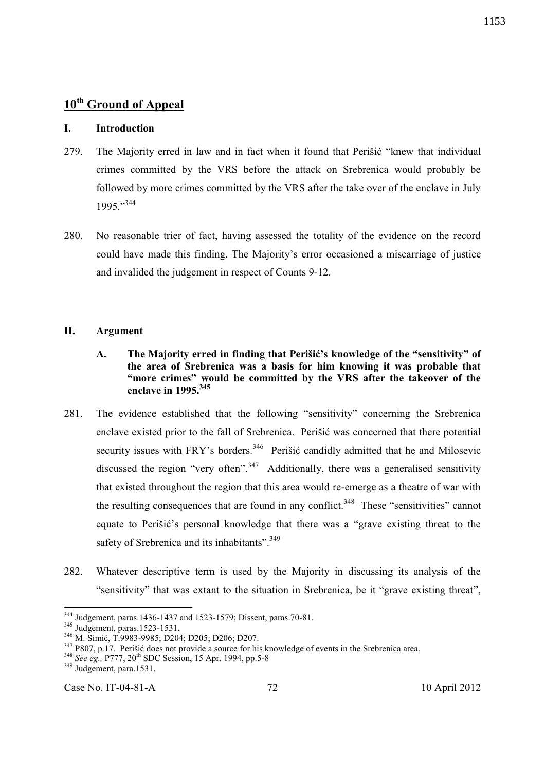# **10th Ground of Appeal**

### **I. Introduction**

- 279. The Majority erred in law and in fact when it found that Perišić "knew that individual crimes committed by the VRS before the attack on Srebrenica would probably be followed by more crimes committed by the VRS after the take over of the enclave in July 1995."<sup>344</sup>
- 280. No reasonable trier of fact, having assessed the totality of the evidence on the record could have made this finding. The Majority's error occasioned a miscarriage of justice and invalided the judgement in respect of Counts 9-12.

#### **II. Argument**

- **A. The Majority erred in finding that Perišić's knowledge of the "sensitivity" of the area of Srebrenica was a basis for him knowing it was probable that "more crimes" would be committed by the VRS after the takeover of the enclave in 1995.<sup>345</sup>**
- 281. The evidence established that the following "sensitivity" concerning the Srebrenica enclave existed prior to the fall of Srebrenica. Perišić was concerned that there potential security issues with FRY's borders.<sup>346</sup> Perišić candidly admitted that he and Milosevic discussed the region "very often".<sup>347</sup> Additionally, there was a generalised sensitivity that existed throughout the region that this area would re-emerge as a theatre of war with the resulting consequences that are found in any conflict.<sup>348</sup> These "sensitivities" cannot equate to Perišić's personal knowledge that there was a "grave existing threat to the safety of Srebrenica and its inhabitants".<sup>349</sup>
- 282. Whatever descriptive term is used by the Majority in discussing its analysis of the "sensitivity" that was extant to the situation in Srebrenica, be it "grave existing threat",

-

Case No. IT-04-81-A 72 10 April 2012

<sup>&</sup>lt;sup>344</sup> Judgement, paras.1436-1437 and 1523-1579; Dissent, paras.70-81.

<sup>&</sup>lt;sup>345</sup> Judgement, paras.1523-1531.

<sup>346</sup> M. Simić, T.9983-9985; D204; D205; D206; D207.

<sup>&</sup>lt;sup>347</sup> P807, p.17. Perišić does not provide a source for his knowledge of events in the Srebrenica area.

<sup>348</sup> *See eg.,* P777, 20th SDC Session, 15 Apr. 1994, pp.5-8

<sup>&</sup>lt;sup>349</sup> Judgement, para.1531.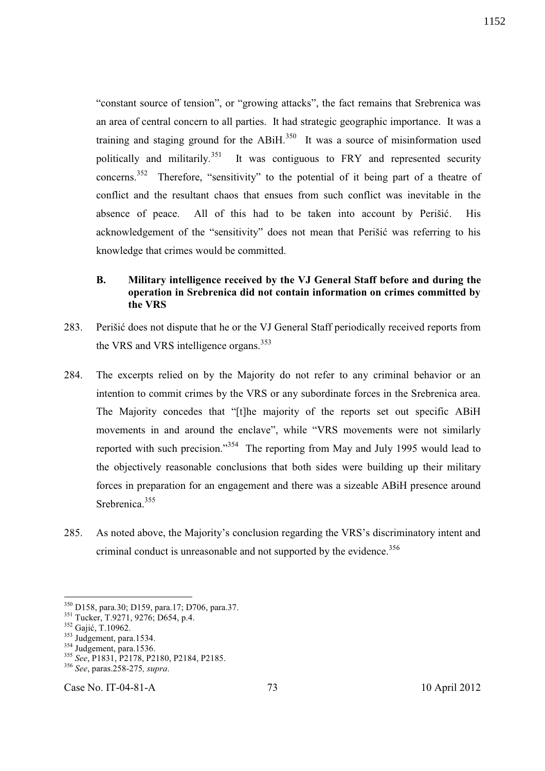"constant source of tension", or "growing attacks", the fact remains that Srebrenica was an area of central concern to all parties. It had strategic geographic importance. It was a training and staging ground for the ABiH.<sup>350</sup> It was a source of misinformation used politically and militarily.<sup>351</sup> It was contiguous to FRY and represented security concerns.<sup>352</sup> Therefore, "sensitivity" to the potential of it being part of a theatre of conflict and the resultant chaos that ensues from such conflict was inevitable in the absence of peace. All of this had to be taken into account by Perišić. His acknowledgement of the "sensitivity" does not mean that Perišić was referring to his knowledge that crimes would be committed.

# **B. Military intelligence received by the VJ General Staff before and during the operation in Srebrenica did not contain information on crimes committed by the VRS**

- 283. Perišić does not dispute that he or the VJ General Staff periodically received reports from the VRS and VRS intelligence organs.<sup>353</sup>
- 284. The excerpts relied on by the Majority do not refer to any criminal behavior or an intention to commit crimes by the VRS or any subordinate forces in the Srebrenica area. The Majority concedes that "[t]he majority of the reports set out specific ABiH movements in and around the enclave", while "VRS movements were not similarly reported with such precision."<sup>354</sup> The reporting from May and July 1995 would lead to the objectively reasonable conclusions that both sides were building up their military forces in preparation for an engagement and there was a sizeable ABiH presence around Srebrenica.<sup>355</sup>
- 285. As noted above, the Majority's conclusion regarding the VRS's discriminatory intent and criminal conduct is unreasonable and not supported by the evidence.<sup>356</sup>

-

<sup>&</sup>lt;sup>350</sup> D158, para.30; D159, para.17; D706, para.37.

<sup>&</sup>lt;sup>351</sup> Tucker, T.9271, 9276; D654, p.4.

<sup>352</sup> Gajić, T.10962.

<sup>&</sup>lt;sup>353</sup> Judgement, para.1534.

 $354$  Judgement, para.1536.

<sup>355</sup> *See*, P1831, P2178, P2180, P2184, P2185.

<sup>356</sup> *See*, paras.258-275*, supra*.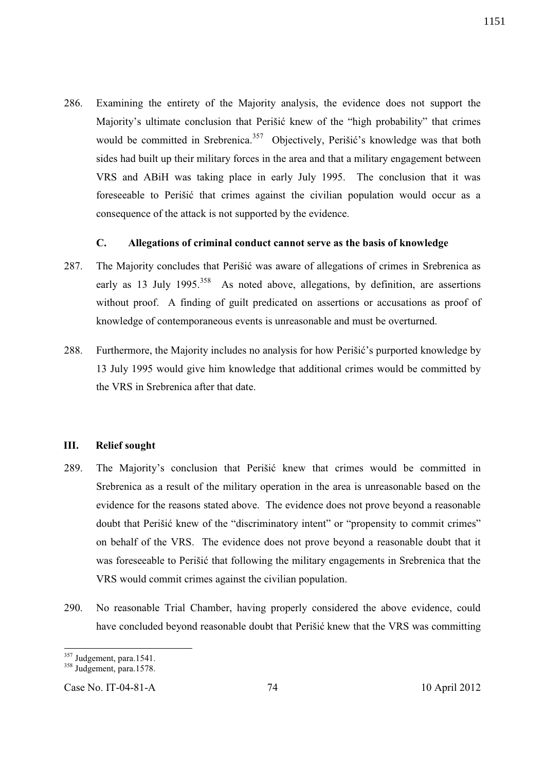286. Examining the entirety of the Majority analysis, the evidence does not support the Majority's ultimate conclusion that Perišić knew of the "high probability" that crimes would be committed in Srebrenica.<sup>357</sup> Objectively, Perišić's knowledge was that both sides had built up their military forces in the area and that a military engagement between VRS and ABiH was taking place in early July 1995. The conclusion that it was foreseeable to Perišić that crimes against the civilian population would occur as a consequence of the attack is not supported by the evidence.

### **C. Allegations of criminal conduct cannot serve as the basis of knowledge**

- 287. The Majority concludes that Perišić was aware of allegations of crimes in Srebrenica as early as 13 July 1995.<sup>358</sup> As noted above, allegations, by definition, are assertions without proof. A finding of guilt predicated on assertions or accusations as proof of knowledge of contemporaneous events is unreasonable and must be overturned.
- 288. Furthermore, the Majority includes no analysis for how Perišić's purported knowledge by 13 July 1995 would give him knowledge that additional crimes would be committed by the VRS in Srebrenica after that date.

# **III. Relief sought**

- 289. The Majority's conclusion that Perišić knew that crimes would be committed in Srebrenica as a result of the military operation in the area is unreasonable based on the evidence for the reasons stated above. The evidence does not prove beyond a reasonable doubt that Perišić knew of the "discriminatory intent" or "propensity to commit crimes" on behalf of the VRS. The evidence does not prove beyond a reasonable doubt that it was foreseeable to Perišić that following the military engagements in Srebrenica that the VRS would commit crimes against the civilian population.
- 290. No reasonable Trial Chamber, having properly considered the above evidence, could have concluded beyond reasonable doubt that Perišić knew that the VRS was committing

<sup>-</sup><sup>357</sup> Judgement, para.1541.

 $358$  Judgement, para.1578.

Case No. IT-04-81-A 74 10 April 2012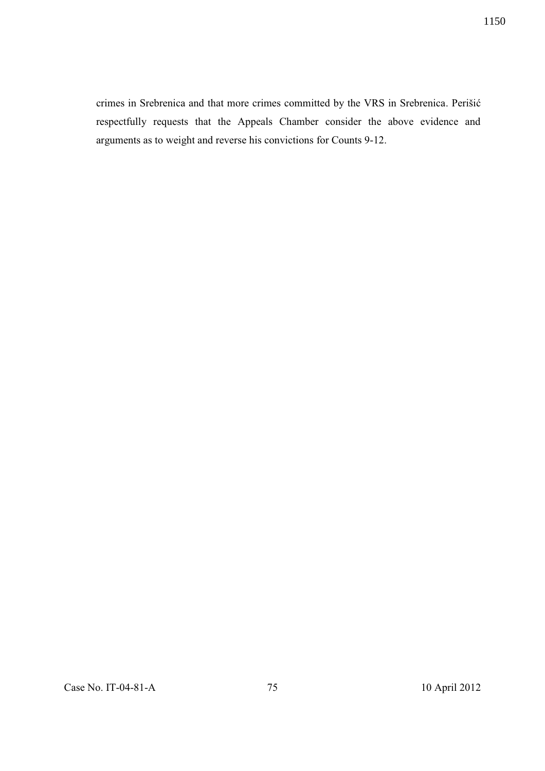crimes in Srebrenica and that more crimes committed by the VRS in Srebrenica. Perišić respectfully requests that the Appeals Chamber consider the above evidence and arguments as to weight and reverse his convictions for Counts 9-12.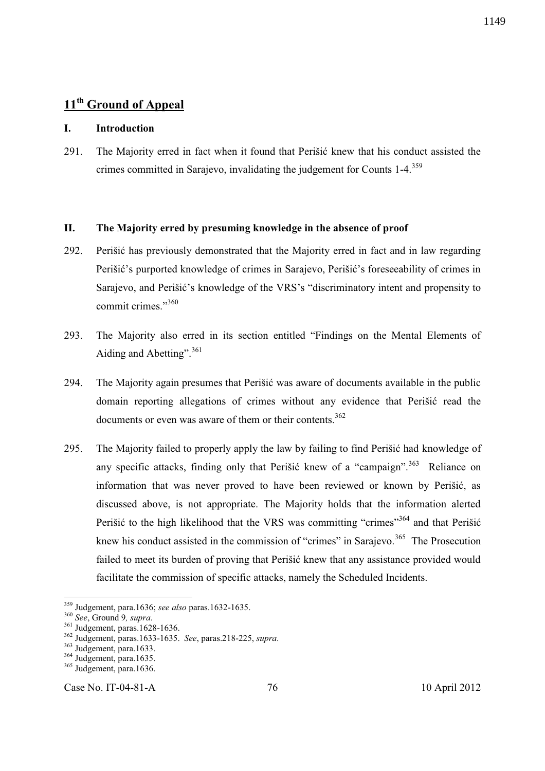# **11th Ground of Appeal**

# **I. Introduction**

291. The Majority erred in fact when it found that Perišić knew that his conduct assisted the crimes committed in Sarajevo, invalidating the judgement for Counts 1-4.<sup>359</sup>

# **II. The Majority erred by presuming knowledge in the absence of proof**

- 292. Perišić has previously demonstrated that the Majority erred in fact and in law regarding Perišić's purported knowledge of crimes in Sarajevo, Perišić's foreseeability of crimes in Sarajevo, and Perišić's knowledge of the VRS's "discriminatory intent and propensity to commit crimes."<sup>360</sup>
- 293. The Majority also erred in its section entitled "Findings on the Mental Elements of Aiding and Abetting".  $361$
- 294. The Majority again presumes that Perišić was aware of documents available in the public domain reporting allegations of crimes without any evidence that Perišić read the documents or even was aware of them or their contents.<sup>362</sup>
- 295. The Majority failed to properly apply the law by failing to find Perišić had knowledge of any specific attacks, finding only that Perišić knew of a "campaign".<sup>363</sup> Reliance on information that was never proved to have been reviewed or known by Perišić, as discussed above, is not appropriate. The Majority holds that the information alerted Perišić to the high likelihood that the VRS was committing "crimes"<sup>364</sup> and that Perišić knew his conduct assisted in the commission of "crimes" in Sarajevo.<sup>365</sup> The Prosecution failed to meet its burden of proving that Perišić knew that any assistance provided would facilitate the commission of specific attacks, namely the Scheduled Incidents.

-

Case No. IT-04-81-A 76 10 April 2012

<sup>359</sup> Judgement, para.1636; *see also* paras.1632-1635.

<sup>360</sup> *See*, Ground 9*, supra*.

<sup>&</sup>lt;sup>361</sup> Judgement, paras.1628-1636.

<sup>362</sup> Judgement, paras.1633-1635. *See*, paras.218-225, *supra*.

<sup>363</sup> Judgement, para.1633.

<sup>&</sup>lt;sup>364</sup> Judgement, para.1635.

<sup>&</sup>lt;sup>365</sup> Judgement, para.1636.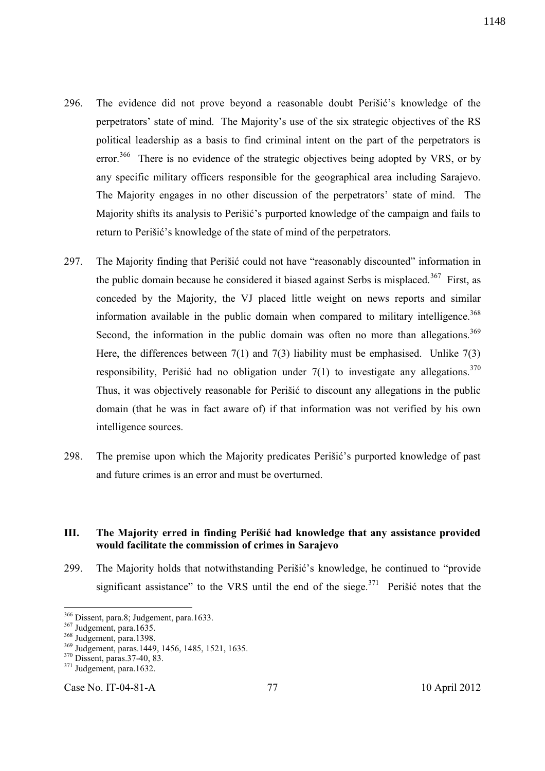- 296. The evidence did not prove beyond a reasonable doubt Perišić's knowledge of the perpetrators' state of mind. The Majority's use of the six strategic objectives of the RS political leadership as a basis to find criminal intent on the part of the perpetrators is error.<sup>366</sup> There is no evidence of the strategic objectives being adopted by VRS, or by any specific military officers responsible for the geographical area including Sarajevo. The Majority engages in no other discussion of the perpetrators' state of mind. The Majority shifts its analysis to Perišić's purported knowledge of the campaign and fails to return to Perišić's knowledge of the state of mind of the perpetrators.
- 297. The Majority finding that Perišić could not have "reasonably discounted" information in the public domain because he considered it biased against Serbs is misplaced.<sup>367</sup> First, as conceded by the Majority, the VJ placed little weight on news reports and similar information available in the public domain when compared to military intelligence.<sup>368</sup> Second, the information in the public domain was often no more than allegations.<sup>369</sup> Here, the differences between  $7(1)$  and  $7(3)$  liability must be emphasised. Unlike  $7(3)$ responsibility, Perišić had no obligation under  $7(1)$  to investigate any allegations.<sup>370</sup> Thus, it was objectively reasonable for Perišić to discount any allegations in the public domain (that he was in fact aware of) if that information was not verified by his own intelligence sources.
- 298. The premise upon which the Majority predicates Perišić's purported knowledge of past and future crimes is an error and must be overturned.

# **III. The Majority erred in finding Perišić had knowledge that any assistance provided would facilitate the commission of crimes in Sarajevo**

299. The Majority holds that notwithstanding Perišić's knowledge, he continued to "provide significant assistance" to the VRS until the end of the siege. $371$  Perišić notes that the

 $\overline{a}$ 

Case No. IT-04-81-A 77 10 April 2012

<sup>&</sup>lt;sup>366</sup> Dissent, para.8; Judgement, para.1633.

<sup>367</sup> Judgement, para.1635.

<sup>&</sup>lt;sup>368</sup> Judgement, para.1398.

<sup>369</sup> Judgement, paras.1449, 1456, 1485, 1521, 1635.

<sup>370</sup> Dissent, paras.37-40, 83.

<sup>&</sup>lt;sup>371</sup> Judgement, para.1632.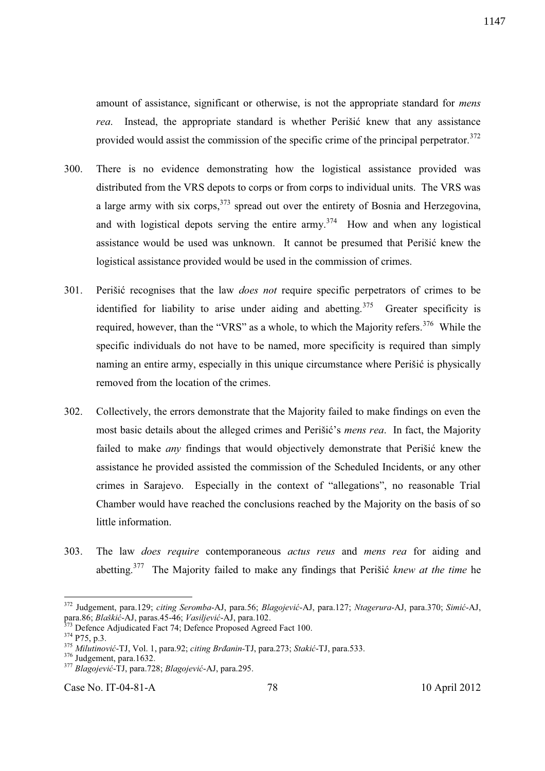amount of assistance, significant or otherwise, is not the appropriate standard for *mens rea*. Instead, the appropriate standard is whether Perišić knew that any assistance provided would assist the commission of the specific crime of the principal perpetrator.<sup>372</sup>

- 300. There is no evidence demonstrating how the logistical assistance provided was distributed from the VRS depots to corps or from corps to individual units. The VRS was a large army with six corps,  $3^{73}$  spread out over the entirety of Bosnia and Herzegovina, and with logistical depots serving the entire army.<sup>374</sup> How and when any logistical assistance would be used was unknown. It cannot be presumed that Perišić knew the logistical assistance provided would be used in the commission of crimes.
- 301. Perišić recognises that the law *does not* require specific perpetrators of crimes to be identified for liability to arise under aiding and abetting.<sup>375</sup> Greater specificity is required, however, than the "VRS" as a whole, to which the Majority refers.<sup>376</sup> While the specific individuals do not have to be named, more specificity is required than simply naming an entire army, especially in this unique circumstance where Perišić is physically removed from the location of the crimes.
- 302. Collectively, the errors demonstrate that the Majority failed to make findings on even the most basic details about the alleged crimes and Perišić's *mens rea*. In fact, the Majority failed to make *any* findings that would objectively demonstrate that Perišić knew the assistance he provided assisted the commission of the Scheduled Incidents, or any other crimes in Sarajevo. Especially in the context of "allegations", no reasonable Trial Chamber would have reached the conclusions reached by the Majority on the basis of so little information.
- 303. The law *does require* contemporaneous *actus reus* and *mens rea* for aiding and abetting.<sup>377</sup> The Majority failed to make any findings that Perišić *knew at the time* he

-

Case No. IT-04-81-A 78 10 April 2012

<sup>372</sup> Judgement, para.129; *citing Seromba*-AJ, para.56; *Blagojević*-AJ, para.127; *Ntagerura*-AJ, para.370; *Simić*-AJ, para.86; *Blaškić*-AJ, paras.45-46; *Vasiljević*-AJ, para.102.

 $3<sup>3</sup>$  Defence Adjudicated Fact 74; Defence Proposed Agreed Fact 100.

<sup>374</sup> P75, p.3.

<sup>375</sup> *Milutinović*-TJ, Vol. 1, para.92; *citing Brđanin-*TJ, para.273; *Stakić*-TJ, para.533.

<sup>&</sup>lt;sup>376</sup> Judgement, para.1632.

<sup>377</sup> *Blagojević*-TJ, para.728; *Blagojević*-AJ, para.295.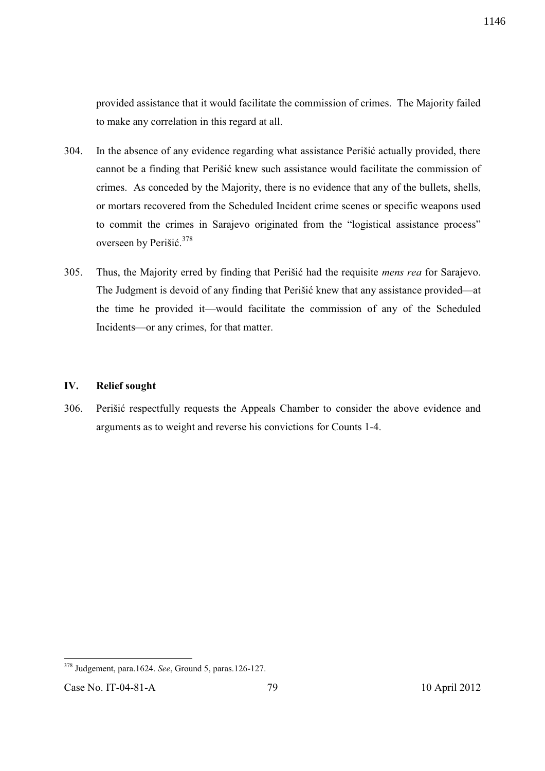provided assistance that it would facilitate the commission of crimes. The Majority failed to make any correlation in this regard at all.

- 304. In the absence of any evidence regarding what assistance Perišić actually provided, there cannot be a finding that Perišić knew such assistance would facilitate the commission of crimes. As conceded by the Majority, there is no evidence that any of the bullets, shells, or mortars recovered from the Scheduled Incident crime scenes or specific weapons used to commit the crimes in Sarajevo originated from the "logistical assistance process" overseen by Perišić.<sup>378</sup>
- 305. Thus, the Majority erred by finding that Perišić had the requisite *mens rea* for Sarajevo. The Judgment is devoid of any finding that Perišić knew that any assistance provided—at the time he provided it—would facilitate the commission of any of the Scheduled Incidents—or any crimes, for that matter.

# **IV. Relief sought**

306. Perišić respectfully requests the Appeals Chamber to consider the above evidence and arguments as to weight and reverse his convictions for Counts 1-4.

 $\overline{a}$ <sup>378</sup> Judgement, para.1624. *See*, Ground 5, paras.126-127.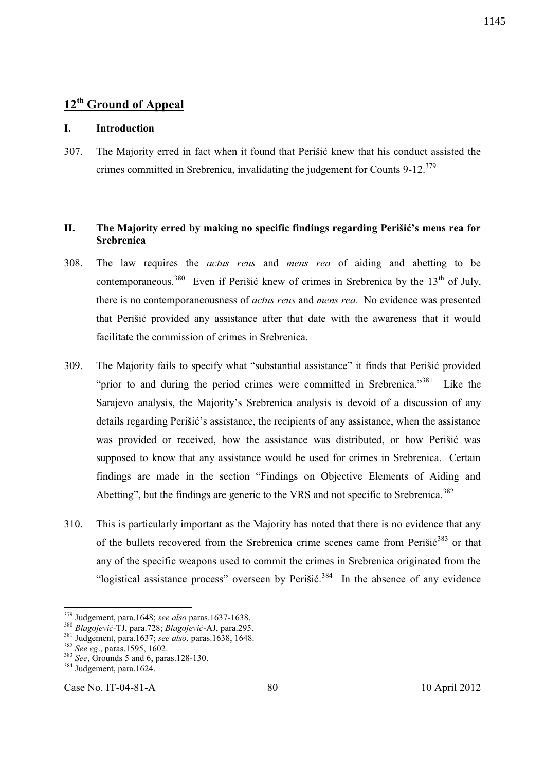# **12th Ground of Appeal**

### **I. Introduction**

307. The Majority erred in fact when it found that Perišić knew that his conduct assisted the crimes committed in Srebrenica, invalidating the judgement for Counts 9-12.<sup>379</sup>

# **II. The Majority erred by making no specific findings regarding Perišić's mens rea for Srebrenica**

- 308. The law requires the *actus reus* and *mens rea* of aiding and abetting to be contemporaneous.<sup>380</sup> Even if Perišić knew of crimes in Srebrenica by the  $13<sup>th</sup>$  of July, there is no contemporaneousness of *actus reus* and *mens rea*. No evidence was presented that Perišić provided any assistance after that date with the awareness that it would facilitate the commission of crimes in Srebrenica.
- 309. The Majority fails to specify what "substantial assistance" it finds that Perišić provided "prior to and during the period crimes were committed in Srebrenica."<sup>381</sup> Like the Sarajevo analysis, the Majority's Srebrenica analysis is devoid of a discussion of any details regarding Perišić's assistance, the recipients of any assistance, when the assistance was provided or received, how the assistance was distributed, or how Perišić was supposed to know that any assistance would be used for crimes in Srebrenica. Certain findings are made in the section "Findings on Objective Elements of Aiding and Abetting", but the findings are generic to the VRS and not specific to Srebrenica.<sup>382</sup>
- 310. This is particularly important as the Majority has noted that there is no evidence that any of the bullets recovered from the Srebrenica crime scenes came from Perišić $383$  or that any of the specific weapons used to commit the crimes in Srebrenica originated from the "logistical assistance process" overseen by Perišić.<sup>384</sup> In the absence of any evidence

-

Case No. IT-04-81-A 80 10 April 2012

<sup>379</sup> Judgement, para.1648; *see also* paras.1637-1638.

<sup>380</sup> *Blagojević-*TJ, para.728; *Blagojević*-AJ, para.295.

<sup>381</sup> Judgement, para.1637; *see also,* paras.1638, 1648.

<sup>382</sup> *See eg*., paras.1595, 1602.

<sup>383</sup> *See*, Grounds 5 and 6, paras.128-130.

 $384$  Judgement, para.1624.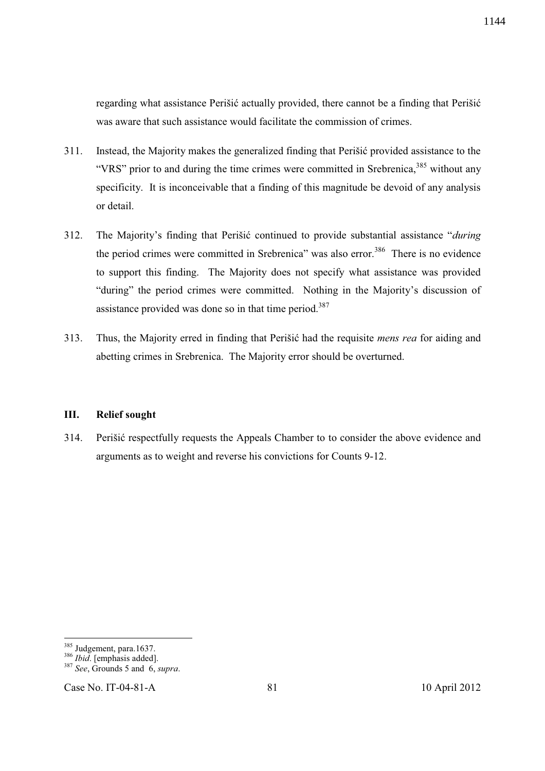regarding what assistance Perišić actually provided, there cannot be a finding that Perišić was aware that such assistance would facilitate the commission of crimes.

- 311. Instead, the Majority makes the generalized finding that Perišić provided assistance to the "VRS" prior to and during the time crimes were committed in Srebrenica,  $385$  without any specificity. It is inconceivable that a finding of this magnitude be devoid of any analysis or detail.
- 312. The Majority's finding that Perišić continued to provide substantial assistance "*during* the period crimes were committed in Srebrenica" was also error.<sup>386</sup> There is no evidence to support this finding. The Majority does not specify what assistance was provided "during" the period crimes were committed. Nothing in the Majority's discussion of assistance provided was done so in that time period.<sup>387</sup>
- 313. Thus, the Majority erred in finding that Perišić had the requisite *mens rea* for aiding and abetting crimes in Srebrenica. The Majority error should be overturned.

### **III. Relief sought**

314. Perišić respectfully requests the Appeals Chamber to to consider the above evidence and arguments as to weight and reverse his convictions for Counts 9-12.

1144

l

<sup>&</sup>lt;sup>385</sup> Judgement, para.1637.

<sup>386</sup> *Ibid*. [emphasis added].

<sup>387</sup> *See*, Grounds 5 and 6, *supra*.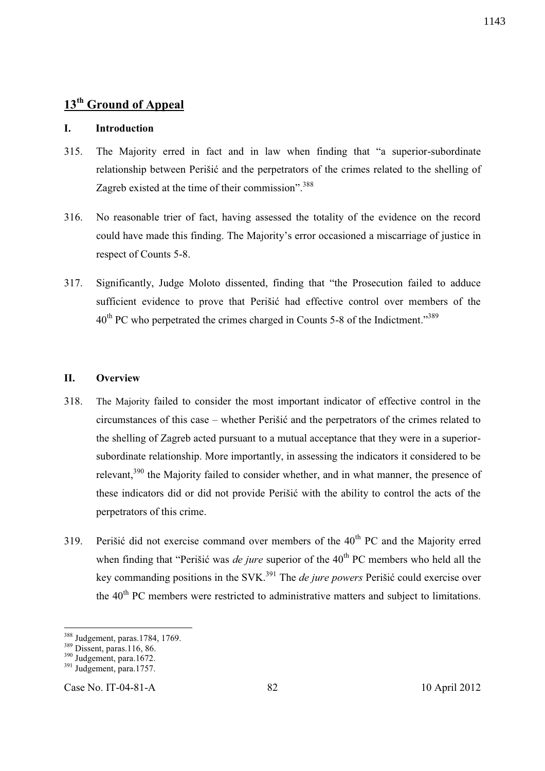# **I. Introduction**

- 315. The Majority erred in fact and in law when finding that "a superior-subordinate relationship between Perišić and the perpetrators of the crimes related to the shelling of Zagreb existed at the time of their commission".<sup>388</sup>
- 316. No reasonable trier of fact, having assessed the totality of the evidence on the record could have made this finding. The Majority's error occasioned a miscarriage of justice in respect of Counts 5-8.
- 317. Significantly, Judge Moloto dissented, finding that "the Prosecution failed to adduce sufficient evidence to prove that Perišić had effective control over members of the  $40<sup>th</sup>$  PC who perpetrated the crimes charged in Counts 5-8 of the Indictment."<sup>389</sup>

### **II. Overview**

- 318. The Majority failed to consider the most important indicator of effective control in the circumstances of this case – whether Perišić and the perpetrators of the crimes related to the shelling of Zagreb acted pursuant to a mutual acceptance that they were in a superiorsubordinate relationship. More importantly, in assessing the indicators it considered to be relevant,<sup>390</sup> the Majority failed to consider whether, and in what manner, the presence of these indicators did or did not provide Perišić with the ability to control the acts of the perpetrators of this crime.
- 319. Perišić did not exercise command over members of the  $40<sup>th</sup>$  PC and the Majority erred when finding that "Perišić was *de jure* superior of the 40<sup>th</sup> PC members who held all the key commanding positions in the SVK.<sup>391</sup> The *de jure powers* Perišić could exercise over the 40<sup>th</sup> PC members were restricted to administrative matters and subject to limitations.

-

Case No. IT-04-81-A 82 10 April 2012

<sup>388</sup> Judgement, paras.1784, 1769.

<sup>389</sup> Dissent, paras.116, 86.

<sup>&</sup>lt;sup>390</sup> Judgement, para.1672.

 $391$  Judgement, para.1757.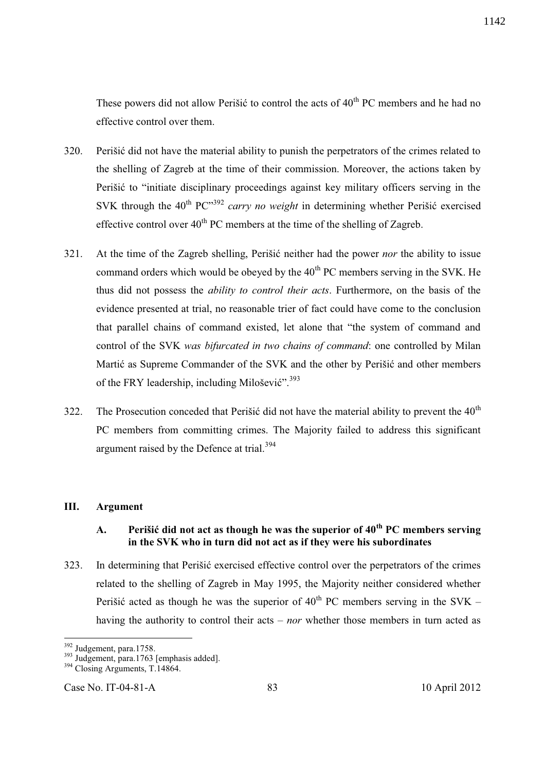These powers did not allow Perišić to control the acts of  $40<sup>th</sup>$  PC members and he had no effective control over them.

- 320. Perišić did not have the material ability to punish the perpetrators of the crimes related to the shelling of Zagreb at the time of their commission. Moreover, the actions taken by Perišić to "initiate disciplinary proceedings against key military officers serving in the SVK through the  $40^{th}$  PC<sup> $,392$ </sup> *carry no weight* in determining whether Perišić exercised effective control over  $40^{th}$  PC members at the time of the shelling of Zagreb.
- 321. At the time of the Zagreb shelling, Perišić neither had the power *nor* the ability to issue command orders which would be obeyed by the  $40<sup>th</sup> PC$  members serving in the SVK. He thus did not possess the *ability to control their acts*. Furthermore, on the basis of the evidence presented at trial, no reasonable trier of fact could have come to the conclusion that parallel chains of command existed, let alone that "the system of command and control of the SVK *was bifurcated in two chains of command*: one controlled by Milan Martić as Supreme Commander of the SVK and the other by Perišić and other members of the FRY leadership, including Milošević".<sup>393</sup>
- 322. The Prosecution conceded that Perišić did not have the material ability to prevent the  $40<sup>th</sup>$ PC members from committing crimes. The Majority failed to address this significant argument raised by the Defence at trial.<sup>394</sup>

#### **III. Argument**

# **A. Perišić did not act as though he was the superior of 40th PC members serving in the SVK who in turn did not act as if they were his subordinates**

323. In determining that Perišić exercised effective control over the perpetrators of the crimes related to the shelling of Zagreb in May 1995, the Majority neither considered whether Perišić acted as though he was the superior of  $40^{th}$  PC members serving in the SVK – having the authority to control their acts – *nor* whether those members in turn acted as

 $\overline{a}$ 

<sup>&</sup>lt;sup>392</sup> Judgement, para.1758.

 $393$  Judgement, para.1763 [emphasis added].

 $394$  Closing Arguments, T.14864.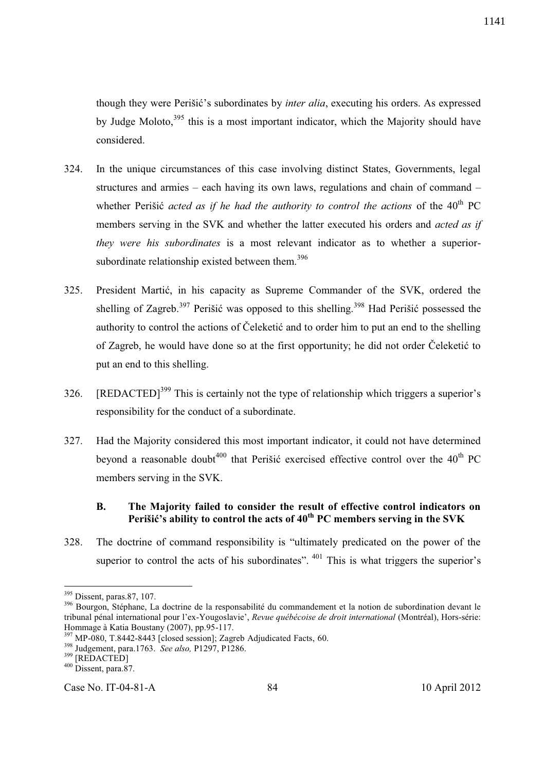though they were Perišić's subordinates by *inter alia*, executing his orders. As expressed by Judge Moloto,<sup>395</sup> this is a most important indicator, which the Majority should have considered.

- 324. In the unique circumstances of this case involving distinct States, Governments, legal structures and armies – each having its own laws, regulations and chain of command – whether Perišić *acted as if he had the authority to control the actions* of the 40<sup>th</sup> PC members serving in the SVK and whether the latter executed his orders and *acted as if they were his subordinates* is a most relevant indicator as to whether a superiorsubordinate relationship existed between them.<sup>396</sup>
- 325. President Martić, in his capacity as Supreme Commander of the SVK, ordered the shelling of Zagreb.<sup>397</sup> Perišić was opposed to this shelling.<sup>398</sup> Had Perišić possessed the authority to control the actions of Čeleketić and to order him to put an end to the shelling of Zagreb, he would have done so at the first opportunity; he did not order Čeleketić to put an end to this shelling.
- 326. [REDACTED]<sup>399</sup> This is certainly not the type of relationship which triggers a superior's responsibility for the conduct of a subordinate.
- 327. Had the Majority considered this most important indicator, it could not have determined beyond a reasonable doubt<sup>400</sup> that Perišić exercised effective control over the  $40<sup>th</sup>$  PC members serving in the SVK.

# **B. The Majority failed to consider the result of effective control indicators on Perišić's ability to control the acts of 40th PC members serving in the SVK**

328. The doctrine of command responsibility is "ultimately predicated on the power of the superior to control the acts of his subordinates".  $401$  This is what triggers the superior's

 $\overline{a}$ 

Case No. IT-04-81-A 84 10 April 2012

<sup>&</sup>lt;sup>395</sup> Dissent, paras.87, 107.

<sup>&</sup>lt;sup>396</sup> Bourgon, Stéphane, La doctrine de la responsabilité du commandement et la notion de subordination devant le tribunal pénal international pour l'ex-Yougoslavie', *Revue québécoise de droit international* (Montréal), Hors-série: Hommage à Katia Boustany (2007), pp.95-117.

<sup>&</sup>lt;sup>397</sup> MP-080, T.8442-8443 [closed session]; Zagreb Adjudicated Facts, 60.

<sup>398</sup> Judgement, para.1763. *See also,* P1297, P1286.

<sup>399</sup> [REDACTED]

 $400$  Dissent, para.87.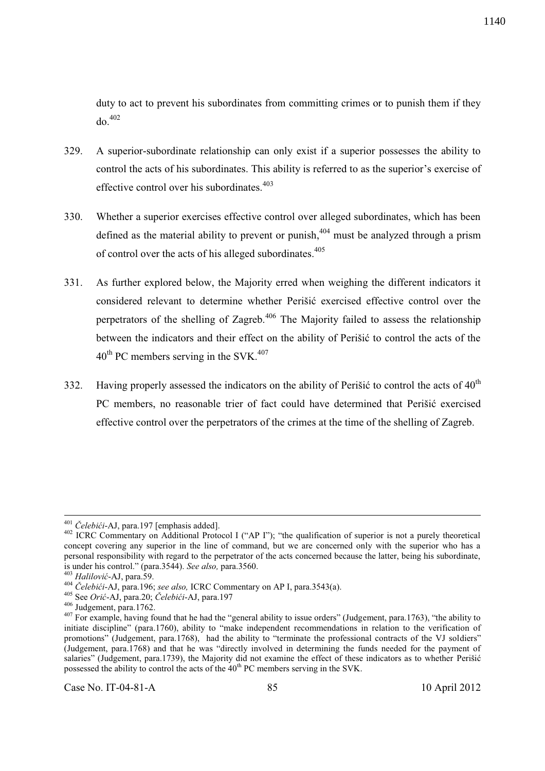duty to act to prevent his subordinates from committing crimes or to punish them if they  $d\sigma$ <sup>402</sup>

- 329. A superior-subordinate relationship can only exist if a superior possesses the ability to control the acts of his subordinates. This ability is referred to as the superior's exercise of effective control over his subordinates.<sup>403</sup>
- 330. Whether a superior exercises effective control over alleged subordinates, which has been defined as the material ability to prevent or punish,  $404$  must be analyzed through a prism of control over the acts of his alleged subordinates.<sup>405</sup>
- 331. As further explored below, the Majority erred when weighing the different indicators it considered relevant to determine whether Perišić exercised effective control over the perpetrators of the shelling of Zagreb.<sup>406</sup> The Majority failed to assess the relationship between the indicators and their effect on the ability of Perišić to control the acts of the  $40^{\text{th}}$  PC members serving in the SVK.<sup>407</sup>
- 332. Having properly assessed the indicators on the ability of Perišić to control the acts of  $40<sup>th</sup>$ PC members, no reasonable trier of fact could have determined that Perišić exercised effective control over the perpetrators of the crimes at the time of the shelling of Zagreb.

-

<sup>401</sup> *Čelebići*-AJ, para.197 [emphasis added].

<sup>&</sup>lt;sup>402</sup> ICRC Commentary on Additional Protocol I ("AP I"); "the qualification of superior is not a purely theoretical concept covering any superior in the line of command, but we are concerned only with the superior who has a personal responsibility with regard to the perpetrator of the acts concerned because the latter, being his subordinate, is under his control." (para.3544). *See also,* para.3560.

<sup>403</sup> *Halilović*-AJ, para.59.

<sup>404</sup> *Čelebići*-AJ, para.196; *see also,* ICRC Commentary on AP I, para.3543(a).

<sup>405</sup> See *Orić*-AJ, para.20; *Čelebići*-AJ, para.197

<sup>406</sup> Judgement, para.1762.

<sup>&</sup>lt;sup>407</sup> For example, having found that he had the "general ability to issue orders" (Judgement, para.1763), "the ability to initiate discipline" (para.1760), ability to "make independent recommendations in relation to the verification of promotions" (Judgement, para.1768), had the ability to "terminate the professional contracts of the VJ soldiers" (Judgement, para.1768) and that he was "directly involved in determining the funds needed for the payment of salaries" (Judgement, para.1739), the Majority did not examine the effect of these indicators as to whether Perišić possessed the ability to control the acts of the  $40<sup>th</sup>$  PC members serving in the SVK.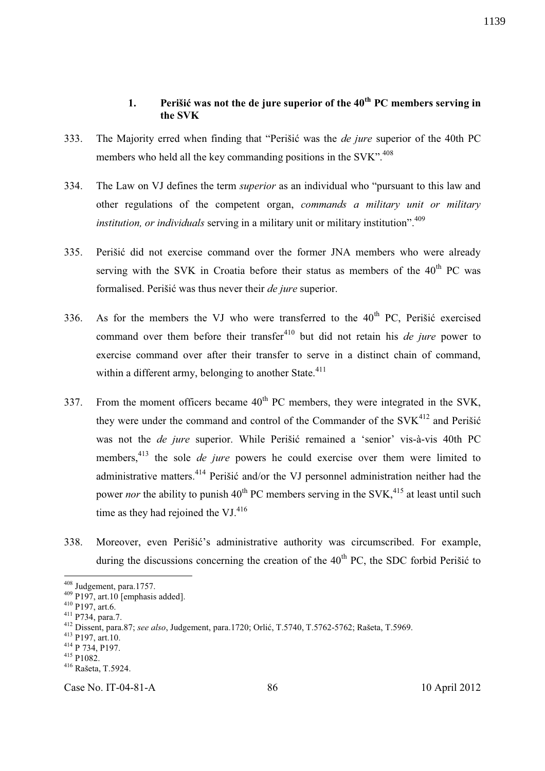# **1. Perišić was not the de jure superior of the 40th PC members serving in the SVK**

- 333. The Majority erred when finding that "Perišić was the *de jure* superior of the 40th PC members who held all the key commanding positions in the SVK".<sup>408</sup>
- 334. The Law on VJ defines the term *superior* as an individual who "pursuant to this law and other regulations of the competent organ, *commands a military unit or military institution, or individuals* serving in a military unit or military institution". 409
- 335. Perišić did not exercise command over the former JNA members who were already serving with the SVK in Croatia before their status as members of the  $40<sup>th</sup>$  PC was formalised. Perišić was thus never their *de jure* superior.
- 336. As for the members the VJ who were transferred to the  $40<sup>th</sup>$  PC, Perišić exercised command over them before their transfer<sup>410</sup> but did not retain his *de jure* power to exercise command over after their transfer to serve in a distinct chain of command, within a different army, belonging to another State. $411$
- 337. From the moment officers became  $40<sup>th</sup>$  PC members, they were integrated in the SVK. they were under the command and control of the Commander of the  $SVK<sup>412</sup>$  and Perišić was not the *de jure* superior. While Perišić remained a 'senior' vis-à-vis 40th PC members,<sup>413</sup> the sole *de jure* powers he could exercise over them were limited to administrative matters.<sup>414</sup> Perišić and/or the VJ personnel administration neither had the power *nor* the ability to punish  $40^{th}$  PC members serving in the SVK,<sup> $415$ </sup> at least until such time as they had rejoined the VJ. $416$
- 338. Moreover, even Perišić's administrative authority was circumscribed. For example, during the discussions concerning the creation of the  $40<sup>th</sup>$  PC, the SDC forbid Perišić to

-

Case No. IT-04-81-A 86 10 April 2012

<sup>&</sup>lt;sup>408</sup> Judgement, para.1757.

 $409$  P197, art.10 [emphasis added].

<sup>410</sup> P197, art.6.

<sup>411</sup> P734, para.7.

<sup>412</sup> Dissent, para.87; *see also*, Judgement, para.1720; Orlić, T.5740, T.5762-5762; Rašeta, T.5969.

<sup>413</sup> P197, art.10.

<sup>414</sup> P 734, P197.

<sup>415</sup> P1082.

<sup>416</sup> Rašeta, T.5924.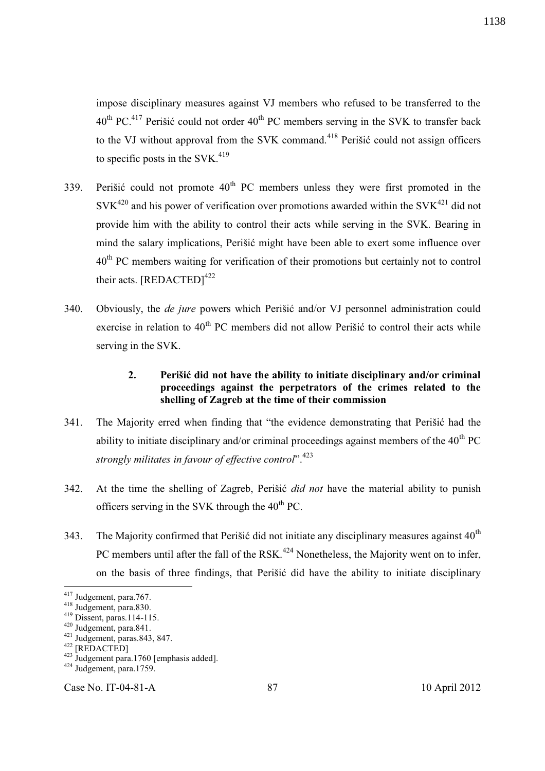impose disciplinary measures against VJ members who refused to be transferred to the  $40^{th}$  PC.<sup>417</sup> Perišić could not order  $40^{th}$  PC members serving in the SVK to transfer back to the VJ without approval from the SVK command.<sup>418</sup> Perišić could not assign officers to specific posts in the  $SVK<sup>419</sup>$ 

- 339. Perišić could not promote  $40<sup>th</sup>$  PC members unless they were first promoted in the  $SVK^{420}$  and his power of verification over promotions awarded within the  $SVK^{421}$  did not provide him with the ability to control their acts while serving in the SVK. Bearing in mind the salary implications, Perišić might have been able to exert some influence over 40<sup>th</sup> PC members waiting for verification of their promotions but certainly not to control their acts. [REDACTED]<sup>422</sup>
- 340. Obviously, the *de jure* powers which Perišić and/or VJ personnel administration could exercise in relation to  $40<sup>th</sup>$  PC members did not allow Perišić to control their acts while serving in the SVK.

# **2. Perišić did not have the ability to initiate disciplinary and/or criminal proceedings against the perpetrators of the crimes related to the shelling of Zagreb at the time of their commission**

- 341. The Majority erred when finding that "the evidence demonstrating that Perišić had the ability to initiate disciplinary and/or criminal proceedings against members of the  $40^{th}$  PC *strongly militates in favour of effective control*". 423
- 342. At the time the shelling of Zagreb, Perišić *did not* have the material ability to punish officers serving in the SVK through the  $40<sup>th</sup>$  PC.
- 343. The Majority confirmed that Perišić did not initiate any disciplinary measures against  $40<sup>th</sup>$ PC members until after the fall of the RSK.<sup>424</sup> Nonetheless, the Majority went on to infer, on the basis of three findings, that Perišić did have the ability to initiate disciplinary

 $\overline{a}$ 

Case No. IT-04-81-A 87 10 April 2012

 $417$  Judgement, para. 767.

<sup>418</sup> Judgement, para.830.

<sup>419</sup> Dissent, paras.114-115.

 $420$  Judgement, para.841.

 $^{421}$  Judgement, paras.843, 847.

<sup>422 [</sup>REDACTED]

 $423$  Judgement para.1760 [emphasis added].

 $424 \text{ Judgement}$ , para.1759.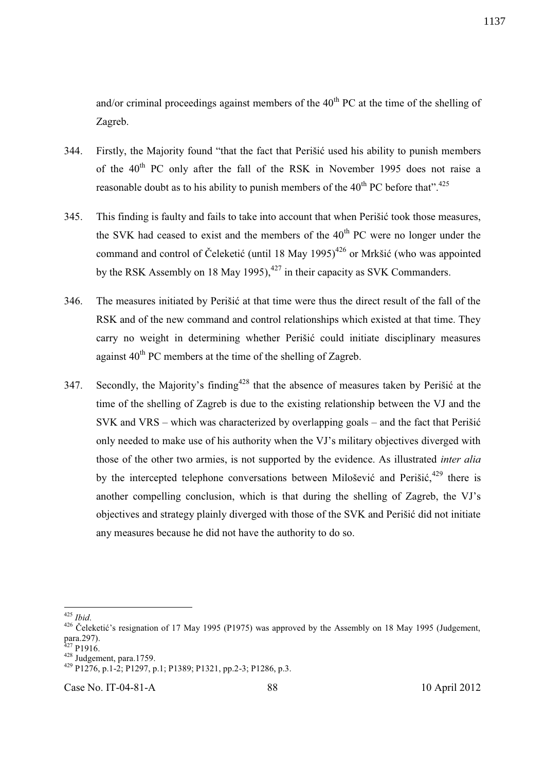and/or criminal proceedings against members of the  $40<sup>th</sup>$  PC at the time of the shelling of Zagreb.

- 344. Firstly, the Majority found "that the fact that Perišić used his ability to punish members of the 40<sup>th</sup> PC only after the fall of the RSK in November 1995 does not raise a reasonable doubt as to his ability to punish members of the  $40^{\text{th}}$  PC before that".<sup>425</sup>
- 345. This finding is faulty and fails to take into account that when Perišić took those measures, the SVK had ceased to exist and the members of the  $40<sup>th</sup>$  PC were no longer under the command and control of Čeleketić (until 18 May  $1995$ )<sup>426</sup> or Mrkšić (who was appointed by the RSK Assembly on 18 May 1995),  $427$  in their capacity as SVK Commanders.
- 346. The measures initiated by Perišić at that time were thus the direct result of the fall of the RSK and of the new command and control relationships which existed at that time. They carry no weight in determining whether Perišić could initiate disciplinary measures against  $40^{th}$  PC members at the time of the shelling of Zagreb.
- 347. Secondly, the Majority's finding<sup>428</sup> that the absence of measures taken by Perišić at the time of the shelling of Zagreb is due to the existing relationship between the VJ and the SVK and VRS – which was characterized by overlapping goals – and the fact that Perišić only needed to make use of his authority when the VJ's military objectives diverged with those of the other two armies, is not supported by the evidence. As illustrated *inter alia* by the intercepted telephone conversations between Milošević and Perišić, <sup>429</sup> there is another compelling conclusion, which is that during the shelling of Zagreb, the VJ's objectives and strategy plainly diverged with those of the SVK and Perišić did not initiate any measures because he did not have the authority to do so.

Case No. IT-04-81-A 88 10 April 2012

 $\overline{a}$ <sup>425</sup> *Ibid*.

<sup>&</sup>lt;sup>426</sup> Čeleketić's resignation of 17 May 1995 (P1975) was approved by the Assembly on 18 May 1995 (Judgement,  $para.297$ .

 $^{27}$  P1916.  $428$  Judgement, para.1759.

<sup>429</sup> P1276, p.1-2; P1297, p.1; P1389; P1321, pp.2-3; P1286, p.3.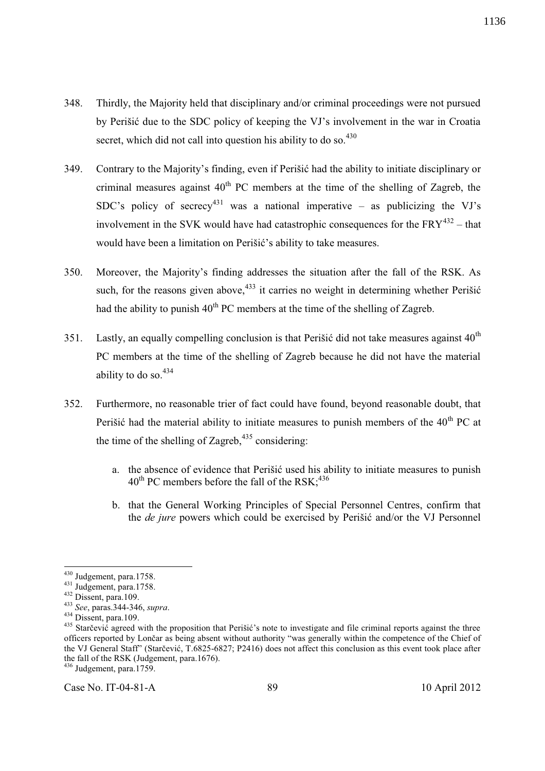- 348. Thirdly, the Majority held that disciplinary and/or criminal proceedings were not pursued by Perišić due to the SDC policy of keeping the VJ's involvement in the war in Croatia secret, which did not call into question his ability to do so. $430$
- 349. Contrary to the Majority's finding, even if Perišić had the ability to initiate disciplinary or criminal measures against  $40<sup>th</sup>$  PC members at the time of the shelling of Zagreb, the SDC's policy of secrecy<sup>431</sup> was a national imperative – as publicizing the VJ's involvement in the SVK would have had catastrophic consequences for the  $FRY^{432}$  – that would have been a limitation on Perišić's ability to take measures.
- 350. Moreover, the Majority's finding addresses the situation after the fall of the RSK. As such, for the reasons given above,  $433$  it carries no weight in determining whether Perišić had the ability to punish  $40<sup>th</sup>$  PC members at the time of the shelling of Zagreb.
- 351. Lastly, an equally compelling conclusion is that Perišić did not take measures against  $40<sup>th</sup>$ PC members at the time of the shelling of Zagreb because he did not have the material ability to do so. $434$
- 352. Furthermore, no reasonable trier of fact could have found, beyond reasonable doubt, that Perišić had the material ability to initiate measures to punish members of the  $40<sup>th</sup>$  PC at the time of the shelling of Zagreb,  $435$  considering:
	- a. the absence of evidence that Perišić used his ability to initiate measures to punish  $40^{th}$  PC members before the fall of the RSK;<sup>436</sup>
	- b. that the General Working Principles of Special Personnel Centres, confirm that the *de jure* powers which could be exercised by Perišić and/or the VJ Personnel

 $\overline{a}$ 

<sup>&</sup>lt;sup>430</sup> Judgement, para.1758.

 $431$  Judgement, para.1758.

<sup>432</sup> Dissent, para.109.

<sup>433</sup> *See*, paras.344-346, *supra*.

 $434$  Dissent, para.109.

<sup>&</sup>lt;sup>435</sup> Starčević agreed with the proposition that Perišić's note to investigate and file criminal reports against the three officers reported by Lončar as being absent without authority "was generally within the competence of the Chief of the VJ General Staff" (Starčević, T.6825-6827; P2416) does not affect this conclusion as this event took place after the fall of the RSK (Judgement, para.1676).

 $436$  Judgement, para.1759.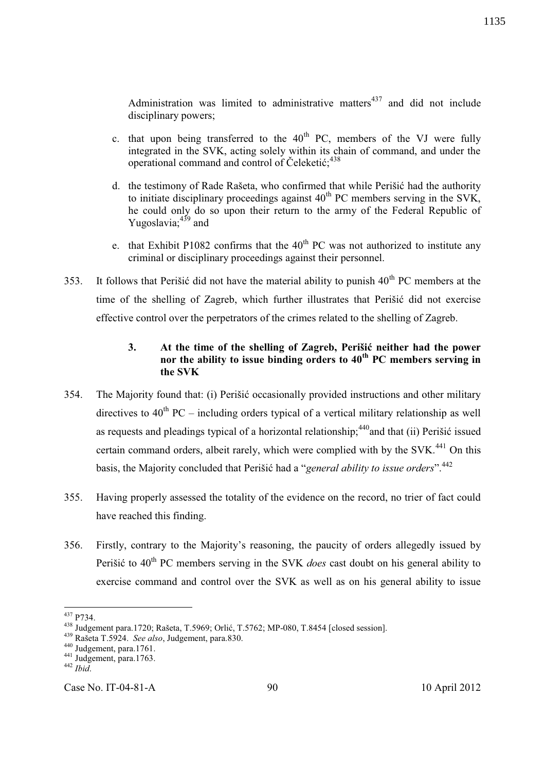Administration was limited to administrative matters $437$  and did not include disciplinary powers;

- c. that upon being transferred to the  $40<sup>th</sup>$  PC, members of the VJ were fully integrated in the SVK, acting solely within its chain of command, and under the operational command and control of Čeleketić;<sup>438</sup>
- d. the testimony of Rade Rašeta, who confirmed that while Perišić had the authority to initiate disciplinary proceedings against  $40<sup>th</sup>$  PC members serving in the SVK, he could only do so upon their return to the army of the Federal Republic of Yugoslavia;<sup>439</sup> and
- e. that Exhibit P1082 confirms that the  $40<sup>th</sup>$  PC was not authorized to institute any criminal or disciplinary proceedings against their personnel.
- 353. It follows that Perišić did not have the material ability to punish  $40<sup>th</sup>$  PC members at the time of the shelling of Zagreb, which further illustrates that Perišić did not exercise effective control over the perpetrators of the crimes related to the shelling of Zagreb.

# **3. At the time of the shelling of Zagreb, Perišić neither had the power nor the ability to issue binding orders to 40th PC members serving in the SVK**

- 354. The Majority found that: (i) Perišić occasionally provided instructions and other military directives to  $40^{th}$  PC – including orders typical of a vertical military relationship as well as requests and pleadings typical of a horizontal relationship;  $440$  and that (ii) Perišić issued certain command orders, albeit rarely, which were complied with by the SVK.<sup>441</sup> On this basis, the Majority concluded that Perišić had a "*general ability to issue orders*".<sup>442</sup>
- 355. Having properly assessed the totality of the evidence on the record, no trier of fact could have reached this finding.
- 356. Firstly, contrary to the Majority's reasoning, the paucity of orders allegedly issued by Perišić to 40<sup>th</sup> PC members serving in the SVK *does* cast doubt on his general ability to exercise command and control over the SVK as well as on his general ability to issue

Case No. IT-04-81-A 90 10 April 2012

 $\overline{a}$  $437$  P734.

<sup>438</sup> Judgement para.1720; Rašeta, T.5969; Orlić, T.5762; MP-080, T.8454 [closed session].

<sup>439</sup> Rašeta T.5924. *See also*, Judgement, para.830.

<sup>440</sup> Judgement, para.1761.

<sup>&</sup>lt;sup>441</sup> Judgement, para.1763.

<sup>442</sup> *Ibid*.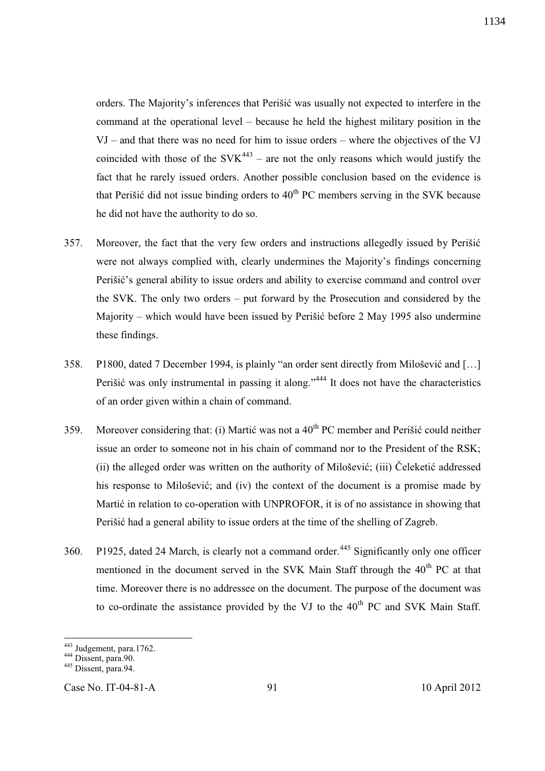orders. The Majority's inferences that Perišić was usually not expected to interfere in the command at the operational level – because he held the highest military position in the VJ – and that there was no need for him to issue orders – where the objectives of the VJ coincided with those of the  $SVK<sup>443</sup>$  – are not the only reasons which would justify the fact that he rarely issued orders. Another possible conclusion based on the evidence is that Perišić did not issue binding orders to  $40<sup>th</sup>$  PC members serving in the SVK because he did not have the authority to do so.

- 357. Moreover, the fact that the very few orders and instructions allegedly issued by Perišić were not always complied with, clearly undermines the Majority's findings concerning Perišić's general ability to issue orders and ability to exercise command and control over the SVK. The only two orders – put forward by the Prosecution and considered by the Majority – which would have been issued by Perišić before 2 May 1995 also undermine these findings.
- 358. P1800, dated 7 December 1994, is plainly "an order sent directly from Milošević and […] Perišić was only instrumental in passing it along."<sup>444</sup> It does not have the characteristics of an order given within a chain of command.
- 359. Moreover considering that: (i) Martić was not a  $40<sup>th</sup>$  PC member and Perišić could neither issue an order to someone not in his chain of command nor to the President of the RSK; (ii) the alleged order was written on the authority of Milošević; (iii) Čeleketić addressed his response to Milošević; and (iv) the context of the document is a promise made by Martić in relation to co-operation with UNPROFOR, it is of no assistance in showing that Perišić had a general ability to issue orders at the time of the shelling of Zagreb.
- 360. P1925, dated 24 March, is clearly not a command order.<sup>445</sup> Significantly only one officer mentioned in the document served in the SVK Main Staff through the 40<sup>th</sup> PC at that time. Moreover there is no addressee on the document. The purpose of the document was to co-ordinate the assistance provided by the VJ to the  $40<sup>th</sup>$  PC and SVK Main Staff.

 $\overline{a}$ 

Case No. IT-04-81-A 91 10 April 2012

1134

<sup>&</sup>lt;sup>443</sup> Judgement, para.1762.

<sup>&</sup>lt;sup>444</sup> Dissent, para.

<sup>445</sup> Dissent, para.94.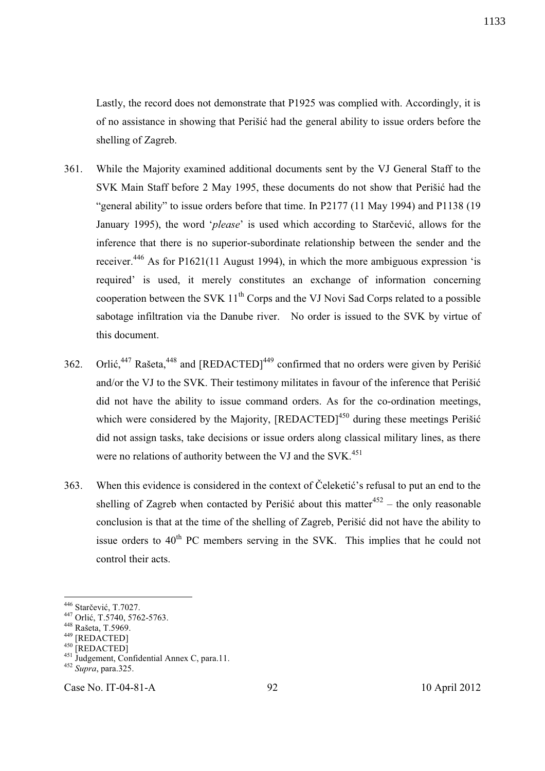Lastly, the record does not demonstrate that P1925 was complied with. Accordingly, it is of no assistance in showing that Perišić had the general ability to issue orders before the shelling of Zagreb.

- 361. While the Majority examined additional documents sent by the VJ General Staff to the SVK Main Staff before 2 May 1995, these documents do not show that Perišić had the "general ability" to issue orders before that time. In P2177 (11 May 1994) and P1138 (19 January 1995), the word '*please*' is used which according to Starčević, allows for the inference that there is no superior-subordinate relationship between the sender and the receiver.<sup>446</sup> As for P1621(11 August 1994), in which the more ambiguous expression 'is required' is used, it merely constitutes an exchange of information concerning cooperation between the SVK  $11<sup>th</sup>$  Corps and the VJ Novi Sad Corps related to a possible sabotage infiltration via the Danube river. No order is issued to the SVK by virtue of this document.
- 362. Orlić,<sup>447</sup> Rašeta,<sup>448</sup> and [REDACTED]<sup>449</sup> confirmed that no orders were given by Perišić and/or the VJ to the SVK. Their testimony militates in favour of the inference that Perišić did not have the ability to issue command orders. As for the co-ordination meetings, which were considered by the Majority, [REDACTED]<sup>450</sup> during these meetings Perišić did not assign tasks, take decisions or issue orders along classical military lines, as there were no relations of authority between the VJ and the SVK.<sup>451</sup>
- 363. When this evidence is considered in the context of Čeleketić's refusal to put an end to the shelling of Zagreb when contacted by Perišić about this matter<sup>452</sup> – the only reasonable conclusion is that at the time of the shelling of Zagreb, Perišić did not have the ability to issue orders to  $40<sup>th</sup>$  PC members serving in the SVK. This implies that he could not control their acts.

-

1133

<sup>446</sup> Starčević, T.7027.

<sup>447</sup> Orlić, T.5740, 5762-5763.

<sup>448</sup> Rašeta, T.5969.

<sup>449</sup> [REDACTED]

<sup>450 [</sup>REDACTED]

<sup>&</sup>lt;sup>451</sup> Judgement, Confidential Annex C, para.11.

<sup>452</sup> *Supra*, para.325.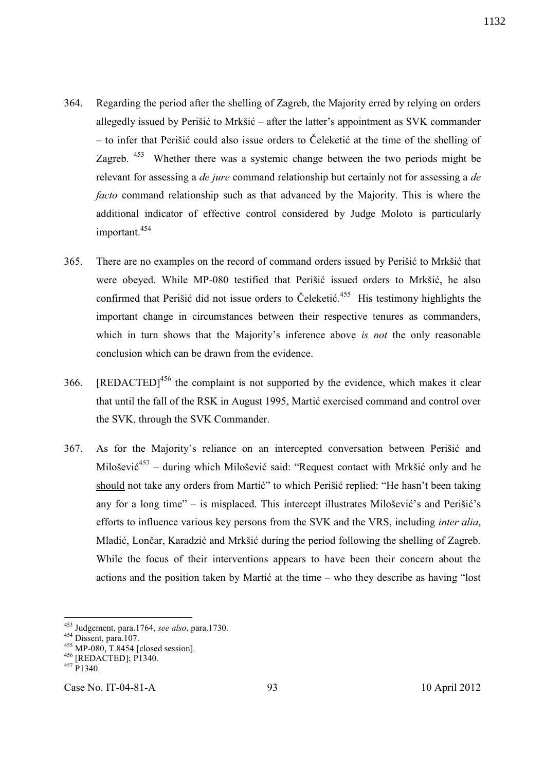- 364. Regarding the period after the shelling of Zagreb, the Majority erred by relying on orders allegedly issued by Perišić to Mrkšić – after the latter's appointment as SVK commander – to infer that Perišić could also issue orders to Čeleketić at the time of the shelling of Zagreb. <sup>453</sup> Whether there was a systemic change between the two periods might be relevant for assessing a *de jure* command relationship but certainly not for assessing a *de facto* command relationship such as that advanced by the Majority. This is where the additional indicator of effective control considered by Judge Moloto is particularly important.<sup>454</sup>
- 365. There are no examples on the record of command orders issued by Perišić to Mrkšić that were obeyed. While MP-080 testified that Perišić issued orders to Mrkšić, he also confirmed that Perišić did not issue orders to Čeleketić. <sup>455</sup> His testimony highlights the important change in circumstances between their respective tenures as commanders, which in turn shows that the Majority's inference above *is not* the only reasonable conclusion which can be drawn from the evidence.
- 366. [REDACTED]<sup>456</sup> the complaint is not supported by the evidence, which makes it clear that until the fall of the RSK in August 1995, Martić exercised command and control over the SVK, through the SVK Commander.
- 367. As for the Majority's reliance on an intercepted conversation between Perišić and Milošević<sup>457</sup> – during which Milošević said: "Request contact with Mrkšić only and he should not take any orders from Martić" to which Perišić replied: "He hasn't been taking any for a long time" – is misplaced. This intercept illustrates Milošević's and Perišić's efforts to influence various key persons from the SVK and the VRS, including *inter alia*, Mladić, Lončar, Karadzić and Mrkšić during the period following the shelling of Zagreb. While the focus of their interventions appears to have been their concern about the actions and the position taken by Martić at the time – who they describe as having "lost

-

Case No. IT-04-81-A 93 10 April 2012

<sup>453</sup> Judgement, para.1764, *see also*, para.1730.

<sup>454</sup> Dissent, para.107.

<sup>455</sup> MP-080, T.8454 [closed session].

<sup>456</sup> [REDACTED]; P1340.

 $457 P1340.$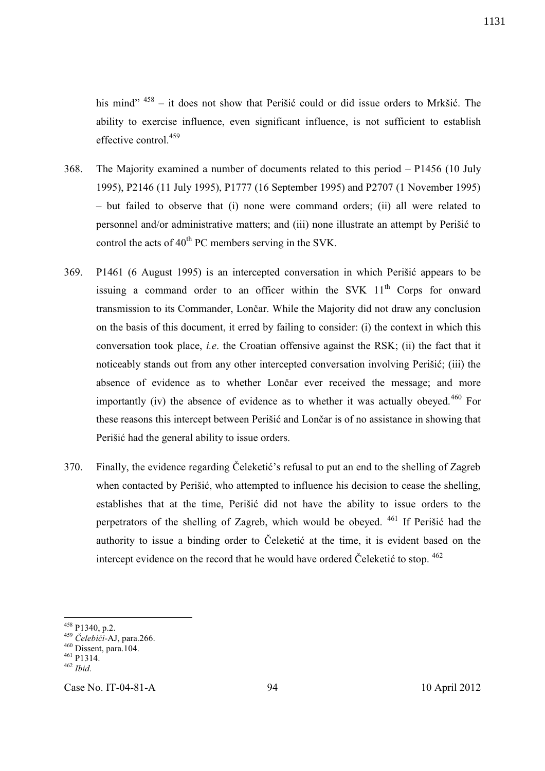his mind" <sup>458</sup> – it does not show that Perišić could or did issue orders to Mrkšić. The ability to exercise influence, even significant influence, is not sufficient to establish effective control.<sup>459</sup>

- 368. The Majority examined a number of documents related to this period P1456 (10 July 1995), P2146 (11 July 1995), P1777 (16 September 1995) and P2707 (1 November 1995) – but failed to observe that (i) none were command orders; (ii) all were related to personnel and/or administrative matters; and (iii) none illustrate an attempt by Perišić to control the acts of  $40^{th}$  PC members serving in the SVK.
- 369. P1461 (6 August 1995) is an intercepted conversation in which Perišić appears to be issuing a command order to an officer within the SVK  $11<sup>th</sup>$  Corps for onward transmission to its Commander, Lončar. While the Majority did not draw any conclusion on the basis of this document, it erred by failing to consider: (i) the context in which this conversation took place, *i.e*. the Croatian offensive against the RSK; (ii) the fact that it noticeably stands out from any other intercepted conversation involving Perišić; (iii) the absence of evidence as to whether Lončar ever received the message; and more importantly (iv) the absence of evidence as to whether it was actually obeyed.<sup>460</sup> For these reasons this intercept between Perišić and Lončar is of no assistance in showing that Perišić had the general ability to issue orders.
- 370. Finally, the evidence regarding Čeleketić's refusal to put an end to the shelling of Zagreb when contacted by Perišić, who attempted to influence his decision to cease the shelling, establishes that at the time, Perišić did not have the ability to issue orders to the perpetrators of the shelling of Zagreb, which would be obeyed. <sup>461</sup> If Perišić had the authority to issue a binding order to Čeleketić at the time, it is evident based on the intercept evidence on the record that he would have ordered Čeleketić to stop.  $462$

 $\overline{a}$ 

Case No. IT-04-81-A 94 10 April 2012

 $458$  P1340, p.2.

<sup>459</sup> *Čelebići-*AJ, para.266.

<sup>460</sup> Dissent, para.104.

<sup>461</sup> P1314.

<sup>462</sup> *Ibid*.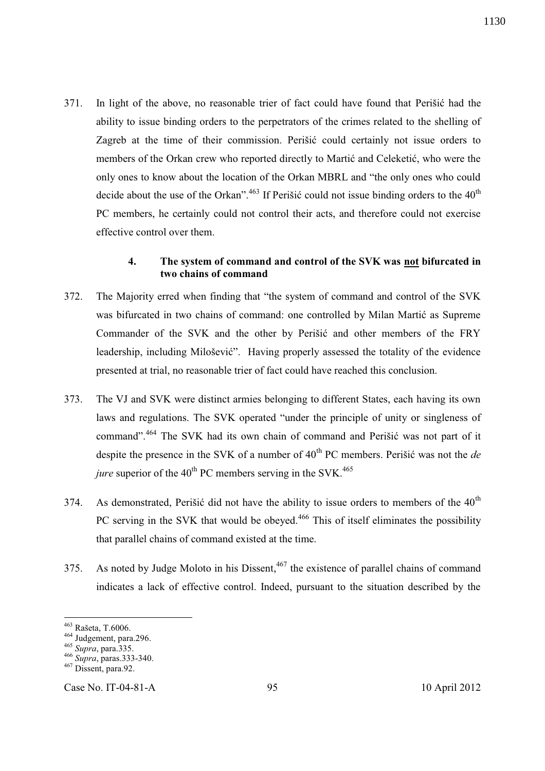371. In light of the above, no reasonable trier of fact could have found that Perišić had the ability to issue binding orders to the perpetrators of the crimes related to the shelling of Zagreb at the time of their commission. Perišić could certainly not issue orders to members of the Orkan crew who reported directly to Martić and Celeketić, who were the only ones to know about the location of the Orkan MBRL and "the only ones who could decide about the use of the Orkan".<sup>463</sup> If Perišić could not issue binding orders to the  $40<sup>th</sup>$ PC members, he certainly could not control their acts, and therefore could not exercise effective control over them.

### **4. The system of command and control of the SVK was not bifurcated in two chains of command**

- 372. The Majority erred when finding that "the system of command and control of the SVK was bifurcated in two chains of command: one controlled by Milan Martić as Supreme Commander of the SVK and the other by Perišić and other members of the FRY leadership, including Milošević". Having properly assessed the totality of the evidence presented at trial, no reasonable trier of fact could have reached this conclusion.
- 373. The VJ and SVK were distinct armies belonging to different States, each having its own laws and regulations. The SVK operated "under the principle of unity or singleness of command".<sup>464</sup> The SVK had its own chain of command and Perišić was not part of it despite the presence in the SVK of a number of 40<sup>th</sup> PC members. Perišić was not the *de jure* superior of the  $40^{th}$  PC members serving in the SVK.<sup>465</sup>
- 374. As demonstrated, Perišić did not have the ability to issue orders to members of the  $40<sup>th</sup>$ PC serving in the SVK that would be obeyed.<sup>466</sup> This of itself eliminates the possibility that parallel chains of command existed at the time.
- 375. As noted by Judge Moloto in his Dissent,  $467$  the existence of parallel chains of command indicates a lack of effective control. Indeed, pursuant to the situation described by the

-

Case No. IT-04-81-A 95 10 April 2012

1130

<sup>&</sup>lt;sup>463</sup> Rašeta, T.6006.

<sup>464</sup> Judgement, para.296.

<sup>465</sup> *Supra*, para.335.

<sup>466</sup> *Supra*, paras.333-340.

 $467$  Dissent, para.92.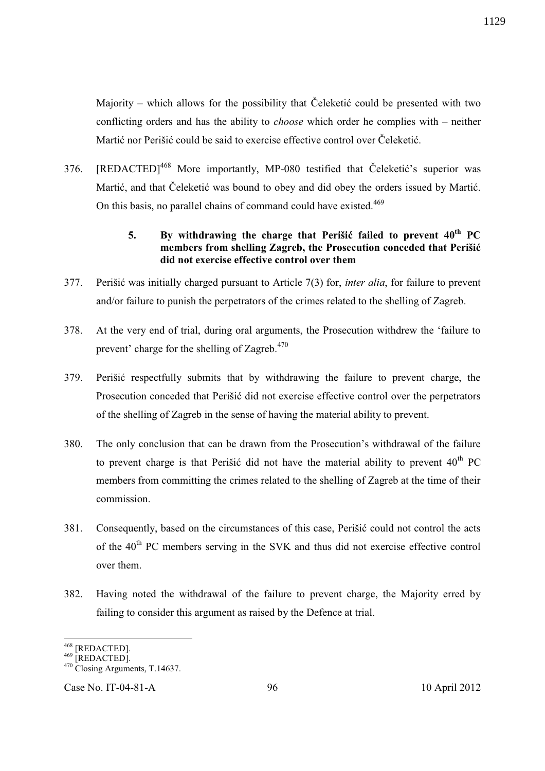Majority – which allows for the possibility that Čeleketić could be presented with two conflicting orders and has the ability to *choose* which order he complies with – neither Martić nor Perišić could be said to exercise effective control over Čeleketić.

376. [REDACTED]<sup>468</sup> More importantly, MP-080 testified that Čeleketić's superior was Martić, and that Čeleketić was bound to obey and did obey the orders issued by Martić. On this basis, no parallel chains of command could have existed.<sup>469</sup>

# **5. By withdrawing the charge that Perišić failed to prevent 40th PC members from shelling Zagreb, the Prosecution conceded that Perišić did not exercise effective control over them**

- 377. Perišić was initially charged pursuant to Article 7(3) for, *inter alia*, for failure to prevent and/or failure to punish the perpetrators of the crimes related to the shelling of Zagreb.
- 378. At the very end of trial, during oral arguments, the Prosecution withdrew the 'failure to prevent' charge for the shelling of Zagreb. $470$
- 379. Perišić respectfully submits that by withdrawing the failure to prevent charge, the Prosecution conceded that Perišić did not exercise effective control over the perpetrators of the shelling of Zagreb in the sense of having the material ability to prevent.
- 380. The only conclusion that can be drawn from the Prosecution's withdrawal of the failure to prevent charge is that Perišić did not have the material ability to prevent  $40^{th}$  PC members from committing the crimes related to the shelling of Zagreb at the time of their commission.
- 381. Consequently, based on the circumstances of this case, Perišić could not control the acts of the 40<sup>th</sup> PC members serving in the SVK and thus did not exercise effective control over them.
- 382. Having noted the withdrawal of the failure to prevent charge, the Majority erred by failing to consider this argument as raised by the Defence at trial.

 $\overline{a}$ 

<sup>&</sup>lt;sup>468</sup> [REDACTED].

 $^{469}$  [REDACTED].

<sup>470</sup> Closing Arguments, T.14637.

Case No. IT-04-81-A 96 10 April 2012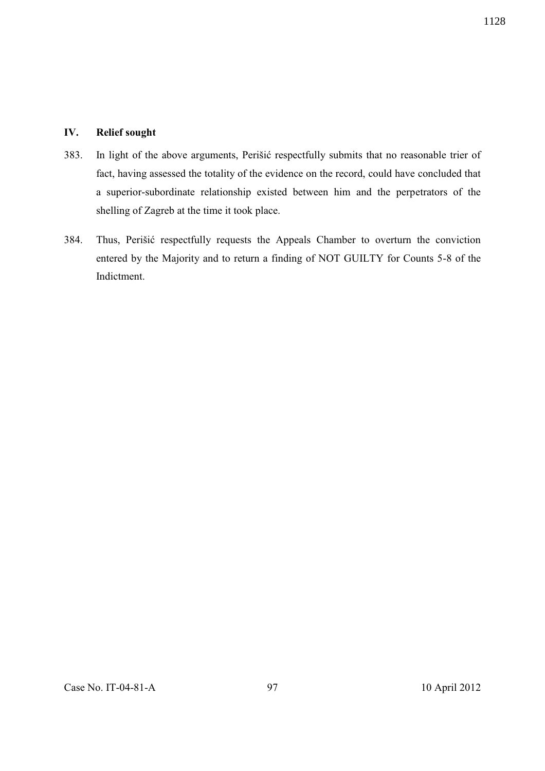### **IV. Relief sought**

- 383. In light of the above arguments, Perišić respectfully submits that no reasonable trier of fact, having assessed the totality of the evidence on the record, could have concluded that a superior-subordinate relationship existed between him and the perpetrators of the shelling of Zagreb at the time it took place.
- 384. Thus, Perišić respectfully requests the Appeals Chamber to overturn the conviction entered by the Majority and to return a finding of NOT GUILTY for Counts 5-8 of the Indictment.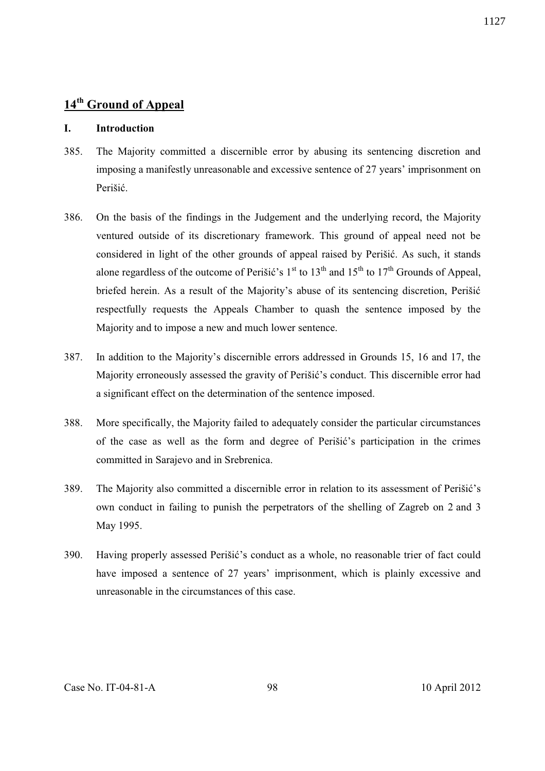# **14th Ground of Appeal**

## **I. Introduction**

- 385. The Majority committed a discernible error by abusing its sentencing discretion and imposing a manifestly unreasonable and excessive sentence of 27 years' imprisonment on Perišić.
- 386. On the basis of the findings in the Judgement and the underlying record, the Majority ventured outside of its discretionary framework. This ground of appeal need not be considered in light of the other grounds of appeal raised by Perišić. As such, it stands alone regardless of the outcome of Perišić's  $1<sup>st</sup>$  to  $13<sup>th</sup>$  and  $15<sup>th</sup>$  to  $17<sup>th</sup>$  Grounds of Appeal, briefed herein. As a result of the Majority's abuse of its sentencing discretion, Perišić respectfully requests the Appeals Chamber to quash the sentence imposed by the Majority and to impose a new and much lower sentence.
- 387. In addition to the Majority's discernible errors addressed in Grounds 15, 16 and 17, the Majority erroneously assessed the gravity of Perišić's conduct. This discernible error had a significant effect on the determination of the sentence imposed.
- 388. More specifically, the Majority failed to adequately consider the particular circumstances of the case as well as the form and degree of Perišić's participation in the crimes committed in Sarajevo and in Srebrenica.
- 389. The Majority also committed a discernible error in relation to its assessment of Perišić's own conduct in failing to punish the perpetrators of the shelling of Zagreb on 2 and 3 May 1995.
- 390. Having properly assessed Perišić's conduct as a whole, no reasonable trier of fact could have imposed a sentence of 27 years' imprisonment, which is plainly excessive and unreasonable in the circumstances of this case.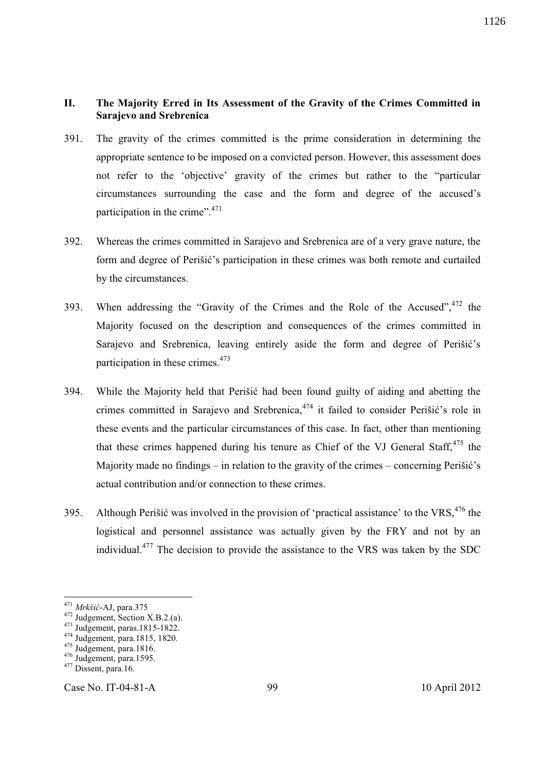## **II. The Majority Erred in Its Assessment of the Gravity of the Crimes Committed in Sarajevo and Srebrenica**

- 391. The gravity of the crimes committed is the prime consideration in determining the appropriate sentence to be imposed on a convicted person. However, this assessment does not refer to the 'objective' gravity of the crimes but rather to the "particular circumstances surrounding the case and the form and degree of the accused's participation in the crime".<sup>471</sup>
- 392. Whereas the crimes committed in Sarajevo and Srebrenica are of a very grave nature, the form and degree of Perišić's participation in these crimes was both remote and curtailed by the circumstances.
- 393. When addressing the "Gravity of the Crimes and the Role of the Accused",  $472$  the Majority focused on the description and consequences of the crimes committed in Sarajevo and Srebrenica, leaving entirely aside the form and degree of Perišić's participation in these crimes.<sup>473</sup>
- 394. While the Majority held that Perišić had been found guilty of aiding and abetting the crimes committed in Sarajevo and Srebrenica, <sup>474</sup> it failed to consider Perišić's role in these events and the particular circumstances of this case. In fact, other than mentioning that these crimes happened during his tenure as Chief of the VJ General Staff,  $475$  the Majority made no findings – in relation to the gravity of the crimes – concerning Perišić's actual contribution and/or connection to these crimes.
- 395. Although Perišić was involved in the provision of 'practical assistance' to the VRS,  $476$  the logistical and personnel assistance was actually given by the FRY and not by an individual.<sup>477</sup> The decision to provide the assistance to the VRS was taken by the SDC

-

Case No. IT-04-81-A 99 10 April 2012

1126

<sup>471</sup> *Mrkšić*-AJ, para.375

 $472$  Judgement, Section X.B.2.(a).

<sup>473</sup> Judgement, paras.1815-1822.

<sup>&</sup>lt;sup>474</sup> Judgement, para.1815, 1820.

 $475$  Judgement, para.1816.

 $476$  Judgement, para.1595.

 $477$  Dissent, para.16.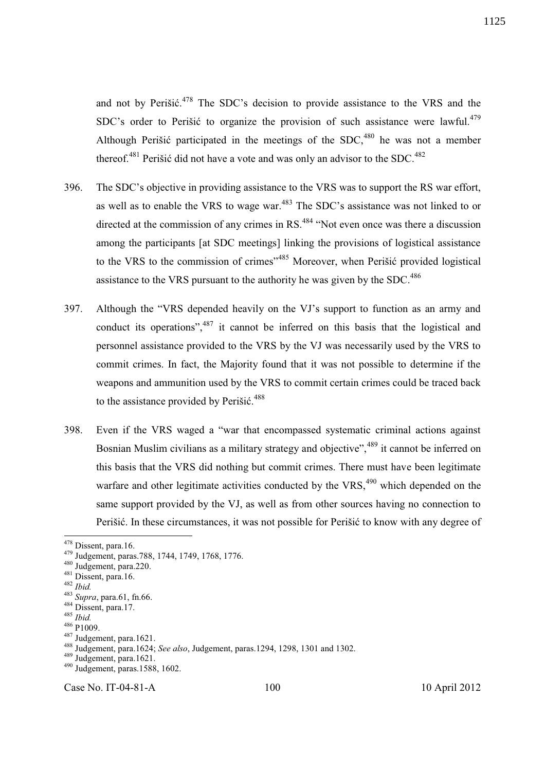and not by Perišić.<sup>478</sup> The SDC's decision to provide assistance to the VRS and the SDC's order to Perišić to organize the provision of such assistance were lawful.<sup>479</sup> Although Perišić participated in the meetings of the  $SDC<sub>180</sub>$  he was not a member thereof.<sup>481</sup> Perišić did not have a vote and was only an advisor to the SDC.<sup>482</sup>

- 396. The SDC's objective in providing assistance to the VRS was to support the RS war effort, as well as to enable the VRS to wage war.<sup>483</sup> The SDC's assistance was not linked to or directed at the commission of any crimes in RS.<sup>484</sup> "Not even once was there a discussion among the participants [at SDC meetings] linking the provisions of logistical assistance to the VRS to the commission of crimes<sup>",485</sup> Moreover, when Perišić provided logistical assistance to the VRS pursuant to the authority he was given by the SDC.<sup>486</sup>
- 397. Although the "VRS depended heavily on the VJ's support to function as an army and conduct its operations",<sup>487</sup> it cannot be inferred on this basis that the logistical and personnel assistance provided to the VRS by the VJ was necessarily used by the VRS to commit crimes. In fact, the Majority found that it was not possible to determine if the weapons and ammunition used by the VRS to commit certain crimes could be traced back to the assistance provided by Perišić.<sup>488</sup>
- 398. Even if the VRS waged a "war that encompassed systematic criminal actions against Bosnian Muslim civilians as a military strategy and objective", <sup>489</sup> it cannot be inferred on this basis that the VRS did nothing but commit crimes. There must have been legitimate warfare and other legitimate activities conducted by the  $VRS<sub>1</sub><sup>490</sup>$  which depended on the same support provided by the VJ, as well as from other sources having no connection to Perišić. In these circumstances, it was not possible for Perišić to know with any degree of

-

Case No. IT-04-81-A 100 10 April 2012

1125

<sup>&</sup>lt;sup>478</sup> Dissent, para.16.

<sup>479</sup> Judgement, paras.788, 1744, 1749, 1768, 1776.

<sup>480</sup> Judgement, para.220.

 $481$  Dissent, para.16.

<sup>482</sup> *Ibid.*

<sup>483</sup> *Supra*, para.61, fn.66.

<sup>&</sup>lt;sup>484</sup> Dissent, para.17.

<sup>485</sup> *Ibid.*

<sup>&</sup>lt;sup>486</sup> P<sub>1009</sub>.

<sup>487</sup> Judgement, para.1621.

<sup>488</sup> Judgement, para.1624; *See also*, Judgement, paras.1294, 1298, 1301 and 1302.

<sup>489</sup> Judgement, para.1621.

<sup>490</sup> Judgement, paras.1588, 1602.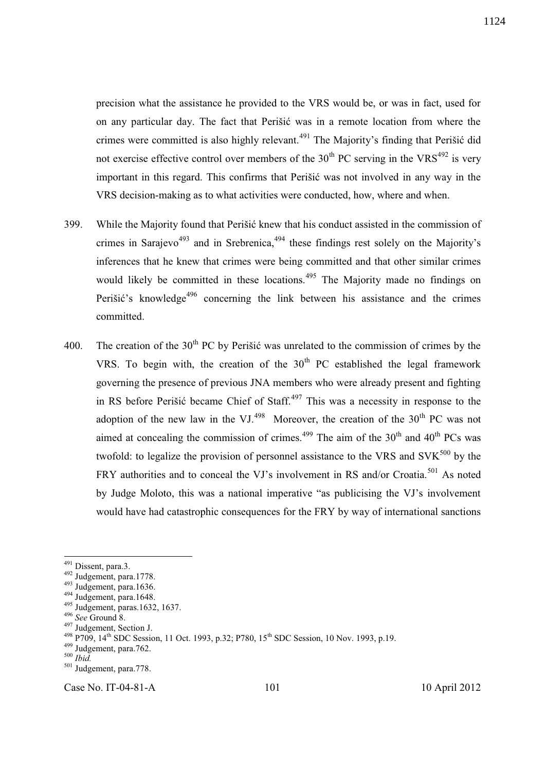precision what the assistance he provided to the VRS would be, or was in fact, used for on any particular day. The fact that Perišić was in a remote location from where the crimes were committed is also highly relevant.<sup>491</sup> The Majority's finding that Perišić did not exercise effective control over members of the  $30<sup>th</sup> PC$  serving in the VRS<sup>492</sup> is very important in this regard. This confirms that Perišić was not involved in any way in the VRS decision-making as to what activities were conducted, how, where and when.

- 399. While the Majority found that Perišić knew that his conduct assisted in the commission of crimes in Sarajevo<sup>493</sup> and in Srebrenica,  $494$  these findings rest solely on the Majority's inferences that he knew that crimes were being committed and that other similar crimes would likely be committed in these locations.<sup>495</sup> The Majority made no findings on Perišić's knowledge<sup>496</sup> concerning the link between his assistance and the crimes committed.
- 400. The creation of the  $30<sup>th</sup> PC$  by Perišić was unrelated to the commission of crimes by the VRS. To begin with, the creation of the  $30<sup>th</sup>$  PC established the legal framework governing the presence of previous JNA members who were already present and fighting in RS before Perišić became Chief of Staff.<sup>497</sup> This was a necessity in response to the adoption of the new law in the VJ.<sup>498</sup> Moreover, the creation of the  $30<sup>th</sup>$  PC was not aimed at concealing the commission of crimes.<sup>499</sup> The aim of the  $30<sup>th</sup>$  and  $40<sup>th</sup>$  PCs was twofold: to legalize the provision of personnel assistance to the VRS and  $SVK<sup>500</sup>$  by the FRY authorities and to conceal the VJ's involvement in RS and/or Croatia.<sup>501</sup> As noted by Judge Moloto, this was a national imperative "as publicising the VJ's involvement would have had catastrophic consequences for the FRY by way of international sanctions

l

Case No. IT-04-81-A 101 10 April 2012

<sup>&</sup>lt;sup>491</sup> Dissent, para.3.

 $492$  Judgement, para.1778.

 $493$  Judgement, para.1636.

 $494$  Judgement, para.1648.

<sup>495</sup> Judgement, paras.1632, 1637.

<sup>496</sup> *See* Ground 8.

<sup>497</sup> Judgement, Section J.

 $^{498}$  P709, 14<sup>th</sup> SDC Session, 11 Oct. 1993, p.32; P780, 15<sup>th</sup> SDC Session, 10 Nov. 1993, p.19.

<sup>499</sup> Judgement, para.762.

<sup>500</sup> *Ibid.*

<sup>&</sup>lt;sup>501</sup> Judgement, para.778.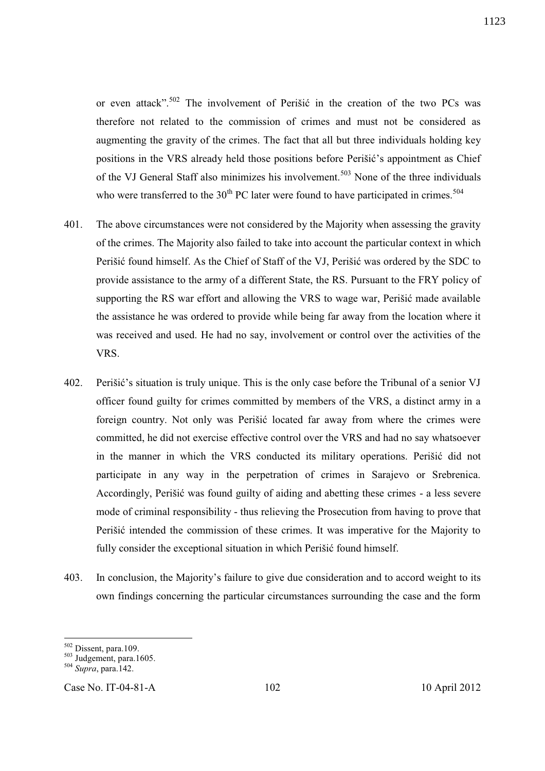or even attack".<sup>502</sup> The involvement of Perišić in the creation of the two PCs was therefore not related to the commission of crimes and must not be considered as augmenting the gravity of the crimes. The fact that all but three individuals holding key positions in the VRS already held those positions before Perišić's appointment as Chief of the VJ General Staff also minimizes his involvement.<sup>503</sup> None of the three individuals who were transferred to the  $30<sup>th</sup> PC$  later were found to have participated in crimes.<sup>504</sup>

- 401. The above circumstances were not considered by the Majority when assessing the gravity of the crimes. The Majority also failed to take into account the particular context in which Perišić found himself. As the Chief of Staff of the VJ, Perišić was ordered by the SDC to provide assistance to the army of a different State, the RS. Pursuant to the FRY policy of supporting the RS war effort and allowing the VRS to wage war, Perišić made available the assistance he was ordered to provide while being far away from the location where it was received and used. He had no say, involvement or control over the activities of the VRS.
- 402. Perišić's situation is truly unique. This is the only case before the Tribunal of a senior VJ officer found guilty for crimes committed by members of the VRS, a distinct army in a foreign country. Not only was Perišić located far away from where the crimes were committed, he did not exercise effective control over the VRS and had no say whatsoever in the manner in which the VRS conducted its military operations. Perišić did not participate in any way in the perpetration of crimes in Sarajevo or Srebrenica. Accordingly, Perišić was found guilty of aiding and abetting these crimes - a less severe mode of criminal responsibility - thus relieving the Prosecution from having to prove that Perišić intended the commission of these crimes. It was imperative for the Majority to fully consider the exceptional situation in which Perišić found himself.
- 403. In conclusion, the Majority's failure to give due consideration and to accord weight to its own findings concerning the particular circumstances surrounding the case and the form

l

<sup>502</sup> Dissent, para.109.

 $503$  Judgement, para.1605.

<sup>504</sup> *Supra*, para.142.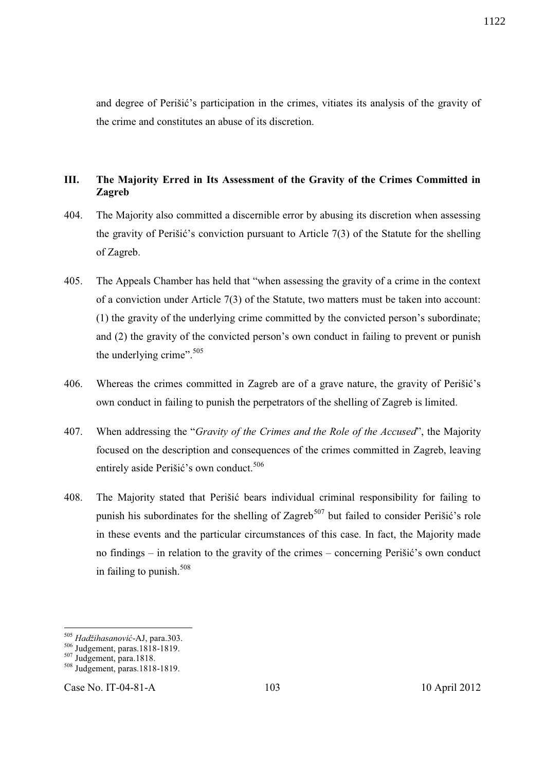and degree of Perišić's participation in the crimes, vitiates its analysis of the gravity of the crime and constitutes an abuse of its discretion.

## **III. The Majority Erred in Its Assessment of the Gravity of the Crimes Committed in Zagreb**

- 404. The Majority also committed a discernible error by abusing its discretion when assessing the gravity of Perišić's conviction pursuant to Article 7(3) of the Statute for the shelling of Zagreb.
- 405. The Appeals Chamber has held that "when assessing the gravity of a crime in the context of a conviction under Article 7(3) of the Statute, two matters must be taken into account: (1) the gravity of the underlying crime committed by the convicted person's subordinate; and (2) the gravity of the convicted person's own conduct in failing to prevent or punish the underlying crime". $505$
- 406. Whereas the crimes committed in Zagreb are of a grave nature, the gravity of Perišić's own conduct in failing to punish the perpetrators of the shelling of Zagreb is limited.
- 407. When addressing the "*Gravity of the Crimes and the Role of the Accused*", the Majority focused on the description and consequences of the crimes committed in Zagreb, leaving entirely aside Perišić's own conduct.<sup>506</sup>
- 408. The Majority stated that Perišić bears individual criminal responsibility for failing to punish his subordinates for the shelling of Zagreb<sup>507</sup> but failed to consider Perišić's role in these events and the particular circumstances of this case. In fact, the Majority made no findings – in relation to the gravity of the crimes – concerning Perišić's own conduct in failing to punish. $508$

l

Case No. IT-04-81-A 103 10 April 2012

<sup>505</sup> *Hadžihasanović*-AJ, para.303.

<sup>506</sup> Judgement, paras.1818-1819.

<sup>507</sup> Judgement, para.1818.

<sup>508</sup> Judgement, paras.1818-1819.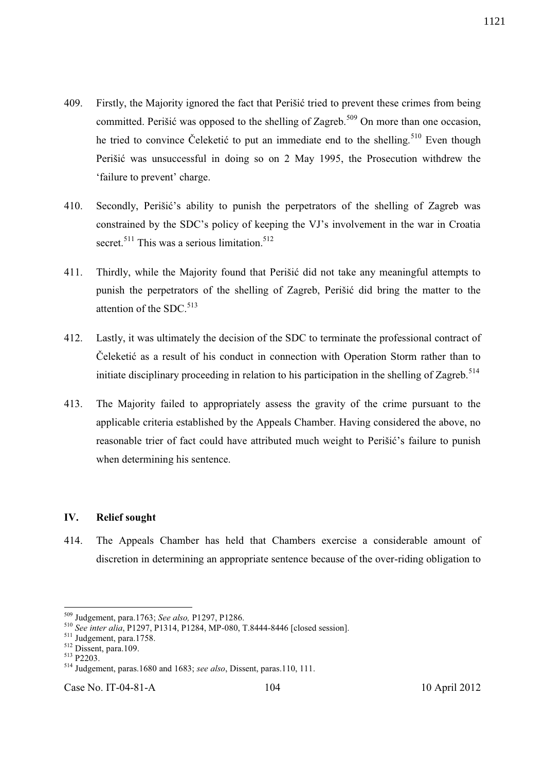- 409. Firstly, the Majority ignored the fact that Perišić tried to prevent these crimes from being committed. Perišić was opposed to the shelling of Zagreb.<sup>509</sup> On more than one occasion, he tried to convince Čeleketić to put an immediate end to the shelling.<sup>510</sup> Even though Perišić was unsuccessful in doing so on 2 May 1995, the Prosecution withdrew the 'failure to prevent' charge.
- 410. Secondly, Perišić's ability to punish the perpetrators of the shelling of Zagreb was constrained by the SDC's policy of keeping the VJ's involvement in the war in Croatia secret.<sup>511</sup> This was a serious limitation.<sup>512</sup>
- 411. Thirdly, while the Majority found that Perišić did not take any meaningful attempts to punish the perpetrators of the shelling of Zagreb, Perišić did bring the matter to the attention of the SDC.<sup>513</sup>
- 412. Lastly, it was ultimately the decision of the SDC to terminate the professional contract of Čeleketić as a result of his conduct in connection with Operation Storm rather than to initiate disciplinary proceeding in relation to his participation in the shelling of Zagreb.<sup>514</sup>
- 413. The Majority failed to appropriately assess the gravity of the crime pursuant to the applicable criteria established by the Appeals Chamber. Having considered the above, no reasonable trier of fact could have attributed much weight to Perišić's failure to punish when determining his sentence.

## **IV. Relief sought**

414. The Appeals Chamber has held that Chambers exercise a considerable amount of discretion in determining an appropriate sentence because of the over-riding obligation to

 $\overline{a}$ 

<sup>509</sup> Judgement, para.1763; *See also,* P1297, P1286.

<sup>510</sup> *See inter alia*, P1297, P1314, P1284, MP-080, T.8444-8446 [closed session].

<sup>511</sup> Judgement, para.1758.

<sup>512</sup> Dissent, para.109.

 $513$  P2203.

<sup>514</sup> Judgement, paras.1680 and 1683; *see also*, Dissent, paras.110, 111.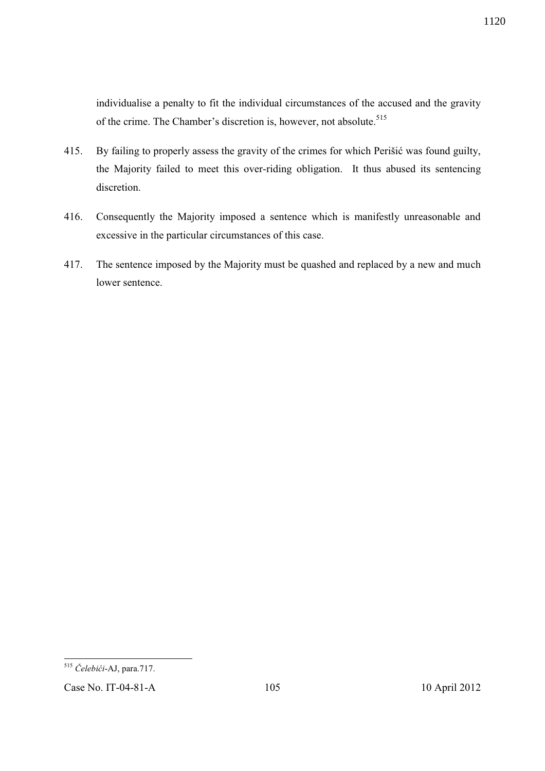individualise a penalty to fit the individual circumstances of the accused and the gravity of the crime. The Chamber's discretion is, however, not absolute.<sup>515</sup>

- 415. By failing to properly assess the gravity of the crimes for which Perišić was found guilty, the Majority failed to meet this over-riding obligation. It thus abused its sentencing discretion.
- 416. Consequently the Majority imposed a sentence which is manifestly unreasonable and excessive in the particular circumstances of this case.
- 417. The sentence imposed by the Majority must be quashed and replaced by a new and much lower sentence.

<sup>-</sup><sup>515</sup> *Čelebići*-AJ, para.717.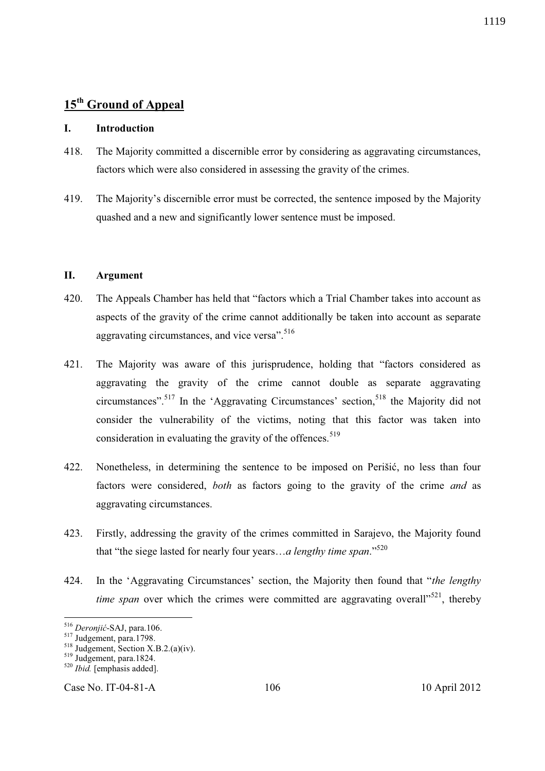# **15th Ground of Appeal**

## **I. Introduction**

- 418. The Majority committed a discernible error by considering as aggravating circumstances, factors which were also considered in assessing the gravity of the crimes.
- 419. The Majority's discernible error must be corrected, the sentence imposed by the Majority quashed and a new and significantly lower sentence must be imposed.

### **II. Argument**

- 420. The Appeals Chamber has held that "factors which a Trial Chamber takes into account as aspects of the gravity of the crime cannot additionally be taken into account as separate aggravating circumstances, and vice versa".<sup>516</sup>
- 421. The Majority was aware of this jurisprudence, holding that "factors considered as aggravating the gravity of the crime cannot double as separate aggravating circumstances".<sup>517</sup> In the 'Aggravating Circumstances' section.<sup>518</sup> the Majority did not consider the vulnerability of the victims, noting that this factor was taken into consideration in evaluating the gravity of the offences.<sup>519</sup>
- 422. Nonetheless, in determining the sentence to be imposed on Perišić, no less than four factors were considered, *both* as factors going to the gravity of the crime *and* as aggravating circumstances.
- 423. Firstly, addressing the gravity of the crimes committed in Sarajevo, the Majority found that "the siege lasted for nearly four years…*a lengthy time span*."<sup>520</sup>
- 424. In the 'Aggravating Circumstances' section, the Majority then found that "*the lengthy time span* over which the crimes were committed are aggravating overall<sup> $521$ </sup>, thereby

-

Case No. IT-04-81-A 106 10 April 2012

<sup>516</sup> *Deronjić*-SAJ, para.106.

<sup>&</sup>lt;sup>517</sup> Judgement, para.1798.

 $518$  Judgement, Section X.B.2.(a)(iv).

<sup>519</sup> Judgement, para.1824.

<sup>520</sup> *Ibid.* [emphasis added].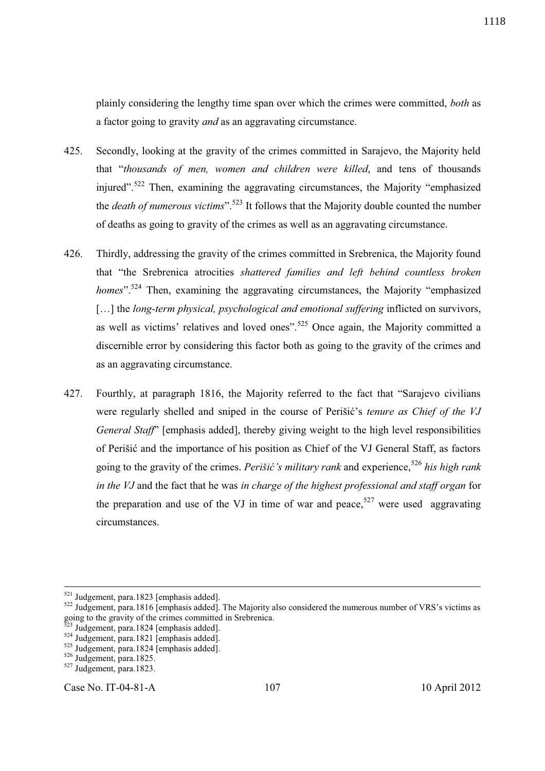1118

plainly considering the lengthy time span over which the crimes were committed, *both* as a factor going to gravity *and* as an aggravating circumstance.

- 425. Secondly, looking at the gravity of the crimes committed in Sarajevo, the Majority held that "*thousands of men, women and children were killed*, and tens of thousands injured".<sup>522</sup> Then, examining the aggravating circumstances, the Majority "emphasized" the *death of numerous victims*".<sup>523</sup> It follows that the Majority double counted the number of deaths as going to gravity of the crimes as well as an aggravating circumstance.
- 426. Thirdly, addressing the gravity of the crimes committed in Srebrenica, the Majority found that "the Srebrenica atrocities *shattered families and left behind countless broken homes*".<sup>524</sup> Then, examining the aggravating circumstances, the Majority "emphasized" [...] the *long-term physical, psychological and emotional suffering* inflicted on survivors, as well as victims' relatives and loved ones".<sup>525</sup> Once again, the Majority committed a discernible error by considering this factor both as going to the gravity of the crimes and as an aggravating circumstance.
- 427. Fourthly, at paragraph 1816, the Majority referred to the fact that "Sarajevo civilians were regularly shelled and sniped in the course of Perišić's *tenure as Chief of the VJ General Staff*" [emphasis added], thereby giving weight to the high level responsibilities of Perišić and the importance of his position as Chief of the VJ General Staff, as factors going to the gravity of the crimes. *Perišić's military rank* and experience,<sup>526</sup> *his high rank in the VJ* and the fact that he was *in charge of the highest professional and staff organ* for the preparation and use of the VJ in time of war and peace,<sup>527</sup> were used aggravating circumstances.

-

Case No. IT-04-81-A 107 10 April 2012

<sup>&</sup>lt;sup>521</sup> Judgement, para.1823 [emphasis added].

<sup>&</sup>lt;sup>522</sup> Judgement, para.1816 [emphasis added]. The Majority also considered the numerous number of VRS's victims as going to the gravity of the crimes committed in Srebrenica.

Judgement, para.1824 [emphasis added].

 $524$  Judgement, para.1821 [emphasis added].

<sup>525</sup> Judgement, para.1824 [emphasis added].

<sup>526</sup> Judgement, para.1825.

<sup>527</sup> Judgement, para.1823.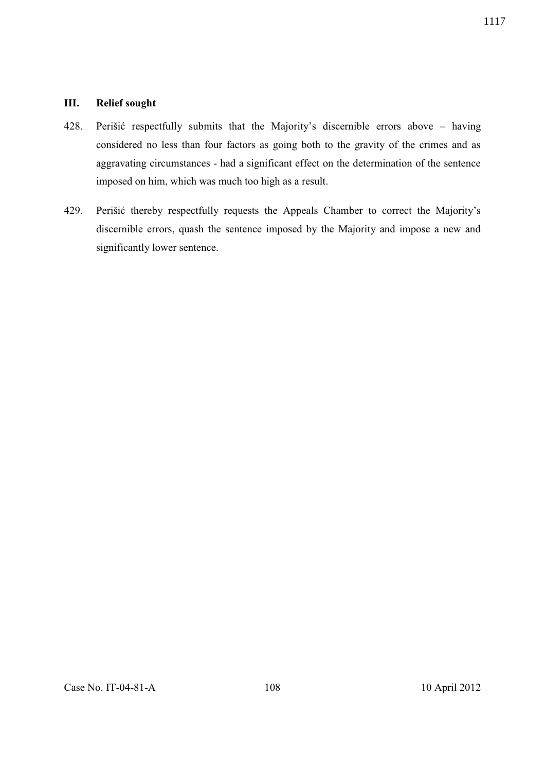## **III. Relief sought**

- 428. Perišić respectfully submits that the Majority's discernible errors above having considered no less than four factors as going both to the gravity of the crimes and as aggravating circumstances - had a significant effect on the determination of the sentence imposed on him, which was much too high as a result.
- 429. Perišić thereby respectfully requests the Appeals Chamber to correct the Majority's discernible errors, quash the sentence imposed by the Majority and impose a new and significantly lower sentence.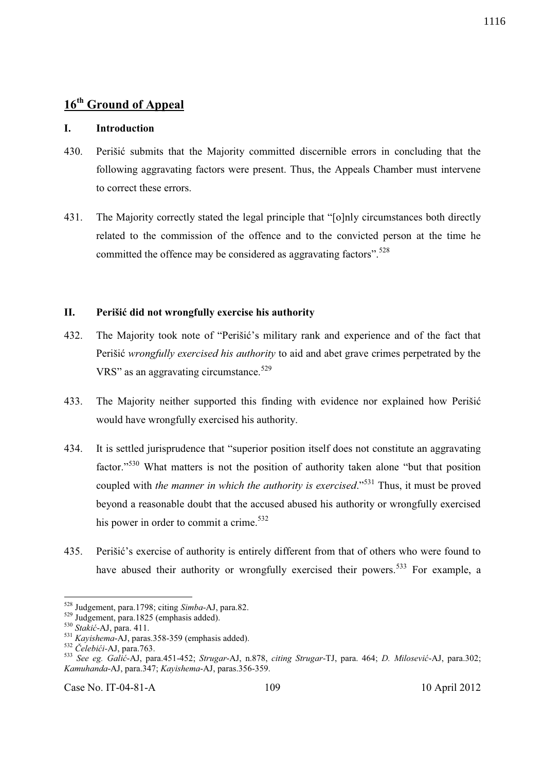## **I. Introduction**

- 430. Perišić submits that the Majority committed discernible errors in concluding that the following aggravating factors were present. Thus, the Appeals Chamber must intervene to correct these errors.
- 431. The Majority correctly stated the legal principle that "[o]nly circumstances both directly related to the commission of the offence and to the convicted person at the time he committed the offence may be considered as aggravating factors".<sup>528</sup>

#### **II. Perišić did not wrongfully exercise his authority**

- 432. The Majority took note of "Perišić's military rank and experience and of the fact that Perišić *wrongfully exercised his authority* to aid and abet grave crimes perpetrated by the VRS" as an aggravating circumstance.<sup>529</sup>
- 433. The Majority neither supported this finding with evidence nor explained how Perišić would have wrongfully exercised his authority.
- 434. It is settled jurisprudence that "superior position itself does not constitute an aggravating factor."<sup>530</sup> What matters is not the position of authority taken alone "but that position coupled with *the manner in which the authority is exercised*."<sup>531</sup> Thus, it must be proved beyond a reasonable doubt that the accused abused his authority or wrongfully exercised his power in order to commit a crime.<sup>532</sup>
- 435. Perišić's exercise of authority is entirely different from that of others who were found to have abused their authority or wrongfully exercised their powers.<sup>533</sup> For example, a

-

<sup>528</sup> Judgement, para.1798; citing *Simba*-AJ, para.82.

 $529$  Judgement, para.1825 (emphasis added).

<sup>530</sup> *Stakić*-AJ, para. 411.

<sup>531</sup> *Kayishema*-AJ, paras.358-359 (emphasis added).

<sup>532</sup> *Čelebići-*AJ, para.763.

<sup>533</sup> *See eg. Galić*-AJ, para.451-452; *Strugar*-AJ, n.878, *citing Strugar*-TJ, para. 464; *D. Milosević*-AJ, para.302; *Kamuhanda*-AJ, para.347; *Kayishema*-AJ, paras.356-359.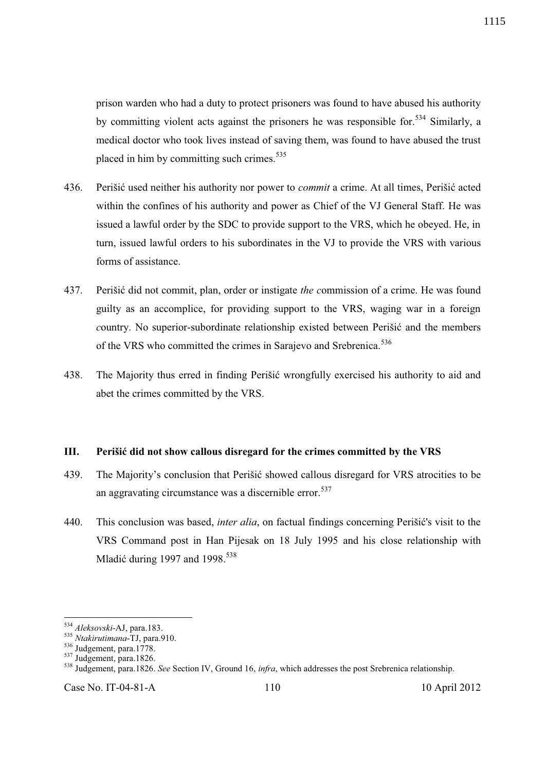prison warden who had a duty to protect prisoners was found to have abused his authority by committing violent acts against the prisoners he was responsible for.<sup>534</sup> Similarly, a medical doctor who took lives instead of saving them, was found to have abused the trust placed in him by committing such crimes. $535$ 

- 436. Perišić used neither his authority nor power to *commit* a crime. At all times, Perišić acted within the confines of his authority and power as Chief of the VJ General Staff. He was issued a lawful order by the SDC to provide support to the VRS, which he obeyed. He, in turn, issued lawful orders to his subordinates in the VJ to provide the VRS with various forms of assistance.
- 437. Perišić did not commit, plan, order or instigate *the c*ommission of a crime. He was found guilty as an accomplice, for providing support to the VRS, waging war in a foreign *c*ountry. No superior-subordinate relationship existed between Perišić and the members of the VRS who committed the crimes in Sarajevo and Srebrenica.<sup>536</sup>
- 438. The Majority thus erred in finding Perišić wrongfully exercised his authority to aid and abet the crimes committed by the VRS.

#### **III. Perišić did not show callous disregard for the crimes committed by the VRS**

- 439. The Majority's conclusion that Perišić showed callous disregard for VRS atrocities to be an aggravating circumstance was a discernible error.<sup>537</sup>
- 440. This conclusion was based, *inter alia*, on factual findings concerning Perišić's visit to the VRS Command post in Han Pijesak on 18 July 1995 and his close relationship with Mladić during 1997 and 1998.<sup>538</sup>

l

Case No. IT-04-81-A 110 10 April 2012

<sup>534</sup> *Aleksovski*-AJ, para.183.

<sup>535</sup> *Ntakirutimana*-TJ, para.910.

<sup>536</sup> Judgement, para.1778.

 $\frac{537}{327}$  Judgement, para.1826.

<sup>538</sup> Judgement, para.1826. *See* Section IV, Ground 16, *infra*, which addresses the post Srebrenica relationship.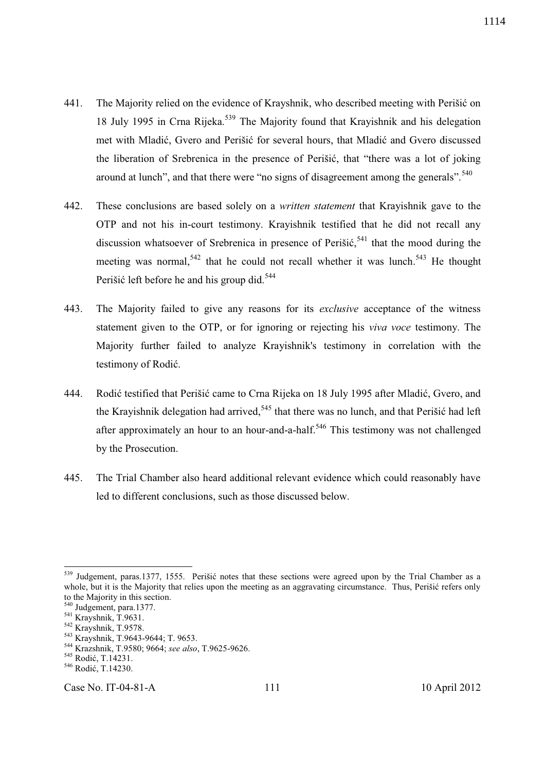- 441. The Majority relied on the evidence of Krayshnik, who described meeting with Perišić on 18 July 1995 in Crna Rijeka.<sup>539</sup> The Majority found that Krayishnik and his delegation met with Mladić, Gvero and Perišić for several hours, that Mladić and Gvero discussed the liberation of Srebrenica in the presence of Perišić, that "there was a lot of joking around at lunch", and that there were "no signs of disagreement among the generals".<sup>540</sup>
- 442. These conclusions are based solely on a *written statement* that Krayishnik gave to the OTP and not his in-court testimony. Krayishnik testified that he did not recall any discussion whatsoever of Srebrenica in presence of Perišić,<sup>541</sup> that the mood during the meeting was normal,<sup>542</sup> that he could not recall whether it was lunch.<sup>543</sup> He thought Perišić left before he and his group did.<sup>544</sup>
- 443. The Majority failed to give any reasons for its *exclusive* acceptance of the witness statement given to the OTP, or for ignoring or rejecting his *viva voce* testimony. The Majority further failed to analyze Krayishnik's testimony in correlation with the testimony of Rodić.
- 444. Rodić testified that Perišić came to Crna Rijeka on 18 July 1995 after Mladić, Gvero, and the Krayishnik delegation had arrived,<sup>545</sup> that there was no lunch, and that Perišić had left after approximately an hour to an hour-and-a-half.<sup>546</sup> This testimony was not challenged by the Prosecution.
- 445. The Trial Chamber also heard additional relevant evidence which could reasonably have led to different conclusions, such as those discussed below.

Case No. IT-04-81-A 111 111 10 April 2012

l <sup>539</sup> Judgement, paras.1377, 1555. Perišić notes that these sections were agreed upon by the Trial Chamber as a whole, but it is the Majority that relies upon the meeting as an aggravating circumstance. Thus, Perišić refers only to the Majority in this section.

<sup>&</sup>lt;sup>540</sup> Judgement, para.1377.

 $541$  Krayshnik, T.9631.

<sup>542</sup> Krayshnik, T.9578.

<sup>543</sup> Krayshnik, T.9643-9644; T. 9653.

<sup>544</sup> Krazshnik, T.9580; 9664; *see also*, T.9625-9626.

<sup>545</sup> Rodić, T.14231.

<sup>546</sup> Rodić, T.14230.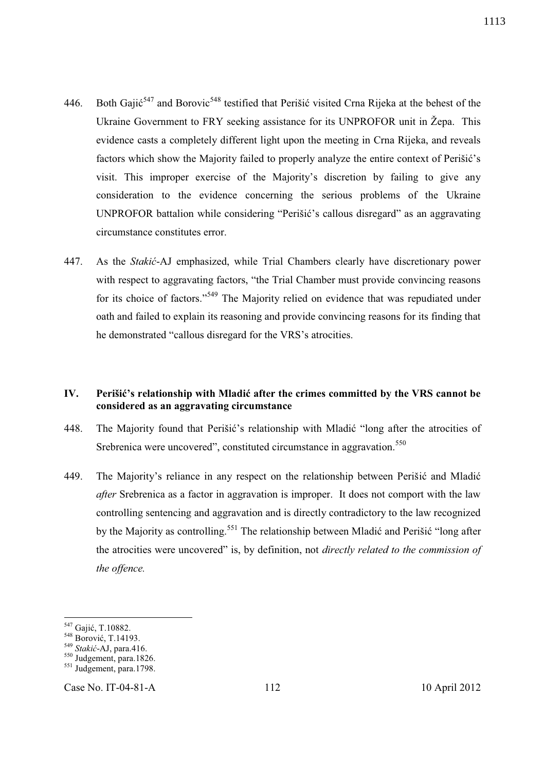- 446. Both Gajić<sup>547</sup> and Borovic<sup>548</sup> testified that Perišić visited Crna Rijeka at the behest of the Ukraine Government to FRY seeking assistance for its UNPROFOR unit in Žepa. This evidence casts a completely different light upon the meeting in Crna Rijeka, and reveals factors which show the Majority failed to properly analyze the entire context of Perišić's visit. This improper exercise of the Majority's discretion by failing to give any consideration to the evidence concerning the serious problems of the Ukraine UNPROFOR battalion while considering "Perišić's callous disregard" as an aggravating circumstance constitutes error.
- 447. As the *Stakić*-AJ emphasized, while Trial Chambers clearly have discretionary power with respect to aggravating factors, "the Trial Chamber must provide convincing reasons for its choice of factors."<sup>549</sup> The Majority relied on evidence that was repudiated under oath and failed to explain its reasoning and provide convincing reasons for its finding that he demonstrated "callous disregard for the VRS's atrocities.

## **IV. Perišić's relationship with Mladić after the crimes committed by the VRS cannot be considered as an aggravating circumstance**

- 448. The Majority found that Perišić's relationship with Mladić "long after the atrocities of Srebrenica were uncovered", constituted circumstance in aggravation.<sup>550</sup>
- 449. The Majority's reliance in any respect on the relationship between Perišić and Mladić *after* Srebrenica as a factor in aggravation is improper. It does not comport with the law controlling sentencing and aggravation and is directly contradictory to the law recognized by the Majority as controlling.<sup>551</sup> The relationship between Mladić and Perišić "long after the atrocities were uncovered" is, by definition, not *directly related to the commission of the offence.*

l

Case No. IT-04-81-A 112 10 April 2012

<sup>&</sup>lt;sup>547</sup> Gajić, T.10882.

<sup>548</sup> Borović, T.14193.

<sup>549</sup> *Stakić*-AJ, para.416.

<sup>550</sup> Judgement, para.1826.

<sup>&</sup>lt;sup>551</sup> Judgement, para.1798.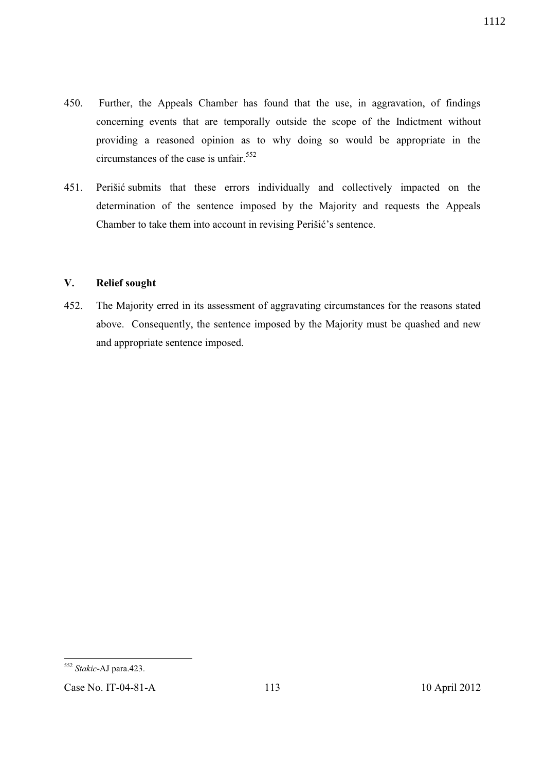- 450. Further, the Appeals Chamber has found that the use, in aggravation, of findings concerning events that are temporally outside the scope of the Indictment without providing a reasoned opinion as to why doing so would be appropriate in the circumstances of the case is unfair.<sup>552</sup>
- 451. Perišić submits that these errors individually and collectively impacted on the determination of the sentence imposed by the Majority and requests the Appeals Chamber to take them into account in revising Perišić's sentence.

## **V. Relief sought**

452. The Majority erred in its assessment of aggravating circumstances for the reasons stated above. Consequently, the sentence imposed by the Majority must be quashed and new and appropriate sentence imposed.

1112

 $\overline{a}$ <sup>552</sup> *Stakic*-AJ para.423.

Case No. IT-04-81-A 113 10 April 2012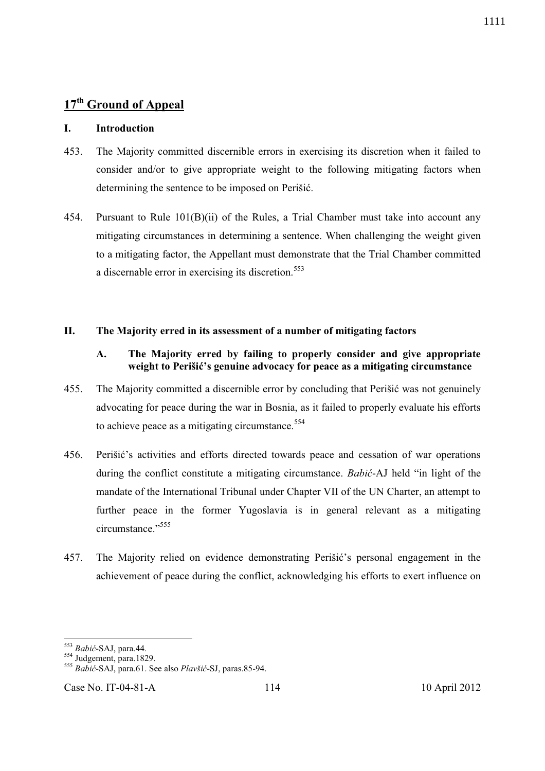## **I. Introduction**

- 453. The Majority committed discernible errors in exercising its discretion when it failed to consider and/or to give appropriate weight to the following mitigating factors when determining the sentence to be imposed on Perišić.
- 454. Pursuant to Rule 101(B)(ii) of the Rules, a Trial Chamber must take into account any mitigating circumstances in determining a sentence. When challenging the weight given to a mitigating factor, the Appellant must demonstrate that the Trial Chamber committed a discernable error in exercising its discretion.<sup>553</sup>

## **II. The Majority erred in its assessment of a number of mitigating factors**

## **A. The Majority erred by failing to properly consider and give appropriate weight to Perišić's genuine advocacy for peace as a mitigating circumstance**

- 455. The Majority committed a discernible error by concluding that Perišić was not genuinely advocating for peace during the war in Bosnia, as it failed to properly evaluate his efforts to achieve peace as a mitigating circumstance.<sup>554</sup>
- 456. Perišić's activities and efforts directed towards peace and cessation of war operations during the conflict constitute a mitigating circumstance. *Babić*-AJ held "in light of the mandate of the International Tribunal under Chapter VII of the UN Charter, an attempt to further peace in the former Yugoslavia is in general relevant as a mitigating circumstance."
- 457. The Majority relied on evidence demonstrating Perišić's personal engagement in the achievement of peace during the conflict, acknowledging his efforts to exert influence on

-

<sup>553</sup> *Babić*-SAJ, para.44.

 $554$  Judgement, para.1829.

<sup>555</sup> *Babić*-SAJ, para.61. See also *Plavšić*-SJ, paras.85-94.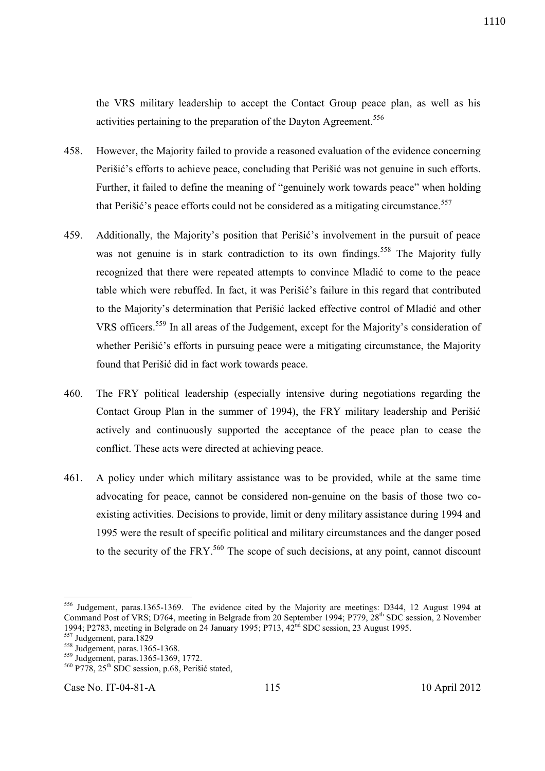the VRS military leadership to accept the Contact Group peace plan, as well as his activities pertaining to the preparation of the Dayton Agreement.<sup>556</sup>

- 458. However, the Majority failed to provide a reasoned evaluation of the evidence concerning Perišić's efforts to achieve peace, concluding that Perišić was not genuine in such efforts. Further, it failed to define the meaning of "genuinely work towards peace" when holding that Perišić's peace efforts could not be considered as a mitigating circumstance.<sup>557</sup>
- 459. Additionally, the Majority's position that Perišić's involvement in the pursuit of peace was not genuine is in stark contradiction to its own findings.<sup>558</sup> The Majority fully recognized that there were repeated attempts to convince Mladić to come to the peace table which were rebuffed. In fact, it was Perišić's failure in this regard that contributed to the Majority's determination that Perišić lacked effective control of Mladić and other VRS officers.<sup>559</sup> In all areas of the Judgement, except for the Majority's consideration of whether Perišić's efforts in pursuing peace were a mitigating circumstance, the Majority found that Perišić did in fact work towards peace.
- 460. The FRY political leadership (especially intensive during negotiations regarding the Contact Group Plan in the summer of 1994), the FRY military leadership and Perišić actively and continuously supported the acceptance of the peace plan to cease the conflict. These acts were directed at achieving peace.
- 461. A policy under which military assistance was to be provided, while at the same time advocating for peace, cannot be considered non-genuine on the basis of those two coexisting activities. Decisions to provide, limit or deny military assistance during 1994 and 1995 were the result of specific political and military circumstances and the danger posed to the security of the FRY.<sup>560</sup> The scope of such decisions, at any point, cannot discount

-

<sup>&</sup>lt;sup>556</sup> Judgement, paras.1365-1369. The evidence cited by the Majority are meetings: D344, 12 August 1994 at Command Post of VRS; D764, meeting in Belgrade from 20 September 1994; P779, 28<sup>th</sup> SDC session, 2 November 1994; P2783, meeting in Belgrade on 24 January 1995; P713,  $42^{nd}$  SDC session, 23 August 1995.

<sup>&</sup>lt;sup>557</sup> Judgement, para.1829

<sup>&</sup>lt;sup>558</sup> Judgement, paras.1365-1368.

<sup>559</sup> Judgement, paras.1365-1369, 1772.

<sup>560</sup> P778, 25th SDC session, p.68, Perišić stated,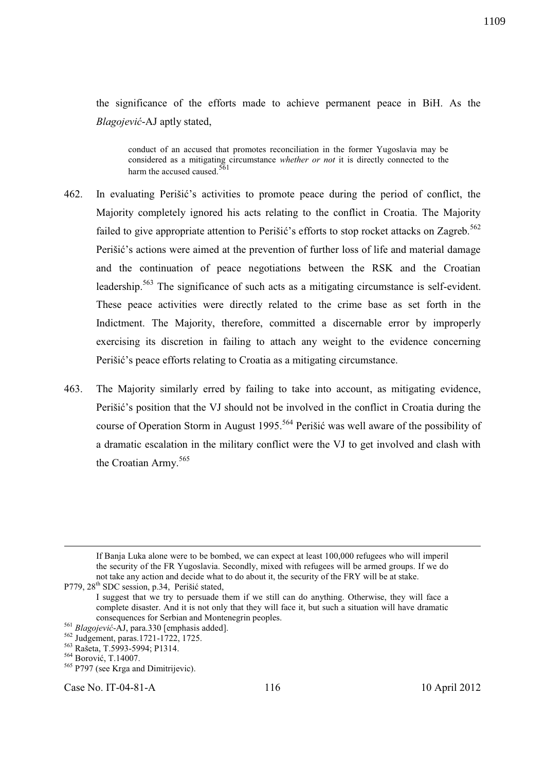the significance of the efforts made to achieve permanent peace in BiH. As the *Blagojević*-AJ aptly stated,

conduct of an accused that promotes reconciliation in the former Yugoslavia may be considered as a mitigating circumstance *whether or not* it is directly connected to the harm the accused caused. $\frac{5}{5}$ 

- 462. In evaluating Perišić's activities to promote peace during the period of conflict, the Majority completely ignored his acts relating to the conflict in Croatia. The Majority failed to give appropriate attention to Perišić's efforts to stop rocket attacks on Zagreb.<sup>562</sup> Perišić's actions were aimed at the prevention of further loss of life and material damage and the continuation of peace negotiations between the RSK and the Croatian leadership.<sup>563</sup> The significance of such acts as a mitigating circumstance is self-evident. These peace activities were directly related to the crime base as set forth in the Indictment. The Majority, therefore, committed a discernable error by improperly exercising its discretion in failing to attach any weight to the evidence concerning Perišić's peace efforts relating to Croatia as a mitigating circumstance.
- 463. The Majority similarly erred by failing to take into account, as mitigating evidence, Perišić's position that the VJ should not be involved in the conflict in Croatia during the course of Operation Storm in August 1995.<sup>564</sup> Perišić was well aware of the possibility of a dramatic escalation in the military conflict were the VJ to get involved and clash with the Croatian Army.<sup>565</sup>

If Banja Luka alone were to be bombed, we can expect at least 100,000 refugees who will imperil the security of the FR Yugoslavia. Secondly, mixed with refugees will be armed groups. If we do not take any action and decide what to do about it, the security of the FRY will be at stake.

-

Case No. IT-04-81-A 116 10 April 2012

P779, 28<sup>th</sup> SDC session, p.34, Perišić stated,

I suggest that we try to persuade them if we still can do anything. Otherwise, they will face a complete disaster. And it is not only that they will face it, but such a situation will have dramatic consequences for Serbian and Montenegrin peoples.

<sup>561</sup> *Blagojević*-AJ, para.330 [emphasis added].

<sup>562</sup> Judgement, paras.1721-1722, 1725.

<sup>563</sup> Rašeta, T.5993-5994; P1314.

<sup>564</sup> Borović, T.14007.

<sup>&</sup>lt;sup>565</sup> P797 (see Krga and Dimitrijevic).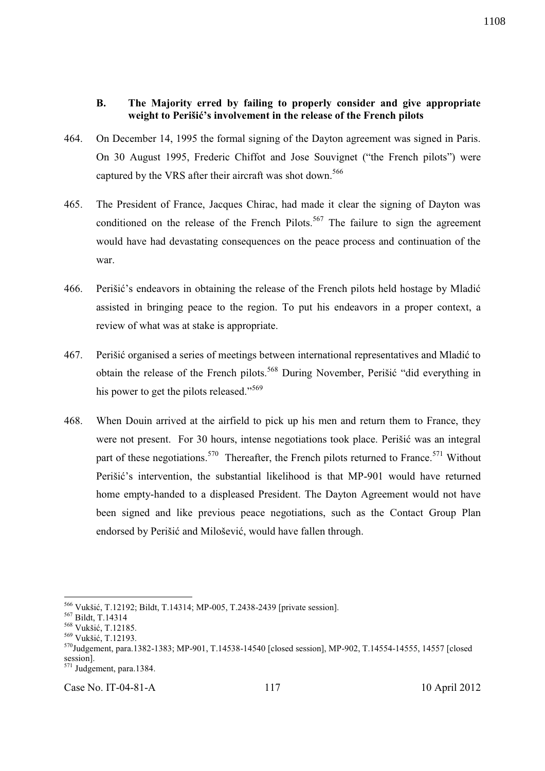#### **B. The Majority erred by failing to properly consider and give appropriate weight to Perišić's involvement in the release of the French pilots**

- 464. On December 14, 1995 the formal signing of the Dayton agreement was signed in Paris. On 30 August 1995, Frederic Chiffot and Jose Souvignet ("the French pilots") were captured by the VRS after their aircraft was shot down.<sup>566</sup>
- 465. The President of France, Jacques Chirac, had made it clear the signing of Dayton was conditioned on the release of the French Pilots.<sup>567</sup> The failure to sign the agreement would have had devastating consequences on the peace process and continuation of the war.
- 466. Perišić's endeavors in obtaining the release of the French pilots held hostage by Mladić assisted in bringing peace to the region. To put his endeavors in a proper context, a review of what was at stake is appropriate.
- 467. Perišić organised a series of meetings between international representatives and Mladić to obtain the release of the French pilots.<sup>568</sup> During November, Perišić "did everything in his power to get the pilots released."<sup>569</sup>
- 468. When Douin arrived at the airfield to pick up his men and return them to France, they were not present. For 30 hours, intense negotiations took place. Perišić was an integral part of these negotiations.<sup>570</sup> Thereafter, the French pilots returned to France.<sup>571</sup> Without Perišić's intervention, the substantial likelihood is that MP-901 would have returned home empty-handed to a displeased President. The Dayton Agreement would not have been signed and like previous peace negotiations, such as the Contact Group Plan endorsed by Perišić and Milošević, would have fallen through.

-

<sup>566</sup> Vukšić, T.12192; Bildt, T.14314; MP-005, T.2438-2439 [private session].

<sup>567</sup> Bildt, T.14314

<sup>568</sup> Vukšić, T.12185.

<sup>569</sup> Vukšić, T.12193.

<sup>570</sup>Judgement, para.1382-1383; MP-901, T.14538-14540 [closed session], MP-902, T.14554-14555, 14557 [closed session].

 $\frac{571 \text{Judeement}}{571 \text{Judeement, para}.1384.}$ 

Case No. IT-04-81-A 117 10 April 2012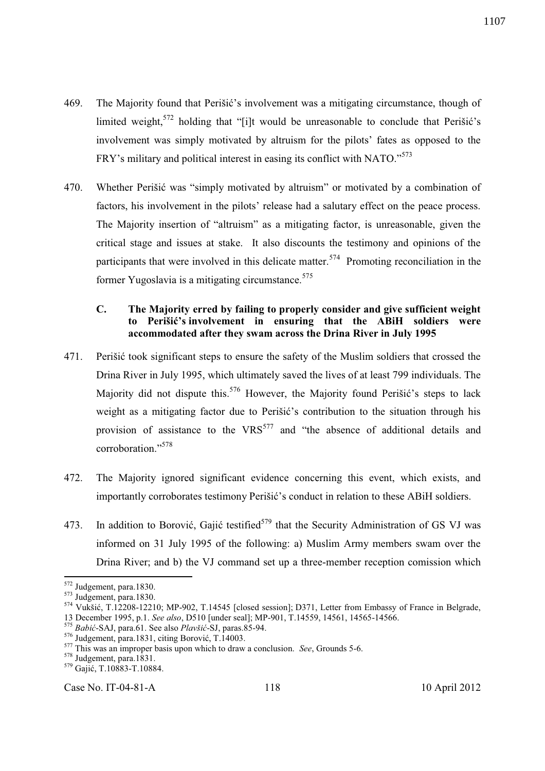- 469. The Majority found that Perišić's involvement was a mitigating circumstance, though of limited weight,  $572$  holding that "[i]t would be unreasonable to conclude that Perišić's involvement was simply motivated by altruism for the pilots' fates as opposed to the FRY's military and political interest in easing its conflict with NATO."<sup>573</sup>
- 470. Whether Perišić was "simply motivated by altruism" or motivated by a combination of factors, his involvement in the pilots' release had a salutary effect on the peace process. The Majority insertion of "altruism" as a mitigating factor, is unreasonable, given the critical stage and issues at stake. It also discounts the testimony and opinions of the participants that were involved in this delicate matter.<sup>574</sup> Promoting reconciliation in the former Yugoslavia is a mitigating circumstance.  $575$

## **C. The Majority erred by failing to properly consider and give sufficient weight to Perišić's involvement in ensuring that the ABiH soldiers were accommodated after they swam across the Drina River in July 1995**

- 471. Perišić took significant steps to ensure the safety of the Muslim soldiers that crossed the Drina River in July 1995, which ultimately saved the lives of at least 799 individuals. The Majority did not dispute this.<sup>576</sup> However, the Majority found Perišić's steps to lack weight as a mitigating factor due to Perišić's contribution to the situation through his provision of assistance to the  $VRS<sup>577</sup>$  and "the absence of additional details and corroboration."<sup>578</sup>
- 472. The Majority ignored significant evidence concerning this event, which exists, and importantly corroborates testimony Perišić's conduct in relation to these ABiH soldiers.
- 473. In addition to Borović, Gajić testified<sup>579</sup> that the Security Administration of GS VJ was informed on 31 July 1995 of the following: a) Muslim Army members swam over the Drina River; and b) the VJ command set up a three-member reception comission which

l

Case No. IT-04-81-A 118 10 April 2012

<sup>572</sup> Judgement, para.1830.

 $573$  Judgement, para.1830.

<sup>574</sup> Vukšić, T.12208-12210; MP-902, T.14545 [closed session]; D371, Letter from Embassy of France in Belgrade, 13 December 1995, p.1. *See also*, D510 [under seal]; MP-901, T.14559, 14561, 14565-14566.

<sup>575</sup> *Babić*-SAJ, para.61. See also *Plavšić*-SJ, paras.85-94.

<sup>576</sup> Judgement, para.1831, citing Borović, T.14003.

<sup>577</sup> This was an improper basis upon which to draw a conclusion. *See*, Grounds 5-6.

<sup>578</sup> Judgement, para.1831.

<sup>579</sup> Gajić, T.10883-T.10884.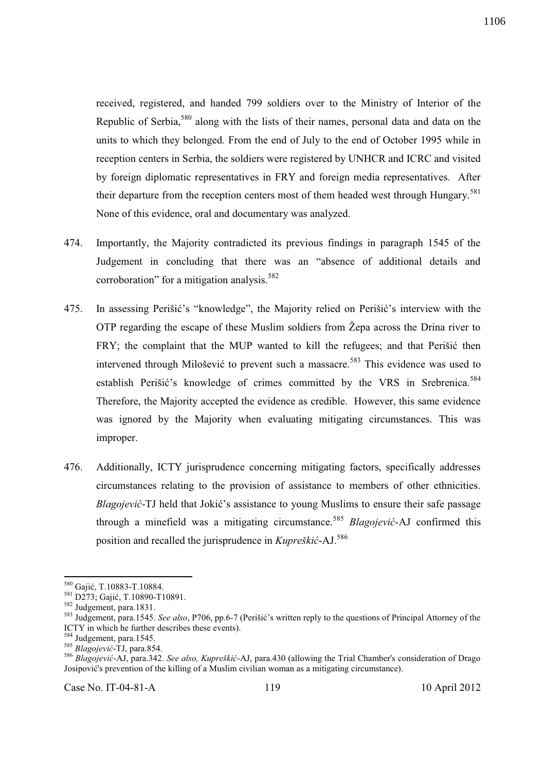received, registered, and handed 799 soldiers over to the Ministry of Interior of the Republic of Serbia,<sup>580</sup> along with the lists of their names, personal data and data on the units to which they belonged. From the end of July to the end of October 1995 while in reception centers in Serbia, the soldiers were registered by UNHCR and ICRC and visited by foreign diplomatic representatives in FRY and foreign media representatives. After their departure from the reception centers most of them headed west through Hungary.<sup>581</sup> None of this evidence, oral and documentary was analyzed.

- 474. Importantly, the Majority contradicted its previous findings in paragraph 1545 of the Judgement in concluding that there was an "absence of additional details and corroboration" for a mitigation analysis.<sup>582</sup>
- 475. In assessing Perišić's "knowledge", the Majority relied on Perišić's interview with the OTP regarding the escape of these Muslim soldiers from Žepa across the Drina river to FRY: the complaint that the MUP wanted to kill the refugees; and that Perišić then intervened through Milošević to prevent such a massacre.<sup>583</sup> This evidence was used to establish Perišić's knowledge of crimes committed by the VRS in Srebrenica.<sup>584</sup> Therefore, the Majority accepted the evidence as credible. However, this same evidence was ignored by the Majority when evaluating mitigating circumstances. This was improper.
- 476. Additionally, ICTY jurisprudence concerning mitigating factors, specifically addresses circumstances relating to the provision of assistance to members of other ethnicities. *Blagojević*-TJ held that Jokić's assistance to young Muslims to ensure their safe passage through a minefield was a mitigating circumstance.<sup>585</sup> *Blagojević*-AJ confirmed this position and recalled the jurisprudence in *Kupreškić*-AJ.<sup>586</sup>

l <sup>580</sup> Gajić, T.10883-T.10884.

<sup>581</sup> D273; Gajić, T.10890-T10891.

<sup>582</sup> Judgement, para.1831.

<sup>583</sup> Judgement, para.1545. *See also*, P706, pp.6-7 (Perišić's written reply to the questions of Principal Attorney of the ICTY in which he further describes these events).

<sup>584</sup> Judgement, para.1545.

<sup>585</sup> *Blagojević*-TJ, para.854.

<sup>586</sup> *Blagojević*-AJ, para.342. *See also, Kupreškić*-AJ, para.430 (allowing the Trial Chamber's consideration of Drago Josipović's prevention of the killing of a Muslim civilian woman as a mitigating circumstance).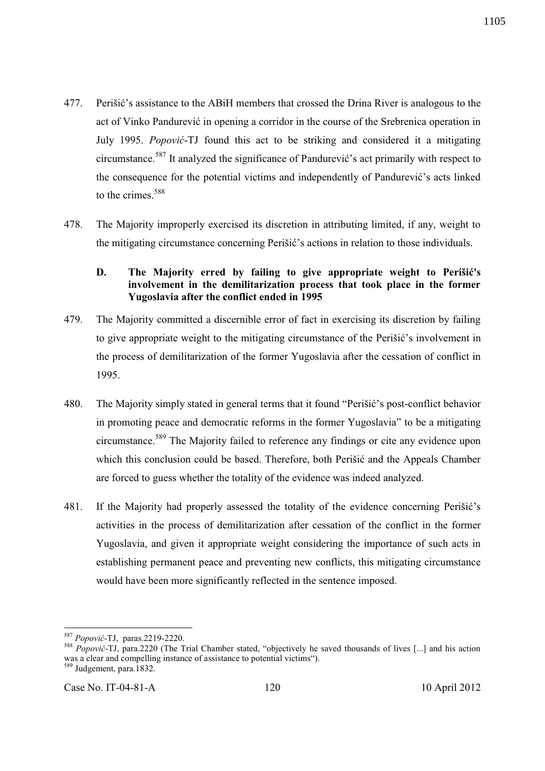- 477. Perišić's assistance to the ABiH members that crossed the Drina River is analogous to the act of Vinko Pandurević in opening a corridor in the course of the Srebrenica operation in July 1995. *Popović*-TJ found this act to be striking and considered it a mitigating circumstance.<sup>587</sup> It analyzed the significance of Pandurević's act primarily with respect to the consequence for the potential victims and independently of Pandurević's acts linked to the crimes.<sup>588</sup>
- 478. The Majority improperly exercised its discretion in attributing limited, if any, weight to the mitigating circumstance concerning Perišić's actions in relation to those individuals.

## **D. The Majority erred by failing to give appropriate weight to Perišić's involvement in the demilitarization process that took place in the former Yugoslavia after the conflict ended in 1995**

- 479. The Majority committed a discernible error of fact in exercising its discretion by failing to give appropriate weight to the mitigating circumstance of the Perišić's involvement in the process of demilitarization of the former Yugoslavia after the cessation of conflict in 1995.
- 480. The Majority simply stated in general terms that it found "Perišić's post-conflict behavior in promoting peace and democratic reforms in the former Yugoslavia" to be a mitigating circumstance.<sup>589</sup> The Majority failed to reference any findings or cite any evidence upon which this conclusion could be based. Therefore, both Perišić and the Appeals Chamber are forced to guess whether the totality of the evidence was indeed analyzed.
- 481. If the Majority had properly assessed the totality of the evidence concerning Perišić's activities in the process of demilitarization after cessation of the conflict in the former Yugoslavia, and given it appropriate weight considering the importance of such acts in establishing permanent peace and preventing new conflicts, this mitigating circumstance would have been more significantly reflected in the sentence imposed.

l <sup>587</sup> *Popović*-TJ, paras.2219-2220.

<sup>588</sup> *Popović*-TJ, para.2220 (The Trial Chamber stated, "objectively he saved thousands of lives [...] and his action was a clear and compelling instance of assistance to potential victims").

 $\frac{589}{389}$  Judgement, para.1832.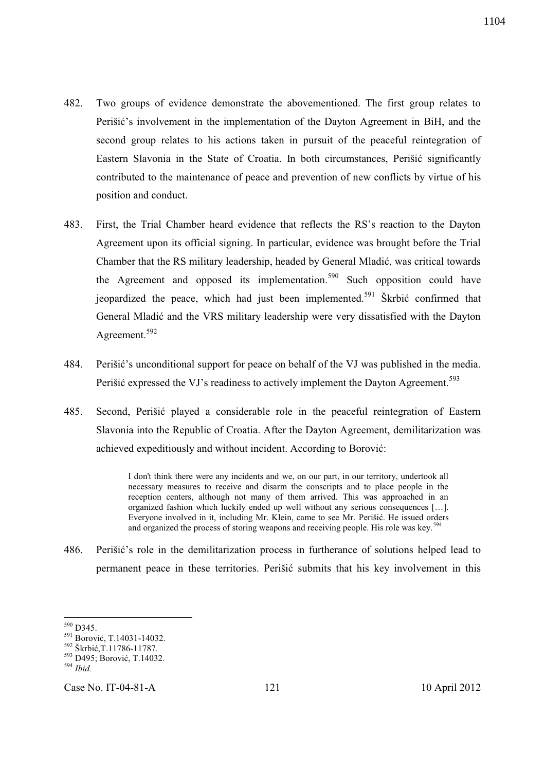- 482. Two groups of evidence demonstrate the abovementioned. The first group relates to Perišić's involvement in the implementation of the Dayton Agreement in BiH, and the second group relates to his actions taken in pursuit of the peaceful reintegration of Eastern Slavonia in the State of Croatia. In both circumstances, Perišić significantly contributed to the maintenance of peace and prevention of new conflicts by virtue of his position and conduct.
- 483. First, the Trial Chamber heard evidence that reflects the RS's reaction to the Dayton Agreement upon its official signing. In particular, evidence was brought before the Trial Chamber that the RS military leadership, headed by General Mladić, was critical towards the Agreement and opposed its implementation.<sup>590</sup> Such opposition could have jeopardized the peace, which had just been implemented.<sup>591</sup> Škrbić confirmed that General Mladić and the VRS military leadership were very dissatisfied with the Dayton Agreement.<sup>592</sup>
- 484. Perišić's unconditional support for peace on behalf of the VJ was published in the media. Perišić expressed the VJ's readiness to actively implement the Dayton Agreement.<sup>593</sup>
- 485. Second, Perišić played a considerable role in the peaceful reintegration of Eastern Slavonia into the Republic of Croatia. After the Dayton Agreement, demilitarization was achieved expeditiously and without incident. According to Borović:

I don't think there were any incidents and we, on our part, in our territory, undertook all necessary measures to receive and disarm the conscripts and to place people in the reception centers, although not many of them arrived. This was approached in an organized fashion which luckily ended up well without any serious consequences […]. Everyone involved in it, including Mr. Klein, came to see Mr. Perišić. He issued orders and organized the process of storing weapons and receiving people. His role was key.<sup>594</sup>

486. Perišić's role in the demilitarization process in furtherance of solutions helped lead to permanent peace in these territories. Perišić submits that his key involvement in this

l  $590$  D345.

<sup>591</sup> Borović, T.14031-14032.

<sup>592</sup> Škrbić,T.11786-11787.

<sup>593</sup> D495; Borović, T.14032.

<sup>594</sup> *Ibid.*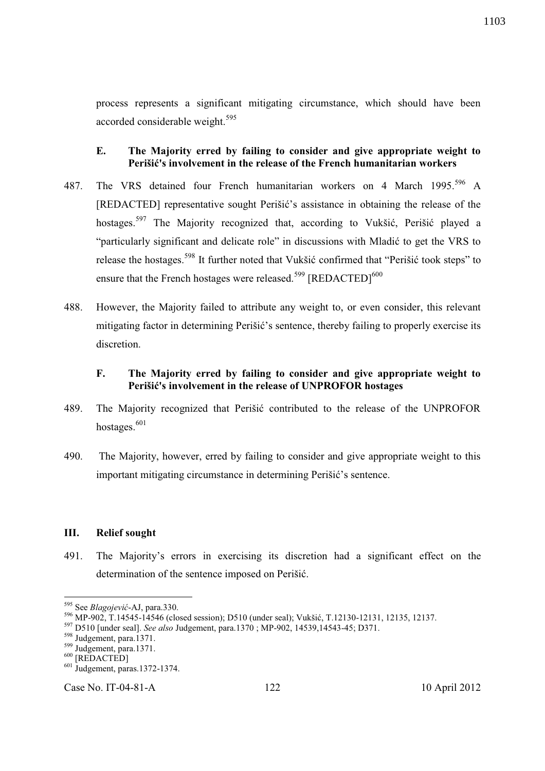process represents a significant mitigating circumstance, which should have been accorded considerable weight.<sup>595</sup>

## **E. The Majority erred by failing to consider and give appropriate weight to Perišić's involvement in the release of the French humanitarian workers**

- 487. The VRS detained four French humanitarian workers on 4 March 1995.<sup>596</sup> A [REDACTED] representative sought Perišić's assistance in obtaining the release of the hostages.<sup>597</sup> The Majority recognized that, according to Vukšić, Perišić played a "particularly significant and delicate role" in discussions with Mladić to get the VRS to release the hostages.<sup>598</sup> It further noted that Vukšić confirmed that "Perišić took steps" to ensure that the French hostages were released.<sup>599</sup> [REDACTED]<sup>600</sup>
- 488. However, the Majority failed to attribute any weight to, or even consider, this relevant mitigating factor in determining Perišić's sentence, thereby failing to properly exercise its discretion.

## **F. The Majority erred by failing to consider and give appropriate weight to Perišić's involvement in the release of UNPROFOR hostages**

- 489. The Majority recognized that Perišić contributed to the release of the UNPROFOR hostages.<sup>601</sup>
- 490. The Majority, however, erred by failing to consider and give appropriate weight to this important mitigating circumstance in determining Perišić's sentence.

#### **III. Relief sought**

491. The Majority's errors in exercising its discretion had a significant effect on the determination of the sentence imposed on Perišić.

-

<sup>595</sup> See *Blagojević*-AJ, para.330.

<sup>596</sup> MP-902, T.14545-14546 (closed session); D510 (under seal); Vukšić, T.12130-12131, 12135, 12137.

<sup>597</sup> D510 [under seal]. *See also* Judgement, para.1370 ; MP-902, 14539,14543-45; D371.

<sup>598</sup> Judgement, para.1371.

<sup>599</sup> Judgement, para.1371.

<sup>&</sup>lt;sup>600</sup> [REDACTED]

<sup>601</sup> Judgement, paras.1372-1374.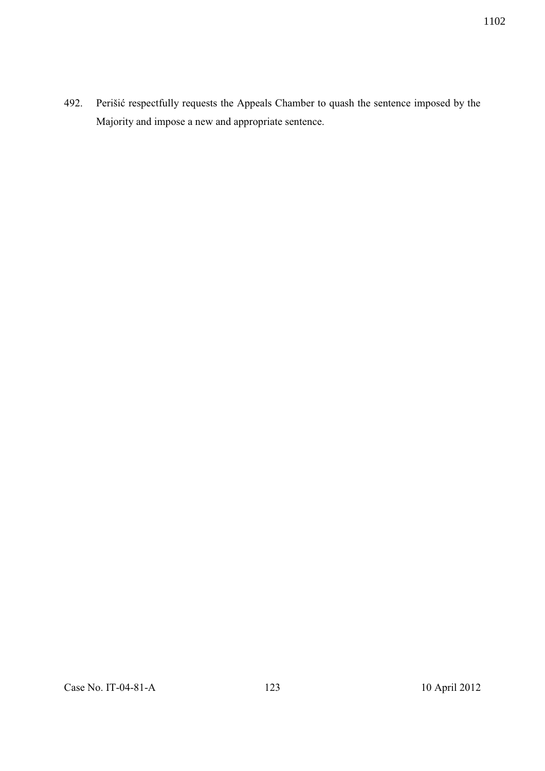492. Perišić respectfully requests the Appeals Chamber to quash the sentence imposed by the Majority and impose a new and appropriate sentence.